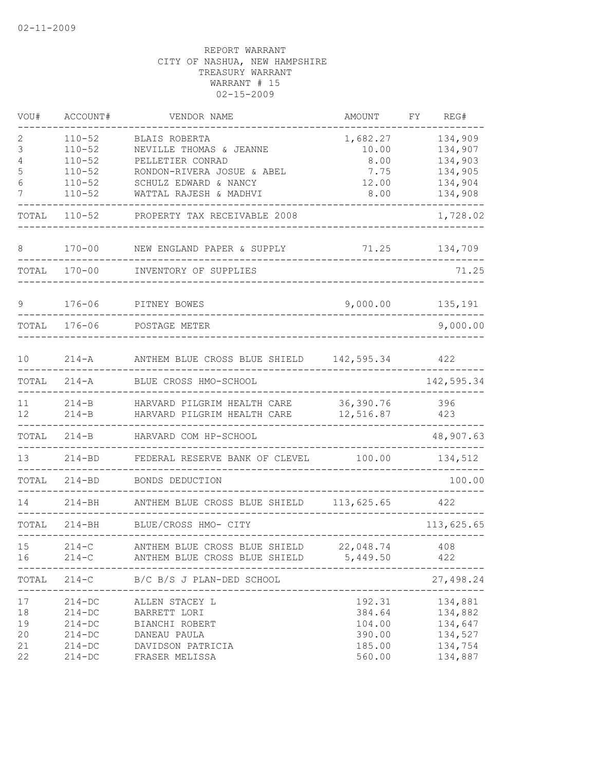| VOU#                             | ACCOUNT#                                                                         | VENDOR NAME                                                                                                         | AMOUNT                                                   | FΥ | REG#                                                           |
|----------------------------------|----------------------------------------------------------------------------------|---------------------------------------------------------------------------------------------------------------------|----------------------------------------------------------|----|----------------------------------------------------------------|
| 2<br>3<br>4<br>5<br>6            | $110 - 52$<br>$110 - 52$<br>$110 - 52$<br>$110 - 52$<br>$110 - 52$               | BLAIS ROBERTA<br>NEVILLE THOMAS & JEANNE<br>PELLETIER CONRAD<br>RONDON-RIVERA JOSUE & ABEL<br>SCHULZ EDWARD & NANCY | 1,682.27<br>10.00<br>8.00<br>7.75<br>12.00               |    | 134,909<br>134,907<br>134,903<br>134,905<br>134,904            |
| 7                                | $110 - 52$                                                                       | WATTAL RAJESH & MADHVI                                                                                              | 8.00                                                     |    | 134,908                                                        |
| TOTAL                            | $110 - 52$                                                                       | PROPERTY TAX RECEIVABLE 2008                                                                                        |                                                          |    | 1,728.02                                                       |
| 8                                | $170 - 00$                                                                       | NEW ENGLAND PAPER & SUPPLY                                                                                          | 71.25                                                    |    | 134,709                                                        |
| TOTAL                            | $170 - 00$                                                                       | INVENTORY OF SUPPLIES                                                                                               |                                                          |    | 71.25                                                          |
| 9                                | $176 - 06$                                                                       | PITNEY BOWES                                                                                                        | 9,000.00                                                 |    | 135,191                                                        |
| TOTAL                            | $176 - 06$                                                                       | POSTAGE METER                                                                                                       |                                                          |    | 9,000.00                                                       |
| 10                               | $214 - A$                                                                        | ANTHEM BLUE CROSS BLUE SHIELD                                                                                       | 142,595.34                                               |    | 422                                                            |
| TOTAL                            | $214 - A$                                                                        | BLUE CROSS HMO-SCHOOL                                                                                               |                                                          |    | 142,595.34                                                     |
| 11<br>12                         | $214-B$<br>$214 - B$                                                             | HARVARD PILGRIM HEALTH CARE<br>HARVARD PILGRIM HEALTH CARE                                                          | 36,390.76<br>12,516.87                                   |    | 396<br>423                                                     |
| TOTAL                            | $214-B$                                                                          | HARVARD COM HP-SCHOOL                                                                                               |                                                          |    | 48,907.63                                                      |
| 13                               | $214 - BD$                                                                       | FEDERAL RESERVE BANK OF CLEVEL                                                                                      | 100.00                                                   |    | 134,512                                                        |
| TOTAL                            | $214 - BD$                                                                       | BONDS DEDUCTION                                                                                                     |                                                          |    | 100.00                                                         |
| 14                               | $214 - BH$                                                                       | ANTHEM BLUE CROSS BLUE SHIELD                                                                                       | 113,625.65                                               |    | 422                                                            |
| TOTAL                            | $214 - BH$                                                                       | BLUE/CROSS HMO- CITY                                                                                                |                                                          |    | 113,625.65                                                     |
| 15<br>16                         | $214-C$<br>$214 - C$                                                             | ANTHEM BLUE CROSS BLUE SHIELD 22,048.74<br>ANTHEM BLUE CROSS BLUE SHIELD 5,449.50                                   |                                                          |    | 408<br>422                                                     |
| TOTAL                            | $214-C$                                                                          | B/C B/S J PLAN-DED SCHOOL<br>_________________________                                                              |                                                          |    | 27,498.24                                                      |
| 17<br>18<br>19<br>20<br>21<br>22 | $214 - DC$<br>$214 - DC$<br>$214 - DC$<br>$214 - DC$<br>$214 - DC$<br>$214 - DC$ | ALLEN STACEY L<br>BARRETT LORI<br>BIANCHI ROBERT<br>DANEAU PAULA<br>DAVIDSON PATRICIA<br>FRASER MELISSA             | 192.31<br>384.64<br>104.00<br>390.00<br>185.00<br>560.00 |    | 134,881<br>134,882<br>134,647<br>134,527<br>134,754<br>134,887 |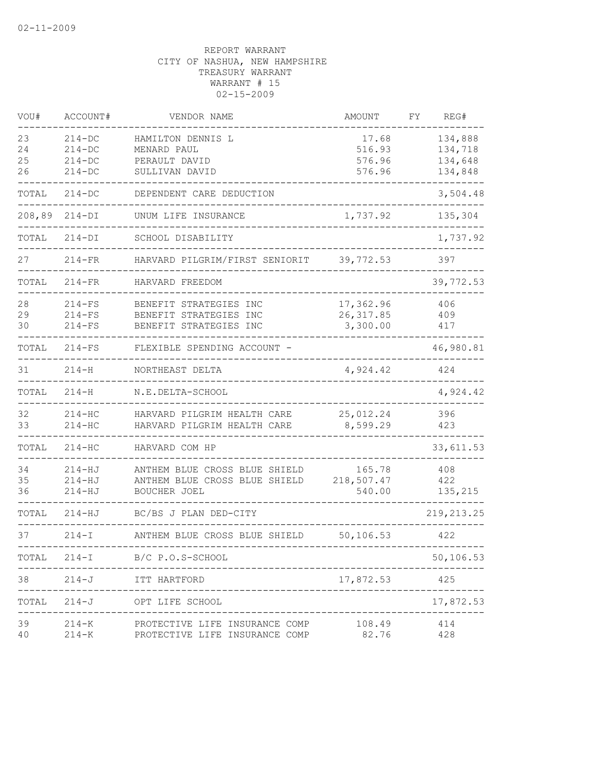| VOU#     | ACCOUNT#               | VENDOR NAME                                                      | AMOUNT          | FΥ | REG#        |
|----------|------------------------|------------------------------------------------------------------|-----------------|----|-------------|
| 23       | $214 - DC$             | HAMILTON DENNIS L                                                | 17.68           |    | 134,888     |
| 24       | $214 - DC$             | MENARD PAUL                                                      | 516.93          |    | 134,718     |
| 25       | $214 - DC$             | PERAULT DAVID                                                    | 576.96          |    | 134,648     |
| 26       | $214 - DC$             | SULLIVAN DAVID                                                   | 576.96          |    | 134,848     |
| TOTAL    | $214 - DC$             | DEPENDENT CARE DEDUCTION                                         |                 |    | 3,504.48    |
| 208,89   | $214-DI$               | UNUM LIFE INSURANCE                                              | 1,737.92        |    | 135,304     |
| TOTAL    | $214-DI$               | SCHOOL DISABILITY                                                |                 |    | 1,737.92    |
| 27       | $214-FR$               | HARVARD PILGRIM/FIRST SENIORIT                                   | 39,772.53       |    | 397         |
| TOTAL    | $214-FR$               | HARVARD FREEDOM                                                  |                 |    | 39,772.53   |
| 28       | $214-FS$               | BENEFIT STRATEGIES INC                                           | 17,362.96       |    | 406         |
| 29       | $214-FS$               | BENEFIT STRATEGIES INC                                           | 26, 317.85      |    | 409         |
| 30       | $214-FS$               | BENEFIT STRATEGIES INC                                           | 3,300.00        |    | 417         |
| TOTAL    | $214-FS$               | FLEXIBLE SPENDING ACCOUNT -                                      |                 |    | 46,980.81   |
| 31       | $214 - H$              | NORTHEAST DELTA                                                  | 4,924.42        |    | 424         |
| TOTAL    | $214 - H$              | N.E.DELTA-SCHOOL                                                 |                 |    | 4,924.42    |
| 32       | $214 - HC$             | HARVARD PILGRIM HEALTH CARE                                      | 25,012.24       |    | 396         |
| 33       | $214 - HC$             | HARVARD PILGRIM HEALTH CARE                                      | 8,599.29        |    | 423         |
| TOTAL    | $214 - HC$             | HARVARD COM HP                                                   |                 |    | 33,611.53   |
| 34       | $214 - HJ$             | ANTHEM BLUE CROSS BLUE SHIELD                                    | 165.78          |    | 408         |
| 35       | $214 - HJ$             | ANTHEM BLUE CROSS BLUE SHIELD                                    | 218,507.47      |    | 422         |
| 36       | $214 - HJ$             | BOUCHER JOEL                                                     | 540.00          |    | 135,215     |
| TOTAL    | 214-HJ                 | BC/BS J PLAN DED-CITY                                            |                 |    | 219, 213.25 |
| 37       | $214 - I$              | ANTHEM BLUE CROSS BLUE SHIELD                                    | 50,106.53       |    | 422         |
| TOTAL    |                        | 214-I B/C P.O.S-SCHOOL                                           |                 |    | 50,106.53   |
| 38       | $214 - J$              | ITT HARTFORD                                                     | 17,872.53       |    | 425         |
| TOTAL    | $214 - J$              | OPT LIFE SCHOOL                                                  |                 |    | 17,872.53   |
| 39<br>40 | $214 - K$<br>$214 - K$ | PROTECTIVE LIFE INSURANCE COMP<br>PROTECTIVE LIFE INSURANCE COMP | 108.49<br>82.76 |    | 414<br>428  |
|          |                        |                                                                  |                 |    |             |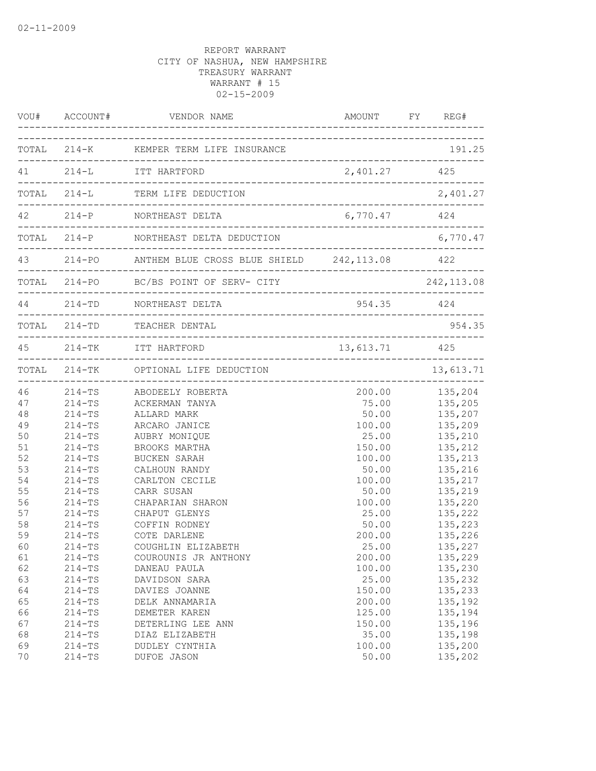|          | VOU# ACCOUNT#            | VENDOR NAME                                                                                                               | AMOUNT FY REG#                 |                    |
|----------|--------------------------|---------------------------------------------------------------------------------------------------------------------------|--------------------------------|--------------------|
|          |                          | TOTAL 214-K KEMPER TERM LIFE INSURANCE                                                                                    |                                | 191.25             |
|          |                          | 41 214-L ITT HARTFORD                                                                                                     | 2,401.27 425                   |                    |
|          |                          | TOTAL 214-L TERM LIFE DEDUCTION                                                                                           |                                | 2,401.27           |
|          |                          | 42 214-P NORTHEAST DELTA                                                                                                  | 6,770.47                       | 424                |
|          |                          | TOTAL 214-P NORTHEAST DELTA DEDUCTION<br>______________________________________<br>._____________________________________ |                                | 6,770.47           |
|          |                          | 43 214-PO ANTHEM BLUE CROSS BLUE SHIELD 242, 113.08 422                                                                   | ------------------------------ |                    |
|          |                          | TOTAL 214-PO BC/BS POINT OF SERV- CITY<br>--------------------------------------                                          |                                | 242,113.08         |
|          |                          | 44 214-TD NORTHEAST DELTA                                                                                                 | 954.35 424                     |                    |
|          |                          | TOTAL 214-TD TEACHER DENTAL                                                                                               |                                | 954.35             |
|          |                          | 45 214-TK ITT HARTFORD                                                                                                    | 13,613.71 425                  | ________________   |
|          |                          | TOTAL 214-TK OPTIONAL LIFE DEDUCTION                                                                                      |                                | 13,613.71          |
| 46       |                          | 214-TS ABODEELY ROBERTA                                                                                                   | 200.00                         | 135,204            |
| 47       | $214 - TS$               | ACKERMAN TANYA                                                                                                            | 75.00                          | 135,205            |
| 48       | $214-TS$                 | ALLARD MARK                                                                                                               | 50.00                          | 135,207            |
| 49       | $214 - TS$               | ARCARO JANICE                                                                                                             | 100.00                         | 135,209            |
| 50       | $214 - TS$               | AUBRY MONIQUE                                                                                                             | 25.00                          | 135,210            |
| 51       | $214 - TS$               | BROOKS MARTHA                                                                                                             | 150.00                         | 135,212            |
| 52       | $214 - TS$               | BUCKEN SARAH                                                                                                              | 100.00                         | 135,213            |
| 53       | $214 - TS$               | CALHOUN RANDY                                                                                                             | 50.00                          | 135,216            |
| 54       | $214 - TS$               | CARLTON CECILE                                                                                                            | 100.00                         | 135,217            |
| 55       | $214 - TS$               | CARR SUSAN                                                                                                                | 50.00                          | 135,219            |
| 56       | $214 - TS$               | CHAPARIAN SHARON                                                                                                          | 100.00                         | 135,220            |
| 57       | $214-TS$                 | CHAPUT GLENYS                                                                                                             | 25.00                          | 135,222            |
| 58       | $214 - TS$               | COFFIN RODNEY                                                                                                             | 50.00                          | 135,223            |
| 59       | $214 - TS$               | COTE DARLENE                                                                                                              | 200.00                         | 135,226            |
| 60       | $214 - TS$               | COUGHLIN ELIZABETH                                                                                                        | 25.00                          | 135,227            |
| 61       | $214 - TS$               | COUROUNIS JR ANTHONY                                                                                                      | 200.00                         | 135,229            |
| 62       | $214 - TS$               | DANEAU PAULA                                                                                                              | 100.00                         | 135,230            |
| 63       | $214 - TS$               | DAVIDSON SARA                                                                                                             | 25.00                          | 135,232            |
| 64       | $214 - TS$               | DAVIES JOANNE                                                                                                             | 150.00                         | 135,233            |
| 65       | $214 - TS$               | DELK ANNAMARIA                                                                                                            | 200.00                         | 135,192            |
| 66       | $214 - TS$               | DEMETER KAREN                                                                                                             | 125.00                         | 135,194            |
| 67       | $214 - TS$               | DETERLING LEE ANN                                                                                                         | 150.00                         | 135,196            |
| 68       | $214 - TS$               | DIAZ ELIZABETH                                                                                                            | 35.00                          | 135,198            |
| 69<br>70 | $214 - TS$<br>$214 - TS$ | DUDLEY CYNTHIA<br>DUFOE JASON                                                                                             | 100.00<br>50.00                | 135,200<br>135,202 |
|          |                          |                                                                                                                           |                                |                    |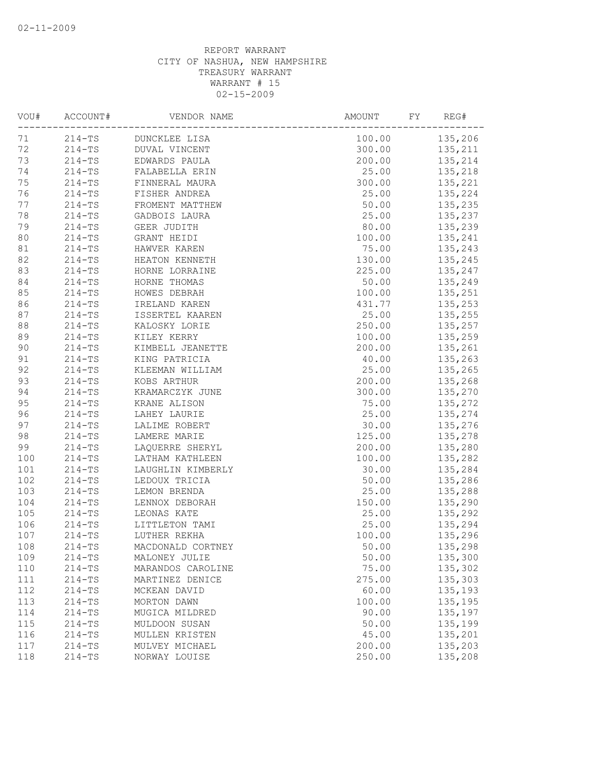| VOU# | ACCOUNT#   | VENDOR NAME       | AMOUNT<br>FΥ | REG#    |
|------|------------|-------------------|--------------|---------|
| 71   | $214-TS$   | DUNCKLEE LISA     | 100.00       | 135,206 |
| 72   | $214 - TS$ | DUVAL VINCENT     | 300.00       | 135,211 |
| 73   | $214-TS$   | EDWARDS PAULA     | 200.00       | 135,214 |
| 74   | $214 - TS$ | FALABELLA ERIN    | 25.00        | 135,218 |
| 75   | $214-TS$   | FINNERAL MAURA    | 300.00       | 135,221 |
| 76   | $214 - TS$ | FISHER ANDREA     | 25.00        | 135,224 |
| 77   | $214-TS$   | FROMENT MATTHEW   | 50.00        | 135,235 |
| 78   | $214 - TS$ | GADBOIS LAURA     | 25.00        | 135,237 |
| 79   | $214 - TS$ | GEER JUDITH       | 80.00        | 135,239 |
| 80   | $214-TS$   | GRANT HEIDI       | 100.00       | 135,241 |
| 81   | $214 - TS$ | HAWVER KAREN      | 75.00        | 135,243 |
| 82   | $214-TS$   | HEATON KENNETH    | 130.00       | 135,245 |
| 83   | $214 - TS$ | HORNE LORRAINE    | 225.00       | 135,247 |
| 84   | $214-TS$   | HORNE THOMAS      | 50.00        | 135,249 |
| 85   | $214-TS$   | HOWES DEBRAH      | 100.00       | 135,251 |
| 86   | $214-TS$   | IRELAND KAREN     | 431.77       | 135,253 |
| 87   | $214-TS$   | ISSERTEL KAAREN   | 25.00        | 135,255 |
| 88   | $214 - TS$ | KALOSKY LORIE     | 250.00       | 135,257 |
| 89   | $214 - TS$ | KILEY KERRY       | 100.00       | 135,259 |
| 90   | $214 - TS$ | KIMBELL JEANETTE  | 200.00       | 135,261 |
| 91   | $214-TS$   | KING PATRICIA     | 40.00        | 135,263 |
| 92   | $214 - TS$ | KLEEMAN WILLIAM   | 25.00        | 135,265 |
| 93   | $214-TS$   | KOBS ARTHUR       | 200.00       | 135,268 |
| 94   | $214 - TS$ | KRAMARCZYK JUNE   | 300.00       | 135,270 |
| 95   | $214-TS$   | KRANE ALISON      | 75.00        | 135,272 |
| 96   | $214 - TS$ | LAHEY LAURIE      | 25.00        | 135,274 |
| 97   | $214 - TS$ | LALIME ROBERT     | 30.00        | 135,276 |
| 98   | $214-TS$   | LAMERE MARIE      | 125.00       | 135,278 |
| 99   | $214 - TS$ | LAQUERRE SHERYL   | 200.00       | 135,280 |
| 100  | $214-TS$   | LATHAM KATHLEEN   | 100.00       | 135,282 |
| 101  | $214-TS$   | LAUGHLIN KIMBERLY | 30.00        | 135,284 |
| 102  | $214-TS$   | LEDOUX TRICIA     | 50.00        | 135,286 |
| 103  | $214-TS$   | LEMON BRENDA      | 25.00        | 135,288 |
| 104  | $214-TS$   | LENNOX DEBORAH    | 150.00       | 135,290 |
| 105  | $214-TS$   | LEONAS KATE       | 25.00        | 135,292 |
| 106  | $214 - TS$ | LITTLETON TAMI    | 25.00        | 135,294 |
| 107  | $214 - TS$ | LUTHER REKHA      | 100.00       | 135,296 |
| 108  | $214 - TS$ | MACDONALD CORTNEY | 50.00        | 135,298 |
| 109  | $214 - TS$ | MALONEY JULIE     | 50.00        | 135,300 |
| 110  | $214 - TS$ | MARANDOS CAROLINE | 75.00        | 135,302 |
| 111  | $214 - TS$ | MARTINEZ DENICE   | 275.00       | 135,303 |
| 112  | $214-TS$   | MCKEAN DAVID      | 60.00        | 135,193 |
| 113  | $214 - TS$ | MORTON DAWN       | 100.00       | 135,195 |
| 114  | $214 - TS$ | MUGICA MILDRED    | 90.00        | 135,197 |
| 115  | $214 - TS$ | MULDOON SUSAN     | 50.00        | 135,199 |
| 116  | $214 - TS$ | MULLEN KRISTEN    | 45.00        | 135,201 |
| 117  | $214 - TS$ | MULVEY MICHAEL    | 200.00       | 135,203 |
| 118  | $214 - TS$ | NORWAY LOUISE     | 250.00       | 135,208 |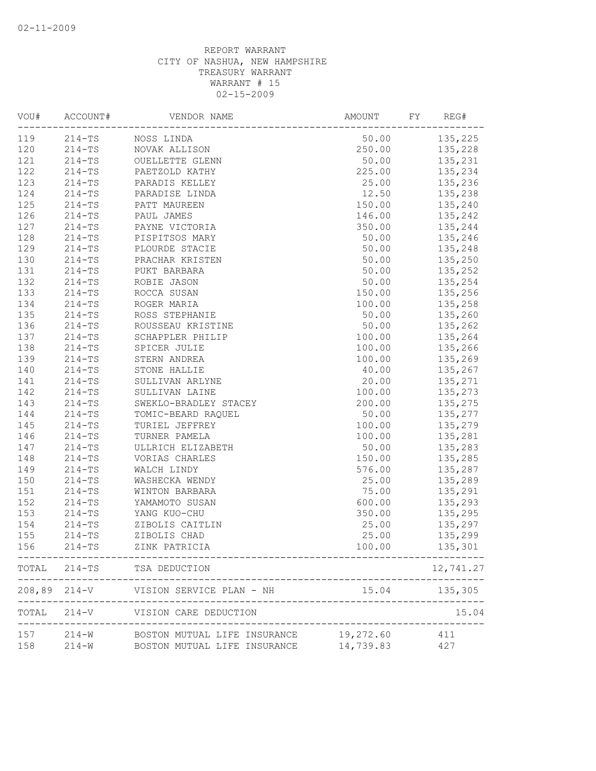|            | ACCOUNT#   | VENDOR NAME                                                                  | AMOUNT        | FY<br>REG# |
|------------|------------|------------------------------------------------------------------------------|---------------|------------|
| 119        | $214 - TS$ | NOSS LINDA                                                                   | 50.00         | 135,225    |
| 120        | $214 - TS$ | NOVAK ALLISON                                                                | 250.00        | 135,228    |
| 121        | $214 - TS$ | OUELLETTE GLENN                                                              | 50.00         | 135,231    |
| 122        | $214 - TS$ | PAETZOLD KATHY                                                               | 225.00        | 135,234    |
| 123        | $214 - TS$ | PARADIS KELLEY                                                               | 25.00         | 135,236    |
| 124        | $214 - TS$ | PARADISE LINDA                                                               | 12.50         | 135,238    |
| 125        | $214 - TS$ | PATT MAUREEN                                                                 | 150.00        | 135,240    |
| 126        | $214 - TS$ | PAUL JAMES                                                                   | 146.00        | 135,242    |
| 127        | $214 - TS$ | PAYNE VICTORIA                                                               | 350.00        | 135,244    |
| 128        | $214 - TS$ | PISPITSOS MARY                                                               | 50.00         | 135,246    |
| 129        | $214 - TS$ | PLOURDE STACIE                                                               | 50.00         | 135,248    |
| 130        | $214 - TS$ | PRACHAR KRISTEN                                                              | 50.00         | 135,250    |
| 131        | $214-TS$   | PUKT BARBARA                                                                 | 50.00         | 135,252    |
| 132        | $214-TS$   | ROBIE JASON                                                                  | 50.00         | 135,254    |
| 133        | $214-TS$   | ROCCA SUSAN                                                                  | 150.00        | 135,256    |
| 134        | $214 - TS$ | ROGER MARIA                                                                  | 100.00        | 135,258    |
| 135        | $214 - TS$ | ROSS STEPHANIE                                                               | 50.00         | 135,260    |
| 136        | $214 - TS$ | ROUSSEAU KRISTINE                                                            | 50.00         | 135,262    |
| 137        | $214 - TS$ | SCHAPPLER PHILIP                                                             | 100.00        | 135,264    |
| 138        | $214 - TS$ | SPICER JULIE                                                                 | 100.00        | 135,266    |
| 139        | $214 - TS$ | STERN ANDREA                                                                 | 100.00        | 135,269    |
| 140        | $214 - TS$ | STONE HALLIE                                                                 | 40.00         | 135,267    |
| 141        | $214 - TS$ | SULLIVAN ARLYNE                                                              | 20.00         | 135,271    |
| 142        | $214 - TS$ | SULLIVAN LAINE                                                               | 100.00        | 135,273    |
| 143        | $214 - TS$ | SWEKLO-BRADLEY STACEY                                                        | 200.00        | 135,275    |
| 144        | $214 - TS$ | TOMIC-BEARD RAQUEL                                                           | 50.00         | 135,277    |
| 145        | $214 - TS$ | TURIEL JEFFREY                                                               | 100.00        | 135,279    |
| 146        | $214 - TS$ | TURNER PAMELA                                                                | 100.00        | 135,281    |
| 147        | $214 - TS$ | ULLRICH ELIZABETH                                                            | 50.00         | 135,283    |
| 148        | $214-TS$   | VORIAS CHARLES                                                               | 150.00        | 135,285    |
| 149        | $214 - TS$ | WALCH LINDY                                                                  | 576.00        | 135,287    |
| 150        | $214 - TS$ | WASHECKA WENDY                                                               | 25.00         | 135,289    |
| 151        | $214-TS$   | WINTON BARBARA                                                               | 75.00         | 135,291    |
| 152        | $214 - TS$ | YAMAMOTO SUSAN                                                               | 600.00        | 135,293    |
| 153        | $214 - TS$ | YANG KUO-CHU                                                                 | 350.00        | 135,295    |
| 154        | $214 - TS$ | ZIBOLIS CAITLIN                                                              | 25.00         | 135,297    |
| 155        | $214 - TS$ | ZIBOLIS CHAD                                                                 | 25.00         | 135,299    |
| 156        | $214-TS$   | ZINK PATRICIA                                                                | 100.00        | 135,301    |
|            |            | TOTAL 214-TS TSA DEDUCTION                                                   |               | 12,741.27  |
|            |            | 208,89 214-V VISION SERVICE PLAN - NH                                        | 15.04 135,305 |            |
|            |            | -----------------<br>TOTAL 214-V VISION CARE DEDUCTION                       |               | 15.04      |
| 157<br>158 | $214-W$    | 214-W BOSTON MUTUAL LIFE INSURANCE 19,272.60<br>BOSTON MUTUAL LIFE INSURANCE | 14,739.83     | 411<br>427 |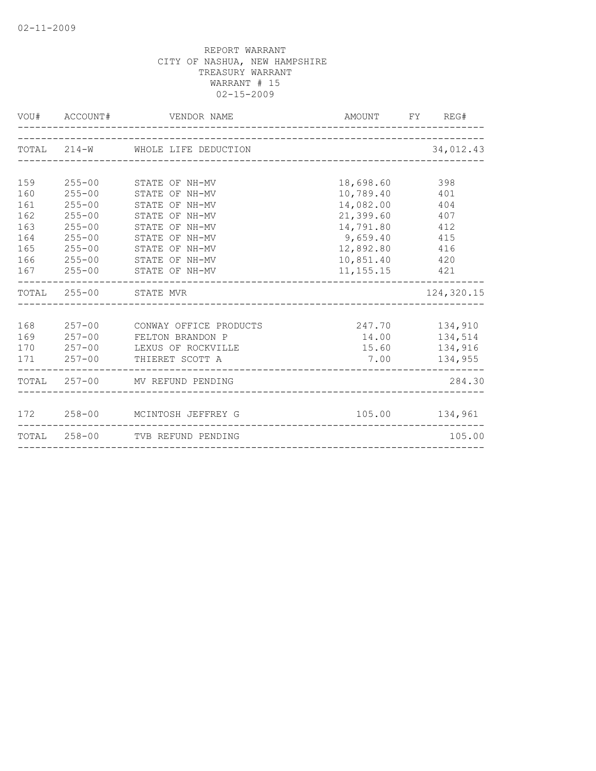|            |                          | VOU# ACCOUNT# VENDOR NAME        |                        | AMOUNT FY REG#   |
|------------|--------------------------|----------------------------------|------------------------|------------------|
|            |                          | TOTAL 214-W WHOLE LIFE DEDUCTION |                        | 34,012.43        |
|            |                          |                                  |                        |                  |
| 159<br>160 | $255 - 00$<br>$255 - 00$ | STATE OF NH-MV<br>STATE OF NH-MV | 18,698.60<br>10,789.40 | 398<br>401       |
| 161        | $255 - 00$               | STATE OF NH-MV                   | 14,082.00              | 404              |
| 162        | $255 - 00$               | STATE OF NH-MV                   | 21,399.60              | 407              |
| 163        | $255 - 00$               | STATE OF NH-MV                   | 14,791.80              | 412              |
| 164        | $255 - 00$               | STATE OF NH-MV                   | 9,659.40               | 415              |
| 165        | $255 - 00$               | STATE OF NH-MV                   | 12,892.80              | 416              |
| 166        | $255 - 00$               | STATE OF NH-MV                   | 10,851.40 420          |                  |
|            | 167 255-00               | STATE OF NH-MV                   | 11, 155. 15 421        |                  |
|            |                          | TOTAL 255-00 STATE MVR           |                        | 124,320.15       |
|            |                          |                                  |                        |                  |
| 168        | $257 - 00$               | CONWAY OFFICE PRODUCTS           | 247.70 134,910         |                  |
| 169        |                          | 257-00 FELTON BRANDON P          |                        |                  |
| 170        | $257 - 00$               | LEXUS OF ROCKVILLE               |                        | 15.60 134,916    |
|            |                          | 171 257-00 THIERET SCOTT A       | 7.00                   | 134,955          |
|            |                          | TOTAL 257-00 MV REFUND PENDING   |                        | 284.30           |
|            |                          |                                  |                        |                  |
|            |                          | 172 258-00 MCINTOSH JEFFREY G    |                        | 105.00   134,961 |
|            |                          | TOTAL 258-00 TVB REFUND PENDING  |                        | 105.00           |
|            |                          |                                  |                        |                  |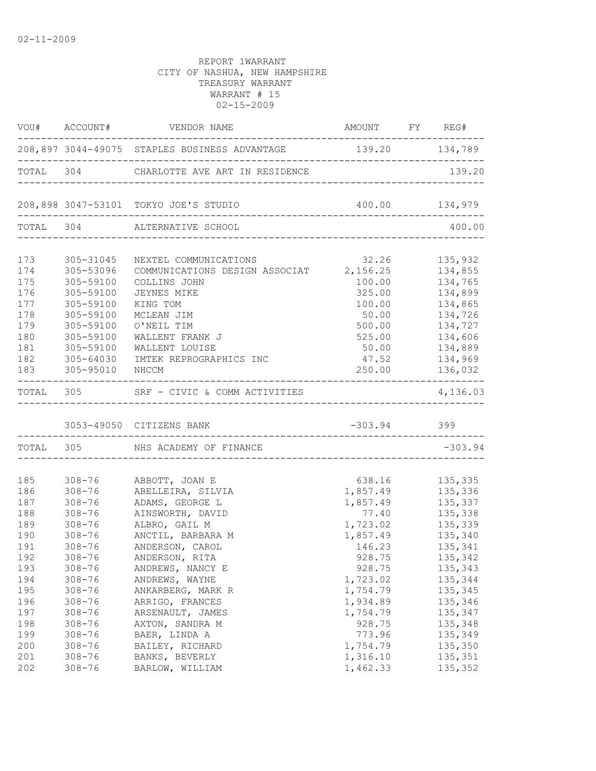|     |                             | VOU# ACCOUNT# VENDOR NAME                                    | AMOUNT FY REG#                      |                |
|-----|-----------------------------|--------------------------------------------------------------|-------------------------------------|----------------|
|     |                             | 208,897 3044-49075 STAPLES BUSINESS ADVANTAGE 139.20 134,789 |                                     |                |
|     |                             | TOTAL 304 CHARLOTTE AVE ART IN RESIDENCE                     |                                     | 139.20         |
|     |                             | 208,898 3047-53101 TOKYO JOE'S STUDIO                        |                                     |                |
|     |                             | TOTAL 304 ALTERNATIVE SCHOOL                                 |                                     | 400.00         |
| 173 | 305-31045                   | NEXTEL COMMUNICATIONS                                        | 32.26 135,932                       |                |
| 174 | 305-53096                   | COMMUNICATIONS DESIGN ASSOCIAT 2,156.25 134,855              |                                     |                |
| 175 | 305-59100                   | COLLINS JOHN                                                 |                                     | 100.00 134,765 |
| 176 | 305-59100                   | <b>JEYNES MIKE</b>                                           | 325.00                              | 134,899        |
| 177 | 305-59100                   | KING TOM                                                     | 100.00                              | 134,865        |
| 178 | 305-59100                   | MCLEAN JIM                                                   | 50.00                               | 134,726        |
| 179 | 305-59100                   | O'NEIL TIM                                                   | 500.00                              | 134,727        |
| 180 | 305-59100                   | WALLENT FRANK J                                              | 525.00                              | 134,606        |
| 181 | 305-59100                   | WALLENT LOUISE                                               | 50.00                               | 134,889        |
| 182 | $305 - 64030$               | IMTEK REPROGRAPHICS INC                                      | 47.52                               | 134,969        |
| 183 | 305-95010 NHCCM             |                                                              |                                     | 250.00 136,032 |
|     | --------------------------- | TOTAL 305 SRF - CIVIC & COMM ACTIVITIES                      |                                     | 4,136.03       |
|     |                             | 3053-49050 CITIZENS BANK                                     | $-303.94$ 399                       |                |
|     |                             | TOTAL 305 NHS ACADEMY OF FINANCE                             | ----------------------------------- | $-303.94$      |
|     |                             |                                                              |                                     |                |
| 185 |                             | 308-76 ABBOTT, JOAN E                                        | 638.16 135,335                      |                |
| 186 | $308 - 76$                  | ABELLEIRA, SILVIA                                            | 1,857.49 135,336                    |                |
| 187 | $308 - 76$                  | ADAMS, GEORGE L                                              | 1,857.49                            | 135,337        |
| 188 | $308 - 76$                  | AINSWORTH, DAVID                                             | 77.40                               | 135,338        |
| 189 | $308 - 76$                  | ALBRO, GAIL M                                                | 1,723.02                            | 135,339        |
| 190 | $308 - 76$                  | ANCTIL, BARBARA M                                            | 1,857.49                            | 135,340        |
| 191 | $308 - 76$                  | ANDERSON, CAROL                                              | 146.23                              | 135,341        |
| 192 | $308 - 76$                  | ANDERSON, RITA                                               | 928.75                              | 135,342        |
| 193 | $308 - 76$                  | ANDREWS, NANCY E                                             | 928.75                              | 135,343        |
| 194 | $308 - 76$                  | ANDREWS, WAYNE                                               | 1,723.02                            | 135,344        |
| 195 | $308 - 76$                  | ANKARBERG, MARK R                                            | 1,754.79                            | 135,345        |
| 196 | $308 - 76$                  | ARRIGO, FRANCES                                              | 1,934.89                            | 135,346        |
| 197 | $308 - 76$                  | ARSENAULT, JAMES                                             | 1,754.79                            | 135,347        |
| 198 | $308 - 76$                  | AXTON, SANDRA M                                              | 928.75                              | 135,348        |
| 199 | $308 - 76$                  | BAER, LINDA A                                                | 773.96                              | 135,349        |
| 200 | $308 - 76$                  | BAILEY, RICHARD                                              | 1,754.79                            | 135,350        |
| 201 | $308 - 76$                  | BANKS, BEVERLY                                               | 1,316.10                            | 135,351        |
| 202 | $308 - 76$                  | BARLOW, WILLIAM                                              | 1,462.33                            | 135,352        |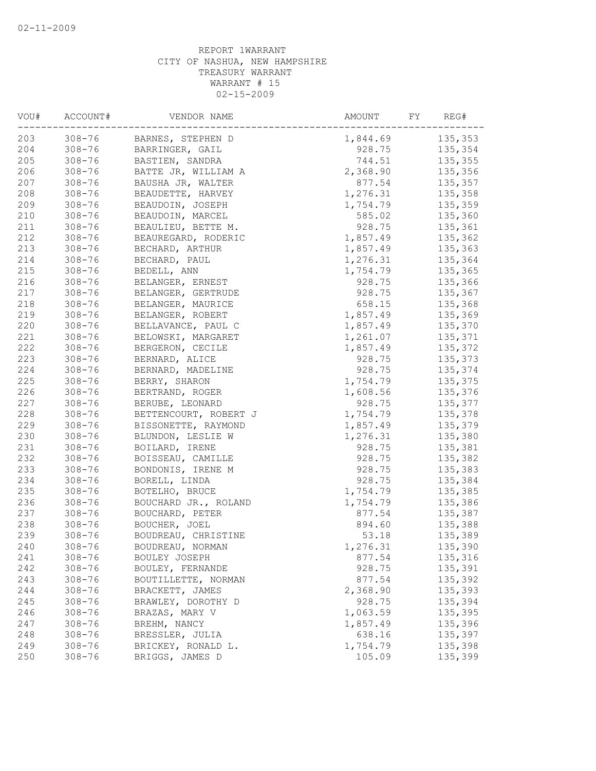| VOU# | ACCOUNT#   | VENDOR NAME           | AMOUNT<br>FY | REG#    |
|------|------------|-----------------------|--------------|---------|
| 203  | $308 - 76$ | BARNES, STEPHEN D     | 1,844.69     | 135,353 |
| 204  | $308 - 76$ | BARRINGER, GAIL       | 928.75       | 135,354 |
| 205  | $308 - 76$ | BASTIEN, SANDRA       | 744.51       | 135,355 |
| 206  | $308 - 76$ | BATTE JR, WILLIAM A   | 2,368.90     | 135,356 |
| 207  | $308 - 76$ | BAUSHA JR, WALTER     | 877.54       | 135,357 |
| 208  | $308 - 76$ | BEAUDETTE, HARVEY     | 1,276.31     | 135,358 |
| 209  | $308 - 76$ | BEAUDOIN, JOSEPH      | 1,754.79     | 135,359 |
| 210  | $308 - 76$ | BEAUDOIN, MARCEL      | 585.02       | 135,360 |
| 211  | $308 - 76$ | BEAULIEU, BETTE M.    | 928.75       | 135,361 |
| 212  | $308 - 76$ | BEAUREGARD, RODERIC   | 1,857.49     | 135,362 |
| 213  | $308 - 76$ | BECHARD, ARTHUR       | 1,857.49     | 135,363 |
| 214  | $308 - 76$ | BECHARD, PAUL         | 1,276.31     | 135,364 |
| 215  | $308 - 76$ | BEDELL, ANN           | 1,754.79     | 135,365 |
| 216  | $308 - 76$ | BELANGER, ERNEST      | 928.75       | 135,366 |
| 217  | $308 - 76$ | BELANGER, GERTRUDE    | 928.75       | 135,367 |
| 218  | $308 - 76$ | BELANGER, MAURICE     | 658.15       | 135,368 |
| 219  | $308 - 76$ | BELANGER, ROBERT      | 1,857.49     | 135,369 |
| 220  | $308 - 76$ | BELLAVANCE, PAUL C    | 1,857.49     | 135,370 |
| 221  | $308 - 76$ | BELOWSKI, MARGARET    | 1,261.07     | 135,371 |
| 222  | $308 - 76$ | BERGERON, CECILE      | 1,857.49     | 135,372 |
| 223  | $308 - 76$ | BERNARD, ALICE        | 928.75       | 135,373 |
| 224  | $308 - 76$ | BERNARD, MADELINE     | 928.75       | 135,374 |
| 225  | $308 - 76$ | BERRY, SHARON         | 1,754.79     | 135,375 |
| 226  | $308 - 76$ | BERTRAND, ROGER       | 1,608.56     | 135,376 |
| 227  | $308 - 76$ | BERUBE, LEONARD       | 928.75       | 135,377 |
| 228  | $308 - 76$ | BETTENCOURT, ROBERT J | 1,754.79     | 135,378 |
| 229  | $308 - 76$ | BISSONETTE, RAYMOND   | 1,857.49     | 135,379 |
| 230  | $308 - 76$ | BLUNDON, LESLIE W     | 1,276.31     | 135,380 |
| 231  | $308 - 76$ | BOILARD, IRENE        | 928.75       | 135,381 |
| 232  | $308 - 76$ | BOISSEAU, CAMILLE     | 928.75       | 135,382 |
| 233  | $308 - 76$ | BONDONIS, IRENE M     | 928.75       | 135,383 |
| 234  | $308 - 76$ | BORELL, LINDA         | 928.75       | 135,384 |
| 235  | $308 - 76$ | BOTELHO, BRUCE        | 1,754.79     | 135,385 |
| 236  | $308 - 76$ |                       | 1,754.79     | 135,386 |
| 237  | $308 - 76$ | BOUCHARD JR., ROLAND  | 877.54       |         |
|      |            | BOUCHARD, PETER       |              | 135,387 |
| 238  | $308 - 76$ | BOUCHER, JOEL         | 894.60       | 135,388 |
| 239  | $308 - 76$ | BOUDREAU, CHRISTINE   | 53.18        | 135,389 |
| 240  | $308 - 76$ | BOUDREAU, NORMAN      | 1,276.31     | 135,390 |
| 241  | $308 - 76$ | BOULEY JOSEPH         | 877.54       | 135,316 |
| 242  | $308 - 76$ | BOULEY, FERNANDE      | 928.75       | 135,391 |
| 243  | $308 - 76$ | BOUTILLETTE, NORMAN   | 877.54       | 135,392 |
| 244  | $308 - 76$ | BRACKETT, JAMES       | 2,368.90     | 135,393 |
| 245  | $308 - 76$ | BRAWLEY, DOROTHY D    | 928.75       | 135,394 |
| 246  | $308 - 76$ | BRAZAS, MARY V        | 1,063.59     | 135,395 |
| 247  | $308 - 76$ | BREHM, NANCY          | 1,857.49     | 135,396 |
| 248  | $308 - 76$ | BRESSLER, JULIA       | 638.16       | 135,397 |
| 249  | $308 - 76$ | BRICKEY, RONALD L.    | 1,754.79     | 135,398 |
| 250  | $308 - 76$ | BRIGGS, JAMES D       | 105.09       | 135,399 |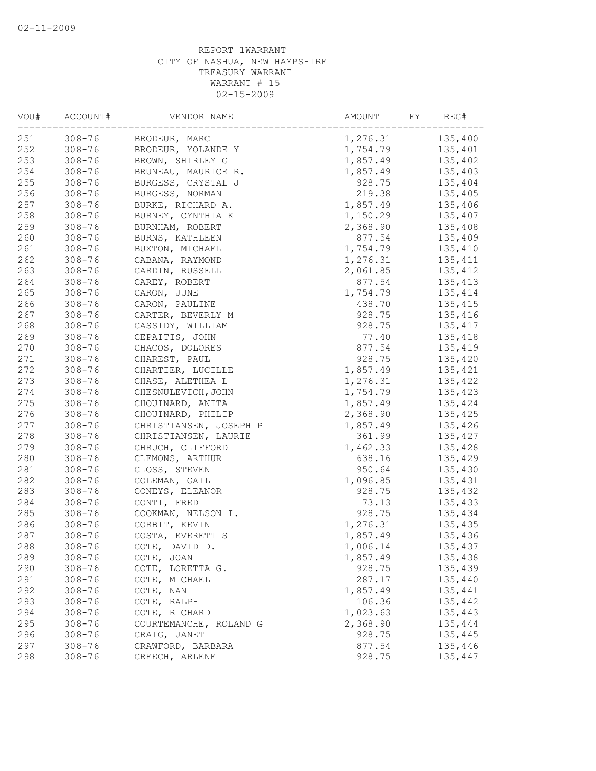| VOU# | ACCOUNT#   | VENDOR NAME            | AMOUNT<br>FY         | REG#     |
|------|------------|------------------------|----------------------|----------|
| 251  | $308 - 76$ | BRODEUR, MARC          | 1,276.31             | 135,400  |
| 252  | $308 - 76$ | BRODEUR, YOLANDE Y     | 1,754.79             | 135,401  |
| 253  | $308 - 76$ | BROWN, SHIRLEY G       | 1,857.49             | 135,402  |
| 254  | $308 - 76$ | BRUNEAU, MAURICE R.    | 1,857.49             | 135,403  |
| 255  | $308 - 76$ | BURGESS, CRYSTAL J     | 928.75               | 135,404  |
| 256  | $308 - 76$ | BURGESS, NORMAN        | 219.38               | 135,405  |
| 257  | $308 - 76$ | BURKE, RICHARD A.      | 1,857.49             | 135,406  |
| 258  | $308 - 76$ | BURNEY, CYNTHIA K      | 1,150.29             | 135,407  |
| 259  | $308 - 76$ | BURNHAM, ROBERT        | 2,368.90             | 135,408  |
| 260  | $308 - 76$ | BURNS, KATHLEEN        | 877.54               | 135,409  |
| 261  | $308 - 76$ | BUXTON, MICHAEL        | 1,754.79             | 135,410  |
| 262  | $308 - 76$ | CABANA, RAYMOND        | 1,276.31             | 135, 411 |
| 263  | $308 - 76$ | CARDIN, RUSSELL        | 2,061.85             | 135,412  |
| 264  | $308 - 76$ | CAREY, ROBERT          | 877.54               | 135,413  |
| 265  | $308 - 76$ | CARON, JUNE            | 1,754.79             | 135,414  |
| 266  | $308 - 76$ | CARON, PAULINE         | 438.70               | 135,415  |
| 267  | $308 - 76$ | CARTER, BEVERLY M      | 928.75               | 135,416  |
| 268  | $308 - 76$ | CASSIDY, WILLIAM       | 928.75               | 135,417  |
| 269  | $308 - 76$ | CEPAITIS, JOHN         | 77.40                | 135,418  |
| 270  | $308 - 76$ | CHACOS, DOLORES        | 877.54               | 135,419  |
| 271  | $308 - 76$ | CHAREST, PAUL          | 928.75               | 135,420  |
| 272  | $308 - 76$ | CHARTIER, LUCILLE      | 1,857.49             | 135,421  |
| 273  | $308 - 76$ | CHASE, ALETHEA L       | 1,276.31             | 135,422  |
| 274  | $308 - 76$ | CHESNULEVICH, JOHN     | 1,754.79             | 135,423  |
| 275  | $308 - 76$ | CHOUINARD, ANITA       | 1,857.49             | 135,424  |
| 276  | $308 - 76$ | CHOUINARD, PHILIP      | 2,368.90             | 135,425  |
| 277  | $308 - 76$ | CHRISTIANSEN, JOSEPH P | 1,857.49             | 135,426  |
| 278  | $308 - 76$ | CHRISTIANSEN, LAURIE   | 361.99               | 135,427  |
| 279  | $308 - 76$ | CHRUCH, CLIFFORD       | 1,462.33             | 135,428  |
| 280  | $308 - 76$ | CLEMONS, ARTHUR        | 638.16               | 135,429  |
| 281  | $308 - 76$ | CLOSS, STEVEN          | 950.64               | 135,430  |
| 282  | $308 - 76$ | COLEMAN, GAIL          | 1,096.85             | 135,431  |
| 283  | $308 - 76$ | CONEYS, ELEANOR        | 928.75               | 135,432  |
| 284  | $308 - 76$ | CONTI, FRED            | 73.13                | 135,433  |
| 285  | $308 - 76$ | COOKMAN, NELSON I.     | 928.75               | 135,434  |
| 286  | $308 - 76$ | CORBIT, KEVIN          | 1,276.31             | 135,435  |
| 287  | $308 - 76$ | COSTA, EVERETT S       | 1,857.49             | 135,436  |
| 288  | $308 - 76$ | COTE, DAVID D.         | 1,006.14             | 135,437  |
| 289  | $308 - 76$ | COTE, JOAN             | 1,857.49             | 135,438  |
| 290  | $308 - 76$ | COTE, LORETTA G.       | 928.75               | 135,439  |
| 291  | $308 - 76$ | COTE, MICHAEL          | 287.17               | 135,440  |
| 292  | $308 - 76$ | COTE, NAN              | 1,857.49             | 135,441  |
| 293  |            |                        | 106.36               | 135,442  |
|      | $308 - 76$ | COTE, RALPH            |                      |          |
| 294  | $308 - 76$ | COTE, RICHARD          | 1,023.63<br>2,368.90 | 135,443  |
| 295  | $308 - 76$ | COURTEMANCHE, ROLAND G |                      | 135,444  |
| 296  | $308 - 76$ | CRAIG, JANET           | 928.75               | 135,445  |
| 297  | $308 - 76$ | CRAWFORD, BARBARA      | 877.54               | 135,446  |
| 298  | $308 - 76$ | CREECH, ARLENE         | 928.75               | 135,447  |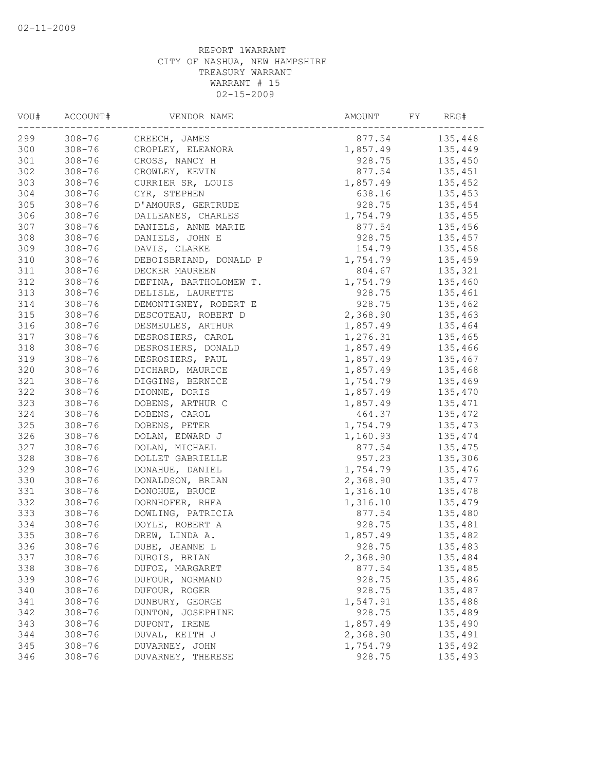| VOU# | ACCOUNT#   | VENDOR NAME            | AMOUNT<br>FY | REG#    |
|------|------------|------------------------|--------------|---------|
| 299  | $308 - 76$ | CREECH, JAMES          | 877.54       | 135,448 |
| 300  | $308 - 76$ | CROPLEY, ELEANORA      | 1,857.49     | 135,449 |
| 301  | $308 - 76$ | CROSS, NANCY H         | 928.75       | 135,450 |
| 302  | $308 - 76$ | CROWLEY, KEVIN         | 877.54       | 135,451 |
| 303  | $308 - 76$ | CURRIER SR, LOUIS      | 1,857.49     | 135,452 |
| 304  | $308 - 76$ | CYR, STEPHEN           | 638.16       | 135,453 |
| 305  | $308 - 76$ | D'AMOURS, GERTRUDE     | 928.75       | 135,454 |
| 306  | $308 - 76$ | DAILEANES, CHARLES     | 1,754.79     | 135,455 |
| 307  | $308 - 76$ | DANIELS, ANNE MARIE    | 877.54       | 135,456 |
| 308  | $308 - 76$ | DANIELS, JOHN E        | 928.75       | 135,457 |
| 309  | $308 - 76$ | DAVIS, CLARKE          | 154.79       | 135,458 |
| 310  | $308 - 76$ | DEBOISBRIAND, DONALD P | 1,754.79     | 135,459 |
| 311  | $308 - 76$ | DECKER MAUREEN         | 804.67       | 135,321 |
| 312  | $308 - 76$ | DEFINA, BARTHOLOMEW T. | 1,754.79     | 135,460 |
| 313  | $308 - 76$ | DELISLE, LAURETTE      | 928.75       | 135,461 |
| 314  | $308 - 76$ | DEMONTIGNEY, ROBERT E  | 928.75       | 135,462 |
| 315  | $308 - 76$ | DESCOTEAU, ROBERT D    | 2,368.90     | 135,463 |
| 316  | $308 - 76$ | DESMEULES, ARTHUR      | 1,857.49     | 135,464 |
| 317  | $308 - 76$ | DESROSIERS, CAROL      | 1,276.31     | 135,465 |
| 318  | $308 - 76$ | DESROSIERS, DONALD     | 1,857.49     | 135,466 |
| 319  | $308 - 76$ | DESROSIERS, PAUL       | 1,857.49     | 135,467 |
| 320  | $308 - 76$ | DICHARD, MAURICE       | 1,857.49     | 135,468 |
| 321  | $308 - 76$ | DIGGINS, BERNICE       | 1,754.79     | 135,469 |
| 322  | $308 - 76$ | DIONNE, DORIS          | 1,857.49     | 135,470 |
| 323  | $308 - 76$ | DOBENS, ARTHUR C       | 1,857.49     | 135,471 |
| 324  | $308 - 76$ | DOBENS, CAROL          | 464.37       | 135,472 |
| 325  | $308 - 76$ | DOBENS, PETER          | 1,754.79     | 135,473 |
| 326  | $308 - 76$ | DOLAN, EDWARD J        | 1,160.93     | 135,474 |
| 327  | $308 - 76$ | DOLAN, MICHAEL         | 877.54       | 135,475 |
| 328  | $308 - 76$ | DOLLET GABRIELLE       | 957.23       | 135,306 |
| 329  | $308 - 76$ | DONAHUE, DANIEL        | 1,754.79     | 135,476 |
| 330  | $308 - 76$ | DONALDSON, BRIAN       | 2,368.90     | 135,477 |
| 331  | $308 - 76$ | DONOHUE, BRUCE         | 1,316.10     | 135,478 |
| 332  | $308 - 76$ | DORNHOFER, RHEA        | 1,316.10     | 135,479 |
| 333  | $308 - 76$ | DOWLING, PATRICIA      | 877.54       | 135,480 |
| 334  | $308 - 76$ | DOYLE, ROBERT A        | 928.75       | 135,481 |
| 335  | $308 - 76$ | DREW, LINDA A.         | 1,857.49     | 135,482 |
| 336  | $308 - 76$ | DUBE, JEANNE L         | 928.75       | 135,483 |
| 337  | $308 - 76$ | DUBOIS, BRIAN          | 2,368.90     | 135,484 |
| 338  | $308 - 76$ | DUFOE, MARGARET        | 877.54       | 135,485 |
| 339  | $308 - 76$ | DUFOUR, NORMAND        | 928.75       | 135,486 |
| 340  | $308 - 76$ | DUFOUR, ROGER          | 928.75       | 135,487 |
| 341  | $308 - 76$ | DUNBURY, GEORGE        | 1,547.91     | 135,488 |
| 342  | $308 - 76$ | DUNTON, JOSEPHINE      | 928.75       | 135,489 |
| 343  | $308 - 76$ | DUPONT, IRENE          | 1,857.49     | 135,490 |
| 344  | $308 - 76$ | DUVAL, KEITH J         | 2,368.90     | 135,491 |
| 345  | $308 - 76$ | DUVARNEY, JOHN         | 1,754.79     | 135,492 |
| 346  | $308 - 76$ | DUVARNEY, THERESE      | 928.75       | 135,493 |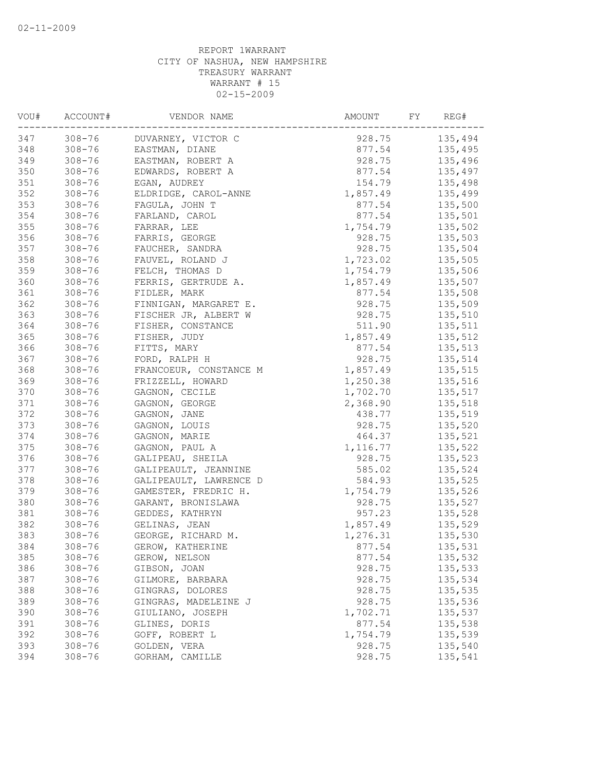| VOU# | ACCOUNT#   | VENDOR NAME            | AMOUNT   | FY<br>REG# |
|------|------------|------------------------|----------|------------|
| 347  | $308 - 76$ | DUVARNEY, VICTOR C     | 928.75   | 135,494    |
| 348  | $308 - 76$ | EASTMAN, DIANE         | 877.54   | 135,495    |
| 349  | $308 - 76$ | EASTMAN, ROBERT A      | 928.75   | 135,496    |
| 350  | $308 - 76$ | EDWARDS, ROBERT A      | 877.54   | 135,497    |
| 351  | $308 - 76$ | EGAN, AUDREY           | 154.79   | 135,498    |
| 352  | $308 - 76$ | ELDRIDGE, CAROL-ANNE   | 1,857.49 | 135,499    |
| 353  | $308 - 76$ | FAGULA, JOHN T         | 877.54   | 135,500    |
| 354  | $308 - 76$ | FARLAND, CAROL         | 877.54   | 135,501    |
| 355  | $308 - 76$ | FARRAR, LEE            | 1,754.79 | 135,502    |
| 356  | $308 - 76$ | FARRIS, GEORGE         | 928.75   | 135,503    |
| 357  | $308 - 76$ | FAUCHER, SANDRA        | 928.75   | 135,504    |
| 358  | $308 - 76$ | FAUVEL, ROLAND J       | 1,723.02 | 135,505    |
| 359  | $308 - 76$ | FELCH, THOMAS D        | 1,754.79 | 135,506    |
| 360  | $308 - 76$ | FERRIS, GERTRUDE A.    | 1,857.49 | 135,507    |
| 361  | $308 - 76$ | FIDLER, MARK           | 877.54   | 135,508    |
| 362  | $308 - 76$ | FINNIGAN, MARGARET E.  | 928.75   | 135,509    |
| 363  | $308 - 76$ | FISCHER JR, ALBERT W   | 928.75   | 135,510    |
| 364  | $308 - 76$ | FISHER, CONSTANCE      | 511.90   | 135,511    |
| 365  | $308 - 76$ | FISHER, JUDY           | 1,857.49 | 135,512    |
| 366  | $308 - 76$ | FITTS, MARY            | 877.54   | 135,513    |
| 367  | $308 - 76$ | FORD, RALPH H          | 928.75   | 135,514    |
| 368  | $308 - 76$ | FRANCOEUR, CONSTANCE M | 1,857.49 | 135,515    |
| 369  | $308 - 76$ | FRIZZELL, HOWARD       | 1,250.38 | 135,516    |
| 370  | $308 - 76$ | GAGNON, CECILE         | 1,702.70 | 135,517    |
| 371  | $308 - 76$ | GAGNON, GEORGE         | 2,368.90 | 135,518    |
| 372  | $308 - 76$ | GAGNON, JANE           | 438.77   | 135,519    |
| 373  | $308 - 76$ | GAGNON, LOUIS          | 928.75   | 135,520    |
| 374  | $308 - 76$ | GAGNON, MARIE          | 464.37   | 135,521    |
| 375  | $308 - 76$ | GAGNON, PAUL A         | 1,116.77 | 135,522    |
| 376  | $308 - 76$ | GALIPEAU, SHEILA       | 928.75   | 135,523    |
| 377  | $308 - 76$ | GALIPEAULT, JEANNINE   | 585.02   | 135,524    |
| 378  | $308 - 76$ | GALIPEAULT, LAWRENCE D | 584.93   | 135,525    |
| 379  | $308 - 76$ | GAMESTER, FREDRIC H.   | 1,754.79 | 135,526    |
| 380  | $308 - 76$ | GARANT, BRONISLAWA     | 928.75   | 135,527    |
| 381  | $308 - 76$ | GEDDES, KATHRYN        | 957.23   | 135,528    |
| 382  | $308 - 76$ | GELINAS, JEAN          | 1,857.49 | 135,529    |
| 383  | $308 - 76$ | GEORGE, RICHARD M.     | 1,276.31 | 135,530    |
| 384  | $308 - 76$ | GEROW, KATHERINE       | 877.54   | 135,531    |
|      |            |                        |          |            |
| 385  | $308 - 76$ | GEROW, NELSON          | 877.54   | 135,532    |
| 386  | $308 - 76$ | GIBSON, JOAN           | 928.75   | 135,533    |
| 387  | $308 - 76$ | GILMORE, BARBARA       | 928.75   | 135,534    |
| 388  | $308 - 76$ | GINGRAS, DOLORES       | 928.75   | 135,535    |
| 389  | $308 - 76$ | GINGRAS, MADELEINE J   | 928.75   | 135,536    |
| 390  | $308 - 76$ | GIULIANO, JOSEPH       | 1,702.71 | 135,537    |
| 391  | $308 - 76$ | GLINES, DORIS          | 877.54   | 135,538    |
| 392  | $308 - 76$ | GOFF, ROBERT L         | 1,754.79 | 135,539    |
| 393  | $308 - 76$ | GOLDEN, VERA           | 928.75   | 135,540    |
| 394  | $308 - 76$ | GORHAM, CAMILLE        | 928.75   | 135,541    |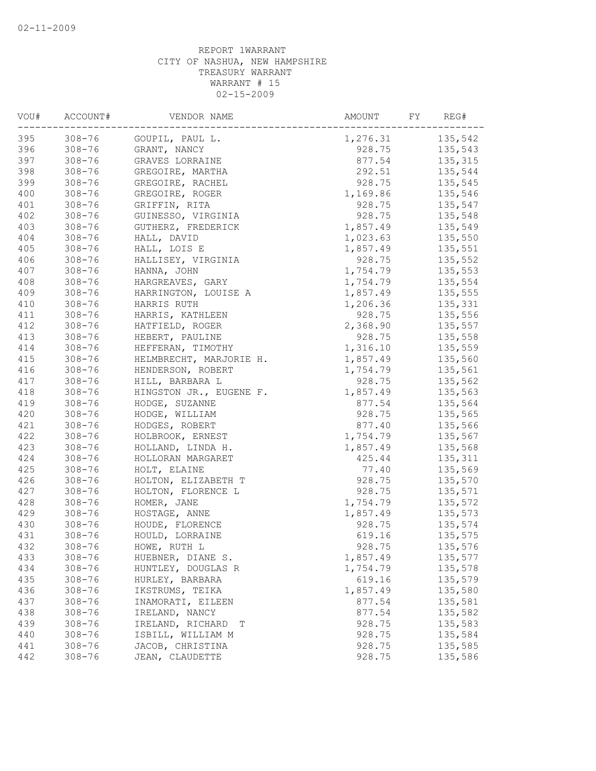| VOU# | ACCOUNT#   | VENDOR NAME             | AMOUNT   | FY<br>REG# |
|------|------------|-------------------------|----------|------------|
| 395  | $308 - 76$ | GOUPIL, PAUL L.         | 1,276.31 | 135,542    |
| 396  | $308 - 76$ | GRANT, NANCY            | 928.75   | 135,543    |
| 397  | $308 - 76$ | GRAVES LORRAINE         | 877.54   | 135,315    |
| 398  | $308 - 76$ | GREGOIRE, MARTHA        | 292.51   | 135,544    |
| 399  | $308 - 76$ | GREGOIRE, RACHEL        | 928.75   | 135,545    |
| 400  | $308 - 76$ | GREGOIRE, ROGER         | 1,169.86 | 135,546    |
| 401  | $308 - 76$ | GRIFFIN, RITA           | 928.75   | 135,547    |
| 402  | $308 - 76$ | GUINESSO, VIRGINIA      | 928.75   | 135,548    |
| 403  | $308 - 76$ | GUTHERZ, FREDERICK      | 1,857.49 | 135,549    |
| 404  | $308 - 76$ | HALL, DAVID             | 1,023.63 | 135,550    |
| 405  | $308 - 76$ | HALL, LOIS E            | 1,857.49 | 135,551    |
| 406  | $308 - 76$ | HALLISEY, VIRGINIA      | 928.75   | 135,552    |
| 407  | $308 - 76$ | HANNA, JOHN             | 1,754.79 | 135,553    |
| 408  | $308 - 76$ | HARGREAVES, GARY        | 1,754.79 | 135,554    |
| 409  | $308 - 76$ | HARRINGTON, LOUISE A    | 1,857.49 | 135,555    |
| 410  | $308 - 76$ | HARRIS RUTH             | 1,206.36 | 135,331    |
| 411  | $308 - 76$ | HARRIS, KATHLEEN        | 928.75   | 135,556    |
| 412  | $308 - 76$ | HATFIELD, ROGER         | 2,368.90 | 135,557    |
| 413  | $308 - 76$ | HEBERT, PAULINE         | 928.75   | 135,558    |
| 414  | $308 - 76$ | HEFFERAN, TIMOTHY       | 1,316.10 | 135,559    |
| 415  | $308 - 76$ | HELMBRECHT, MARJORIE H. | 1,857.49 | 135,560    |
| 416  | $308 - 76$ | HENDERSON, ROBERT       | 1,754.79 | 135,561    |
| 417  | $308 - 76$ | HILL, BARBARA L         | 928.75   | 135,562    |
| 418  | $308 - 76$ | HINGSTON JR., EUGENE F. | 1,857.49 | 135,563    |
| 419  | $308 - 76$ | HODGE, SUZANNE          | 877.54   | 135,564    |
| 420  | $308 - 76$ | HODGE, WILLIAM          | 928.75   | 135,565    |
| 421  | $308 - 76$ | HODGES, ROBERT          | 877.40   | 135,566    |
| 422  | $308 - 76$ | HOLBROOK, ERNEST        | 1,754.79 | 135,567    |
| 423  | $308 - 76$ | HOLLAND, LINDA H.       | 1,857.49 | 135,568    |
| 424  | $308 - 76$ | HOLLORAN MARGARET       | 425.44   | 135,311    |
| 425  | $308 - 76$ | HOLT, ELAINE            | 77.40    | 135,569    |
| 426  | $308 - 76$ | HOLTON, ELIZABETH T     | 928.75   | 135,570    |
| 427  | $308 - 76$ | HOLTON, FLORENCE L      | 928.75   | 135,571    |
| 428  | $308 - 76$ | HOMER, JANE             | 1,754.79 | 135,572    |
| 429  | $308 - 76$ | HOSTAGE, ANNE           | 1,857.49 | 135,573    |
| 430  | $308 - 76$ | HOUDE, FLORENCE         | 928.75   | 135,574    |
| 431  | $308 - 76$ | HOULD, LORRAINE         | 619.16   | 135,575    |
| 432  | $308 - 76$ | HOWE, RUTH L            | 928.75   | 135,576    |
| 433  | $308 - 76$ | HUEBNER, DIANE S.       | 1,857.49 | 135,577    |
| 434  | $308 - 76$ | HUNTLEY, DOUGLAS R      | 1,754.79 | 135,578    |
| 435  | $308 - 76$ | HURLEY, BARBARA         | 619.16   | 135,579    |
| 436  | $308 - 76$ | IKSTRUMS, TEIKA         | 1,857.49 | 135,580    |
| 437  | $308 - 76$ | INAMORATI, EILEEN       | 877.54   | 135,581    |
| 438  | $308 - 76$ | IRELAND, NANCY          | 877.54   | 135,582    |
| 439  | $308 - 76$ | IRELAND, RICHARD<br>Т   | 928.75   | 135,583    |
| 440  | $308 - 76$ | ISBILL, WILLIAM M       | 928.75   | 135,584    |
| 441  | $308 - 76$ | JACOB, CHRISTINA        |          | 135,585    |
| 442  | $308 - 76$ | JEAN, CLAUDETTE         | 928.75   | 135,586    |
|      |            |                         | 928.75   |            |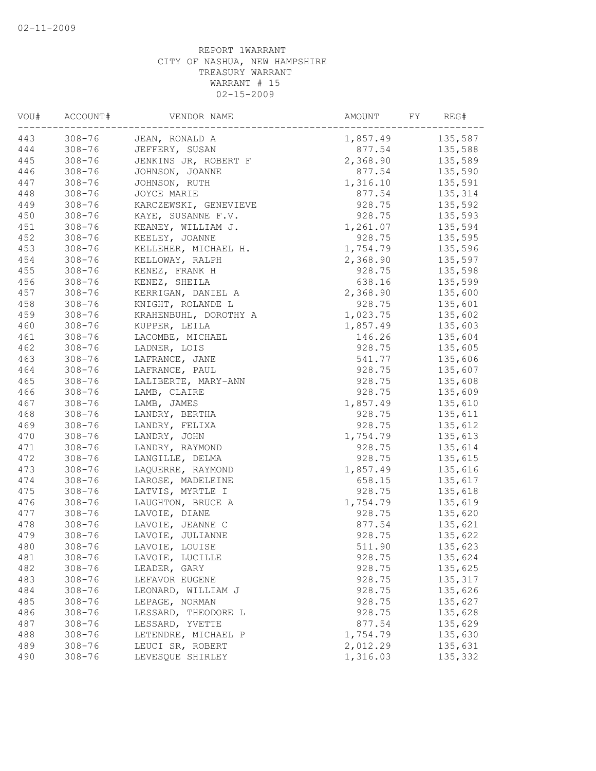| VOU# | ACCOUNT#   | VENDOR NAME           | AMOUNT   | FY<br>REG# |
|------|------------|-----------------------|----------|------------|
| 443  | $308 - 76$ | JEAN, RONALD A        | 1,857.49 | 135,587    |
| 444  | $308 - 76$ | JEFFERY, SUSAN        | 877.54   | 135,588    |
| 445  | $308 - 76$ | JENKINS JR, ROBERT F  | 2,368.90 | 135,589    |
| 446  | $308 - 76$ | JOHNSON, JOANNE       | 877.54   | 135,590    |
| 447  | $308 - 76$ | JOHNSON, RUTH         | 1,316.10 | 135,591    |
| 448  | $308 - 76$ | JOYCE MARIE           | 877.54   | 135,314    |
| 449  | $308 - 76$ | KARCZEWSKI, GENEVIEVE | 928.75   | 135,592    |
| 450  | $308 - 76$ | KAYE, SUSANNE F.V.    | 928.75   | 135,593    |
| 451  | $308 - 76$ | KEANEY, WILLIAM J.    | 1,261.07 | 135,594    |
| 452  | $308 - 76$ | KEELEY, JOANNE        | 928.75   | 135,595    |
| 453  | $308 - 76$ | KELLEHER, MICHAEL H.  | 1,754.79 | 135,596    |
| 454  | $308 - 76$ | KELLOWAY, RALPH       | 2,368.90 | 135,597    |
| 455  | $308 - 76$ | KENEZ, FRANK H        | 928.75   | 135,598    |
| 456  | $308 - 76$ | KENEZ, SHEILA         | 638.16   | 135,599    |
| 457  | $308 - 76$ | KERRIGAN, DANIEL A    | 2,368.90 | 135,600    |
| 458  | $308 - 76$ | KNIGHT, ROLANDE L     | 928.75   | 135,601    |
| 459  | $308 - 76$ | KRAHENBUHL, DOROTHY A | 1,023.75 | 135,602    |
| 460  | $308 - 76$ | KUPPER, LEILA         | 1,857.49 | 135,603    |
| 461  | $308 - 76$ | LACOMBE, MICHAEL      | 146.26   | 135,604    |
| 462  | $308 - 76$ | LADNER, LOIS          | 928.75   | 135,605    |
| 463  | $308 - 76$ | LAFRANCE, JANE        | 541.77   | 135,606    |
| 464  | $308 - 76$ | LAFRANCE, PAUL        | 928.75   | 135,607    |
| 465  | $308 - 76$ | LALIBERTE, MARY-ANN   | 928.75   | 135,608    |
| 466  | $308 - 76$ | LAMB, CLAIRE          | 928.75   | 135,609    |
| 467  | $308 - 76$ | LAMB, JAMES           | 1,857.49 | 135,610    |
| 468  | $308 - 76$ | LANDRY, BERTHA        | 928.75   | 135,611    |
| 469  | $308 - 76$ | LANDRY, FELIXA        | 928.75   | 135,612    |
| 470  | $308 - 76$ | LANDRY, JOHN          | 1,754.79 | 135,613    |
| 471  | $308 - 76$ | LANDRY, RAYMOND       | 928.75   | 135,614    |
| 472  | $308 - 76$ | LANGILLE, DELMA       | 928.75   | 135,615    |
| 473  | $308 - 76$ | LAQUERRE, RAYMOND     | 1,857.49 | 135,616    |
| 474  | $308 - 76$ | LAROSE, MADELEINE     | 658.15   | 135,617    |
| 475  | $308 - 76$ | LATVIS, MYRTLE I      | 928.75   | 135,618    |
| 476  | $308 - 76$ | LAUGHTON, BRUCE A     | 1,754.79 | 135,619    |
| 477  | $308 - 76$ | LAVOIE, DIANE         | 928.75   | 135,620    |
| 478  | $308 - 76$ | LAVOIE, JEANNE C      | 877.54   | 135,621    |
| 479  | $308 - 76$ | LAVOIE, JULIANNE      | 928.75   | 135,622    |
| 480  | $308 - 76$ | LAVOIE, LOUISE        | 511.90   | 135,623    |
| 481  | $308 - 76$ | LAVOIE, LUCILLE       | 928.75   | 135,624    |
| 482  | $308 - 76$ | LEADER, GARY          | 928.75   | 135,625    |
| 483  | $308 - 76$ | LEFAVOR EUGENE        | 928.75   | 135,317    |
| 484  | $308 - 76$ | LEONARD, WILLIAM J    | 928.75   | 135,626    |
| 485  | $308 - 76$ | LEPAGE, NORMAN        | 928.75   | 135,627    |
| 486  | $308 - 76$ | LESSARD, THEODORE L   | 928.75   | 135,628    |
| 487  | $308 - 76$ | LESSARD, YVETTE       | 877.54   | 135,629    |
| 488  | $308 - 76$ | LETENDRE, MICHAEL P   | 1,754.79 | 135,630    |
| 489  | $308 - 76$ | LEUCI SR, ROBERT      | 2,012.29 | 135,631    |
| 490  | $308 - 76$ | LEVESQUE SHIRLEY      | 1,316.03 | 135,332    |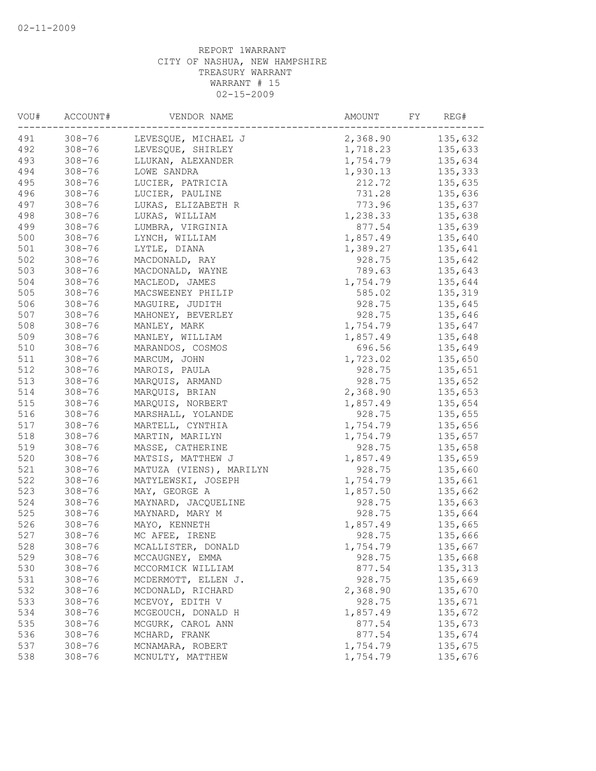| VOU# | ACCOUNT#   | VENDOR NAME                              | AMOUNT<br>FY     | REG#                |
|------|------------|------------------------------------------|------------------|---------------------|
| 491  | $308 - 76$ | LEVESQUE, MICHAEL J                      | 2,368.90         | 135,632             |
| 492  | $308 - 76$ | LEVESQUE, SHIRLEY                        | 1,718.23         | 135,633             |
| 493  | $308 - 76$ | LLUKAN, ALEXANDER                        | 1,754.79         | 135,634             |
| 494  | $308 - 76$ | LOWE SANDRA                              | 1,930.13         | 135,333             |
| 495  | $308 - 76$ | LUCIER, PATRICIA                         | 212.72           | 135,635             |
| 496  | $308 - 76$ | LUCIER, PAULINE                          | 731.28           | 135,636             |
| 497  | $308 - 76$ | LUKAS, ELIZABETH R                       | 773.96           | 135,637             |
| 498  | $308 - 76$ | LUKAS, WILLIAM                           | 1,238.33         | 135,638             |
| 499  | $308 - 76$ | LUMBRA, VIRGINIA                         | 877.54           | 135,639             |
| 500  | $308 - 76$ | LYNCH, WILLIAM                           | 1,857.49         | 135,640             |
| 501  | $308 - 76$ | LYTLE, DIANA                             | 1,389.27         | 135,641             |
| 502  | $308 - 76$ | MACDONALD, RAY                           | 928.75           | 135,642             |
| 503  | $308 - 76$ | MACDONALD, WAYNE                         | 789.63           | 135,643             |
| 504  | $308 - 76$ | MACLEOD, JAMES                           | 1,754.79         | 135,644             |
| 505  | $308 - 76$ | MACSWEENEY PHILIP                        | 585.02           | 135,319             |
| 506  | $308 - 76$ | MAGUIRE, JUDITH                          | 928.75           | 135,645             |
| 507  | $308 - 76$ | MAHONEY, BEVERLEY                        | 928.75           | 135,646             |
| 508  | $308 - 76$ | MANLEY, MARK                             | 1,754.79         | 135,647             |
| 509  | $308 - 76$ | MANLEY, WILLIAM                          | 1,857.49         | 135,648             |
| 510  | $308 - 76$ | MARANDOS, COSMOS                         | 696.56           | 135,649             |
| 511  | $308 - 76$ | MARCUM, JOHN                             | 1,723.02         | 135,650             |
| 512  | $308 - 76$ | MAROIS, PAULA                            | 928.75           | 135,651             |
| 513  | $308 - 76$ | MARQUIS, ARMAND                          | 928.75           | 135,652             |
| 514  | $308 - 76$ | MARQUIS, BRIAN                           | 2,368.90         | 135,653             |
| 515  | $308 - 76$ | MARQUIS, NORBERT                         | 1,857.49         | 135,654             |
| 516  | $308 - 76$ | MARSHALL, YOLANDE                        | 928.75           | 135,655             |
| 517  | $308 - 76$ | MARTELL, CYNTHIA                         | 1,754.79         | 135,656             |
| 518  | $308 - 76$ | MARTIN, MARILYN                          | 1,754.79         | 135,657             |
| 519  | $308 - 76$ | MASSE, CATHERINE                         | 928.75           | 135,658             |
| 520  | $308 - 76$ | MATSIS, MATTHEW J                        | 1,857.49         | 135,659             |
| 521  | $308 - 76$ | MATUZA (VIENS), MARILYN                  | 928.75           | 135,660             |
| 522  | $308 - 76$ | MATYLEWSKI, JOSEPH                       | 1,754.79         | 135,661             |
| 523  | $308 - 76$ | MAY, GEORGE A                            | 1,857.50         | 135,662             |
| 524  | $308 - 76$ | MAYNARD, JACQUELINE                      | 928.75           | 135,663             |
| 525  | $308 - 76$ | MAYNARD, MARY M                          | 928.75           | 135,664             |
| 526  | $308 - 76$ | MAYO, KENNETH                            | 1,857.49         | 135,665             |
| 527  | $308 - 76$ | MC AFEE, IRENE                           | 928.75           | 135,666             |
| 528  | $308 - 76$ | MCALLISTER, DONALD                       | 1,754.79         | 135,667             |
| 529  | $308 - 76$ | MCCAUGNEY, EMMA                          |                  |                     |
| 530  | $308 - 76$ |                                          | 928.75<br>877.54 | 135,668<br>135, 313 |
| 531  | $308 - 76$ | MCCORMICK WILLIAM                        | 928.75           | 135,669             |
| 532  | $308 - 76$ | MCDERMOTT, ELLEN J.<br>MCDONALD, RICHARD | 2,368.90         | 135,670             |
|      |            |                                          |                  |                     |
| 533  | $308 - 76$ | MCEVOY, EDITH V                          | 928.75           | 135,671             |
| 534  | $308 - 76$ | MCGEOUCH, DONALD H                       | 1,857.49         | 135,672             |
| 535  | $308 - 76$ | MCGURK, CAROL ANN                        | 877.54           | 135,673             |
| 536  | $308 - 76$ | MCHARD, FRANK                            | 877.54           | 135,674             |
| 537  | $308 - 76$ | MCNAMARA, ROBERT                         | 1,754.79         | 135,675             |
| 538  | $308 - 76$ | MCNULTY, MATTHEW                         | 1,754.79         | 135,676             |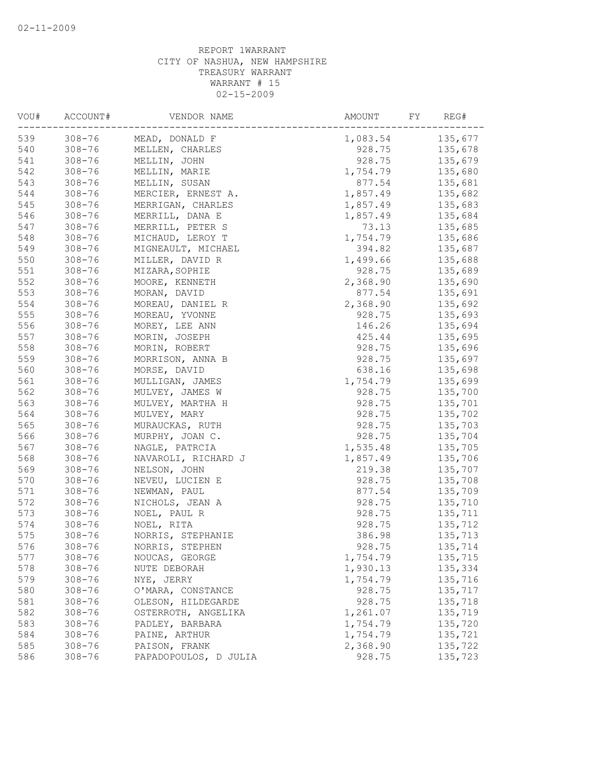| VOU# | ACCOUNT#   | VENDOR NAME           | AMOUNT<br>FY | REG#    |
|------|------------|-----------------------|--------------|---------|
| 539  | $308 - 76$ | MEAD, DONALD F        | 1,083.54     | 135,677 |
| 540  | $308 - 76$ | MELLEN, CHARLES       | 928.75       | 135,678 |
| 541  | $308 - 76$ | MELLIN, JOHN          | 928.75       | 135,679 |
| 542  | $308 - 76$ | MELLIN, MARIE         | 1,754.79     | 135,680 |
| 543  | $308 - 76$ | MELLIN, SUSAN         | 877.54       | 135,681 |
| 544  | $308 - 76$ | MERCIER, ERNEST A.    | 1,857.49     | 135,682 |
| 545  | $308 - 76$ | MERRIGAN, CHARLES     | 1,857.49     | 135,683 |
| 546  | $308 - 76$ | MERRILL, DANA E       | 1,857.49     | 135,684 |
| 547  | $308 - 76$ | MERRILL, PETER S      | 73.13        | 135,685 |
| 548  | $308 - 76$ | MICHAUD, LEROY T      | 1,754.79     | 135,686 |
| 549  | $308 - 76$ | MIGNEAULT, MICHAEL    | 394.82       | 135,687 |
| 550  | $308 - 76$ | MILLER, DAVID R       | 1,499.66     | 135,688 |
| 551  | $308 - 76$ | MIZARA, SOPHIE        | 928.75       | 135,689 |
| 552  | $308 - 76$ | MOORE, KENNETH        | 2,368.90     | 135,690 |
| 553  | $308 - 76$ | MORAN, DAVID          | 877.54       | 135,691 |
| 554  | $308 - 76$ | MOREAU, DANIEL R      | 2,368.90     | 135,692 |
| 555  | $308 - 76$ | MOREAU, YVONNE        | 928.75       | 135,693 |
| 556  | $308 - 76$ | MOREY, LEE ANN        | 146.26       | 135,694 |
| 557  | $308 - 76$ | MORIN, JOSEPH         | 425.44       | 135,695 |
| 558  | $308 - 76$ | MORIN, ROBERT         | 928.75       | 135,696 |
| 559  | $308 - 76$ | MORRISON, ANNA B      | 928.75       | 135,697 |
| 560  | $308 - 76$ | MORSE, DAVID          | 638.16       | 135,698 |
| 561  | $308 - 76$ | MULLIGAN, JAMES       | 1,754.79     | 135,699 |
| 562  | $308 - 76$ | MULVEY, JAMES W       | 928.75       | 135,700 |
| 563  | $308 - 76$ | MULVEY, MARTHA H      | 928.75       | 135,701 |
| 564  | $308 - 76$ | MULVEY, MARY          | 928.75       | 135,702 |
| 565  | $308 - 76$ | MURAUCKAS, RUTH       | 928.75       | 135,703 |
| 566  | $308 - 76$ | MURPHY, JOAN C.       | 928.75       | 135,704 |
| 567  | $308 - 76$ | NAGLE, PATRCIA        | 1,535.48     | 135,705 |
| 568  | $308 - 76$ | NAVAROLI, RICHARD J   | 1,857.49     | 135,706 |
| 569  | $308 - 76$ | NELSON, JOHN          | 219.38       | 135,707 |
| 570  | $308 - 76$ | NEVEU, LUCIEN E       | 928.75       | 135,708 |
| 571  | $308 - 76$ | NEWMAN, PAUL          | 877.54       | 135,709 |
| 572  | $308 - 76$ | NICHOLS, JEAN A       | 928.75       | 135,710 |
| 573  | $308 - 76$ | NOEL, PAUL R          | 928.75       | 135,711 |
| 574  | $308 - 76$ | NOEL, RITA            | 928.75       | 135,712 |
| 575  | $308 - 76$ | NORRIS, STEPHANIE     | 386.98       | 135,713 |
| 576  | $308 - 76$ | NORRIS, STEPHEN       | 928.75       | 135,714 |
| 577  | $308 - 76$ | NOUCAS, GEORGE        | 1,754.79     | 135,715 |
| 578  | $308 - 76$ | NUTE DEBORAH          | 1,930.13     | 135,334 |
| 579  | $308 - 76$ | NYE, JERRY            | 1,754.79     | 135,716 |
| 580  | $308 - 76$ | O'MARA, CONSTANCE     | 928.75       | 135,717 |
| 581  | $308 - 76$ | OLESON, HILDEGARDE    | 928.75       | 135,718 |
| 582  | $308 - 76$ | OSTERROTH, ANGELIKA   | 1,261.07     | 135,719 |
| 583  | $308 - 76$ | PADLEY, BARBARA       | 1,754.79     | 135,720 |
| 584  | $308 - 76$ | PAINE, ARTHUR         | 1,754.79     | 135,721 |
| 585  | $308 - 76$ | PAISON, FRANK         | 2,368.90     | 135,722 |
| 586  | $308 - 76$ | PAPADOPOULOS, D JULIA | 928.75       | 135,723 |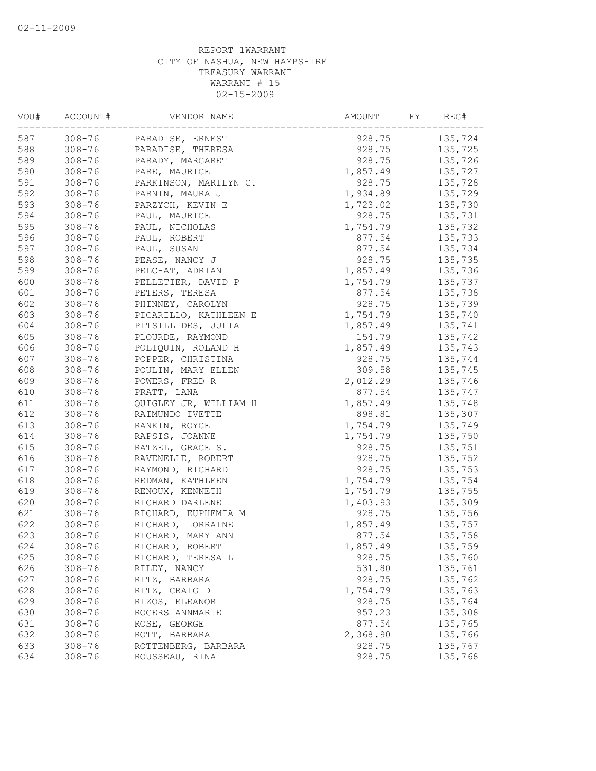| 587<br>$308 - 76$<br>928.75<br>135,724<br>PARADISE, ERNEST<br>$308 - 76$<br>PARADISE, THERESA<br>928.75<br>135,725<br>$308 - 76$<br>PARADY, MARGARET<br>928.75<br>135,726<br>$308 - 76$<br>1,857.49<br>135,727<br>PARE, MAURICE<br>$308 - 76$<br>928.75<br>135,728<br>PARKINSON, MARILYN C.<br>$308 - 76$<br>1,934.89<br>135,729<br>PARNIN, MAURA J<br>$308 - 76$<br>1,723.02<br>135,730<br>PARZYCH, KEVIN E<br>$308 - 76$<br>928.75<br>135,731<br>PAUL, MAURICE<br>$308 - 76$<br>PAUL, NICHOLAS<br>1,754.79<br>135,732<br>$308 - 76$<br>PAUL, ROBERT<br>877.54<br>135,733<br>597<br>$308 - 76$<br>PAUL, SUSAN<br>877.54<br>135,734<br>$308 - 76$<br>928.75<br>PEASE, NANCY J<br>135,735<br>$308 - 76$<br>PELCHAT, ADRIAN<br>1,857.49<br>135,736<br>600<br>$308 - 76$<br>PELLETIER, DAVID P<br>1,754.79<br>135,737<br>601<br>877.54<br>$308 - 76$<br>135,738<br>PETERS, TERESA<br>602<br>$308 - 76$<br>928.75<br>135,739<br>PHINNEY, CAROLYN<br>603<br>$308 - 76$<br>1,754.79<br>135,740<br>PICARILLO, KATHLEEN E<br>604<br>$308 - 76$<br>PITSILLIDES, JULIA<br>1,857.49<br>135,741<br>605<br>$308 - 76$<br>154.79<br>135,742<br>PLOURDE, RAYMOND<br>606<br>$308 - 76$<br>1,857.49<br>POLIQUIN, ROLAND H<br>135,743<br>607<br>$308 - 76$<br>POPPER, CHRISTINA<br>928.75<br>135,744<br>608<br>$308 - 76$<br>POULIN, MARY ELLEN<br>309.58<br>135,745<br>609<br>2,012.29<br>$308 - 76$<br>POWERS, FRED R<br>135,746<br>610<br>$308 - 76$<br>PRATT, LANA<br>877.54<br>135,747<br>611<br>$308 - 76$<br>1,857.49<br>135,748<br>QUIGLEY JR, WILLIAM H<br>612<br>$308 - 76$<br>898.81<br>135,307<br>RAIMUNDO IVETTE<br>613<br>1,754.79<br>$308 - 76$<br>135,749<br>RANKIN, ROYCE<br>614<br>$308 - 76$<br>RAPSIS, JOANNE<br>1,754.79<br>135,750<br>615<br>$308 - 76$<br>RATZEL, GRACE S.<br>928.75<br>135,751<br>616<br>$308 - 76$<br>928.75<br>135,752<br>RAVENELLE, ROBERT<br>617<br>928.75<br>$308 - 76$<br>135,753<br>RAYMOND, RICHARD<br>618<br>$308 - 76$<br>1,754.79<br>135,754<br>REDMAN, KATHLEEN<br>619<br>1,754.79<br>$308 - 76$<br>RENOUX, KENNETH<br>135,755<br>620<br>$308 - 76$<br>1,403.93<br>135,309<br>RICHARD DARLENE<br>621<br>928.75<br>$308 - 76$<br>RICHARD, EUPHEMIA M<br>135,756<br>622<br>$308 - 76$<br>RICHARD, LORRAINE<br>1,857.49<br>135,757<br>623<br>$308 - 76$<br>RICHARD, MARY ANN<br>877.54<br>135,758<br>624<br>$308 - 76$<br>135,759<br>RICHARD, ROBERT<br>1,857.49<br>625<br>$308 - 76$<br>928.75<br>135,760<br>RICHARD, TERESA L<br>626<br>$308 - 76$<br>531.80<br>135,761<br>RILEY, NANCY<br>627<br>$308 - 76$<br>928.75<br>135,762<br>RITZ, BARBARA<br>628<br>$308 - 76$<br>RITZ, CRAIG D<br>1,754.79<br>135,763<br>629<br>928.75<br>135,764<br>$308 - 76$<br>RIZOS, ELEANOR<br>135,308<br>630<br>957.23<br>$308 - 76$<br>ROGERS ANNMARIE<br>631<br>877.54<br>$308 - 76$<br>ROSE, GEORGE<br>135,765<br>632<br>$308 - 76$<br>ROTT, BARBARA<br>2,368.90<br>135,766<br>633<br>$308 - 76$<br>ROTTENBERG, BARBARA<br>928.75<br>135,767<br>634<br>$308 - 76$<br>ROUSSEAU, RINA<br>928.75<br>135,768 | VOU# | ACCOUNT# | VENDOR NAME | AMOUNT<br>FY | REG# |
|-------------------------------------------------------------------------------------------------------------------------------------------------------------------------------------------------------------------------------------------------------------------------------------------------------------------------------------------------------------------------------------------------------------------------------------------------------------------------------------------------------------------------------------------------------------------------------------------------------------------------------------------------------------------------------------------------------------------------------------------------------------------------------------------------------------------------------------------------------------------------------------------------------------------------------------------------------------------------------------------------------------------------------------------------------------------------------------------------------------------------------------------------------------------------------------------------------------------------------------------------------------------------------------------------------------------------------------------------------------------------------------------------------------------------------------------------------------------------------------------------------------------------------------------------------------------------------------------------------------------------------------------------------------------------------------------------------------------------------------------------------------------------------------------------------------------------------------------------------------------------------------------------------------------------------------------------------------------------------------------------------------------------------------------------------------------------------------------------------------------------------------------------------------------------------------------------------------------------------------------------------------------------------------------------------------------------------------------------------------------------------------------------------------------------------------------------------------------------------------------------------------------------------------------------------------------------------------------------------------------------------------------------------------------------------------------------------------------------------------------------------------------------------------------------------------------------------------------------------------------------------------------------------------------------------------------------------------------------------------------------------------------------------|------|----------|-------------|--------------|------|
|                                                                                                                                                                                                                                                                                                                                                                                                                                                                                                                                                                                                                                                                                                                                                                                                                                                                                                                                                                                                                                                                                                                                                                                                                                                                                                                                                                                                                                                                                                                                                                                                                                                                                                                                                                                                                                                                                                                                                                                                                                                                                                                                                                                                                                                                                                                                                                                                                                                                                                                                                                                                                                                                                                                                                                                                                                                                                                                                                                                                                               |      |          |             |              |      |
|                                                                                                                                                                                                                                                                                                                                                                                                                                                                                                                                                                                                                                                                                                                                                                                                                                                                                                                                                                                                                                                                                                                                                                                                                                                                                                                                                                                                                                                                                                                                                                                                                                                                                                                                                                                                                                                                                                                                                                                                                                                                                                                                                                                                                                                                                                                                                                                                                                                                                                                                                                                                                                                                                                                                                                                                                                                                                                                                                                                                                               | 588  |          |             |              |      |
|                                                                                                                                                                                                                                                                                                                                                                                                                                                                                                                                                                                                                                                                                                                                                                                                                                                                                                                                                                                                                                                                                                                                                                                                                                                                                                                                                                                                                                                                                                                                                                                                                                                                                                                                                                                                                                                                                                                                                                                                                                                                                                                                                                                                                                                                                                                                                                                                                                                                                                                                                                                                                                                                                                                                                                                                                                                                                                                                                                                                                               | 589  |          |             |              |      |
|                                                                                                                                                                                                                                                                                                                                                                                                                                                                                                                                                                                                                                                                                                                                                                                                                                                                                                                                                                                                                                                                                                                                                                                                                                                                                                                                                                                                                                                                                                                                                                                                                                                                                                                                                                                                                                                                                                                                                                                                                                                                                                                                                                                                                                                                                                                                                                                                                                                                                                                                                                                                                                                                                                                                                                                                                                                                                                                                                                                                                               | 590  |          |             |              |      |
|                                                                                                                                                                                                                                                                                                                                                                                                                                                                                                                                                                                                                                                                                                                                                                                                                                                                                                                                                                                                                                                                                                                                                                                                                                                                                                                                                                                                                                                                                                                                                                                                                                                                                                                                                                                                                                                                                                                                                                                                                                                                                                                                                                                                                                                                                                                                                                                                                                                                                                                                                                                                                                                                                                                                                                                                                                                                                                                                                                                                                               | 591  |          |             |              |      |
|                                                                                                                                                                                                                                                                                                                                                                                                                                                                                                                                                                                                                                                                                                                                                                                                                                                                                                                                                                                                                                                                                                                                                                                                                                                                                                                                                                                                                                                                                                                                                                                                                                                                                                                                                                                                                                                                                                                                                                                                                                                                                                                                                                                                                                                                                                                                                                                                                                                                                                                                                                                                                                                                                                                                                                                                                                                                                                                                                                                                                               | 592  |          |             |              |      |
|                                                                                                                                                                                                                                                                                                                                                                                                                                                                                                                                                                                                                                                                                                                                                                                                                                                                                                                                                                                                                                                                                                                                                                                                                                                                                                                                                                                                                                                                                                                                                                                                                                                                                                                                                                                                                                                                                                                                                                                                                                                                                                                                                                                                                                                                                                                                                                                                                                                                                                                                                                                                                                                                                                                                                                                                                                                                                                                                                                                                                               | 593  |          |             |              |      |
|                                                                                                                                                                                                                                                                                                                                                                                                                                                                                                                                                                                                                                                                                                                                                                                                                                                                                                                                                                                                                                                                                                                                                                                                                                                                                                                                                                                                                                                                                                                                                                                                                                                                                                                                                                                                                                                                                                                                                                                                                                                                                                                                                                                                                                                                                                                                                                                                                                                                                                                                                                                                                                                                                                                                                                                                                                                                                                                                                                                                                               | 594  |          |             |              |      |
|                                                                                                                                                                                                                                                                                                                                                                                                                                                                                                                                                                                                                                                                                                                                                                                                                                                                                                                                                                                                                                                                                                                                                                                                                                                                                                                                                                                                                                                                                                                                                                                                                                                                                                                                                                                                                                                                                                                                                                                                                                                                                                                                                                                                                                                                                                                                                                                                                                                                                                                                                                                                                                                                                                                                                                                                                                                                                                                                                                                                                               | 595  |          |             |              |      |
|                                                                                                                                                                                                                                                                                                                                                                                                                                                                                                                                                                                                                                                                                                                                                                                                                                                                                                                                                                                                                                                                                                                                                                                                                                                                                                                                                                                                                                                                                                                                                                                                                                                                                                                                                                                                                                                                                                                                                                                                                                                                                                                                                                                                                                                                                                                                                                                                                                                                                                                                                                                                                                                                                                                                                                                                                                                                                                                                                                                                                               | 596  |          |             |              |      |
|                                                                                                                                                                                                                                                                                                                                                                                                                                                                                                                                                                                                                                                                                                                                                                                                                                                                                                                                                                                                                                                                                                                                                                                                                                                                                                                                                                                                                                                                                                                                                                                                                                                                                                                                                                                                                                                                                                                                                                                                                                                                                                                                                                                                                                                                                                                                                                                                                                                                                                                                                                                                                                                                                                                                                                                                                                                                                                                                                                                                                               |      |          |             |              |      |
|                                                                                                                                                                                                                                                                                                                                                                                                                                                                                                                                                                                                                                                                                                                                                                                                                                                                                                                                                                                                                                                                                                                                                                                                                                                                                                                                                                                                                                                                                                                                                                                                                                                                                                                                                                                                                                                                                                                                                                                                                                                                                                                                                                                                                                                                                                                                                                                                                                                                                                                                                                                                                                                                                                                                                                                                                                                                                                                                                                                                                               | 598  |          |             |              |      |
|                                                                                                                                                                                                                                                                                                                                                                                                                                                                                                                                                                                                                                                                                                                                                                                                                                                                                                                                                                                                                                                                                                                                                                                                                                                                                                                                                                                                                                                                                                                                                                                                                                                                                                                                                                                                                                                                                                                                                                                                                                                                                                                                                                                                                                                                                                                                                                                                                                                                                                                                                                                                                                                                                                                                                                                                                                                                                                                                                                                                                               | 599  |          |             |              |      |
|                                                                                                                                                                                                                                                                                                                                                                                                                                                                                                                                                                                                                                                                                                                                                                                                                                                                                                                                                                                                                                                                                                                                                                                                                                                                                                                                                                                                                                                                                                                                                                                                                                                                                                                                                                                                                                                                                                                                                                                                                                                                                                                                                                                                                                                                                                                                                                                                                                                                                                                                                                                                                                                                                                                                                                                                                                                                                                                                                                                                                               |      |          |             |              |      |
|                                                                                                                                                                                                                                                                                                                                                                                                                                                                                                                                                                                                                                                                                                                                                                                                                                                                                                                                                                                                                                                                                                                                                                                                                                                                                                                                                                                                                                                                                                                                                                                                                                                                                                                                                                                                                                                                                                                                                                                                                                                                                                                                                                                                                                                                                                                                                                                                                                                                                                                                                                                                                                                                                                                                                                                                                                                                                                                                                                                                                               |      |          |             |              |      |
|                                                                                                                                                                                                                                                                                                                                                                                                                                                                                                                                                                                                                                                                                                                                                                                                                                                                                                                                                                                                                                                                                                                                                                                                                                                                                                                                                                                                                                                                                                                                                                                                                                                                                                                                                                                                                                                                                                                                                                                                                                                                                                                                                                                                                                                                                                                                                                                                                                                                                                                                                                                                                                                                                                                                                                                                                                                                                                                                                                                                                               |      |          |             |              |      |
|                                                                                                                                                                                                                                                                                                                                                                                                                                                                                                                                                                                                                                                                                                                                                                                                                                                                                                                                                                                                                                                                                                                                                                                                                                                                                                                                                                                                                                                                                                                                                                                                                                                                                                                                                                                                                                                                                                                                                                                                                                                                                                                                                                                                                                                                                                                                                                                                                                                                                                                                                                                                                                                                                                                                                                                                                                                                                                                                                                                                                               |      |          |             |              |      |
|                                                                                                                                                                                                                                                                                                                                                                                                                                                                                                                                                                                                                                                                                                                                                                                                                                                                                                                                                                                                                                                                                                                                                                                                                                                                                                                                                                                                                                                                                                                                                                                                                                                                                                                                                                                                                                                                                                                                                                                                                                                                                                                                                                                                                                                                                                                                                                                                                                                                                                                                                                                                                                                                                                                                                                                                                                                                                                                                                                                                                               |      |          |             |              |      |
|                                                                                                                                                                                                                                                                                                                                                                                                                                                                                                                                                                                                                                                                                                                                                                                                                                                                                                                                                                                                                                                                                                                                                                                                                                                                                                                                                                                                                                                                                                                                                                                                                                                                                                                                                                                                                                                                                                                                                                                                                                                                                                                                                                                                                                                                                                                                                                                                                                                                                                                                                                                                                                                                                                                                                                                                                                                                                                                                                                                                                               |      |          |             |              |      |
|                                                                                                                                                                                                                                                                                                                                                                                                                                                                                                                                                                                                                                                                                                                                                                                                                                                                                                                                                                                                                                                                                                                                                                                                                                                                                                                                                                                                                                                                                                                                                                                                                                                                                                                                                                                                                                                                                                                                                                                                                                                                                                                                                                                                                                                                                                                                                                                                                                                                                                                                                                                                                                                                                                                                                                                                                                                                                                                                                                                                                               |      |          |             |              |      |
|                                                                                                                                                                                                                                                                                                                                                                                                                                                                                                                                                                                                                                                                                                                                                                                                                                                                                                                                                                                                                                                                                                                                                                                                                                                                                                                                                                                                                                                                                                                                                                                                                                                                                                                                                                                                                                                                                                                                                                                                                                                                                                                                                                                                                                                                                                                                                                                                                                                                                                                                                                                                                                                                                                                                                                                                                                                                                                                                                                                                                               |      |          |             |              |      |
|                                                                                                                                                                                                                                                                                                                                                                                                                                                                                                                                                                                                                                                                                                                                                                                                                                                                                                                                                                                                                                                                                                                                                                                                                                                                                                                                                                                                                                                                                                                                                                                                                                                                                                                                                                                                                                                                                                                                                                                                                                                                                                                                                                                                                                                                                                                                                                                                                                                                                                                                                                                                                                                                                                                                                                                                                                                                                                                                                                                                                               |      |          |             |              |      |
|                                                                                                                                                                                                                                                                                                                                                                                                                                                                                                                                                                                                                                                                                                                                                                                                                                                                                                                                                                                                                                                                                                                                                                                                                                                                                                                                                                                                                                                                                                                                                                                                                                                                                                                                                                                                                                                                                                                                                                                                                                                                                                                                                                                                                                                                                                                                                                                                                                                                                                                                                                                                                                                                                                                                                                                                                                                                                                                                                                                                                               |      |          |             |              |      |
|                                                                                                                                                                                                                                                                                                                                                                                                                                                                                                                                                                                                                                                                                                                                                                                                                                                                                                                                                                                                                                                                                                                                                                                                                                                                                                                                                                                                                                                                                                                                                                                                                                                                                                                                                                                                                                                                                                                                                                                                                                                                                                                                                                                                                                                                                                                                                                                                                                                                                                                                                                                                                                                                                                                                                                                                                                                                                                                                                                                                                               |      |          |             |              |      |
|                                                                                                                                                                                                                                                                                                                                                                                                                                                                                                                                                                                                                                                                                                                                                                                                                                                                                                                                                                                                                                                                                                                                                                                                                                                                                                                                                                                                                                                                                                                                                                                                                                                                                                                                                                                                                                                                                                                                                                                                                                                                                                                                                                                                                                                                                                                                                                                                                                                                                                                                                                                                                                                                                                                                                                                                                                                                                                                                                                                                                               |      |          |             |              |      |
|                                                                                                                                                                                                                                                                                                                                                                                                                                                                                                                                                                                                                                                                                                                                                                                                                                                                                                                                                                                                                                                                                                                                                                                                                                                                                                                                                                                                                                                                                                                                                                                                                                                                                                                                                                                                                                                                                                                                                                                                                                                                                                                                                                                                                                                                                                                                                                                                                                                                                                                                                                                                                                                                                                                                                                                                                                                                                                                                                                                                                               |      |          |             |              |      |
|                                                                                                                                                                                                                                                                                                                                                                                                                                                                                                                                                                                                                                                                                                                                                                                                                                                                                                                                                                                                                                                                                                                                                                                                                                                                                                                                                                                                                                                                                                                                                                                                                                                                                                                                                                                                                                                                                                                                                                                                                                                                                                                                                                                                                                                                                                                                                                                                                                                                                                                                                                                                                                                                                                                                                                                                                                                                                                                                                                                                                               |      |          |             |              |      |
|                                                                                                                                                                                                                                                                                                                                                                                                                                                                                                                                                                                                                                                                                                                                                                                                                                                                                                                                                                                                                                                                                                                                                                                                                                                                                                                                                                                                                                                                                                                                                                                                                                                                                                                                                                                                                                                                                                                                                                                                                                                                                                                                                                                                                                                                                                                                                                                                                                                                                                                                                                                                                                                                                                                                                                                                                                                                                                                                                                                                                               |      |          |             |              |      |
|                                                                                                                                                                                                                                                                                                                                                                                                                                                                                                                                                                                                                                                                                                                                                                                                                                                                                                                                                                                                                                                                                                                                                                                                                                                                                                                                                                                                                                                                                                                                                                                                                                                                                                                                                                                                                                                                                                                                                                                                                                                                                                                                                                                                                                                                                                                                                                                                                                                                                                                                                                                                                                                                                                                                                                                                                                                                                                                                                                                                                               |      |          |             |              |      |
|                                                                                                                                                                                                                                                                                                                                                                                                                                                                                                                                                                                                                                                                                                                                                                                                                                                                                                                                                                                                                                                                                                                                                                                                                                                                                                                                                                                                                                                                                                                                                                                                                                                                                                                                                                                                                                                                                                                                                                                                                                                                                                                                                                                                                                                                                                                                                                                                                                                                                                                                                                                                                                                                                                                                                                                                                                                                                                                                                                                                                               |      |          |             |              |      |
|                                                                                                                                                                                                                                                                                                                                                                                                                                                                                                                                                                                                                                                                                                                                                                                                                                                                                                                                                                                                                                                                                                                                                                                                                                                                                                                                                                                                                                                                                                                                                                                                                                                                                                                                                                                                                                                                                                                                                                                                                                                                                                                                                                                                                                                                                                                                                                                                                                                                                                                                                                                                                                                                                                                                                                                                                                                                                                                                                                                                                               |      |          |             |              |      |
|                                                                                                                                                                                                                                                                                                                                                                                                                                                                                                                                                                                                                                                                                                                                                                                                                                                                                                                                                                                                                                                                                                                                                                                                                                                                                                                                                                                                                                                                                                                                                                                                                                                                                                                                                                                                                                                                                                                                                                                                                                                                                                                                                                                                                                                                                                                                                                                                                                                                                                                                                                                                                                                                                                                                                                                                                                                                                                                                                                                                                               |      |          |             |              |      |
|                                                                                                                                                                                                                                                                                                                                                                                                                                                                                                                                                                                                                                                                                                                                                                                                                                                                                                                                                                                                                                                                                                                                                                                                                                                                                                                                                                                                                                                                                                                                                                                                                                                                                                                                                                                                                                                                                                                                                                                                                                                                                                                                                                                                                                                                                                                                                                                                                                                                                                                                                                                                                                                                                                                                                                                                                                                                                                                                                                                                                               |      |          |             |              |      |
|                                                                                                                                                                                                                                                                                                                                                                                                                                                                                                                                                                                                                                                                                                                                                                                                                                                                                                                                                                                                                                                                                                                                                                                                                                                                                                                                                                                                                                                                                                                                                                                                                                                                                                                                                                                                                                                                                                                                                                                                                                                                                                                                                                                                                                                                                                                                                                                                                                                                                                                                                                                                                                                                                                                                                                                                                                                                                                                                                                                                                               |      |          |             |              |      |
|                                                                                                                                                                                                                                                                                                                                                                                                                                                                                                                                                                                                                                                                                                                                                                                                                                                                                                                                                                                                                                                                                                                                                                                                                                                                                                                                                                                                                                                                                                                                                                                                                                                                                                                                                                                                                                                                                                                                                                                                                                                                                                                                                                                                                                                                                                                                                                                                                                                                                                                                                                                                                                                                                                                                                                                                                                                                                                                                                                                                                               |      |          |             |              |      |
|                                                                                                                                                                                                                                                                                                                                                                                                                                                                                                                                                                                                                                                                                                                                                                                                                                                                                                                                                                                                                                                                                                                                                                                                                                                                                                                                                                                                                                                                                                                                                                                                                                                                                                                                                                                                                                                                                                                                                                                                                                                                                                                                                                                                                                                                                                                                                                                                                                                                                                                                                                                                                                                                                                                                                                                                                                                                                                                                                                                                                               |      |          |             |              |      |
|                                                                                                                                                                                                                                                                                                                                                                                                                                                                                                                                                                                                                                                                                                                                                                                                                                                                                                                                                                                                                                                                                                                                                                                                                                                                                                                                                                                                                                                                                                                                                                                                                                                                                                                                                                                                                                                                                                                                                                                                                                                                                                                                                                                                                                                                                                                                                                                                                                                                                                                                                                                                                                                                                                                                                                                                                                                                                                                                                                                                                               |      |          |             |              |      |
|                                                                                                                                                                                                                                                                                                                                                                                                                                                                                                                                                                                                                                                                                                                                                                                                                                                                                                                                                                                                                                                                                                                                                                                                                                                                                                                                                                                                                                                                                                                                                                                                                                                                                                                                                                                                                                                                                                                                                                                                                                                                                                                                                                                                                                                                                                                                                                                                                                                                                                                                                                                                                                                                                                                                                                                                                                                                                                                                                                                                                               |      |          |             |              |      |
|                                                                                                                                                                                                                                                                                                                                                                                                                                                                                                                                                                                                                                                                                                                                                                                                                                                                                                                                                                                                                                                                                                                                                                                                                                                                                                                                                                                                                                                                                                                                                                                                                                                                                                                                                                                                                                                                                                                                                                                                                                                                                                                                                                                                                                                                                                                                                                                                                                                                                                                                                                                                                                                                                                                                                                                                                                                                                                                                                                                                                               |      |          |             |              |      |
|                                                                                                                                                                                                                                                                                                                                                                                                                                                                                                                                                                                                                                                                                                                                                                                                                                                                                                                                                                                                                                                                                                                                                                                                                                                                                                                                                                                                                                                                                                                                                                                                                                                                                                                                                                                                                                                                                                                                                                                                                                                                                                                                                                                                                                                                                                                                                                                                                                                                                                                                                                                                                                                                                                                                                                                                                                                                                                                                                                                                                               |      |          |             |              |      |
|                                                                                                                                                                                                                                                                                                                                                                                                                                                                                                                                                                                                                                                                                                                                                                                                                                                                                                                                                                                                                                                                                                                                                                                                                                                                                                                                                                                                                                                                                                                                                                                                                                                                                                                                                                                                                                                                                                                                                                                                                                                                                                                                                                                                                                                                                                                                                                                                                                                                                                                                                                                                                                                                                                                                                                                                                                                                                                                                                                                                                               |      |          |             |              |      |
|                                                                                                                                                                                                                                                                                                                                                                                                                                                                                                                                                                                                                                                                                                                                                                                                                                                                                                                                                                                                                                                                                                                                                                                                                                                                                                                                                                                                                                                                                                                                                                                                                                                                                                                                                                                                                                                                                                                                                                                                                                                                                                                                                                                                                                                                                                                                                                                                                                                                                                                                                                                                                                                                                                                                                                                                                                                                                                                                                                                                                               |      |          |             |              |      |
|                                                                                                                                                                                                                                                                                                                                                                                                                                                                                                                                                                                                                                                                                                                                                                                                                                                                                                                                                                                                                                                                                                                                                                                                                                                                                                                                                                                                                                                                                                                                                                                                                                                                                                                                                                                                                                                                                                                                                                                                                                                                                                                                                                                                                                                                                                                                                                                                                                                                                                                                                                                                                                                                                                                                                                                                                                                                                                                                                                                                                               |      |          |             |              |      |
|                                                                                                                                                                                                                                                                                                                                                                                                                                                                                                                                                                                                                                                                                                                                                                                                                                                                                                                                                                                                                                                                                                                                                                                                                                                                                                                                                                                                                                                                                                                                                                                                                                                                                                                                                                                                                                                                                                                                                                                                                                                                                                                                                                                                                                                                                                                                                                                                                                                                                                                                                                                                                                                                                                                                                                                                                                                                                                                                                                                                                               |      |          |             |              |      |
|                                                                                                                                                                                                                                                                                                                                                                                                                                                                                                                                                                                                                                                                                                                                                                                                                                                                                                                                                                                                                                                                                                                                                                                                                                                                                                                                                                                                                                                                                                                                                                                                                                                                                                                                                                                                                                                                                                                                                                                                                                                                                                                                                                                                                                                                                                                                                                                                                                                                                                                                                                                                                                                                                                                                                                                                                                                                                                                                                                                                                               |      |          |             |              |      |
|                                                                                                                                                                                                                                                                                                                                                                                                                                                                                                                                                                                                                                                                                                                                                                                                                                                                                                                                                                                                                                                                                                                                                                                                                                                                                                                                                                                                                                                                                                                                                                                                                                                                                                                                                                                                                                                                                                                                                                                                                                                                                                                                                                                                                                                                                                                                                                                                                                                                                                                                                                                                                                                                                                                                                                                                                                                                                                                                                                                                                               |      |          |             |              |      |
|                                                                                                                                                                                                                                                                                                                                                                                                                                                                                                                                                                                                                                                                                                                                                                                                                                                                                                                                                                                                                                                                                                                                                                                                                                                                                                                                                                                                                                                                                                                                                                                                                                                                                                                                                                                                                                                                                                                                                                                                                                                                                                                                                                                                                                                                                                                                                                                                                                                                                                                                                                                                                                                                                                                                                                                                                                                                                                                                                                                                                               |      |          |             |              |      |
|                                                                                                                                                                                                                                                                                                                                                                                                                                                                                                                                                                                                                                                                                                                                                                                                                                                                                                                                                                                                                                                                                                                                                                                                                                                                                                                                                                                                                                                                                                                                                                                                                                                                                                                                                                                                                                                                                                                                                                                                                                                                                                                                                                                                                                                                                                                                                                                                                                                                                                                                                                                                                                                                                                                                                                                                                                                                                                                                                                                                                               |      |          |             |              |      |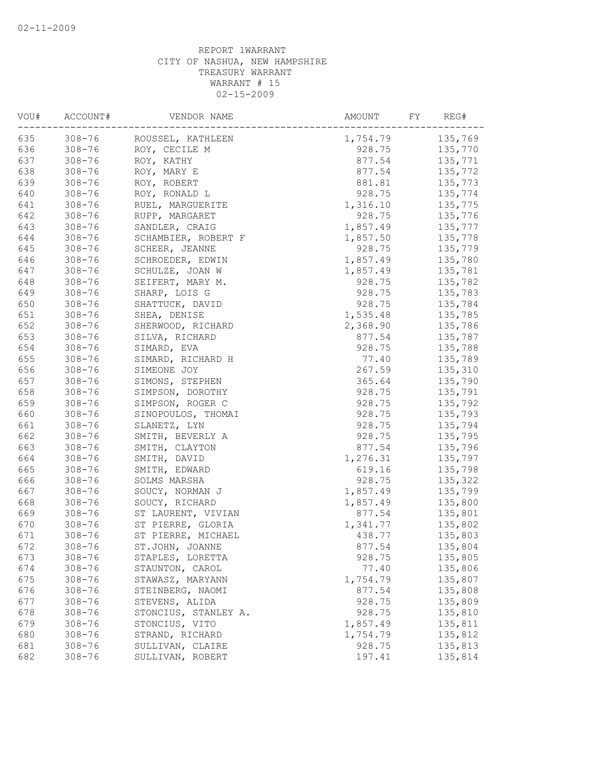| VOU# | ACCOUNT#   | VENDOR NAME          | AMOUNT<br>FY | REG#    |
|------|------------|----------------------|--------------|---------|
| 635  | $308 - 76$ | ROUSSEL, KATHLEEN    | 1,754.79     | 135,769 |
| 636  | $308 - 76$ | ROY, CECILE M        | 928.75       | 135,770 |
| 637  | $308 - 76$ | ROY, KATHY           | 877.54       | 135,771 |
| 638  | $308 - 76$ | ROY, MARY E          | 877.54       | 135,772 |
| 639  | $308 - 76$ | ROY, ROBERT          | 881.81       | 135,773 |
| 640  | $308 - 76$ | ROY, RONALD L        | 928.75       | 135,774 |
| 641  | $308 - 76$ | RUEL, MARGUERITE     | 1,316.10     | 135,775 |
| 642  | $308 - 76$ | RUPP, MARGARET       | 928.75       | 135,776 |
| 643  | $308 - 76$ | SANDLER, CRAIG       | 1,857.49     | 135,777 |
| 644  | $308 - 76$ | SCHAMBIER, ROBERT F  | 1,857.50     | 135,778 |
| 645  | $308 - 76$ | SCHEER, JEANNE       | 928.75       | 135,779 |
| 646  | $308 - 76$ | SCHROEDER, EDWIN     | 1,857.49     | 135,780 |
| 647  | $308 - 76$ | SCHULZE, JOAN W      | 1,857.49     | 135,781 |
| 648  | $308 - 76$ | SEIFERT, MARY M.     | 928.75       | 135,782 |
| 649  | $308 - 76$ | SHARP, LOIS G        | 928.75       | 135,783 |
| 650  | $308 - 76$ | SHATTUCK, DAVID      | 928.75       | 135,784 |
| 651  | $308 - 76$ | SHEA, DENISE         | 1,535.48     | 135,785 |
| 652  | $308 - 76$ | SHERWOOD, RICHARD    | 2,368.90     | 135,786 |
| 653  | $308 - 76$ | SILVA, RICHARD       | 877.54       | 135,787 |
| 654  | $308 - 76$ | SIMARD, EVA          | 928.75       | 135,788 |
| 655  | $308 - 76$ | SIMARD, RICHARD H    | 77.40        | 135,789 |
| 656  | $308 - 76$ | SIMEONE JOY          | 267.59       | 135,310 |
| 657  | $308 - 76$ | SIMONS, STEPHEN      | 365.64       | 135,790 |
| 658  | $308 - 76$ | SIMPSON, DOROTHY     | 928.75       | 135,791 |
| 659  | $308 - 76$ | SIMPSON, ROGER C     | 928.75       | 135,792 |
| 660  | $308 - 76$ | SINOPOULOS, THOMAI   | 928.75       | 135,793 |
| 661  | $308 - 76$ | SLANETZ, LYN         | 928.75       | 135,794 |
| 662  | $308 - 76$ | SMITH, BEVERLY A     | 928.75       | 135,795 |
| 663  | $308 - 76$ | SMITH, CLAYTON       | 877.54       | 135,796 |
| 664  | $308 - 76$ | SMITH, DAVID         | 1,276.31     | 135,797 |
| 665  | $308 - 76$ | SMITH, EDWARD        | 619.16       | 135,798 |
| 666  | $308 - 76$ | SOLMS MARSHA         | 928.75       | 135,322 |
| 667  | $308 - 76$ | SOUCY, NORMAN J      | 1,857.49     | 135,799 |
| 668  | $308 - 76$ | SOUCY, RICHARD       | 1,857.49     | 135,800 |
| 669  | $308 - 76$ | ST LAURENT, VIVIAN   | 877.54       | 135,801 |
| 670  | $308 - 76$ | ST PIERRE, GLORIA    | 1,341.77     | 135,802 |
| 671  | $308 - 76$ | ST PIERRE, MICHAEL   | 438.77       | 135,803 |
| 672  | $308 - 76$ | ST.JOHN, JOANNE      | 877.54       | 135,804 |
| 673  | $308 - 76$ | STAPLES, LORETTA     | 928.75       | 135,805 |
| 674  | $308 - 76$ | STAUNTON, CAROL      | 77.40        | 135,806 |
| 675  | $308 - 76$ | STAWASZ, MARYANN     | 1,754.79     | 135,807 |
| 676  | $308 - 76$ | STEINBERG, NAOMI     | 877.54       | 135,808 |
| 677  | $308 - 76$ | STEVENS, ALIDA       | 928.75       | 135,809 |
| 678  | $308 - 76$ | STONCIUS, STANLEY A. | 928.75       | 135,810 |
| 679  | $308 - 76$ | STONCIUS, VITO       | 1,857.49     | 135,811 |
| 680  | $308 - 76$ | STRAND, RICHARD      | 1,754.79     | 135,812 |
| 681  | $308 - 76$ | SULLIVAN, CLAIRE     | 928.75       | 135,813 |
| 682  | $308 - 76$ | SULLIVAN, ROBERT     | 197.41       | 135,814 |
|      |            |                      |              |         |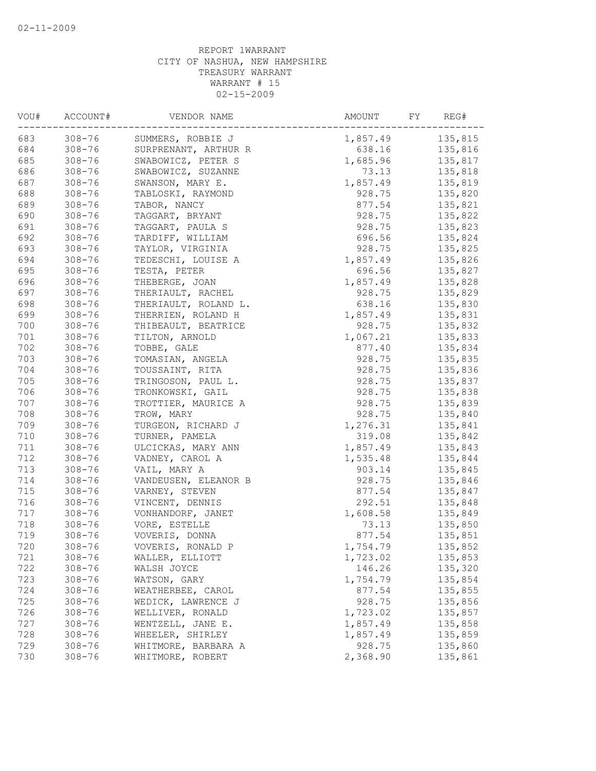| VOU#  | ACCOUNT#   | VENDOR NAME          | AMOUNT<br>FY | REG#    |
|-------|------------|----------------------|--------------|---------|
| 683   | $308 - 76$ | SUMMERS, ROBBIE J    | 1,857.49     | 135,815 |
| 684   | $308 - 76$ | SURPRENANT, ARTHUR R | 638.16       | 135,816 |
| 685   | $308 - 76$ | SWABOWICZ, PETER S   | 1,685.96     | 135,817 |
| 686   | $308 - 76$ | SWABOWICZ, SUZANNE   | 73.13        | 135,818 |
| 687   | $308 - 76$ | SWANSON, MARY E.     | 1,857.49     | 135,819 |
| 688   | $308 - 76$ | TABLOSKI, RAYMOND    | 928.75       | 135,820 |
| 689   | $308 - 76$ | TABOR, NANCY         | 877.54       | 135,821 |
| 690   | $308 - 76$ | TAGGART, BRYANT      | 928.75       | 135,822 |
| 691   | $308 - 76$ | TAGGART, PAULA S     | 928.75       | 135,823 |
| 692   | $308 - 76$ | TARDIFF, WILLIAM     | 696.56       | 135,824 |
| 693   | $308 - 76$ | TAYLOR, VIRGINIA     | 928.75       | 135,825 |
| 694   | $308 - 76$ | TEDESCHI, LOUISE A   | 1,857.49     | 135,826 |
| 695   | $308 - 76$ | TESTA, PETER         | 696.56       | 135,827 |
| 696   | $308 - 76$ | THEBERGE, JOAN       | 1,857.49     | 135,828 |
| 697   | $308 - 76$ | THERIAULT, RACHEL    | 928.75       | 135,829 |
| 698   | $308 - 76$ | THERIAULT, ROLAND L. | 638.16       | 135,830 |
| 699   | $308 - 76$ | THERRIEN, ROLAND H   | 1,857.49     | 135,831 |
| 700   | $308 - 76$ | THIBEAULT, BEATRICE  | 928.75       | 135,832 |
| 701   | $308 - 76$ | TILTON, ARNOLD       | 1,067.21     | 135,833 |
| 702   | $308 - 76$ | TOBBE, GALE          | 877.40       | 135,834 |
| 703   | $308 - 76$ | TOMASIAN, ANGELA     | 928.75       | 135,835 |
| 704   | $308 - 76$ | TOUSSAINT, RITA      | 928.75       | 135,836 |
| 705   | $308 - 76$ | TRINGOSON, PAUL L.   | 928.75       | 135,837 |
| 706   | $308 - 76$ | TRONKOWSKI, GAIL     | 928.75       | 135,838 |
| 707   | $308 - 76$ | TROTTIER, MAURICE A  | 928.75       | 135,839 |
| 708   | $308 - 76$ | TROW, MARY           | 928.75       | 135,840 |
| 709   | $308 - 76$ | TURGEON, RICHARD J   | 1,276.31     | 135,841 |
| 710   | $308 - 76$ | TURNER, PAMELA       | 319.08       | 135,842 |
| $711$ | $308 - 76$ | ULCICKAS, MARY ANN   | 1,857.49     | 135,843 |
| 712   | $308 - 76$ | VADNEY, CAROL A      | 1,535.48     | 135,844 |
| 713   | $308 - 76$ | VAIL, MARY A         | 903.14       | 135,845 |
| 714   | $308 - 76$ | VANDEUSEN, ELEANOR B | 928.75       | 135,846 |
| 715   | $308 - 76$ | VARNEY, STEVEN       | 877.54       | 135,847 |
| 716   | $308 - 76$ | VINCENT, DENNIS      | 292.51       | 135,848 |
| 717   | $308 - 76$ | VONHANDORF, JANET    | 1,608.58     | 135,849 |
| 718   | $308 - 76$ | VORE, ESTELLE        | 73.13        | 135,850 |
| 719   | $308 - 76$ | VOVERIS, DONNA       | 877.54       | 135,851 |
| 720   | $308 - 76$ | VOVERIS, RONALD P    | 1,754.79     | 135,852 |
| 721   | $308 - 76$ | WALLER, ELLIOTT      | 1,723.02     | 135,853 |
| 722   | $308 - 76$ | WALSH JOYCE          | 146.26       | 135,320 |
| 723   | $308 - 76$ | WATSON, GARY         | 1,754.79     | 135,854 |
| 724   | $308 - 76$ | WEATHERBEE, CAROL    | 877.54       | 135,855 |
| 725   | $308 - 76$ | WEDICK, LAWRENCE J   | 928.75       | 135,856 |
| 726   | $308 - 76$ | WELLIVER, RONALD     | 1,723.02     | 135,857 |
| 727   | $308 - 76$ | WENTZELL, JANE E.    | 1,857.49     | 135,858 |
| 728   | $308 - 76$ | WHEELER, SHIRLEY     | 1,857.49     | 135,859 |
| 729   | $308 - 76$ | WHITMORE, BARBARA A  | 928.75       | 135,860 |
| 730   | $308 - 76$ | WHITMORE, ROBERT     | 2,368.90     | 135,861 |
|       |            |                      |              |         |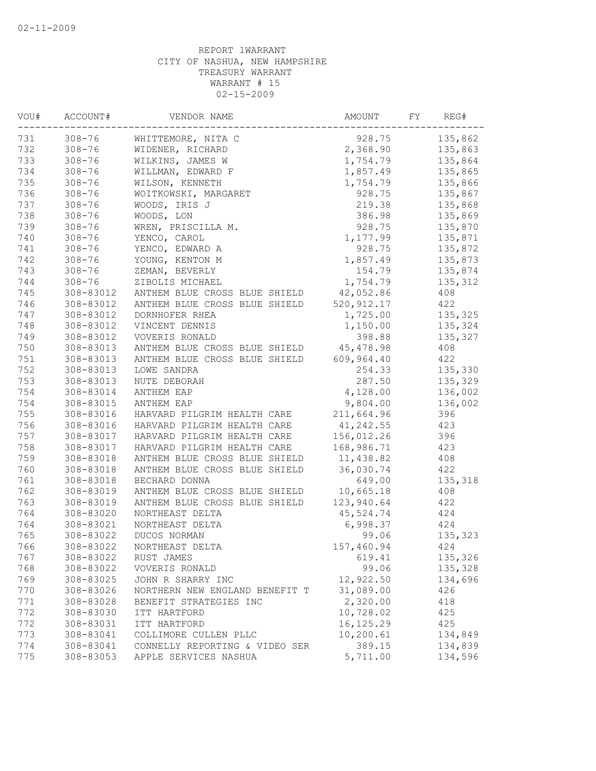| 731<br>$308 - 76$<br>928.75<br>WHITTEMORE, NITA C<br>732<br>2,368.90<br>$308 - 76$<br>WIDENER, RICHARD<br>733<br>$308 - 76$<br>WILKINS, JAMES W<br>1,754.79<br>734<br>$308 - 76$<br>WILLMAN, EDWARD F<br>1,857.49<br>735<br>$308 - 76$<br>WILSON, KENNETH<br>1,754.79<br>736<br>$308 - 76$<br>WOITKOWSKI, MARGARET<br>928.75<br>737<br>$308 - 76$<br>WOODS, IRIS J<br>219.38<br>738<br>$308 - 76$<br>WOODS, LON<br>386.98<br>739<br>$308 - 76$<br>WREN, PRISCILLA M.<br>928.75<br>740<br>$308 - 76$<br>YENCO, CAROL<br>1,177.99<br>741<br>$308 - 76$<br>YENCO, EDWARD A<br>928.75<br>742<br>$308 - 76$<br>YOUNG, KENTON M<br>1,857.49<br>743<br>$308 - 76$<br>ZEMAN, BEVERLY<br>154.79<br>744<br>1,754.79<br>$308 - 76$<br>ZIBOLIS MICHAEL<br>745<br>42,052.86<br>308-83012<br>ANTHEM BLUE CROSS BLUE SHIELD<br>520, 912.17<br>746<br>308-83012<br>ANTHEM BLUE CROSS BLUE SHIELD<br>747<br>1,725.00<br>308-83012<br>DORNHOFER RHEA | REG#    |
|------------------------------------------------------------------------------------------------------------------------------------------------------------------------------------------------------------------------------------------------------------------------------------------------------------------------------------------------------------------------------------------------------------------------------------------------------------------------------------------------------------------------------------------------------------------------------------------------------------------------------------------------------------------------------------------------------------------------------------------------------------------------------------------------------------------------------------------------------------------------------------------------------------------------------------|---------|
|                                                                                                                                                                                                                                                                                                                                                                                                                                                                                                                                                                                                                                                                                                                                                                                                                                                                                                                                    | 135,862 |
|                                                                                                                                                                                                                                                                                                                                                                                                                                                                                                                                                                                                                                                                                                                                                                                                                                                                                                                                    | 135,863 |
|                                                                                                                                                                                                                                                                                                                                                                                                                                                                                                                                                                                                                                                                                                                                                                                                                                                                                                                                    | 135,864 |
|                                                                                                                                                                                                                                                                                                                                                                                                                                                                                                                                                                                                                                                                                                                                                                                                                                                                                                                                    | 135,865 |
|                                                                                                                                                                                                                                                                                                                                                                                                                                                                                                                                                                                                                                                                                                                                                                                                                                                                                                                                    | 135,866 |
|                                                                                                                                                                                                                                                                                                                                                                                                                                                                                                                                                                                                                                                                                                                                                                                                                                                                                                                                    | 135,867 |
|                                                                                                                                                                                                                                                                                                                                                                                                                                                                                                                                                                                                                                                                                                                                                                                                                                                                                                                                    | 135,868 |
|                                                                                                                                                                                                                                                                                                                                                                                                                                                                                                                                                                                                                                                                                                                                                                                                                                                                                                                                    | 135,869 |
|                                                                                                                                                                                                                                                                                                                                                                                                                                                                                                                                                                                                                                                                                                                                                                                                                                                                                                                                    | 135,870 |
|                                                                                                                                                                                                                                                                                                                                                                                                                                                                                                                                                                                                                                                                                                                                                                                                                                                                                                                                    | 135,871 |
|                                                                                                                                                                                                                                                                                                                                                                                                                                                                                                                                                                                                                                                                                                                                                                                                                                                                                                                                    | 135,872 |
|                                                                                                                                                                                                                                                                                                                                                                                                                                                                                                                                                                                                                                                                                                                                                                                                                                                                                                                                    | 135,873 |
|                                                                                                                                                                                                                                                                                                                                                                                                                                                                                                                                                                                                                                                                                                                                                                                                                                                                                                                                    | 135,874 |
|                                                                                                                                                                                                                                                                                                                                                                                                                                                                                                                                                                                                                                                                                                                                                                                                                                                                                                                                    | 135,312 |
|                                                                                                                                                                                                                                                                                                                                                                                                                                                                                                                                                                                                                                                                                                                                                                                                                                                                                                                                    | 408     |
|                                                                                                                                                                                                                                                                                                                                                                                                                                                                                                                                                                                                                                                                                                                                                                                                                                                                                                                                    | 422     |
|                                                                                                                                                                                                                                                                                                                                                                                                                                                                                                                                                                                                                                                                                                                                                                                                                                                                                                                                    | 135,325 |
| 748<br>308-83012<br>VINCENT DENNIS<br>1,150.00                                                                                                                                                                                                                                                                                                                                                                                                                                                                                                                                                                                                                                                                                                                                                                                                                                                                                     | 135,324 |
| 749<br>308-83012<br>VOVERIS RONALD<br>398.88                                                                                                                                                                                                                                                                                                                                                                                                                                                                                                                                                                                                                                                                                                                                                                                                                                                                                       | 135,327 |
| 750<br>308-83013<br>ANTHEM BLUE CROSS BLUE SHIELD<br>45,478.98                                                                                                                                                                                                                                                                                                                                                                                                                                                                                                                                                                                                                                                                                                                                                                                                                                                                     | 408     |
| 751<br>609,964.40<br>308-83013<br>ANTHEM BLUE CROSS BLUE SHIELD                                                                                                                                                                                                                                                                                                                                                                                                                                                                                                                                                                                                                                                                                                                                                                                                                                                                    | 422     |
| 752<br>308-83013<br>LOWE SANDRA<br>254.33                                                                                                                                                                                                                                                                                                                                                                                                                                                                                                                                                                                                                                                                                                                                                                                                                                                                                          | 135,330 |
| 753<br>287.50<br>308-83013<br>NUTE DEBORAH                                                                                                                                                                                                                                                                                                                                                                                                                                                                                                                                                                                                                                                                                                                                                                                                                                                                                         | 135,329 |
| 754<br>4,128.00<br>308-83014<br>ANTHEM EAP                                                                                                                                                                                                                                                                                                                                                                                                                                                                                                                                                                                                                                                                                                                                                                                                                                                                                         | 136,002 |
| 754<br>9,804.00<br>308-83015<br>ANTHEM EAP                                                                                                                                                                                                                                                                                                                                                                                                                                                                                                                                                                                                                                                                                                                                                                                                                                                                                         | 136,002 |
| 755<br>308-83016<br>211,664.96<br>HARVARD PILGRIM HEALTH CARE                                                                                                                                                                                                                                                                                                                                                                                                                                                                                                                                                                                                                                                                                                                                                                                                                                                                      | 396     |
| 756<br>41,242.55<br>308-83016<br>HARVARD PILGRIM HEALTH CARE                                                                                                                                                                                                                                                                                                                                                                                                                                                                                                                                                                                                                                                                                                                                                                                                                                                                       | 423     |
| 757<br>308-83017<br>HARVARD PILGRIM HEALTH CARE<br>156,012.26                                                                                                                                                                                                                                                                                                                                                                                                                                                                                                                                                                                                                                                                                                                                                                                                                                                                      | 396     |
| 758<br>308-83017<br>HARVARD PILGRIM HEALTH CARE<br>168,986.71                                                                                                                                                                                                                                                                                                                                                                                                                                                                                                                                                                                                                                                                                                                                                                                                                                                                      | 423     |
| 759<br>308-83018<br>ANTHEM BLUE CROSS BLUE SHIELD<br>11,438.82                                                                                                                                                                                                                                                                                                                                                                                                                                                                                                                                                                                                                                                                                                                                                                                                                                                                     | 408     |
| 760<br>ANTHEM BLUE CROSS BLUE SHIELD<br>36,030.74<br>308-83018                                                                                                                                                                                                                                                                                                                                                                                                                                                                                                                                                                                                                                                                                                                                                                                                                                                                     | 422     |
| 761<br>308-83018<br>BECHARD DONNA<br>649.00                                                                                                                                                                                                                                                                                                                                                                                                                                                                                                                                                                                                                                                                                                                                                                                                                                                                                        | 135,318 |
| 762<br>10,665.18<br>308-83019<br>ANTHEM BLUE CROSS BLUE SHIELD                                                                                                                                                                                                                                                                                                                                                                                                                                                                                                                                                                                                                                                                                                                                                                                                                                                                     | 408     |
| 763<br>308-83019<br>123,940.64<br>ANTHEM BLUE CROSS BLUE SHIELD                                                                                                                                                                                                                                                                                                                                                                                                                                                                                                                                                                                                                                                                                                                                                                                                                                                                    | 422     |
| 764<br>45,524.74<br>308-83020<br>NORTHEAST DELTA                                                                                                                                                                                                                                                                                                                                                                                                                                                                                                                                                                                                                                                                                                                                                                                                                                                                                   | 424     |
| 764<br>308-83021<br>NORTHEAST DELTA<br>6,998.37                                                                                                                                                                                                                                                                                                                                                                                                                                                                                                                                                                                                                                                                                                                                                                                                                                                                                    | 424     |
| 765<br>308-83022<br>DUCOS NORMAN<br>99.06                                                                                                                                                                                                                                                                                                                                                                                                                                                                                                                                                                                                                                                                                                                                                                                                                                                                                          | 135,323 |
| 766<br>308-83022<br>157,460.94<br>NORTHEAST DELTA                                                                                                                                                                                                                                                                                                                                                                                                                                                                                                                                                                                                                                                                                                                                                                                                                                                                                  | 424     |
| 308-83022<br>767<br>RUST JAMES<br>619.41                                                                                                                                                                                                                                                                                                                                                                                                                                                                                                                                                                                                                                                                                                                                                                                                                                                                                           | 135,326 |
| 768<br>99.06<br>308-83022<br>VOVERIS RONALD                                                                                                                                                                                                                                                                                                                                                                                                                                                                                                                                                                                                                                                                                                                                                                                                                                                                                        | 135,328 |
| 12,922.50<br>769<br>308-83025<br>JOHN R SHARRY INC                                                                                                                                                                                                                                                                                                                                                                                                                                                                                                                                                                                                                                                                                                                                                                                                                                                                                 | 134,696 |
| 31,089.00<br>770<br>308-83026<br>NORTHERN NEW ENGLAND BENEFIT T                                                                                                                                                                                                                                                                                                                                                                                                                                                                                                                                                                                                                                                                                                                                                                                                                                                                    | 426     |
| 2,320.00<br>771<br>308-83028<br>BENEFIT STRATEGIES INC                                                                                                                                                                                                                                                                                                                                                                                                                                                                                                                                                                                                                                                                                                                                                                                                                                                                             | 418     |
| 772<br>10,728.02<br>308-83030<br>ITT HARTFORD                                                                                                                                                                                                                                                                                                                                                                                                                                                                                                                                                                                                                                                                                                                                                                                                                                                                                      | 425     |
| 772<br>16, 125.29<br>308-83031<br>ITT HARTFORD                                                                                                                                                                                                                                                                                                                                                                                                                                                                                                                                                                                                                                                                                                                                                                                                                                                                                     | 425     |
| 773<br>10,200.61<br>308-83041<br>COLLIMORE CULLEN PLLC                                                                                                                                                                                                                                                                                                                                                                                                                                                                                                                                                                                                                                                                                                                                                                                                                                                                             | 134,849 |
| 774<br>308-83041<br>CONNELLY REPORTING & VIDEO SER<br>389.15                                                                                                                                                                                                                                                                                                                                                                                                                                                                                                                                                                                                                                                                                                                                                                                                                                                                       | 134,839 |
| 775<br>5,711.00<br>308-83053<br>APPLE SERVICES NASHUA                                                                                                                                                                                                                                                                                                                                                                                                                                                                                                                                                                                                                                                                                                                                                                                                                                                                              | 134,596 |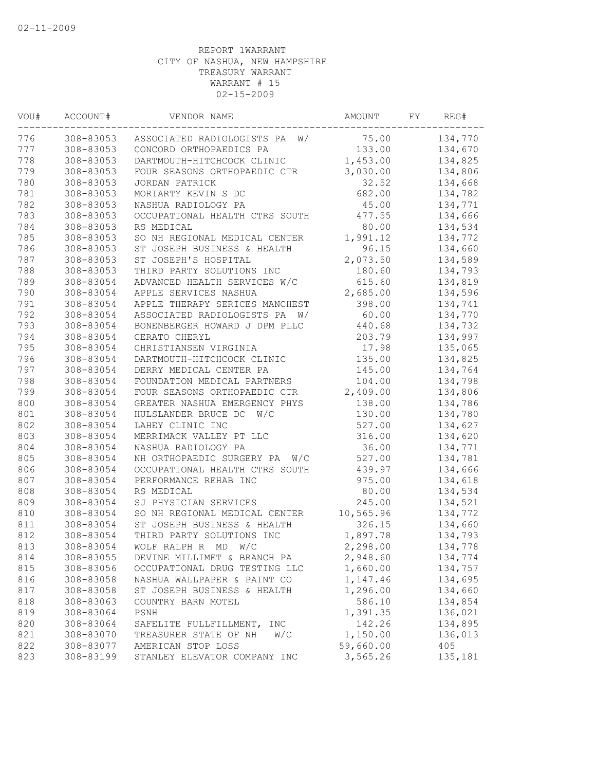| VOU# | ACCOUNT#  | VENDOR NAME                      | AMOUNT    | FY | REG#    |
|------|-----------|----------------------------------|-----------|----|---------|
| 776  | 308-83053 | W/<br>ASSOCIATED RADIOLOGISTS PA | 75.00     |    | 134,770 |
| 777  | 308-83053 | CONCORD ORTHOPAEDICS PA          | 133.00    |    | 134,670 |
| 778  | 308-83053 | DARTMOUTH-HITCHCOCK CLINIC       | 1,453.00  |    | 134,825 |
| 779  | 308-83053 | FOUR SEASONS ORTHOPAEDIC CTR     | 3,030.00  |    | 134,806 |
| 780  | 308-83053 | JORDAN PATRICK                   | 32.52     |    | 134,668 |
| 781  | 308-83053 | MORIARTY KEVIN S DC              | 682.00    |    | 134,782 |
| 782  | 308-83053 | NASHUA RADIOLOGY PA              | 45.00     |    | 134,771 |
| 783  | 308-83053 | OCCUPATIONAL HEALTH CTRS SOUTH   | 477.55    |    | 134,666 |
| 784  | 308-83053 | RS MEDICAL                       | 80.00     |    | 134,534 |
| 785  | 308-83053 | SO NH REGIONAL MEDICAL CENTER    | 1,991.12  |    | 134,772 |
| 786  | 308-83053 | ST JOSEPH BUSINESS & HEALTH      | 96.15     |    | 134,660 |
| 787  | 308-83053 | ST JOSEPH'S HOSPITAL             | 2,073.50  |    | 134,589 |
| 788  | 308-83053 | THIRD PARTY SOLUTIONS INC        | 180.60    |    | 134,793 |
| 789  | 308-83054 | ADVANCED HEALTH SERVICES W/C     | 615.60    |    | 134,819 |
| 790  | 308-83054 | APPLE SERVICES NASHUA            | 2,685.00  |    | 134,596 |
| 791  | 308-83054 | APPLE THERAPY SERICES MANCHEST   | 398.00    |    | 134,741 |
| 792  | 308-83054 | ASSOCIATED RADIOLOGISTS PA<br>W/ | 60.00     |    | 134,770 |
| 793  | 308-83054 | BONENBERGER HOWARD J DPM PLLC    | 440.68    |    | 134,732 |
| 794  | 308-83054 | CERATO CHERYL                    | 203.79    |    | 134,997 |
| 795  | 308-83054 | CHRISTIANSEN VIRGINIA            | 17.98     |    | 135,065 |
| 796  | 308-83054 | DARTMOUTH-HITCHCOCK CLINIC       | 135.00    |    | 134,825 |
| 797  | 308-83054 | DERRY MEDICAL CENTER PA          | 145.00    |    | 134,764 |
| 798  | 308-83054 | FOUNDATION MEDICAL PARTNERS      | 104.00    |    | 134,798 |
| 799  | 308-83054 | FOUR SEASONS ORTHOPAEDIC CTR     | 2,409.00  |    | 134,806 |
| 800  | 308-83054 | GREATER NASHUA EMERGENCY PHYS    | 138.00    |    | 134,786 |
| 801  | 308-83054 | HULSLANDER BRUCE DC<br>W/C       | 130.00    |    | 134,780 |
| 802  | 308-83054 | LAHEY CLINIC INC                 | 527.00    |    | 134,627 |
| 803  | 308-83054 | MERRIMACK VALLEY PT LLC          | 316.00    |    | 134,620 |
| 804  | 308-83054 | NASHUA RADIOLOGY PA              | 36.00     |    | 134,771 |
| 805  | 308-83054 | NH ORTHOPAEDIC SURGERY PA<br>W/C | 527.00    |    | 134,781 |
| 806  | 308-83054 | OCCUPATIONAL HEALTH CTRS SOUTH   | 439.97    |    | 134,666 |
| 807  | 308-83054 | PERFORMANCE REHAB INC            | 975.00    |    | 134,618 |
| 808  | 308-83054 | RS MEDICAL                       | 80.00     |    | 134,534 |
| 809  | 308-83054 | SJ PHYSICIAN SERVICES            | 245.00    |    | 134,521 |
| 810  | 308-83054 | SO NH REGIONAL MEDICAL CENTER    | 10,565.96 |    | 134,772 |
| 811  | 308-83054 | ST JOSEPH BUSINESS & HEALTH      | 326.15    |    | 134,660 |
| 812  | 308-83054 | THIRD PARTY SOLUTIONS INC        | 1,897.78  |    | 134,793 |
| 813  | 308-83054 | WOLF RALPH R MD W/C              | 2,298.00  |    | 134,778 |
| 814  | 308-83055 | DEVINE MILLIMET & BRANCH PA      | 2,948.60  |    | 134,774 |
| 815  | 308-83056 | OCCUPATIONAL DRUG TESTING LLC    | 1,660.00  |    | 134,757 |
| 816  | 308-83058 | NASHUA WALLPAPER & PAINT CO      | 1,147.46  |    | 134,695 |
| 817  | 308-83058 | ST JOSEPH BUSINESS & HEALTH      | 1,296.00  |    | 134,660 |
| 818  | 308-83063 | COUNTRY BARN MOTEL               | 586.10    |    | 134,854 |
| 819  | 308-83064 | PSNH                             | 1,391.35  |    | 136,021 |
| 820  | 308-83064 | SAFELITE FULLFILLMENT,<br>INC    | 142.26    |    | 134,895 |
| 821  | 308-83070 | TREASURER STATE OF NH<br>W/C     | 1,150.00  |    | 136,013 |
| 822  | 308-83077 | AMERICAN STOP LOSS               | 59,660.00 |    | 405     |
| 823  | 308-83199 | STANLEY ELEVATOR COMPANY INC     | 3,565.26  |    | 135,181 |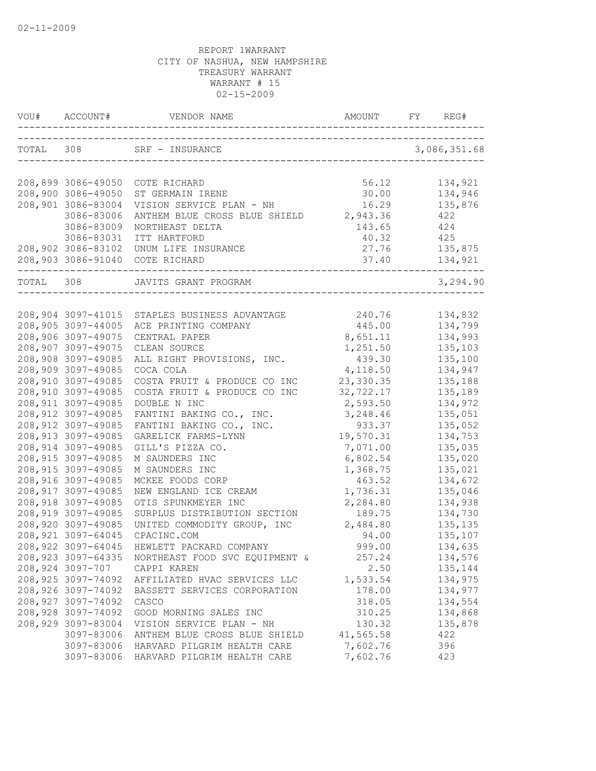|       | VOU# ACCOUNT#                             |                                               |                       | REG#               |
|-------|-------------------------------------------|-----------------------------------------------|-----------------------|--------------------|
|       |                                           | TOTAL 308 SRF - INSURANCE                     |                       | 3,086,351.68       |
|       | 208,899 3086-49050                        | COTE RICHARD                                  | 56.12                 | 134,921            |
|       | 208,900 3086-49050                        | ST GERMAIN IRENE                              | 30.00                 | 134,946            |
|       | 208,901 3086-83004                        | VISION SERVICE PLAN - NH                      | 16.29                 | 135,876            |
|       | 3086-83006                                | ANTHEM BLUE CROSS BLUE SHIELD 2,943.36        |                       | 422                |
|       | 3086-83009                                | NORTHEAST DELTA                               | 143.65                | 424                |
|       | 3086-83031                                | ITT HARTFORD                                  | 40.32 425             |                    |
|       | 208,902 3086-83102                        | UNUM LIFE INSURANCE                           | 27.76 135,875         |                    |
|       |                                           | 208,903 3086-91040 COTE RICHARD               |                       |                    |
| TOTAL | 308                                       | JAVITS GRANT PROGRAM                          |                       | 3,294.90           |
|       |                                           |                                               |                       |                    |
|       |                                           | 208,904 3097-41015 STAPLES BUSINESS ADVANTAGE | 240.76                | 134,832            |
|       | 208,905 3097-44005                        | ACE PRINTING COMPANY                          | 445.00                | 134,799            |
|       | 208,906 3097-49075                        | CENTRAL PAPER                                 | 8,651.11              | 134,993            |
|       | 208,907 3097-49075                        | CLEAN SOURCE                                  | 1,251.50              | 135,103            |
|       | 208,908 3097-49085                        | ALL RIGHT PROVISIONS, INC.                    | 439.30                | 135,100            |
|       | 208,909 3097-49085                        | COCA COLA<br>COSTA FRUIT & PRODUCE CO INC     | 4,118.50              | 134,947            |
|       | 208,910 3097-49085                        | COSTA FRUIT & PRODUCE CO INC                  | 23,330.35             | 135,188            |
|       | 208,910 3097-49085<br>208, 911 3097-49085 | DOUBLE N INC                                  | 32,722.17<br>2,593.50 | 135,189            |
|       | 208, 912 3097-49085                       | FANTINI BAKING CO., INC.                      | 3,248.46              | 134,972<br>135,051 |
|       | 208, 912 3097-49085                       | FANTINI BAKING CO., INC.                      | 933.37                | 135,052            |
|       | 208, 913 3097-49085                       | GARELICK FARMS-LYNN                           | 19,570.31             | 134,753            |
|       | 208, 914 3097-49085                       | GILL'S PIZZA CO.                              | 7,071.00              | 135,035            |
|       | 208, 915 3097-49085                       | M SAUNDERS INC                                | 6,802.54              | 135,020            |
|       | 208, 915 3097-49085                       | M SAUNDERS INC                                | 1,368.75              | 135,021            |
|       | 208,916 3097-49085                        | MCKEE FOODS CORP                              | 463.52                | 134,672            |
|       | 208, 917 3097-49085                       | NEW ENGLAND ICE CREAM                         | 1,736.31              | 135,046            |
|       | 208,918 3097-49085                        | OTIS SPUNKMEYER INC                           | 2,284.80              | 134,938            |
|       | 208,919 3097-49085                        | SURPLUS DISTRIBUTION SECTION                  | 189.75                | 134,730            |
|       | 208,920 3097-49085                        | UNITED COMMODITY GROUP, INC                   | 2,484.80              | 135,135            |
|       | 208, 921 3097-64045                       | CPACINC.COM                                   | 94.00                 | 135,107            |
|       | 208,922 3097-64045                        | HEWLETT PACKARD COMPANY                       | 999.00                | 134,635            |
|       | 208,923 3097-64335                        | NORTHEAST FOOD SVC EQUIPMENT &                | 257.24                | 134,576            |
|       | 208,924 3097-707                          | CAPPI KAREN                                   | 2.50                  | 135,144            |
|       | 208, 925 3097-74092                       | AFFILIATED HVAC SERVICES LLC                  | 1,533.54              | 134,975            |
|       | 208,926 3097-74092                        | BASSETT SERVICES CORPORATION                  | 178.00                | 134,977            |
|       | 208, 927 3097-74092                       | CASCO                                         | 318.05                | 134,554            |
|       | 208,928 3097-74092                        | GOOD MORNING SALES INC                        | 310.25                | 134,868            |
|       | 208,929 3097-83004                        | VISION SERVICE PLAN - NH                      | 130.32                | 135,878            |
|       | 3097-83006                                | ANTHEM BLUE CROSS BLUE SHIELD                 | 41,565.58             | 422                |
|       | 3097-83006                                | HARVARD PILGRIM HEALTH CARE                   | 7,602.76              | 396                |
|       | 3097-83006                                | HARVARD PILGRIM HEALTH CARE                   | 7,602.76              | 423                |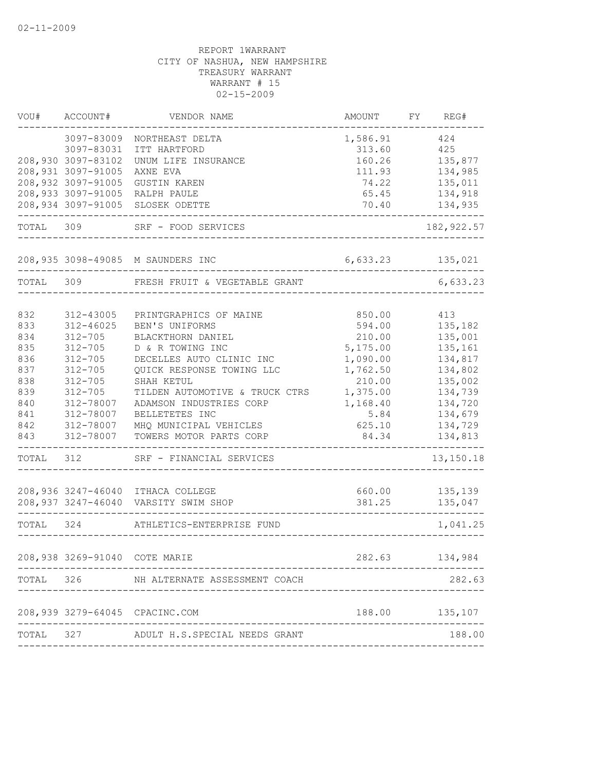| VOU#  | ACCOUNT#                      | VENDOR NAME                                                 | AMOUNT   | FΥ | REG#        |
|-------|-------------------------------|-------------------------------------------------------------|----------|----|-------------|
|       | 3097-83009                    | NORTHEAST DELTA                                             | 1,586.91 |    | 424         |
|       | 3097-83031                    | ITT HARTFORD                                                | 313.60   |    | 425         |
|       | 208,930 3097-83102            | UNUM LIFE INSURANCE                                         | 160.26   |    | 135,877     |
|       | 208,931 3097-91005            | AXNE EVA                                                    | 111.93   |    | 134,985     |
|       | 208,932 3097-91005            | <b>GUSTIN KAREN</b>                                         | 74.22    |    | 135,011     |
|       | 208,933 3097-91005            | RALPH PAULE                                                 | 65.45    |    | 134,918     |
|       | 208,934 3097-91005            | SLOSEK ODETTE                                               | 70.40    |    | 134,935     |
| TOTAL | 309                           | SRF - FOOD SERVICES                                         |          |    | 182, 922.57 |
|       | 208,935 3098-49085            | M SAUNDERS INC                                              | 6,633.23 |    | 135,021     |
| TOTAL | 309                           | FRESH FRUIT & VEGETABLE GRANT                               |          |    | 6,633.23    |
|       |                               |                                                             |          |    |             |
| 832   | 312-43005                     | PRINTGRAPHICS OF MAINE                                      | 850.00   |    | 413         |
| 833   | $312 - 46025$                 | BEN'S UNIFORMS                                              | 594.00   |    | 135,182     |
| 834   | $312 - 705$                   | BLACKTHORN DANIEL                                           | 210.00   |    | 135,001     |
| 835   | $312 - 705$                   | D & R TOWING INC                                            | 5,175.00 |    | 135,161     |
| 836   | $312 - 705$                   | DECELLES AUTO CLINIC INC                                    | 1,090.00 |    | 134,817     |
| 837   | $312 - 705$                   | QUICK RESPONSE TOWING LLC                                   | 1,762.50 |    | 134,802     |
| 838   | $312 - 705$                   | SHAH KETUL                                                  | 210.00   |    | 135,002     |
| 839   | $312 - 705$                   | TILDEN AUTOMOTIVE & TRUCK CTRS                              | 1,375.00 |    | 134,739     |
| 840   | 312-78007                     | ADAMSON INDUSTRIES CORP                                     | 1,168.40 |    | 134,720     |
| 841   | 312-78007                     | BELLETETES INC                                              | 5.84     |    | 134,679     |
| 842   | 312-78007                     | MHQ MUNICIPAL VEHICLES                                      | 625.10   |    | 134,729     |
| 843   | 312-78007                     | TOWERS MOTOR PARTS CORP                                     | 84.34    |    | 134,813     |
| TOTAL | 312                           | SRF - FINANCIAL SERVICES                                    |          |    | 13,150.18   |
|       | 208,936 3247-46040            | ITHACA COLLEGE                                              | 660.00   |    | 135,139     |
|       | 208,937 3247-46040            | VARSITY SWIM SHOP                                           | 381.25   |    | 135,047     |
| TOTAL | 324                           | ATHLETICS-ENTERPRISE FUND                                   |          |    | 1,041.25    |
|       | 208,938 3269-91040 COTE MARIE |                                                             | 282.63   |    | 134,984     |
| TOTAL | 326                           | NH ALTERNATE ASSESSMENT COACH                               |          |    | 282.63      |
|       |                               |                                                             |          |    |             |
|       |                               | 208,939 3279-64045 CPACINC.COM                              | 188.00   |    | 135,107     |
| TOTAL | 327                           | --------------------------<br>ADULT H.S.SPECIAL NEEDS GRANT |          |    | 188.00      |
|       |                               |                                                             |          |    |             |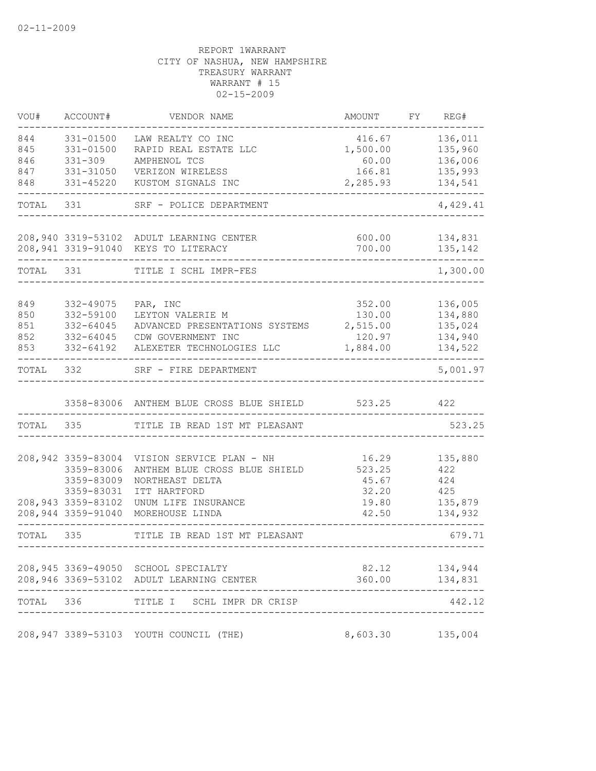| VOU#       | ACCOUNT#                 | VENDOR NAME                                     | AMOUNT             | FY | REG#               |
|------------|--------------------------|-------------------------------------------------|--------------------|----|--------------------|
| 844        | 331-01500                | LAW REALTY CO INC                               | 416.67             |    | 136,011            |
| 845        | 331-01500                | RAPID REAL ESTATE LLC                           | 1,500.00           |    | 135,960            |
| 846        | $331 - 309$              | AMPHENOL TCS                                    | 60.00              |    | 136,006            |
| 847        | 331-31050                | VERIZON WIRELESS                                | 166.81             |    | 135,993            |
| 848        | 331-45220                | KUSTOM SIGNALS INC                              | 2,285.93           |    | 134,541            |
| TOTAL      | 331                      | SRF - POLICE DEPARTMENT                         |                    |    | 4,429.41           |
|            |                          | 208,940 3319-53102 ADULT LEARNING CENTER        | 600.00             |    | 134,831            |
|            |                          | 208,941 3319-91040 KEYS TO LITERACY             | 700.00             |    | 135,142            |
| TOTAL      | 331                      | TITLE I SCHL IMPR-FES                           |                    |    | 1,300.00           |
|            |                          |                                                 |                    |    |                    |
| 849<br>850 | 332-49075<br>332-59100   | PAR, INC<br>LEYTON VALERIE M                    | 352.00             |    | 136,005<br>134,880 |
| 851        | 332-64045                | ADVANCED PRESENTATIONS SYSTEMS                  | 130.00<br>2,515.00 |    | 135,024            |
| 852        | 332-64045                | CDW GOVERNMENT INC                              | 120.97             |    | 134,940            |
| 853        | 332-64192                | ALEXETER TECHNOLOGIES LLC                       | 1,884.00           |    | 134,522            |
| TOTAL      | 332                      | SRF - FIRE DEPARTMENT                           |                    |    | 5,001.97           |
|            |                          | 3358-83006 ANTHEM BLUE CROSS BLUE SHIELD 523.25 |                    |    | 422                |
| TOTAL      | 335                      | TITLE IB READ 1ST MT PLEASANT                   |                    |    | 523.25             |
|            |                          |                                                 |                    |    |                    |
|            | 208,942 3359-83004       | VISION SERVICE PLAN - NH                        | 16.29              |    | 135,880            |
|            | 3359-83006               | ANTHEM BLUE CROSS BLUE SHIELD                   | 523.25             |    | 422                |
|            | 3359-83009<br>3359-83031 | NORTHEAST DELTA<br>ITT HARTFORD                 | 45.67<br>32.20     |    | 424<br>425         |
|            | 208,943 3359-83102       | UNUM LIFE INSURANCE                             | 19.80              |    | 135,879            |
|            | 208,944 3359-91040       | MOREHOUSE LINDA                                 | 42.50              |    | 134,932            |
| TOTAL      | 335                      | TITLE IB READ 1ST MT PLEASANT                   |                    |    | 679.71             |
|            |                          |                                                 |                    |    |                    |
|            |                          | 208,945 3369-49050 SCHOOL SPECIALTY             |                    |    | 82.12 134,944      |
|            |                          | 208,946 3369-53102 ADULT LEARNING CENTER        |                    |    | 360.00 134,831     |
| TOTAL 336  |                          | TITLE I SCHL IMPR DR CRISP                      |                    |    | 442.12             |
|            |                          | 208,947 3389-53103 YOUTH COUNCIL (THE)          | 8,603.30 135,004   |    |                    |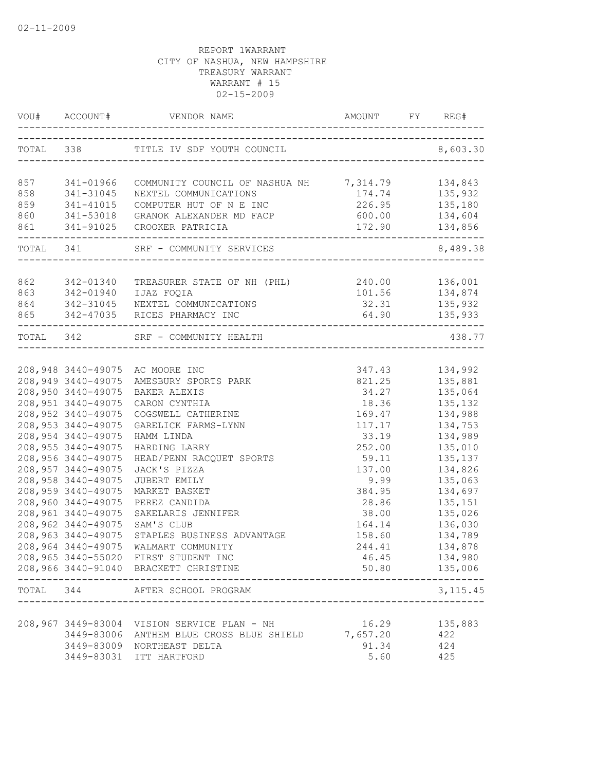|           | VOU# ACCOUNT#                              |                                                 |                                        | FY REG#            |
|-----------|--------------------------------------------|-------------------------------------------------|----------------------------------------|--------------------|
|           |                                            | TOTAL 338 TITLE IV SDF YOUTH COUNCIL 8,603.30   | -------------------------------------- |                    |
| 857       | 341-01966                                  | COMMUNITY COUNCIL OF NASHUA NH 7,314.79 134,843 |                                        |                    |
| 858       | 341-31045                                  | NEXTEL COMMUNICATIONS                           | 174.74 135,932                         |                    |
| 859       | 341-41015                                  | COMPUTER HUT OF N E INC                         | 226.95                                 | 135,180            |
| 860       |                                            | 341-53018 GRANOK ALEXANDER MD FACP              | 600.00                                 | 134,604            |
| 861       |                                            | 341-91025 CROOKER PATRICIA                      | 172.90                                 | 134,856            |
|           |                                            | TOTAL 341 SRF - COMMUNITY SERVICES              |                                        | 8,489.38           |
| 862       | 342-01340                                  | TREASURER STATE OF NH (PHL) 240.00 136,001      |                                        |                    |
| 863       | 342-01940                                  | IJAZ FOQIA                                      | 101.56 134,874                         |                    |
| 864       |                                            | 342-31045 NEXTEL COMMUNICATIONS                 | 32.31                                  | 135,932            |
| 865       |                                            | 342-47035 RICES PHARMACY INC                    | 64.90                                  | 135,933            |
| TOTAL 342 |                                            | SRF - COMMUNITY HEALTH                          |                                        | 438.77             |
|           |                                            |                                                 |                                        |                    |
|           |                                            | 208,948 3440-49075 AC MOORE INC                 |                                        | 347.43 134,992     |
|           | 208,949 3440-49075                         | AMESBURY SPORTS PARK                            | 821.25                                 | 135,881            |
|           | 208,950 3440-49075                         | BAKER ALEXIS                                    | 34.27                                  | 135,064            |
|           | 208, 951 3440-49075<br>208, 952 3440-49075 | CARON CYNTHIA                                   | 18.36                                  | 135,132<br>134,988 |
|           | 208, 953 3440-49075                        | COGSWELL CATHERINE<br>GARELICK FARMS-LYNN       | 169.47<br>117.17                       | 134,753            |
|           | 208,954 3440-49075                         | HAMM LINDA                                      | 33.19                                  | 134,989            |
|           | 208,955 3440-49075                         | HARDING LARRY                                   | 252.00                                 | 135,010            |
|           | 208,956 3440-49075                         | HEAD/PENN RACQUET SPORTS                        | 59.11                                  | 135,137            |
|           | 208,957 3440-49075                         | JACK'S PIZZA                                    | 137.00                                 | 134,826            |
|           | 208,958 3440-49075                         | JUBERT EMILY                                    | 9.99                                   | 135,063            |
|           | 208,959 3440-49075                         | MARKET BASKET                                   | 384.95                                 | 134,697            |
|           | 208,960 3440-49075                         | PEREZ CANDIDA                                   | 28.86                                  | 135,151            |
|           | 208,961 3440-49075                         | SAKELARIS JENNIFER                              | 38.00                                  | 135,026            |
|           | 208,962 3440-49075                         | SAM'S CLUB                                      | 164.14                                 | 136,030            |
|           | 208,963 3440-49075                         | STAPLES BUSINESS ADVANTAGE                      | 158.60                                 | 134,789            |
|           |                                            | 208,964 3440-49075 WALMART COMMUNITY            | 244.41                                 | 134,878            |
|           |                                            | 208,965 3440-55020 FIRST STUDENT INC            | 46.45                                  | 134,980            |
|           |                                            | 208,966 3440-91040 BRACKETT CHRISTINE           | 50.80                                  | 135,006            |
|           | TOTAL 344                                  | AFTER SCHOOL PROGRAM                            |                                        | 3, 115.45          |
|           |                                            |                                                 |                                        |                    |
|           |                                            | 208,967 3449-83004 VISION SERVICE PLAN - NH     | 16.29                                  | 135,883            |
|           |                                            | 3449-83006 ANTHEM BLUE CROSS BLUE SHIELD        | 7,657.20                               | 422                |
|           |                                            | 3449-83009 NORTHEAST DELTA                      | 91.34                                  | 424                |
|           |                                            | 3449-83031 ITT HARTFORD                         | 5.60                                   | 425                |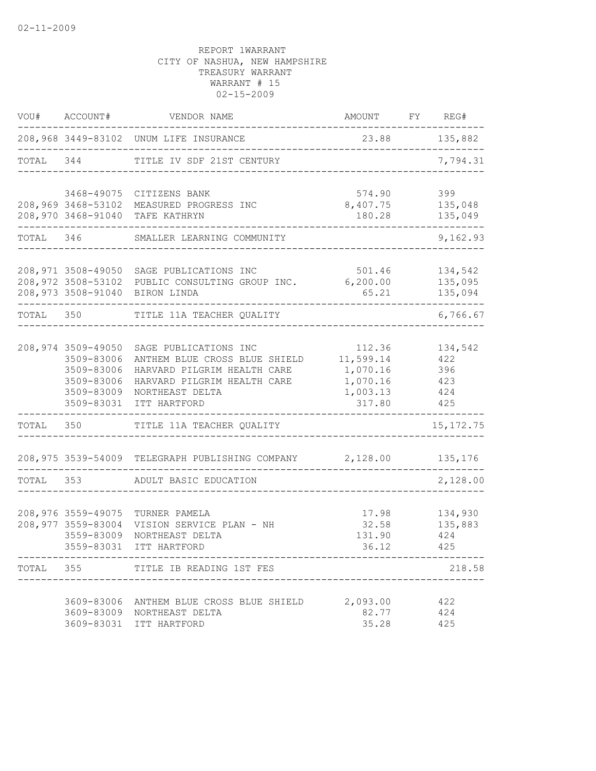| WOU#      | ACCOUNT#                                                                                 | VENDOR NAME                                                                                                                                             | AMOUNT                                                            | FY REG#                         |                               |
|-----------|------------------------------------------------------------------------------------------|---------------------------------------------------------------------------------------------------------------------------------------------------------|-------------------------------------------------------------------|---------------------------------|-------------------------------|
|           |                                                                                          | 208,968 3449-83102 UNUM LIFE INSURANCE                                                                                                                  | 23.88 135,882                                                     |                                 |                               |
| TOTAL 344 |                                                                                          | TITLE IV SDF 21ST CENTURY                                                                                                                               |                                                                   |                                 | 7,794.31                      |
|           |                                                                                          | 3468-49075 CITIZENS BANK<br>208,969 3468-53102 MEASURED PROGRESS INC<br>208,970 3468-91040 TAFE KATHRYN                                                 | 574.90<br>8,407.75<br>180.28                                      | 399                             | 135,048<br>135,049            |
| TOTAL 346 |                                                                                          | SMALLER LEARNING COMMUNITY                                                                                                                              |                                                                   |                                 | 9,162.93                      |
|           |                                                                                          | 208,971 3508-49050 SAGE PUBLICATIONS INC<br>208,972 3508-53102 PUBLIC CONSULTING GROUP INC.<br>208,973 3508-91040 BIRON LINDA                           | 501.46<br>6, 200.00<br>65.21                                      |                                 | 134,542<br>135,095<br>135,094 |
| TOTAL 350 |                                                                                          | TITLE 11A TEACHER QUALITY                                                                                                                               |                                                                   |                                 | 6,766.67                      |
|           | 208,974 3509-49050<br>3509-83006<br>3509-83006<br>3509-83006<br>3509-83009<br>3509-83031 | SAGE PUBLICATIONS INC<br>ANTHEM BLUE CROSS BLUE SHIELD<br>HARVARD PILGRIM HEALTH CARE<br>HARVARD PILGRIM HEALTH CARE<br>NORTHEAST DELTA<br>ITT HARTFORD | 112.36<br>11,599.14<br>1,070.16<br>1,070.16<br>1,003.13<br>317.80 | 422<br>396<br>423<br>424<br>425 | 134,542                       |
| TOTAL 350 |                                                                                          | TITLE 11A TEACHER QUALITY                                                                                                                               |                                                                   |                                 | 15, 172. 75                   |
|           |                                                                                          | 208,975 3539-54009 TELEGRAPH PUBLISHING COMPANY 2,128.00                                                                                                |                                                                   |                                 | 135,176                       |
| TOTAL     | 353                                                                                      | ADULT BASIC EDUCATION                                                                                                                                   |                                                                   |                                 | 2,128.00                      |
|           | 208,976 3559-49075<br>208,977 3559-83004<br>3559-83009<br>3559-83031                     | TURNER PAMELA<br>VISION SERVICE PLAN - NH<br>NORTHEAST DELTA<br>ITT HARTFORD                                                                            | 17.98<br>32.58<br>131.90<br>36.12                                 | 424<br>425                      | 134,930<br>135,883            |
| TOTAL     | 355                                                                                      | TITLE IB READING 1ST FES                                                                                                                                |                                                                   |                                 | 218.58                        |
|           |                                                                                          | 3609-83006 ANTHEM BLUE CROSS BLUE SHIELD<br>3609-83009 NORTHEAST DELTA<br>3609-83031 ITT HARTFORD                                                       | 2,093.00<br>82.77<br>35.28                                        | 422<br>424<br>425               |                               |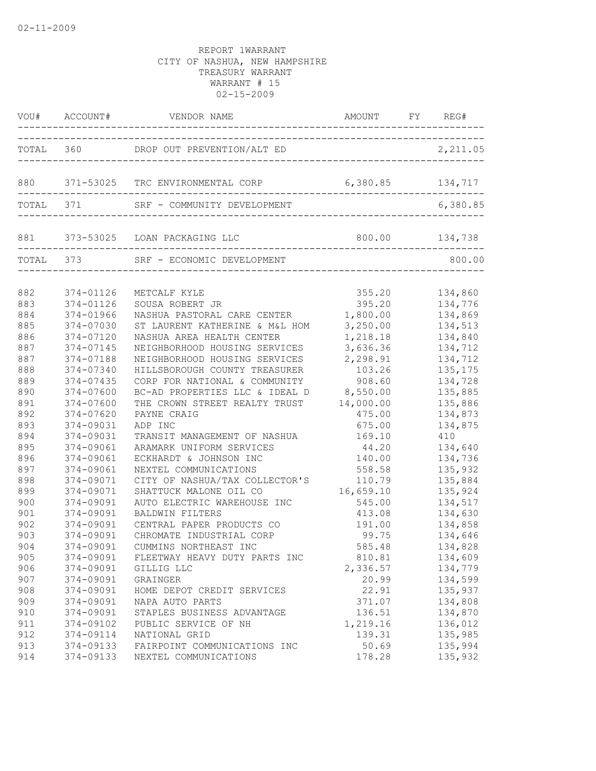| TOTAL 360 DROP OUT PREVENTION/ALT ED<br>2,211.05<br>______________________________<br>880 371-53025 TRC ENVIRONMENTAL CORP 6,380.85 134,717<br>TOTAL 371<br>6,380.85<br>881 373-53025 LOAN PACKAGING LLC<br>____________________________<br>TOTAL 373<br>800.00<br>SRF - ECONOMIC DEVELOPMENT<br>882<br>374-01126<br>355.20<br>134,860<br>METCALF KYLE<br>883<br>374-01126<br>SOUSA ROBERT JR<br>395.20<br>134,776<br>1,800.00<br>884<br>134,869<br>374-01966<br>NASHUA PASTORAL CARE CENTER<br>885<br>3,250.00<br>134,513<br>374-07030<br>ST LAURENT KATHERINE & M&L HOM | AMOUNT FY REG# |
|---------------------------------------------------------------------------------------------------------------------------------------------------------------------------------------------------------------------------------------------------------------------------------------------------------------------------------------------------------------------------------------------------------------------------------------------------------------------------------------------------------------------------------------------------------------------------|----------------|
|                                                                                                                                                                                                                                                                                                                                                                                                                                                                                                                                                                           |                |
|                                                                                                                                                                                                                                                                                                                                                                                                                                                                                                                                                                           |                |
|                                                                                                                                                                                                                                                                                                                                                                                                                                                                                                                                                                           |                |
|                                                                                                                                                                                                                                                                                                                                                                                                                                                                                                                                                                           |                |
|                                                                                                                                                                                                                                                                                                                                                                                                                                                                                                                                                                           |                |
|                                                                                                                                                                                                                                                                                                                                                                                                                                                                                                                                                                           |                |
|                                                                                                                                                                                                                                                                                                                                                                                                                                                                                                                                                                           |                |
|                                                                                                                                                                                                                                                                                                                                                                                                                                                                                                                                                                           |                |
|                                                                                                                                                                                                                                                                                                                                                                                                                                                                                                                                                                           |                |
| 886<br>1,218.18<br>374-07120<br>NASHUA AREA HEALTH CENTER<br>134,840                                                                                                                                                                                                                                                                                                                                                                                                                                                                                                      |                |
| 3,636.36<br>887<br>134,712<br>374-07145<br>NEIGHBORHOOD HOUSING SERVICES                                                                                                                                                                                                                                                                                                                                                                                                                                                                                                  |                |
| 887<br>NEIGHBORHOOD HOUSING SERVICES<br>2,298.91<br>374-07188<br>134,712                                                                                                                                                                                                                                                                                                                                                                                                                                                                                                  |                |
| 888<br>HILLSBOROUGH COUNTY TREASURER<br>135, 175<br>374-07340<br>103.26                                                                                                                                                                                                                                                                                                                                                                                                                                                                                                   |                |
| 889<br>374-07435<br>CORP FOR NATIONAL & COMMUNITY<br>908.60<br>134,728                                                                                                                                                                                                                                                                                                                                                                                                                                                                                                    |                |
| 890<br>374-07600<br>BC-AD PROPERTIES LLC & IDEAL D<br>8,550.00<br>135,885                                                                                                                                                                                                                                                                                                                                                                                                                                                                                                 |                |
| 891<br>374-07600<br>THE CROWN STREET REALTY TRUST<br>14,000.00<br>135,886                                                                                                                                                                                                                                                                                                                                                                                                                                                                                                 |                |
| 892<br>374-07620<br>PAYNE CRAIG<br>475.00<br>134,873                                                                                                                                                                                                                                                                                                                                                                                                                                                                                                                      |                |
| 893<br>374-09031<br>ADP INC<br>675.00<br>134,875                                                                                                                                                                                                                                                                                                                                                                                                                                                                                                                          |                |
| 894<br>374-09031<br>TRANSIT MANAGEMENT OF NASHUA<br>169.10<br>410                                                                                                                                                                                                                                                                                                                                                                                                                                                                                                         |                |
| 895<br>374-09061<br>134,640<br>ARAMARK UNIFORM SERVICES<br>44.20                                                                                                                                                                                                                                                                                                                                                                                                                                                                                                          |                |
| 896<br>374-09061<br>ECKHARDT & JOHNSON INC<br>140.00<br>134,736                                                                                                                                                                                                                                                                                                                                                                                                                                                                                                           |                |
| 897<br>374-09061<br>NEXTEL COMMUNICATIONS<br>558.58<br>135,932                                                                                                                                                                                                                                                                                                                                                                                                                                                                                                            |                |
| 898<br>374-09071<br>CITY OF NASHUA/TAX COLLECTOR'S<br>135,884<br>110.79                                                                                                                                                                                                                                                                                                                                                                                                                                                                                                   |                |
| 899<br>374-09071<br>SHATTUCK MALONE OIL CO<br>16,659.10<br>135,924                                                                                                                                                                                                                                                                                                                                                                                                                                                                                                        |                |
| 900<br>374-09091<br>AUTO ELECTRIC WAREHOUSE INC<br>134,517<br>545.00                                                                                                                                                                                                                                                                                                                                                                                                                                                                                                      |                |
| 901<br>374-09091<br>134,630<br><b>BALDWIN FILTERS</b><br>413.08                                                                                                                                                                                                                                                                                                                                                                                                                                                                                                           |                |
| 902<br>374-09091<br>134,858<br>CENTRAL PAPER PRODUCTS CO<br>191.00<br>374-09091                                                                                                                                                                                                                                                                                                                                                                                                                                                                                           |                |
| 903<br>CHROMATE INDUSTRIAL CORP<br>99.75<br>134,646                                                                                                                                                                                                                                                                                                                                                                                                                                                                                                                       |                |
| 585.48<br>904<br>374-09091<br>CUMMINS NORTHEAST INC<br>134,828                                                                                                                                                                                                                                                                                                                                                                                                                                                                                                            |                |
| 905<br>134,609<br>374-09091<br>FLEETWAY HEAVY DUTY PARTS INC<br>810.81                                                                                                                                                                                                                                                                                                                                                                                                                                                                                                    |                |
| 906<br>374-09091<br>2,336.57<br>134,779<br>GILLIG LLC<br>907<br>134,599                                                                                                                                                                                                                                                                                                                                                                                                                                                                                                   |                |
| 374-09091<br>GRAINGER<br>20.99<br>22.91<br>908<br>374-09091<br>HOME DEPOT CREDIT SERVICES<br>135,937                                                                                                                                                                                                                                                                                                                                                                                                                                                                      |                |
| 909<br>374-09091<br>371.07<br>134,808<br>NAPA AUTO PARTS                                                                                                                                                                                                                                                                                                                                                                                                                                                                                                                  |                |
| 134,870<br>910<br>374-09091<br>STAPLES BUSINESS ADVANTAGE<br>136.51                                                                                                                                                                                                                                                                                                                                                                                                                                                                                                       |                |
| 1,219.16<br>911<br>374-09102<br>PUBLIC SERVICE OF NH<br>136,012                                                                                                                                                                                                                                                                                                                                                                                                                                                                                                           |                |
| 912<br>139.31<br>135,985<br>374-09114<br>NATIONAL GRID                                                                                                                                                                                                                                                                                                                                                                                                                                                                                                                    |                |
| 913<br>374-09133<br>FAIRPOINT COMMUNICATIONS INC<br>50.69<br>135,994                                                                                                                                                                                                                                                                                                                                                                                                                                                                                                      |                |
| 135,932<br>914<br>374-09133<br>NEXTEL COMMUNICATIONS<br>178.28                                                                                                                                                                                                                                                                                                                                                                                                                                                                                                            |                |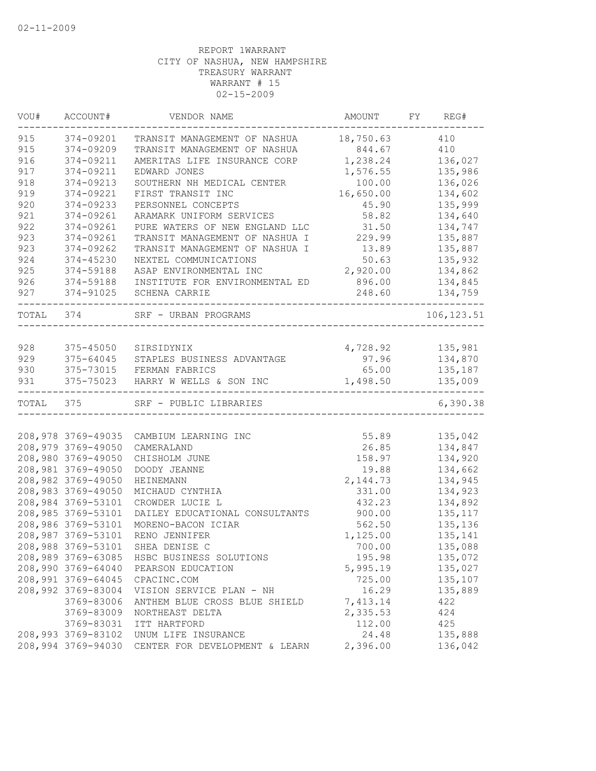| 915<br>410<br>374-09201<br>TRANSIT MANAGEMENT OF NASHUA 18,750.63<br>915<br>410<br>374-09209<br>TRANSIT MANAGEMENT OF NASHUA<br>844.67<br>916<br>374-09211<br>1,238.24<br>136,027<br>AMERITAS LIFE INSURANCE CORP<br>917<br>374-09211<br>EDWARD JONES<br>1,576.55<br>135,986<br>918<br>374-09213<br>SOUTHERN NH MEDICAL CENTER<br>100.00<br>136,026<br>919<br>16,650.00<br>134,602<br>374-09221<br>FIRST TRANSIT INC<br>920<br>135,999<br>374-09233<br>PERSONNEL CONCEPTS<br>45.90<br>921<br>134,640<br>374-09261<br>ARAMARK UNIFORM SERVICES<br>58.82<br>922<br>31.50<br>134,747<br>374-09261<br>PURE WATERS OF NEW ENGLAND LLC<br>229.99<br>923<br>135,887<br>374-09261<br>TRANSIT MANAGEMENT OF NASHUA I<br>923<br>13.89<br>135,887<br>374-09262<br>TRANSIT MANAGEMENT OF NASHUA I<br>924<br>374-45230<br>NEXTEL COMMUNICATIONS<br>50.63<br>135,932<br>925<br>2,920.00<br>134,862<br>374-59188<br>ASAP ENVIRONMENTAL INC<br>926<br>374-59188<br>INSTITUTE FOR ENVIRONMENTAL ED<br>896.00<br>134,845<br>927<br>374-91025<br>SCHENA CARRIE<br>248.60<br>134,759<br>TOTAL 374<br>SRF - URBAN PROGRAMS<br>106, 123.51<br>928<br>4,728.92 135,981<br>375-45050<br>SIRSIDYNIX<br>929<br>375-64045<br>97.96 134,870<br>STAPLES BUSINESS ADVANTAGE<br>930<br>65.00<br>375-73015 FERMAN FABRICS<br>135,187<br>931<br>375-75023<br>1,498.50<br>135,009<br>HARRY W WELLS & SON INC<br>---------<br>TOTAL 375<br>SRF - PUBLIC LIBRARIES<br>208,978 3769-49035<br>55.89<br>135,042<br>CAMBIUM LEARNING INC<br>208,979 3769-49050<br>134,847<br>CAMERALAND<br>26.85<br>208,980 3769-49050<br>134,920<br>CHISHOLM JUNE<br>158.97<br>208,981 3769-49050<br>DOODY JEANNE<br>19.88<br>134,662<br>208,982 3769-49050<br>2, 144.73<br>134,945<br><b>HEINEMANN</b><br>208,983 3769-49050<br>MICHAUD CYNTHIA<br>331.00<br>134,923<br>208,984 3769-53101<br>134,892<br>CROWDER LUCIE L<br>432.23<br>208,985 3769-53101<br>135, 117<br>DAILEY EDUCATIONAL CONSULTANTS<br>900.00<br>208,986 3769-53101<br>562.50<br>135,136<br>MORENO-BACON ICIAR<br>208,987 3769-53101<br>RENO JENNIFER<br>1,125.00<br>135,141<br>208,988 3769-53101<br>700.00<br>135,088<br>SHEA DENISE C<br>208,989 3769-63085<br>135,072<br>HSBC BUSINESS SOLUTIONS<br>195.98<br>208,990 3769-64040<br>135,027<br>5,995.19<br>PEARSON EDUCATION<br>208,991 3769-64045<br>135,107<br>CPACINC.COM<br>725.00<br>208,992 3769-83004<br>16.29<br>VISION SERVICE PLAN - NH<br>135,889<br>3769-83006<br>7,413.14<br>ANTHEM BLUE CROSS BLUE SHIELD<br>422<br>3769-83009<br>2,335.53<br>424<br>NORTHEAST DELTA<br>112.00<br>3769-83031<br>425<br>ITT HARTFORD<br>208,993 3769-83102<br>24.48<br>135,888<br>UNUM LIFE INSURANCE | VOU# | ACCOUNT# | VENDOR NAME | AMOUNT | FY REG#  |
|---------------------------------------------------------------------------------------------------------------------------------------------------------------------------------------------------------------------------------------------------------------------------------------------------------------------------------------------------------------------------------------------------------------------------------------------------------------------------------------------------------------------------------------------------------------------------------------------------------------------------------------------------------------------------------------------------------------------------------------------------------------------------------------------------------------------------------------------------------------------------------------------------------------------------------------------------------------------------------------------------------------------------------------------------------------------------------------------------------------------------------------------------------------------------------------------------------------------------------------------------------------------------------------------------------------------------------------------------------------------------------------------------------------------------------------------------------------------------------------------------------------------------------------------------------------------------------------------------------------------------------------------------------------------------------------------------------------------------------------------------------------------------------------------------------------------------------------------------------------------------------------------------------------------------------------------------------------------------------------------------------------------------------------------------------------------------------------------------------------------------------------------------------------------------------------------------------------------------------------------------------------------------------------------------------------------------------------------------------------------------------------------------------------------------------------------------------------------------------------------------------------------------------------------------------------------------------------------------------------------------------------------------------------------|------|----------|-------------|--------|----------|
|                                                                                                                                                                                                                                                                                                                                                                                                                                                                                                                                                                                                                                                                                                                                                                                                                                                                                                                                                                                                                                                                                                                                                                                                                                                                                                                                                                                                                                                                                                                                                                                                                                                                                                                                                                                                                                                                                                                                                                                                                                                                                                                                                                                                                                                                                                                                                                                                                                                                                                                                                                                                                                                                     |      |          |             |        |          |
|                                                                                                                                                                                                                                                                                                                                                                                                                                                                                                                                                                                                                                                                                                                                                                                                                                                                                                                                                                                                                                                                                                                                                                                                                                                                                                                                                                                                                                                                                                                                                                                                                                                                                                                                                                                                                                                                                                                                                                                                                                                                                                                                                                                                                                                                                                                                                                                                                                                                                                                                                                                                                                                                     |      |          |             |        |          |
|                                                                                                                                                                                                                                                                                                                                                                                                                                                                                                                                                                                                                                                                                                                                                                                                                                                                                                                                                                                                                                                                                                                                                                                                                                                                                                                                                                                                                                                                                                                                                                                                                                                                                                                                                                                                                                                                                                                                                                                                                                                                                                                                                                                                                                                                                                                                                                                                                                                                                                                                                                                                                                                                     |      |          |             |        |          |
|                                                                                                                                                                                                                                                                                                                                                                                                                                                                                                                                                                                                                                                                                                                                                                                                                                                                                                                                                                                                                                                                                                                                                                                                                                                                                                                                                                                                                                                                                                                                                                                                                                                                                                                                                                                                                                                                                                                                                                                                                                                                                                                                                                                                                                                                                                                                                                                                                                                                                                                                                                                                                                                                     |      |          |             |        |          |
|                                                                                                                                                                                                                                                                                                                                                                                                                                                                                                                                                                                                                                                                                                                                                                                                                                                                                                                                                                                                                                                                                                                                                                                                                                                                                                                                                                                                                                                                                                                                                                                                                                                                                                                                                                                                                                                                                                                                                                                                                                                                                                                                                                                                                                                                                                                                                                                                                                                                                                                                                                                                                                                                     |      |          |             |        |          |
|                                                                                                                                                                                                                                                                                                                                                                                                                                                                                                                                                                                                                                                                                                                                                                                                                                                                                                                                                                                                                                                                                                                                                                                                                                                                                                                                                                                                                                                                                                                                                                                                                                                                                                                                                                                                                                                                                                                                                                                                                                                                                                                                                                                                                                                                                                                                                                                                                                                                                                                                                                                                                                                                     |      |          |             |        |          |
|                                                                                                                                                                                                                                                                                                                                                                                                                                                                                                                                                                                                                                                                                                                                                                                                                                                                                                                                                                                                                                                                                                                                                                                                                                                                                                                                                                                                                                                                                                                                                                                                                                                                                                                                                                                                                                                                                                                                                                                                                                                                                                                                                                                                                                                                                                                                                                                                                                                                                                                                                                                                                                                                     |      |          |             |        |          |
|                                                                                                                                                                                                                                                                                                                                                                                                                                                                                                                                                                                                                                                                                                                                                                                                                                                                                                                                                                                                                                                                                                                                                                                                                                                                                                                                                                                                                                                                                                                                                                                                                                                                                                                                                                                                                                                                                                                                                                                                                                                                                                                                                                                                                                                                                                                                                                                                                                                                                                                                                                                                                                                                     |      |          |             |        |          |
|                                                                                                                                                                                                                                                                                                                                                                                                                                                                                                                                                                                                                                                                                                                                                                                                                                                                                                                                                                                                                                                                                                                                                                                                                                                                                                                                                                                                                                                                                                                                                                                                                                                                                                                                                                                                                                                                                                                                                                                                                                                                                                                                                                                                                                                                                                                                                                                                                                                                                                                                                                                                                                                                     |      |          |             |        |          |
|                                                                                                                                                                                                                                                                                                                                                                                                                                                                                                                                                                                                                                                                                                                                                                                                                                                                                                                                                                                                                                                                                                                                                                                                                                                                                                                                                                                                                                                                                                                                                                                                                                                                                                                                                                                                                                                                                                                                                                                                                                                                                                                                                                                                                                                                                                                                                                                                                                                                                                                                                                                                                                                                     |      |          |             |        |          |
|                                                                                                                                                                                                                                                                                                                                                                                                                                                                                                                                                                                                                                                                                                                                                                                                                                                                                                                                                                                                                                                                                                                                                                                                                                                                                                                                                                                                                                                                                                                                                                                                                                                                                                                                                                                                                                                                                                                                                                                                                                                                                                                                                                                                                                                                                                                                                                                                                                                                                                                                                                                                                                                                     |      |          |             |        |          |
|                                                                                                                                                                                                                                                                                                                                                                                                                                                                                                                                                                                                                                                                                                                                                                                                                                                                                                                                                                                                                                                                                                                                                                                                                                                                                                                                                                                                                                                                                                                                                                                                                                                                                                                                                                                                                                                                                                                                                                                                                                                                                                                                                                                                                                                                                                                                                                                                                                                                                                                                                                                                                                                                     |      |          |             |        |          |
|                                                                                                                                                                                                                                                                                                                                                                                                                                                                                                                                                                                                                                                                                                                                                                                                                                                                                                                                                                                                                                                                                                                                                                                                                                                                                                                                                                                                                                                                                                                                                                                                                                                                                                                                                                                                                                                                                                                                                                                                                                                                                                                                                                                                                                                                                                                                                                                                                                                                                                                                                                                                                                                                     |      |          |             |        |          |
|                                                                                                                                                                                                                                                                                                                                                                                                                                                                                                                                                                                                                                                                                                                                                                                                                                                                                                                                                                                                                                                                                                                                                                                                                                                                                                                                                                                                                                                                                                                                                                                                                                                                                                                                                                                                                                                                                                                                                                                                                                                                                                                                                                                                                                                                                                                                                                                                                                                                                                                                                                                                                                                                     |      |          |             |        |          |
|                                                                                                                                                                                                                                                                                                                                                                                                                                                                                                                                                                                                                                                                                                                                                                                                                                                                                                                                                                                                                                                                                                                                                                                                                                                                                                                                                                                                                                                                                                                                                                                                                                                                                                                                                                                                                                                                                                                                                                                                                                                                                                                                                                                                                                                                                                                                                                                                                                                                                                                                                                                                                                                                     |      |          |             |        |          |
|                                                                                                                                                                                                                                                                                                                                                                                                                                                                                                                                                                                                                                                                                                                                                                                                                                                                                                                                                                                                                                                                                                                                                                                                                                                                                                                                                                                                                                                                                                                                                                                                                                                                                                                                                                                                                                                                                                                                                                                                                                                                                                                                                                                                                                                                                                                                                                                                                                                                                                                                                                                                                                                                     |      |          |             |        |          |
|                                                                                                                                                                                                                                                                                                                                                                                                                                                                                                                                                                                                                                                                                                                                                                                                                                                                                                                                                                                                                                                                                                                                                                                                                                                                                                                                                                                                                                                                                                                                                                                                                                                                                                                                                                                                                                                                                                                                                                                                                                                                                                                                                                                                                                                                                                                                                                                                                                                                                                                                                                                                                                                                     |      |          |             |        |          |
|                                                                                                                                                                                                                                                                                                                                                                                                                                                                                                                                                                                                                                                                                                                                                                                                                                                                                                                                                                                                                                                                                                                                                                                                                                                                                                                                                                                                                                                                                                                                                                                                                                                                                                                                                                                                                                                                                                                                                                                                                                                                                                                                                                                                                                                                                                                                                                                                                                                                                                                                                                                                                                                                     |      |          |             |        |          |
|                                                                                                                                                                                                                                                                                                                                                                                                                                                                                                                                                                                                                                                                                                                                                                                                                                                                                                                                                                                                                                                                                                                                                                                                                                                                                                                                                                                                                                                                                                                                                                                                                                                                                                                                                                                                                                                                                                                                                                                                                                                                                                                                                                                                                                                                                                                                                                                                                                                                                                                                                                                                                                                                     |      |          |             |        |          |
|                                                                                                                                                                                                                                                                                                                                                                                                                                                                                                                                                                                                                                                                                                                                                                                                                                                                                                                                                                                                                                                                                                                                                                                                                                                                                                                                                                                                                                                                                                                                                                                                                                                                                                                                                                                                                                                                                                                                                                                                                                                                                                                                                                                                                                                                                                                                                                                                                                                                                                                                                                                                                                                                     |      |          |             |        |          |
|                                                                                                                                                                                                                                                                                                                                                                                                                                                                                                                                                                                                                                                                                                                                                                                                                                                                                                                                                                                                                                                                                                                                                                                                                                                                                                                                                                                                                                                                                                                                                                                                                                                                                                                                                                                                                                                                                                                                                                                                                                                                                                                                                                                                                                                                                                                                                                                                                                                                                                                                                                                                                                                                     |      |          |             |        |          |
|                                                                                                                                                                                                                                                                                                                                                                                                                                                                                                                                                                                                                                                                                                                                                                                                                                                                                                                                                                                                                                                                                                                                                                                                                                                                                                                                                                                                                                                                                                                                                                                                                                                                                                                                                                                                                                                                                                                                                                                                                                                                                                                                                                                                                                                                                                                                                                                                                                                                                                                                                                                                                                                                     |      |          |             |        | 6,390.38 |
|                                                                                                                                                                                                                                                                                                                                                                                                                                                                                                                                                                                                                                                                                                                                                                                                                                                                                                                                                                                                                                                                                                                                                                                                                                                                                                                                                                                                                                                                                                                                                                                                                                                                                                                                                                                                                                                                                                                                                                                                                                                                                                                                                                                                                                                                                                                                                                                                                                                                                                                                                                                                                                                                     |      |          |             |        |          |
|                                                                                                                                                                                                                                                                                                                                                                                                                                                                                                                                                                                                                                                                                                                                                                                                                                                                                                                                                                                                                                                                                                                                                                                                                                                                                                                                                                                                                                                                                                                                                                                                                                                                                                                                                                                                                                                                                                                                                                                                                                                                                                                                                                                                                                                                                                                                                                                                                                                                                                                                                                                                                                                                     |      |          |             |        |          |
|                                                                                                                                                                                                                                                                                                                                                                                                                                                                                                                                                                                                                                                                                                                                                                                                                                                                                                                                                                                                                                                                                                                                                                                                                                                                                                                                                                                                                                                                                                                                                                                                                                                                                                                                                                                                                                                                                                                                                                                                                                                                                                                                                                                                                                                                                                                                                                                                                                                                                                                                                                                                                                                                     |      |          |             |        |          |
|                                                                                                                                                                                                                                                                                                                                                                                                                                                                                                                                                                                                                                                                                                                                                                                                                                                                                                                                                                                                                                                                                                                                                                                                                                                                                                                                                                                                                                                                                                                                                                                                                                                                                                                                                                                                                                                                                                                                                                                                                                                                                                                                                                                                                                                                                                                                                                                                                                                                                                                                                                                                                                                                     |      |          |             |        |          |
|                                                                                                                                                                                                                                                                                                                                                                                                                                                                                                                                                                                                                                                                                                                                                                                                                                                                                                                                                                                                                                                                                                                                                                                                                                                                                                                                                                                                                                                                                                                                                                                                                                                                                                                                                                                                                                                                                                                                                                                                                                                                                                                                                                                                                                                                                                                                                                                                                                                                                                                                                                                                                                                                     |      |          |             |        |          |
|                                                                                                                                                                                                                                                                                                                                                                                                                                                                                                                                                                                                                                                                                                                                                                                                                                                                                                                                                                                                                                                                                                                                                                                                                                                                                                                                                                                                                                                                                                                                                                                                                                                                                                                                                                                                                                                                                                                                                                                                                                                                                                                                                                                                                                                                                                                                                                                                                                                                                                                                                                                                                                                                     |      |          |             |        |          |
|                                                                                                                                                                                                                                                                                                                                                                                                                                                                                                                                                                                                                                                                                                                                                                                                                                                                                                                                                                                                                                                                                                                                                                                                                                                                                                                                                                                                                                                                                                                                                                                                                                                                                                                                                                                                                                                                                                                                                                                                                                                                                                                                                                                                                                                                                                                                                                                                                                                                                                                                                                                                                                                                     |      |          |             |        |          |
|                                                                                                                                                                                                                                                                                                                                                                                                                                                                                                                                                                                                                                                                                                                                                                                                                                                                                                                                                                                                                                                                                                                                                                                                                                                                                                                                                                                                                                                                                                                                                                                                                                                                                                                                                                                                                                                                                                                                                                                                                                                                                                                                                                                                                                                                                                                                                                                                                                                                                                                                                                                                                                                                     |      |          |             |        |          |
|                                                                                                                                                                                                                                                                                                                                                                                                                                                                                                                                                                                                                                                                                                                                                                                                                                                                                                                                                                                                                                                                                                                                                                                                                                                                                                                                                                                                                                                                                                                                                                                                                                                                                                                                                                                                                                                                                                                                                                                                                                                                                                                                                                                                                                                                                                                                                                                                                                                                                                                                                                                                                                                                     |      |          |             |        |          |
|                                                                                                                                                                                                                                                                                                                                                                                                                                                                                                                                                                                                                                                                                                                                                                                                                                                                                                                                                                                                                                                                                                                                                                                                                                                                                                                                                                                                                                                                                                                                                                                                                                                                                                                                                                                                                                                                                                                                                                                                                                                                                                                                                                                                                                                                                                                                                                                                                                                                                                                                                                                                                                                                     |      |          |             |        |          |
|                                                                                                                                                                                                                                                                                                                                                                                                                                                                                                                                                                                                                                                                                                                                                                                                                                                                                                                                                                                                                                                                                                                                                                                                                                                                                                                                                                                                                                                                                                                                                                                                                                                                                                                                                                                                                                                                                                                                                                                                                                                                                                                                                                                                                                                                                                                                                                                                                                                                                                                                                                                                                                                                     |      |          |             |        |          |
|                                                                                                                                                                                                                                                                                                                                                                                                                                                                                                                                                                                                                                                                                                                                                                                                                                                                                                                                                                                                                                                                                                                                                                                                                                                                                                                                                                                                                                                                                                                                                                                                                                                                                                                                                                                                                                                                                                                                                                                                                                                                                                                                                                                                                                                                                                                                                                                                                                                                                                                                                                                                                                                                     |      |          |             |        |          |
|                                                                                                                                                                                                                                                                                                                                                                                                                                                                                                                                                                                                                                                                                                                                                                                                                                                                                                                                                                                                                                                                                                                                                                                                                                                                                                                                                                                                                                                                                                                                                                                                                                                                                                                                                                                                                                                                                                                                                                                                                                                                                                                                                                                                                                                                                                                                                                                                                                                                                                                                                                                                                                                                     |      |          |             |        |          |
|                                                                                                                                                                                                                                                                                                                                                                                                                                                                                                                                                                                                                                                                                                                                                                                                                                                                                                                                                                                                                                                                                                                                                                                                                                                                                                                                                                                                                                                                                                                                                                                                                                                                                                                                                                                                                                                                                                                                                                                                                                                                                                                                                                                                                                                                                                                                                                                                                                                                                                                                                                                                                                                                     |      |          |             |        |          |
|                                                                                                                                                                                                                                                                                                                                                                                                                                                                                                                                                                                                                                                                                                                                                                                                                                                                                                                                                                                                                                                                                                                                                                                                                                                                                                                                                                                                                                                                                                                                                                                                                                                                                                                                                                                                                                                                                                                                                                                                                                                                                                                                                                                                                                                                                                                                                                                                                                                                                                                                                                                                                                                                     |      |          |             |        |          |
|                                                                                                                                                                                                                                                                                                                                                                                                                                                                                                                                                                                                                                                                                                                                                                                                                                                                                                                                                                                                                                                                                                                                                                                                                                                                                                                                                                                                                                                                                                                                                                                                                                                                                                                                                                                                                                                                                                                                                                                                                                                                                                                                                                                                                                                                                                                                                                                                                                                                                                                                                                                                                                                                     |      |          |             |        |          |
|                                                                                                                                                                                                                                                                                                                                                                                                                                                                                                                                                                                                                                                                                                                                                                                                                                                                                                                                                                                                                                                                                                                                                                                                                                                                                                                                                                                                                                                                                                                                                                                                                                                                                                                                                                                                                                                                                                                                                                                                                                                                                                                                                                                                                                                                                                                                                                                                                                                                                                                                                                                                                                                                     |      |          |             |        |          |
|                                                                                                                                                                                                                                                                                                                                                                                                                                                                                                                                                                                                                                                                                                                                                                                                                                                                                                                                                                                                                                                                                                                                                                                                                                                                                                                                                                                                                                                                                                                                                                                                                                                                                                                                                                                                                                                                                                                                                                                                                                                                                                                                                                                                                                                                                                                                                                                                                                                                                                                                                                                                                                                                     |      |          |             |        |          |
|                                                                                                                                                                                                                                                                                                                                                                                                                                                                                                                                                                                                                                                                                                                                                                                                                                                                                                                                                                                                                                                                                                                                                                                                                                                                                                                                                                                                                                                                                                                                                                                                                                                                                                                                                                                                                                                                                                                                                                                                                                                                                                                                                                                                                                                                                                                                                                                                                                                                                                                                                                                                                                                                     |      |          |             |        |          |
|                                                                                                                                                                                                                                                                                                                                                                                                                                                                                                                                                                                                                                                                                                                                                                                                                                                                                                                                                                                                                                                                                                                                                                                                                                                                                                                                                                                                                                                                                                                                                                                                                                                                                                                                                                                                                                                                                                                                                                                                                                                                                                                                                                                                                                                                                                                                                                                                                                                                                                                                                                                                                                                                     |      |          |             |        |          |
| 208,994 3769-94030<br>2,396.00<br>136,042<br>CENTER FOR DEVELOPMENT & LEARN                                                                                                                                                                                                                                                                                                                                                                                                                                                                                                                                                                                                                                                                                                                                                                                                                                                                                                                                                                                                                                                                                                                                                                                                                                                                                                                                                                                                                                                                                                                                                                                                                                                                                                                                                                                                                                                                                                                                                                                                                                                                                                                                                                                                                                                                                                                                                                                                                                                                                                                                                                                         |      |          |             |        |          |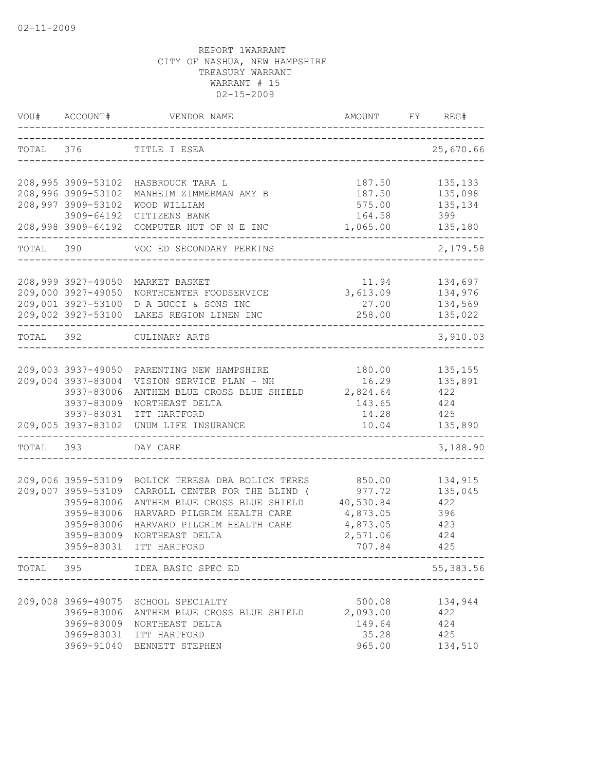|           | VOU# ACCOUNT#                                                                                                  | VENDOR NAME                                                                                                                                                                                              |                                                                             | AMOUNT FY REG#                                        |
|-----------|----------------------------------------------------------------------------------------------------------------|----------------------------------------------------------------------------------------------------------------------------------------------------------------------------------------------------------|-----------------------------------------------------------------------------|-------------------------------------------------------|
|           |                                                                                                                | TOTAL 376 TITLE I ESEA<br>_______________________________                                                                                                                                                |                                                                             | 25,670.66                                             |
|           | 208,996 3909-53102<br>208,997 3909-53102                                                                       | 208,995 3909-53102 HASBROUCK TARA L<br>MANHEIM ZIMMERMAN AMY B<br>WOOD WILLIAM<br>3909-64192 CITIZENS BANK                                                                                               | 187.50<br>187.50<br>575.00<br>164.58                                        | 135, 133<br>135,098<br>135,134<br>399                 |
|           |                                                                                                                | 208,998 3909-64192 COMPUTER HUT OF N E INC<br>TOTAL 390 VOC ED SECONDARY PERKINS                                                                                                                         | 1,065.00                                                                    | 135,180<br>2,179.58                                   |
|           |                                                                                                                |                                                                                                                                                                                                          |                                                                             |                                                       |
|           | 208,999 3927-49050<br>209,000 3927-49050                                                                       | MARKET BASKET<br>NORTHCENTER FOODSERVICE<br>209,001 3927-53100 D A BUCCI & SONS INC<br>209,002 3927-53100 LAKES REGION LINEN INC                                                                         | 11.94<br>3,613.09<br>27.00<br>258.00                                        | 134,697<br>134,976<br>134,569<br>135,022              |
| TOTAL 392 |                                                                                                                | CULINARY ARTS                                                                                                                                                                                            |                                                                             | 3,910.03                                              |
|           | 209,004 3937-83004<br>3937-83006<br>3937-83009                                                                 | 209,003 3937-49050 PARENTING NEW HAMPSHIRE<br>VISION SERVICE PLAN - NH<br>ANTHEM BLUE CROSS BLUE SHIELD 2,824.64<br>NORTHEAST DELTA<br>3937-83031 ITT HARTFORD<br>209,005 3937-83102 UNUM LIFE INSURANCE | 180.00<br>16.29<br>143.65<br>14.28<br>10.04                                 | 135, 155<br>135,891<br>422<br>424<br>425<br>135,890   |
| TOTAL 393 |                                                                                                                | DAY CARE                                                                                                                                                                                                 |                                                                             | 3,188.90                                              |
|           | 209,006 3959-53109<br>209,007 3959-53109<br>3959-83006<br>3959-83006<br>3959-83006<br>3959-83009<br>3959-83031 | BOLICK TERESA DBA BOLICK TERES<br>CARROLL CENTER FOR THE BLIND (<br>ANTHEM BLUE CROSS BLUE SHIELD<br>HARVARD PILGRIM HEALTH CARE<br>HARVARD PILGRIM HEALTH CARE<br>NORTHEAST DELTA<br>ITT HARTFORD       | 850.00<br>977.72<br>40,530.84<br>4,873.05<br>4,873.05<br>2,571.06<br>707.84 | 134,915<br>135,045<br>422<br>396<br>423<br>424<br>425 |
|           |                                                                                                                | TOTAL 395 IDEA BASIC SPEC ED                                                                                                                                                                             | ----------------------------------                                          | 55, 383.56                                            |
|           | 3969-83006<br>3969-83009<br>3969-83031                                                                         | 209,008 3969-49075 SCHOOL SPECIALTY<br>ANTHEM BLUE CROSS BLUE SHIELD<br>NORTHEAST DELTA<br>ITT HARTFORD<br>3969-91040 BENNETT STEPHEN                                                                    | 500.08<br>2,093.00<br>149.64<br>35.28<br>965.00                             | 134,944<br>422<br>424<br>425<br>134,510               |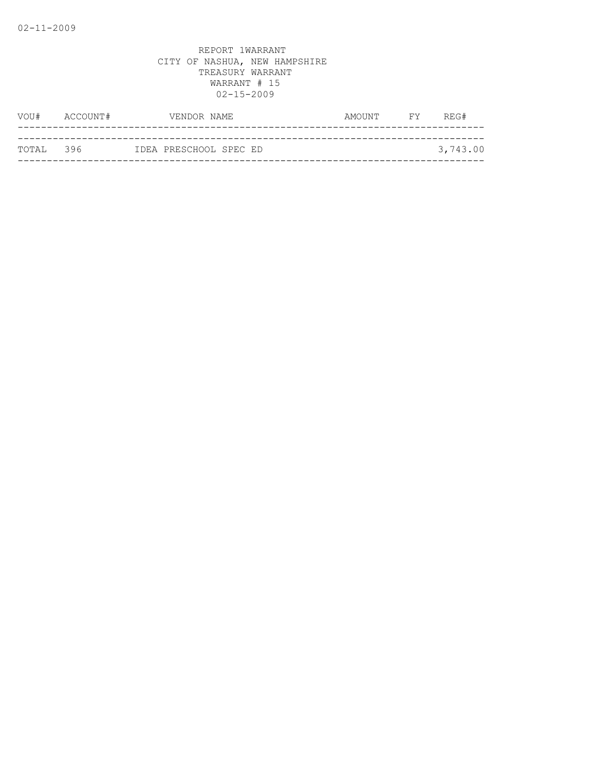| VOU#      | ACCOUNT# | VENDOR NAME            | AMOUNT | <b>FY</b> | REG#     |
|-----------|----------|------------------------|--------|-----------|----------|
|           |          |                        |        |           |          |
| TOTAL 396 |          | IDEA PRESCHOOL SPEC ED |        |           | 3,743.00 |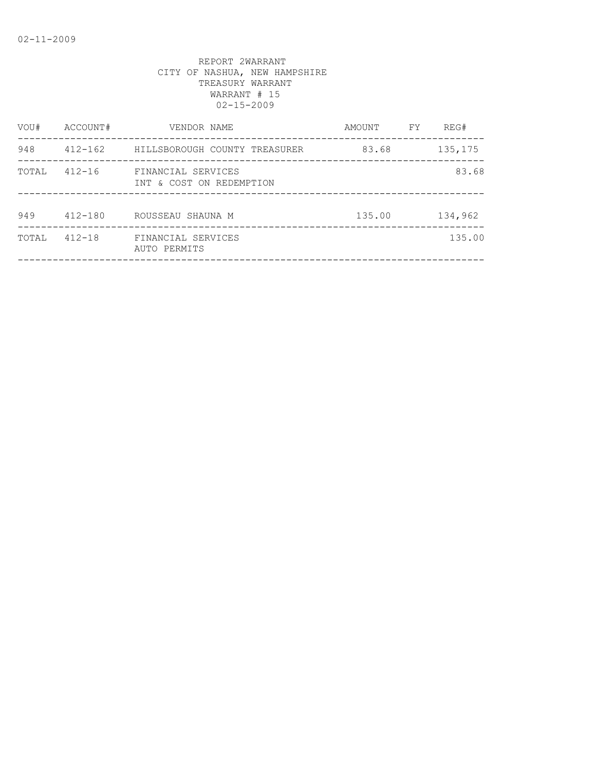| VOU#  | ACCOUNT#    | VENDOR NAME                                    | AMOUNT | FY. | REG#     |
|-------|-------------|------------------------------------------------|--------|-----|----------|
| 948   | $412 - 162$ | HILLSBOROUGH COUNTY TREASURER                  | 83.68  |     | 135, 175 |
| TOTAL | $412 - 16$  | FINANCIAL SERVICES<br>INT & COST ON REDEMPTION |        |     | 83.68    |
| 949   | $412 - 180$ | ROUSSEAU SHAUNA M                              | 135.00 |     | 134,962  |
| TOTAL | $412 - 18$  | FINANCIAL SERVICES<br>AUTO PERMITS             |        |     | 135.00   |
|       |             |                                                |        |     |          |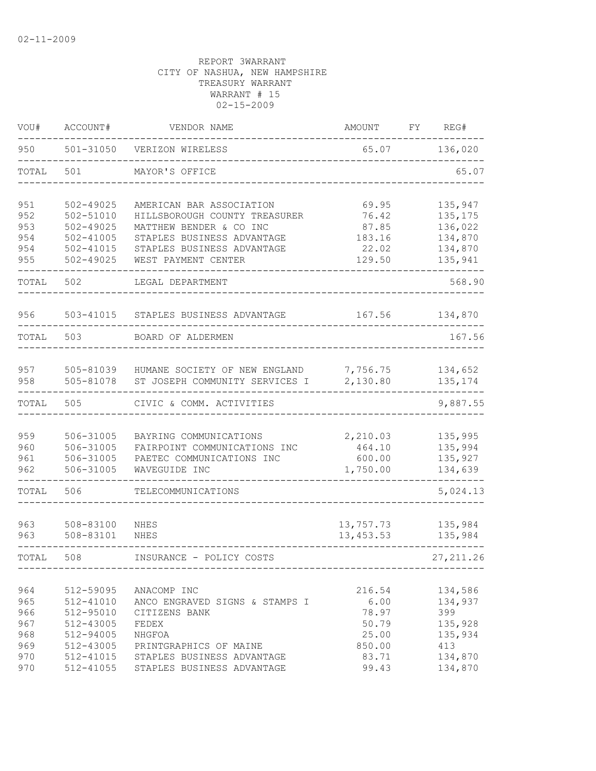| VOU#                                          | ACCOUNT#                                                                                    | VENDOR NAME                                                                                                                                                             | AMOUNT                                                                | FΥ | REG#                                                                         |
|-----------------------------------------------|---------------------------------------------------------------------------------------------|-------------------------------------------------------------------------------------------------------------------------------------------------------------------------|-----------------------------------------------------------------------|----|------------------------------------------------------------------------------|
| 950                                           | 501-31050                                                                                   | VERIZON WIRELESS                                                                                                                                                        | 65.07                                                                 |    | 136,020                                                                      |
| TOTAL                                         | 501                                                                                         | MAYOR'S OFFICE                                                                                                                                                          |                                                                       |    | 65.07                                                                        |
| 951<br>952<br>953<br>954<br>954<br>955        | 502-49025<br>502-51010<br>$502 - 49025$<br>$502 - 41005$<br>$502 - 41015$<br>$502 - 49025$  | AMERICAN BAR ASSOCIATION<br>HILLSBOROUGH COUNTY TREASURER<br>MATTHEW BENDER & CO INC<br>STAPLES BUSINESS ADVANTAGE<br>STAPLES BUSINESS ADVANTAGE<br>WEST PAYMENT CENTER | 69.95<br>76.42<br>87.85<br>183.16<br>22.02<br>129.50                  |    | 135,947<br>135, 175<br>136,022<br>134,870<br>134,870<br>135,941              |
| TOTAL                                         | 502                                                                                         | LEGAL DEPARTMENT                                                                                                                                                        |                                                                       |    | 568.90                                                                       |
| 956                                           | 503-41015                                                                                   | STAPLES BUSINESS ADVANTAGE                                                                                                                                              | 167.56                                                                |    | 134,870                                                                      |
| TOTAL                                         | 503                                                                                         | BOARD OF ALDERMEN                                                                                                                                                       |                                                                       |    | 167.56                                                                       |
| 957<br>958                                    | 505-81039<br>505-81078                                                                      | HUMANE SOCIETY OF NEW ENGLAND<br>ST JOSEPH COMMUNITY SERVICES I                                                                                                         | 7,756.75<br>2,130.80                                                  |    | 134,652<br>135, 174                                                          |
| TOTAL                                         | 505                                                                                         | CIVIC & COMM. ACTIVITIES                                                                                                                                                |                                                                       |    | 9,887.55                                                                     |
| 959<br>960<br>961<br>962                      | 506-31005<br>506-31005<br>506-31005<br>506-31005                                            | BAYRING COMMUNICATIONS<br>FAIRPOINT COMMUNICATIONS INC<br>PAETEC COMMUNICATIONS INC<br>WAVEGUIDE INC                                                                    | 2,210.03<br>464.10<br>600.00<br>1,750.00                              |    | 135,995<br>135,994<br>135,927<br>134,639                                     |
| TOTAL                                         | 506                                                                                         | TELECOMMUNICATIONS                                                                                                                                                      |                                                                       |    | 5,024.13                                                                     |
| 963<br>963                                    | 508-83100<br>508-83101                                                                      | NHES<br>NHES                                                                                                                                                            | 13,757.73<br>13, 453.53                                               |    | 135,984<br>135,984                                                           |
| TOTAL                                         | 508                                                                                         | INSURANCE - POLICY COSTS                                                                                                                                                |                                                                       |    | 27, 211.26                                                                   |
| 964<br>965<br>966<br>967<br>968<br>969<br>970 | 512-59095<br>512-41010<br>$512 - 95010$<br>512-43005<br>512-94005<br>512-43005<br>512-41015 | ANACOMP INC<br>ANCO ENGRAVED SIGNS & STAMPS I<br>CITIZENS BANK<br>FEDEX<br>NHGFOA<br>PRINTGRAPHICS OF MAINE<br>STAPLES BUSINESS ADVANTAGE                               | 216.54<br>6.00<br>78.97<br>50.79<br>25.00<br>850.00<br>83.71<br>99.43 |    | 134,586<br>134,937<br>399<br>135,928<br>135,934<br>413<br>134,870<br>134,870 |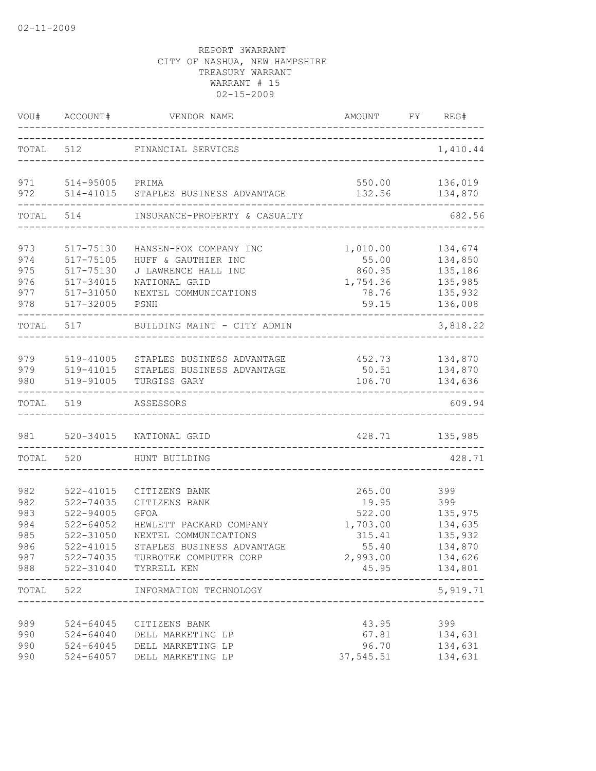|                                                      | VOU# ACCOUNT#                                                                                   | VENDOR NAME                                                                                                                                                                        | AMOUNT FY REG#                                                                |                                                                              |
|------------------------------------------------------|-------------------------------------------------------------------------------------------------|------------------------------------------------------------------------------------------------------------------------------------------------------------------------------------|-------------------------------------------------------------------------------|------------------------------------------------------------------------------|
|                                                      | TOTAL 512                                                                                       | FINANCIAL SERVICES                                                                                                                                                                 |                                                                               | 1,410.44                                                                     |
| 971<br>972                                           | 514-95005 PRIMA<br>514-41015                                                                    | STAPLES BUSINESS ADVANTAGE                                                                                                                                                         | 132.56                                                                        | 550.00 136,019<br>134,870                                                    |
| TOTAL                                                | 514                                                                                             | INSURANCE-PROPERTY & CASUALTY                                                                                                                                                      |                                                                               | 682.56                                                                       |
| 973<br>974<br>975<br>976<br>977<br>978               | 517-75130<br>517-75105<br>517-75130<br>517-34015<br>517-31050<br>517-32005                      | HANSEN-FOX COMPANY INC<br>HUFF & GAUTHIER INC<br>J LAWRENCE HALL INC<br>NATIONAL GRID<br>NEXTEL COMMUNICATIONS<br>PSNH                                                             | 1,010.00<br>55.00<br>860.95<br>1,754.36<br>78.76<br>59.15                     | 134,674<br>134,850<br>135,186<br>135,985<br>135,932<br>136,008               |
| TOTAL                                                | 517                                                                                             | BUILDING MAINT - CITY ADMIN                                                                                                                                                        |                                                                               | 3,818.22                                                                     |
| 979<br>979<br>980                                    | 519-41005<br>519-41015<br>519-91005                                                             | STAPLES BUSINESS ADVANTAGE<br>STAPLES BUSINESS ADVANTAGE<br>TURGISS GARY                                                                                                           | 452.73<br>50.51<br>106.70                                                     | 134,870<br>134,870<br>134,636                                                |
| TOTAL                                                | 519                                                                                             | ASSESSORS                                                                                                                                                                          |                                                                               | 609.94                                                                       |
| 981                                                  |                                                                                                 | 520-34015 NATIONAL GRID                                                                                                                                                            | 428.71                                                                        | 135,985                                                                      |
| TOTAL                                                | 520                                                                                             | HUNT BUILDING                                                                                                                                                                      |                                                                               | 428.71                                                                       |
| 982<br>982<br>983<br>984<br>985<br>986<br>987<br>988 | 522-41015<br>522-74035<br>522-94005<br>$522 - 64052$<br>$522 - 31050$<br>522-41015<br>522-74035 | CITIZENS BANK<br>CITIZENS BANK<br><b>GFOA</b><br>HEWLETT PACKARD COMPANY<br>NEXTEL COMMUNICATIONS<br>STAPLES BUSINESS ADVANTAGE<br>TURBOTEK COMPUTER CORP<br>522-31040 TYRRELL KEN | 265.00<br>19.95<br>522.00<br>1,703.00<br>315.41<br>55.40<br>2,993.00<br>45.95 | 399<br>399<br>135,975<br>134,635<br>135,932<br>134,870<br>134,626<br>134,801 |
| TOTAL                                                | 522                                                                                             | ___________________<br>INFORMATION TECHNOLOGY                                                                                                                                      |                                                                               | 5,919.71                                                                     |
| 989<br>990<br>990<br>990                             | 524-64045<br>524-64040<br>$524 - 64045$<br>$524 - 64057$                                        | CITIZENS BANK<br>DELL MARKETING LP<br>DELL MARKETING LP<br>DELL MARKETING LP                                                                                                       | 43.95<br>67.81<br>96.70<br>37,545.51                                          | 399<br>134,631<br>134,631<br>134,631                                         |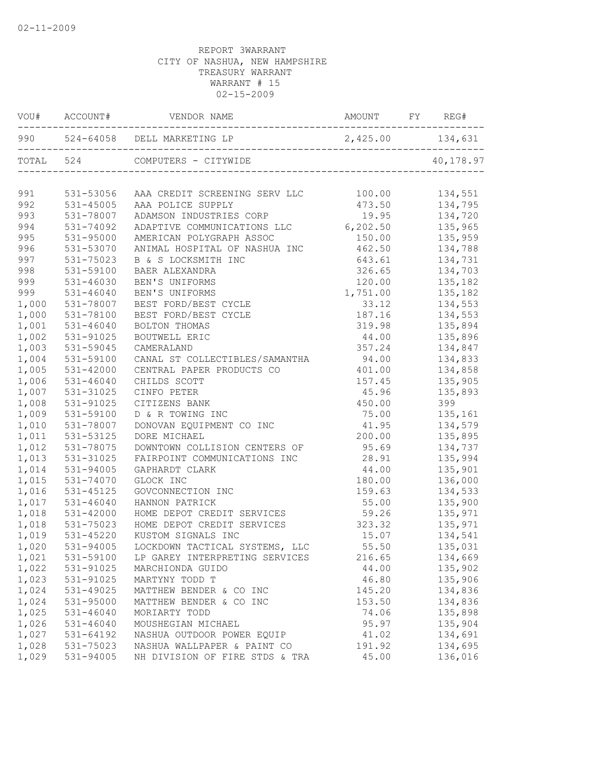|       | VOU# ACCOUNT# | VENDOR NAME                                      |          |           |
|-------|---------------|--------------------------------------------------|----------|-----------|
|       |               | 990 524-64058 DELL MARKETING LP 2,425.00 134,631 |          |           |
|       | TOTAL 524     | COMPUTERS - CITYWIDE                             |          | 40,178.97 |
| 991   | 531-53056     | AAA CREDIT SCREENING SERV LLC 100.00             |          | 134,551   |
| 992   | 531-45005     | AAA POLICE SUPPLY                                | 473.50   | 134,795   |
| 993   | 531-78007     | ADAMSON INDUSTRIES CORP                          | 19.95    | 134,720   |
| 994   | 531-74092     | ADAPTIVE COMMUNICATIONS LLC                      | 6,202.50 | 135,965   |
| 995   | $531 - 95000$ | AMERICAN POLYGRAPH ASSOC                         | 150.00   | 135,959   |
| 996   | 531-53070     | ANIMAL HOSPITAL OF NASHUA INC                    | 462.50   | 134,788   |
| 997   | 531-75023     | B & S LOCKSMITH INC                              | 643.61   | 134,731   |
| 998   | 531-59100     | BAER ALEXANDRA                                   | 326.65   | 134,703   |
| 999   | $531 - 46030$ | BEN'S UNIFORMS                                   | 120.00   | 135,182   |
| 999   | $531 - 46040$ | BEN'S UNIFORMS                                   | 1,751.00 | 135,182   |
| 1,000 | 531-78007     | BEST FORD/BEST CYCLE                             | 33.12    | 134,553   |
| 1,000 | 531-78100     | BEST FORD/BEST CYCLE                             | 187.16   | 134,553   |
| 1,001 | $531 - 46040$ | BOLTON THOMAS                                    | 319.98   | 135,894   |
| 1,002 | 531-91025     | <b>BOUTWELL ERIC</b>                             | 44.00    | 135,896   |
| 1,003 | 531-59045     | CAMERALAND                                       | 357.24   | 134,847   |
| 1,004 | 531-59100     | CANAL ST COLLECTIBLES/SAMANTHA                   | 94.00    | 134,833   |
| 1,005 | 531-42000     | CENTRAL PAPER PRODUCTS CO                        | 401.00   | 134,858   |
| 1,006 | 531-46040     | CHILDS SCOTT                                     | 157.45   | 135,905   |
| 1,007 | 531-31025     | CINFO PETER                                      | 45.96    | 135,893   |
| 1,008 | 531-91025     | CITIZENS BANK                                    | 450.00   | 399       |
| 1,009 | 531-59100     | D & R TOWING INC                                 | 75.00    | 135,161   |
| 1,010 | 531-78007     | DONOVAN EQUIPMENT CO INC                         | 41.95    | 134,579   |
| 1,011 | 531-53125     | DORE MICHAEL                                     | 200.00   | 135,895   |
| 1,012 | 531-78075     | DOWNTOWN COLLISION CENTERS OF                    | 95.69    | 134,737   |
| 1,013 | 531-31025     | FAIRPOINT COMMUNICATIONS INC                     | 28.91    | 135,994   |
| 1,014 | 531-94005     | GAPHARDT CLARK                                   | 44.00    | 135,901   |
| 1,015 | 531-74070     | GLOCK INC                                        | 180.00   | 136,000   |
| 1,016 | 531-45125     | GOVCONNECTION INC                                | 159.63   | 134,533   |
| 1,017 | 531-46040     | HANNON PATRICK                                   | 55.00    | 135,900   |
| 1,018 | 531-42000     | HOME DEPOT CREDIT SERVICES                       | 59.26    | 135,971   |
| 1,018 | 531-75023     | HOME DEPOT CREDIT SERVICES                       | 323.32   | 135,971   |
| 1,019 | 531-45220     | KUSTOM SIGNALS INC                               | 15.07    | 134,541   |
| 1,020 | 531-94005     | LOCKDOWN TACTICAL SYSTEMS, LLC                   | 55.50    | 135,031   |
| 1,021 | 531-59100     | LP GAREY INTERPRETING SERVICES                   | 216.65   | 134,669   |
| 1,022 | 531-91025     | MARCHIONDA GUIDO                                 | 44.00    | 135,902   |
| 1,023 | 531-91025     | MARTYNY TODD T                                   | 46.80    | 135,906   |
| 1,024 | 531-49025     | MATTHEW BENDER & CO INC                          | 145.20   | 134,836   |
| 1,024 | 531-95000     | MATTHEW BENDER & CO INC                          | 153.50   | 134,836   |
| 1,025 | 531-46040     | MORIARTY TODD                                    | 74.06    | 135,898   |
| 1,026 | 531-46040     | MOUSHEGIAN MICHAEL                               | 95.97    | 135,904   |
| 1,027 | 531-64192     | NASHUA OUTDOOR POWER EQUIP                       | 41.02    | 134,691   |
| 1,028 | 531-75023     | NASHUA WALLPAPER & PAINT CO                      | 191.92   | 134,695   |
| 1,029 | 531-94005     | NH DIVISION OF FIRE STDS & TRA                   | 45.00    | 136,016   |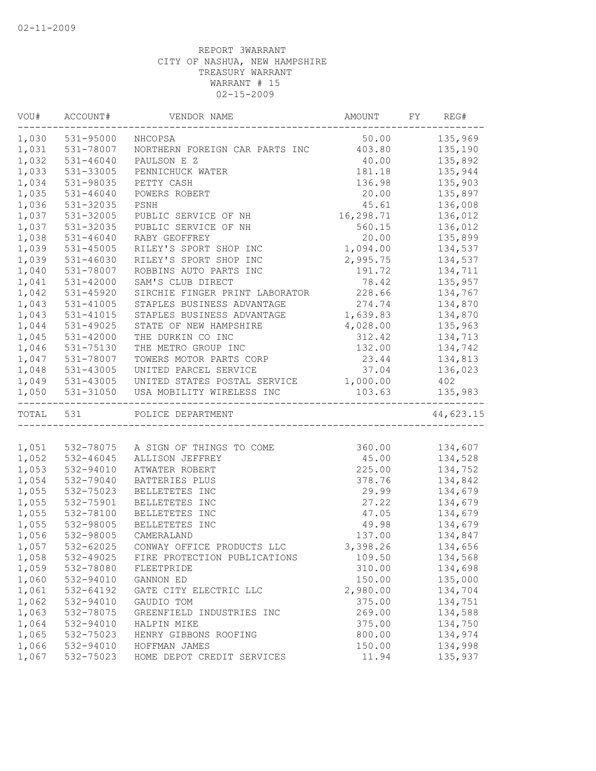| VOU#      | ACCOUNT#        | VENDOR NAME                    | AMOUNT    | FY | REG#      |
|-----------|-----------------|--------------------------------|-----------|----|-----------|
| 1,030     | 531-95000       | NHCOPSA                        | 50.00     |    | 135,969   |
| 1,031     | 531-78007       | NORTHERN FOREIGN CAR PARTS INC | 403.80    |    | 135,190   |
| 1,032     | 531-46040       | PAULSON E Z                    | 40.00     |    | 135,892   |
| 1,033     | 531-33005       | PENNICHUCK WATER               | 181.18    |    | 135,944   |
| 1,034     | 531-98035       | PETTY CASH                     | 136.98    |    | 135,903   |
| 1,035     | $531 - 46040$   | POWERS ROBERT                  | 20.00     |    | 135,897   |
| 1,036     | 531-32035       | PSNH                           | 45.61     |    | 136,008   |
| 1,037     | 531-32005       | PUBLIC SERVICE OF NH           | 16,298.71 |    | 136,012   |
| 1,037     | 531-32035       | PUBLIC SERVICE OF NH           | 560.15    |    | 136,012   |
| 1,038     | 531-46040       | RABY GEOFFREY                  | 20.00     |    | 135,899   |
| 1,039     | 531-45005       | RILEY'S SPORT SHOP INC         | 1,094.00  |    | 134,537   |
| 1,039     | 531-46030       | RILEY'S SPORT SHOP INC         | 2,995.75  |    | 134,537   |
| 1,040     | 531-78007       | ROBBINS AUTO PARTS INC         | 191.72    |    | 134,711   |
| 1,041     | 531-42000       | SAM'S CLUB DIRECT              | 78.42     |    | 135,957   |
| 1,042     | 531-45920       | SIRCHIE FINGER PRINT LABORATOR | 228.66    |    | 134,767   |
| 1,043     | 531-41005       | STAPLES BUSINESS ADVANTAGE     | 274.74    |    | 134,870   |
| 1,043     | $531 - 41015$   | STAPLES BUSINESS ADVANTAGE     | 1,639.83  |    | 134,870   |
| 1,044     | 531-49025       | STATE OF NEW HAMPSHIRE         | 4,028.00  |    | 135,963   |
| 1,045     | 531-42000       | THE DURKIN CO INC              | 312.42    |    | 134,713   |
| 1,046     | 531-75130       | THE METRO GROUP INC            | 132.00    |    | 134,742   |
| 1,047     | 531-78007       | TOWERS MOTOR PARTS CORP        | 23.44     |    | 134,813   |
| 1,048     | 531-43005       | UNITED PARCEL SERVICE          | 37.04     |    | 136,023   |
|           | 1,049 531-43005 | UNITED STATES POSTAL SERVICE   | 1,000.00  |    | 402       |
| 1,050     | 531-31050       | USA MOBILITY WIRELESS INC      | 103.63    |    | 135,983   |
| TOTAL 531 |                 | POLICE DEPARTMENT              |           |    | 44,623.15 |
|           |                 |                                |           |    |           |
| 1,051     | 532-78075       | A SIGN OF THINGS TO COME       | 360.00    |    | 134,607   |
| 1,052     | 532-46045       | ALLISON JEFFREY                | 45.00     |    | 134,528   |
| 1,053     | 532-94010       | ATWATER ROBERT                 | 225.00    |    | 134,752   |
| 1,054     | 532-79040       | BATTERIES PLUS                 | 378.76    |    | 134,842   |
| 1,055     | 532-75023       | BELLETETES INC                 | 29.99     |    | 134,679   |
| 1,055     | 532-75901       | BELLETETES INC                 | 27.22     |    | 134,679   |
| 1,055     | 532-78100       | BELLETETES INC                 | 47.05     |    | 134,679   |
| 1,055     | 532-98005       | BELLETETES INC                 | 49.98     |    | 134,679   |
| 1,056     | 532-98005       | CAMERALAND                     | 137.00    |    | 134,847   |
| 1,057     | 532-62025       | CONWAY OFFICE PRODUCTS LLC     | 3,398.26  |    | 134,656   |
| 1,058     | 532-49025       | FIRE PROTECTION PUBLICATIONS   | 109.50    |    | 134,568   |
| 1,059     | 532-78080       | FLEETPRIDE                     | 310.00    |    | 134,698   |
| 1,060     | 532-94010       | GANNON ED                      | 150.00    |    | 135,000   |
| 1,061     | 532-64192       | GATE CITY ELECTRIC LLC         | 2,980.00  |    | 134,704   |
| 1,062     | 532-94010       | GAUDIO TOM                     | 375.00    |    | 134,751   |
| 1,063     | 532-78075       | GREENFIELD INDUSTRIES INC      | 269.00    |    | 134,588   |
| 1,064     | 532-94010       | HALPIN MIKE                    | 375.00    |    | 134,750   |
| 1,065     | 532-75023       | HENRY GIBBONS ROOFING          | 800.00    |    | 134,974   |
| 1,066     | 532-94010       | HOFFMAN JAMES                  | 150.00    |    | 134,998   |
| 1,067     | 532-75023       | HOME DEPOT CREDIT SERVICES     | 11.94     |    | 135,937   |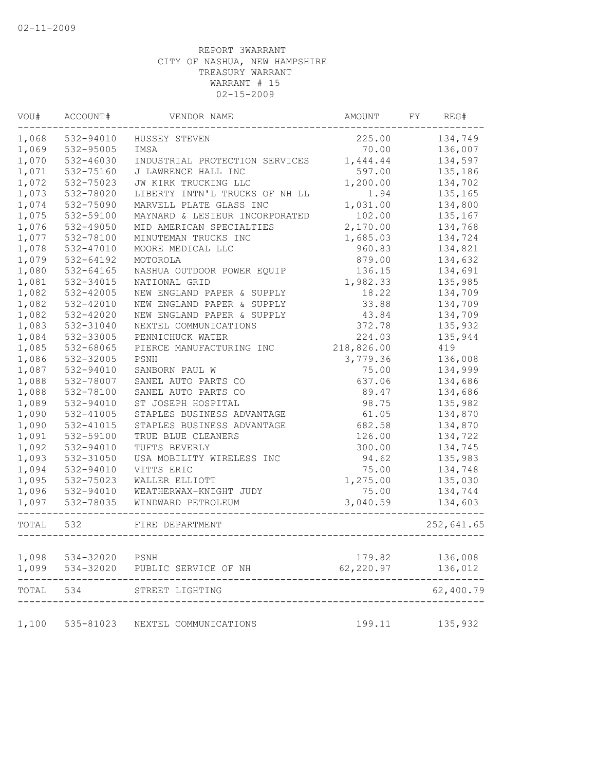| VOU#  | ACCOUNT#  | VENDOR NAME                       | AMOUNT     | FY | REG#       |
|-------|-----------|-----------------------------------|------------|----|------------|
| 1,068 | 532-94010 | HUSSEY STEVEN                     | 225.00     |    | 134,749    |
| 1,069 | 532-95005 | IMSA                              | 70.00      |    | 136,007    |
| 1,070 | 532-46030 | INDUSTRIAL PROTECTION SERVICES    | 1,444.44   |    | 134,597    |
| 1,071 | 532-75160 | J LAWRENCE HALL INC               | 597.00     |    | 135,186    |
| 1,072 | 532-75023 | JW KIRK TRUCKING LLC              | 1,200.00   |    | 134,702    |
| 1,073 | 532-78020 | LIBERTY INTN'L TRUCKS OF NH LL    | 1.94       |    | 135,165    |
| 1,074 | 532-75090 | MARVELL PLATE GLASS INC           | 1,031.00   |    | 134,800    |
| 1,075 | 532-59100 | MAYNARD & LESIEUR INCORPORATED    | 102.00     |    | 135,167    |
| 1,076 | 532-49050 | MID AMERICAN SPECIALTIES          | 2,170.00   |    | 134,768    |
| 1,077 | 532-78100 | MINUTEMAN TRUCKS INC              | 1,685.03   |    | 134,724    |
| 1,078 | 532-47010 | MOORE MEDICAL LLC                 | 960.83     |    | 134,821    |
| 1,079 | 532-64192 | MOTOROLA                          | 879.00     |    | 134,632    |
| 1,080 | 532-64165 | NASHUA OUTDOOR POWER EQUIP        | 136.15     |    | 134,691    |
| 1,081 | 532-34015 | NATIONAL GRID                     | 1,982.33   |    | 135,985    |
| 1,082 | 532-42005 | NEW ENGLAND PAPER & SUPPLY        | 18.22      |    | 134,709    |
| 1,082 | 532-42010 | NEW ENGLAND PAPER & SUPPLY        | 33.88      |    | 134,709    |
| 1,082 | 532-42020 | NEW ENGLAND PAPER & SUPPLY        | 43.84      |    | 134,709    |
| 1,083 | 532-31040 | NEXTEL COMMUNICATIONS             | 372.78     |    | 135,932    |
| 1,084 | 532-33005 | PENNICHUCK WATER                  | 224.03     |    | 135,944    |
| 1,085 | 532-68065 | PIERCE MANUFACTURING INC          | 218,826.00 |    | 419        |
| 1,086 | 532-32005 | PSNH                              | 3,779.36   |    | 136,008    |
| 1,087 | 532-94010 | SANBORN PAUL W                    | 75.00      |    | 134,999    |
| 1,088 | 532-78007 | SANEL AUTO PARTS CO               | 637.06     |    | 134,686    |
| 1,088 | 532-78100 | SANEL AUTO PARTS CO               | 89.47      |    | 134,686    |
| 1,089 | 532-94010 | ST JOSEPH HOSPITAL                | 98.75      |    | 135,982    |
| 1,090 | 532-41005 | STAPLES BUSINESS ADVANTAGE        | 61.05      |    | 134,870    |
| 1,090 | 532-41015 | STAPLES BUSINESS ADVANTAGE        | 682.58     |    | 134,870    |
| 1,091 | 532-59100 | TRUE BLUE CLEANERS                | 126.00     |    | 134,722    |
| 1,092 | 532-94010 | TUFTS BEVERLY                     | 300.00     |    | 134,745    |
| 1,093 | 532-31050 | USA MOBILITY WIRELESS INC         | 94.62      |    | 135,983    |
| 1,094 | 532-94010 | VITTS ERIC                        | 75.00      |    | 134,748    |
| 1,095 | 532-75023 | WALLER ELLIOTT                    | 1,275.00   |    | 135,030    |
| 1,096 | 532-94010 | WEATHERWAX-KNIGHT JUDY            | 75.00      |    | 134,744    |
| 1,097 | 532-78035 | WINDWARD PETROLEUM                | 3,040.59   |    | 134,603    |
| TOTAL | 532       | --------------<br>FIRE DEPARTMENT |            |    | 252,641.65 |
| 1,098 | 534-32020 | PSNH                              | 179.82     |    | 136,008    |
| 1,099 | 534-32020 | PUBLIC SERVICE OF NH              | 62,220.97  |    | 136,012    |
| TOTAL | 534       | STREET LIGHTING                   |            |    | 62,400.79  |
| 1,100 | 535-81023 | NEXTEL COMMUNICATIONS             | 199.11     |    | 135,932    |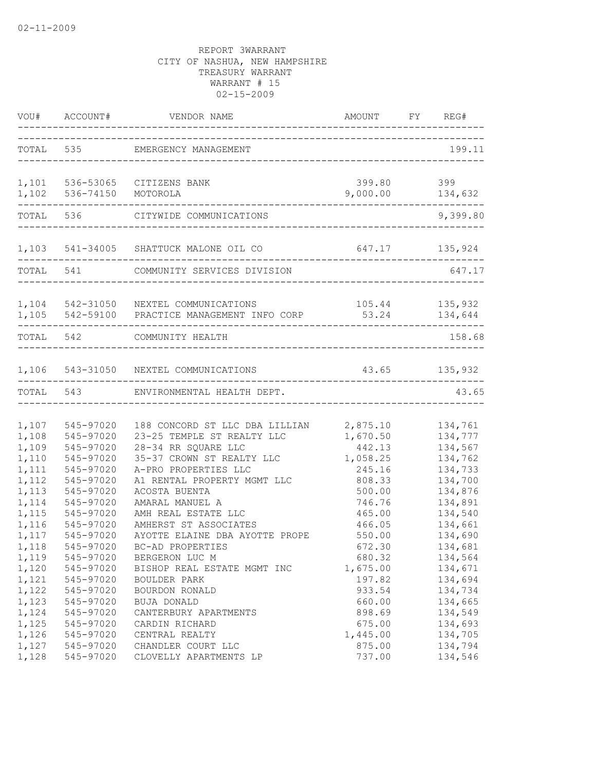|                                           |                                                               | VOU# ACCOUNT# VENDOR NAME AMOUNT FY                                                                                | AMOUNT FY REG#                                 |                                                     |
|-------------------------------------------|---------------------------------------------------------------|--------------------------------------------------------------------------------------------------------------------|------------------------------------------------|-----------------------------------------------------|
|                                           |                                                               | TOTAL 535 EMERGENCY MANAGEMENT                                                                                     | -------------------------------                | 199.11                                              |
|                                           | 1,102 536-74150 MOTOROLA                                      | 1,101 536-53065 CITIZENS BANK                                                                                      | 399.80 399<br>9,000.00 134,632                 |                                                     |
| TOTAL                                     |                                                               | 536 CITYWIDE COMMUNICATIONS                                                                                        |                                                | . _ _ _ _ _ _ _ _ _ _ _ _ _ _ _ _<br>9,399.80       |
|                                           |                                                               | 1,103 541-34005 SHATTUCK MALONE OIL CO                                                                             | 647.17 135,924                                 |                                                     |
|                                           |                                                               | TOTAL 541 COMMUNITY SERVICES DIVISION                                                                              |                                                | 647.17                                              |
|                                           |                                                               | 1,104 542-31050 NEXTEL COMMUNICATIONS<br>1,105 542-59100 PRACTICE MANAGEMENT INFO CORP                             | 105.44 135,932<br>53.24 134,644                |                                                     |
|                                           | TOTAL 542                                                     | COMMUNITY HEALTH                                                                                                   |                                                | 158.68                                              |
|                                           |                                                               | 1,106 543-31050 NEXTEL COMMUNICATIONS                                                                              | 43.65 135,932                                  |                                                     |
| TOTAL                                     |                                                               | 543 ENVIRONMENTAL HEALTH DEPT.                                                                                     |                                                | 43.65                                               |
| 1,107<br>1,108<br>1,109                   | 545-97020<br>545-97020<br>545-97020                           | 188 CONCORD ST LLC DBA LILLIAN<br>23-25 TEMPLE ST REALTY LLC<br>28-34 RR SQUARE LLC                                | 2,875.10<br>1,670.50<br>442.13                 | 134,761<br>134,777<br>134,567                       |
| 1,110<br>1,111<br>1,112                   | 545-97020<br>545-97020<br>545-97020                           | 35-37 CROWN ST REALTY LLC<br>A-PRO PROPERTIES LLC<br>A1 RENTAL PROPERTY MGMT LLC                                   | 1,058.25<br>245.16<br>808.33                   | 134,762<br>134,733<br>134,700                       |
| 1,113<br>1,114<br>1,115<br>1,116<br>1,117 | 545-97020<br>545-97020<br>545-97020<br>545-97020<br>545-97020 | ACOSTA BUENTA<br>AMARAL MANUEL A<br>AMH REAL ESTATE LLC<br>AMHERST ST ASSOCIATES<br>AYOTTE ELAINE DBA AYOTTE PROPE | 500.00<br>746.76<br>465.00<br>466.05<br>550.00 | 134,876<br>134,891<br>134,540<br>134,661<br>134,690 |
| 1,118<br>1,119<br>1,120<br>1,121          | 545-97020<br>545-97020<br>545-97020<br>545-97020              | BC-AD PROPERTIES<br>BERGERON LUC M<br>BISHOP REAL ESTATE MGMT INC<br>BOULDER PARK                                  | 672.30<br>680.32<br>1,675.00<br>197.82         | 134,681<br>134,564<br>134,671<br>134,694            |
| 1,122<br>1,123<br>1,124<br>1,125          | 545-97020<br>545-97020<br>545-97020<br>545-97020              | BOURDON RONALD<br>BUJA DONALD<br>CANTERBURY APARTMENTS<br>CARDIN RICHARD                                           | 933.54<br>660.00<br>898.69<br>675.00           | 134,734<br>134,665<br>134,549<br>134,693            |
| 1,126<br>1,127<br>1,128                   | 545-97020<br>545-97020<br>545-97020                           | CENTRAL REALTY<br>CHANDLER COURT LLC<br>CLOVELLY APARTMENTS LP                                                     | 1,445.00<br>875.00<br>737.00                   | 134,705<br>134,794<br>134,546                       |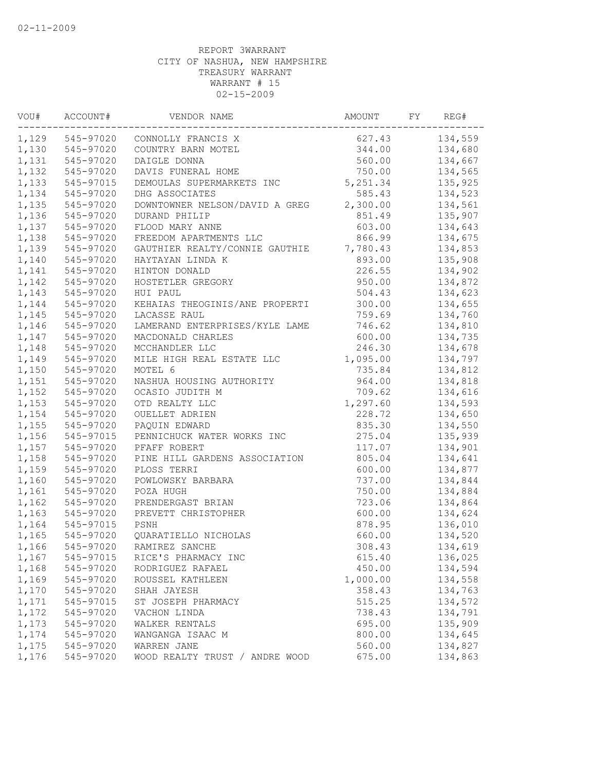| VOU#  | ACCOUNT#<br>----------------- | VENDOR NAME                    | AMOUNT   | FY | REG#    |
|-------|-------------------------------|--------------------------------|----------|----|---------|
|       | 1,129 545-97020               | CONNOLLY FRANCIS X             | 627.43   |    | 134,559 |
| 1,130 | 545-97020                     | COUNTRY BARN MOTEL             | 344.00   |    | 134,680 |
| 1,131 | 545-97020                     | DAIGLE DONNA                   | 560.00   |    | 134,667 |
| 1,132 | 545-97020                     | DAVIS FUNERAL HOME             | 750.00   |    | 134,565 |
| 1,133 | 545-97015                     | DEMOULAS SUPERMARKETS INC      | 5,251.34 |    | 135,925 |
| 1,134 | 545-97020                     | DHG ASSOCIATES                 | 585.43   |    | 134,523 |
| 1,135 | 545-97020                     | DOWNTOWNER NELSON/DAVID A GREG | 2,300.00 |    | 134,561 |
| 1,136 | 545-97020                     | DURAND PHILIP                  | 851.49   |    | 135,907 |
| 1,137 | 545-97020                     | FLOOD MARY ANNE                | 603.00   |    | 134,643 |
| 1,138 | 545-97020                     | FREEDOM APARTMENTS LLC         | 866.99   |    | 134,675 |
| 1,139 | 545-97020                     | GAUTHIER REALTY/CONNIE GAUTHIE | 7,780.43 |    | 134,853 |
| 1,140 | 545-97020                     | HAYTAYAN LINDA K               | 893.00   |    | 135,908 |
| 1,141 | 545-97020                     | HINTON DONALD                  | 226.55   |    | 134,902 |
| 1,142 | 545-97020                     | HOSTETLER GREGORY              | 950.00   |    | 134,872 |
| 1,143 | 545-97020                     | HUI PAUL                       | 504.43   |    | 134,623 |
| 1,144 | 545-97020                     | KEHAIAS THEOGINIS/ANE PROPERTI | 300.00   |    | 134,655 |
| 1,145 | 545-97020                     | LACASSE RAUL                   | 759.69   |    | 134,760 |
| 1,146 | 545-97020                     | LAMERAND ENTERPRISES/KYLE LAME | 746.62   |    | 134,810 |
| 1,147 | 545-97020                     | MACDONALD CHARLES              | 600.00   |    | 134,735 |
| 1,148 | 545-97020                     | MCCHANDLER LLC                 | 246.30   |    | 134,678 |
| 1,149 | 545-97020                     | MILE HIGH REAL ESTATE LLC      | 1,095.00 |    | 134,797 |
| 1,150 | 545-97020                     | MOTEL 6                        | 735.84   |    | 134,812 |
| 1,151 | 545-97020                     | NASHUA HOUSING AUTHORITY       | 964.00   |    | 134,818 |
| 1,152 | 545-97020                     | OCASIO JUDITH M                | 709.62   |    | 134,616 |
| 1,153 | 545-97020                     | OTD REALTY LLC                 | 1,297.60 |    | 134,593 |
| 1,154 | 545-97020                     | OUELLET ADRIEN                 | 228.72   |    | 134,650 |
| 1,155 | 545-97020                     | PAQUIN EDWARD                  | 835.30   |    | 134,550 |
| 1,156 | 545-97015                     | PENNICHUCK WATER WORKS INC     | 275.04   |    | 135,939 |
| 1,157 | 545-97020                     | PFAFF ROBERT                   | 117.07   |    | 134,901 |
| 1,158 | 545-97020                     | PINE HILL GARDENS ASSOCIATION  | 805.04   |    | 134,641 |
| 1,159 | 545-97020                     | PLOSS TERRI                    | 600.00   |    | 134,877 |
| 1,160 | 545-97020                     | POWLOWSKY BARBARA              | 737.00   |    | 134,844 |
| 1,161 | 545-97020                     | POZA HUGH                      | 750.00   |    | 134,884 |
| 1,162 | 545-97020                     | PRENDERGAST BRIAN              | 723.06   |    | 134,864 |
| 1,163 | 545-97020                     | PREVETT CHRISTOPHER            | 600.00   |    | 134,624 |
| 1,164 | 545-97015                     | PSNH                           | 878.95   |    | 136,010 |
| 1,165 | 545-97020                     | QUARATIELLO NICHOLAS           | 660.00   |    | 134,520 |
| 1,166 | 545-97020                     | RAMIREZ SANCHE                 | 308.43   |    | 134,619 |
| 1,167 | 545-97015                     | RICE'S PHARMACY INC            | 615.40   |    | 136,025 |
| 1,168 | 545-97020                     | RODRIGUEZ RAFAEL               | 450.00   |    | 134,594 |
| 1,169 | 545-97020                     | ROUSSEL KATHLEEN               | 1,000.00 |    | 134,558 |
| 1,170 | 545-97020                     | SHAH JAYESH                    | 358.43   |    | 134,763 |
| 1,171 | 545-97015                     | ST JOSEPH PHARMACY             | 515.25   |    | 134,572 |
| 1,172 | 545-97020                     | VACHON LINDA                   | 738.43   |    | 134,791 |
| 1,173 | 545-97020                     | WALKER RENTALS                 | 695.00   |    | 135,909 |
| 1,174 | 545-97020                     | WANGANGA ISAAC M               | 800.00   |    | 134,645 |
| 1,175 | 545-97020                     | WARREN JANE                    | 560.00   |    | 134,827 |
| 1,176 | 545-97020                     | WOOD REALTY TRUST / ANDRE WOOD | 675.00   |    | 134,863 |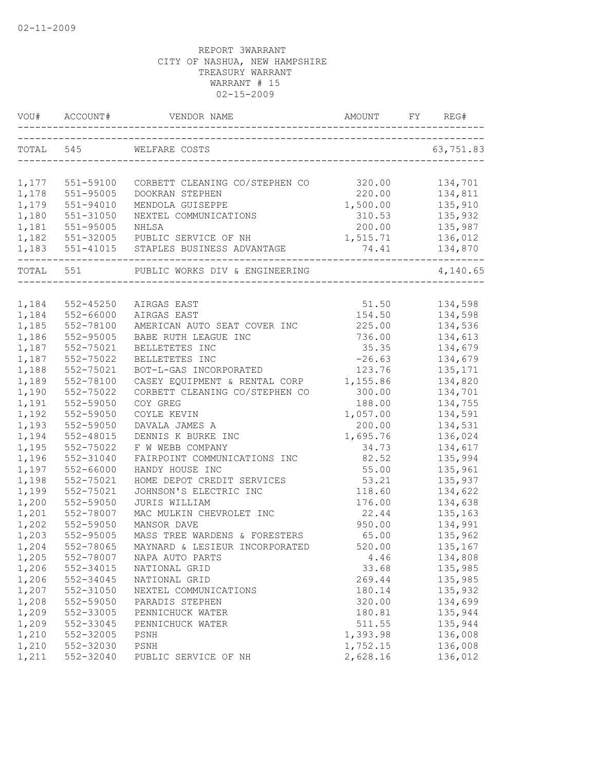| VOU#      |               |                                            |          | REG#      |
|-----------|---------------|--------------------------------------------|----------|-----------|
|           | TOTAL 545     | WELFARE COSTS                              |          | 63,751.83 |
|           |               |                                            |          |           |
| 1,177     | 551-59100     | CORBETT CLEANING CO/STEPHEN CO             | 320.00   | 134,701   |
| 1,178     | 551-95005     | DOOKRAN STEPHEN                            | 220.00   | 134,811   |
| 1,179     | 551-94010     | MENDOLA GUISEPPE                           | 1,500.00 | 135,910   |
| 1,180     | 551-31050     | NEXTEL COMMUNICATIONS                      | 310.53   | 135,932   |
| 1,181     | 551-95005     | NHLSA                                      | 200.00   | 135,987   |
| 1,182     |               | 551-32005 PUBLIC SERVICE OF NH             | 1,515.71 | 136,012   |
|           |               | 1,183 551-41015 STAPLES BUSINESS ADVANTAGE | 74.41    | 134,870   |
| TOTAL 551 |               | PUBLIC WORKS DIV & ENGINEERING             |          | 4,140.65  |
|           |               |                                            |          |           |
| 1,184     | $552 - 45250$ | AIRGAS EAST                                | 51.50    | 134,598   |
| 1,184     | 552-66000     | AIRGAS EAST                                | 154.50   | 134,598   |
| 1,185     | 552-78100     | AMERICAN AUTO SEAT COVER INC               | 225.00   | 134,536   |
| 1,186     | 552-95005     | BABE RUTH LEAGUE INC                       | 736.00   | 134,613   |
| 1,187     | 552-75021     | BELLETETES INC                             | 35.35    | 134,679   |
| 1,187     | 552-75022     | BELLETETES INC                             | $-26.63$ | 134,679   |
| 1,188     | 552-75021     | BOT-L-GAS INCORPORATED                     | 123.76   | 135,171   |
| 1,189     | 552-78100     | CASEY EQUIPMENT & RENTAL CORP              | 1,155.86 | 134,820   |
| 1,190     | 552-75022     | CORBETT CLEANING CO/STEPHEN CO             | 300.00   | 134,701   |
| 1,191     | 552-59050     | COY GREG                                   | 188.00   | 134,755   |
| 1,192     | 552-59050     | COYLE KEVIN                                | 1,057.00 | 134,591   |
| 1,193     | 552-59050     | DAVALA JAMES A                             | 200.00   | 134,531   |
| 1,194     | 552-48015     | DENNIS K BURKE INC                         | 1,695.76 | 136,024   |
| 1,195     | 552-75022     | F W WEBB COMPANY                           | 34.73    | 134,617   |
| 1,196     | 552-31040     | FAIRPOINT COMMUNICATIONS INC               | 82.52    | 135,994   |
| 1,197     | 552-66000     | HANDY HOUSE INC                            | 55.00    | 135,961   |
| 1,198     | 552-75021     | HOME DEPOT CREDIT SERVICES                 | 53.21    | 135,937   |
| 1,199     | 552-75021     | JOHNSON'S ELECTRIC INC                     | 118.60   | 134,622   |
| 1,200     | 552-59050     | JURIS WILLIAM                              | 176.00   | 134,638   |
| 1,201     | 552-78007     | MAC MULKIN CHEVROLET INC                   | 22.44    | 135,163   |
| 1,202     | 552-59050     | MANSOR DAVE                                | 950.00   | 134,991   |
| 1,203     | 552-95005     | MASS TREE WARDENS & FORESTERS              | 65.00    | 135,962   |
| 1,204     | 552-78065     | MAYNARD & LESIEUR INCORPORATED             | 520.00   | 135,167   |
| 1,205     | 552-78007     | NAPA AUTO PARTS                            | 4.46     | 134,808   |
| 1,206     | 552-34015     | NATIONAL GRID                              | 33.68    | 135,985   |
| 1,206     | 552-34045     | NATIONAL GRID                              | 269.44   | 135,985   |
| 1,207     | 552-31050     | NEXTEL COMMUNICATIONS                      | 180.14   | 135,932   |
| 1,208     | 552-59050     | PARADIS STEPHEN                            | 320.00   | 134,699   |
| 1,209     | 552-33005     | PENNICHUCK WATER                           | 180.81   | 135,944   |
| 1,209     | 552-33045     | PENNICHUCK WATER                           | 511.55   | 135,944   |
| 1,210     | 552-32005     | PSNH                                       | 1,393.98 | 136,008   |
| 1,210     | 552-32030     | PSNH                                       | 1,752.15 | 136,008   |
| 1,211     | 552-32040     | PUBLIC SERVICE OF NH                       | 2,628.16 | 136,012   |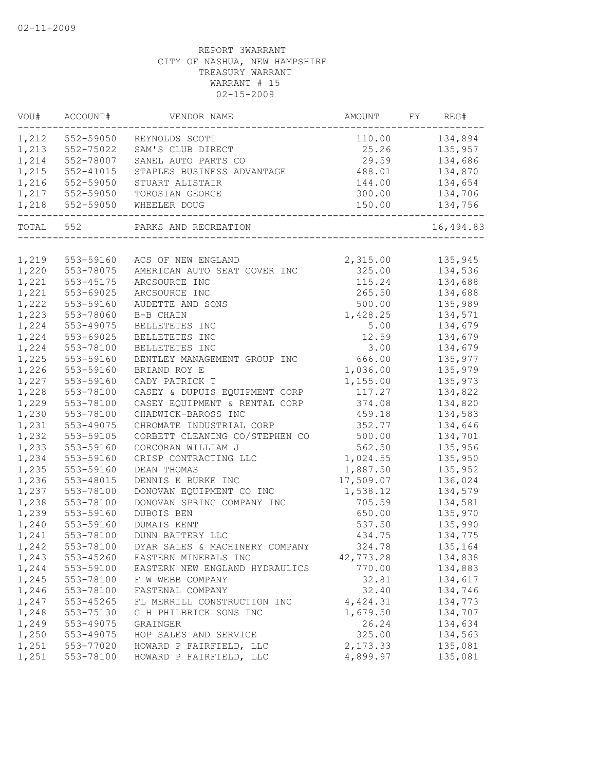| VOU#  | ACCOUNT#        | VENDOR NAME                                           | AMOUNT    | FY | REG#      |
|-------|-----------------|-------------------------------------------------------|-----------|----|-----------|
|       | 1,212 552-59050 | REYNOLDS SCOTT                                        | 110.00    |    | 134,894   |
| 1,213 | 552-75022       | SAM'S CLUB DIRECT                                     | 25.26     |    | 135,957   |
| 1,214 | 552-78007       | SANEL AUTO PARTS CO                                   | 29.59     |    | 134,686   |
| 1,215 | 552-41015       | STAPLES BUSINESS ADVANTAGE                            | 488.01    |    | 134,870   |
| 1,216 | 552-59050       | STUART ALISTAIR                                       | 144.00    |    | 134,654   |
| 1,217 | 552-59050       | TOROSIAN GEORGE                                       | 300.00    |    | 134,706   |
| 1,218 | 552-59050       | WHEELER DOUG                                          | 150.00    |    | 134,756   |
|       | TOTAL 552       | PARKS AND RECREATION<br>_____________________________ |           |    | 16,494.83 |
|       |                 |                                                       |           |    |           |
| 1,219 | 553-59160       | ACS OF NEW ENGLAND                                    | 2,315.00  |    | 135,945   |
| 1,220 | 553-78075       | AMERICAN AUTO SEAT COVER INC                          | 325.00    |    | 134,536   |
| 1,221 | 553-45175       | ARCSOURCE INC                                         | 115.24    |    | 134,688   |
| 1,221 | 553-69025       | ARCSOURCE INC                                         | 265.50    |    | 134,688   |
| 1,222 | 553-59160       | AUDETTE AND SONS                                      | 500.00    |    | 135,989   |
| 1,223 | 553-78060       | B-B CHAIN                                             | 1,428.25  |    | 134,571   |
| 1,224 | 553-49075       | BELLETETES INC                                        | 5.00      |    | 134,679   |
| 1,224 | 553-69025       | BELLETETES INC                                        | 12.59     |    | 134,679   |
| 1,224 | 553-78100       | BELLETETES INC                                        | 3.00      |    | 134,679   |
| 1,225 | 553-59160       | BENTLEY MANAGEMENT GROUP INC 666.00                   |           |    | 135,977   |
| 1,226 | 553-59160       | BRIAND ROY E                                          | 1,036.00  |    | 135,979   |
| 1,227 | 553-59160       | CADY PATRICK T                                        | 1,155.00  |    | 135,973   |
| 1,228 | 553-78100       | CASEY & DUPUIS EQUIPMENT CORP                         | 117.27    |    | 134,822   |
| 1,229 | 553-78100       | CASEY EQUIPMENT & RENTAL CORP                         | 374.08    |    | 134,820   |
| 1,230 | 553-78100       | CHADWICK-BAROSS INC                                   | 459.18    |    | 134,583   |
| 1,231 | 553-49075       | CHROMATE INDUSTRIAL CORP                              | 352.77    |    | 134,646   |
| 1,232 | 553-59105       | CORBETT CLEANING CO/STEPHEN CO                        | 500.00    |    | 134,701   |
| 1,233 | 553-59160       | CORCORAN WILLIAM J                                    | 562.50    |    | 135,956   |
| 1,234 | 553-59160       | CRISP CONTRACTING LLC                                 | 1,024.55  |    | 135,950   |
| 1,235 | 553-59160       | DEAN THOMAS                                           | 1,887.50  |    | 135,952   |
| 1,236 | 553-48015       | DENNIS K BURKE INC                                    | 17,509.07 |    | 136,024   |
| 1,237 | 553-78100       | DONOVAN EQUIPMENT CO INC                              | 1,538.12  |    | 134,579   |
| 1,238 | 553-78100       | DONOVAN SPRING COMPANY INC                            | 705.59    |    | 134,581   |
| 1,239 | 553-59160       | DUBOIS BEN                                            | 650.00    |    | 135,970   |
| 1,240 | 553-59160       | DUMAIS KENT                                           | 537.50    |    | 135,990   |
| 1,241 | 553-78100       | DUNN BATTERY LLC                                      | 434.75    |    | 134,775   |
| 1,242 | 553-78100       | DYAR SALES & MACHINERY COMPANY                        | 324.78    |    | 135,164   |
| 1,243 | 553-45260       | EASTERN MINERALS INC                                  | 42,773.28 |    | 134,838   |
| 1,244 | 553-59100       | EASTERN NEW ENGLAND HYDRAULICS                        | 770.00    |    | 134,883   |
| 1,245 | 553-78100       | F W WEBB COMPANY                                      | 32.81     |    | 134,617   |
| 1,246 | 553-78100       | FASTENAL COMPANY                                      | 32.40     |    | 134,746   |
| 1,247 | 553-45265       | FL MERRILL CONSTRUCTION INC                           | 4,424.31  |    | 134,773   |
| 1,248 | 553-75130       | G H PHILBRICK SONS INC                                | 1,679.50  |    | 134,707   |
| 1,249 | 553-49075       | GRAINGER                                              | 26.24     |    | 134,634   |
| 1,250 | 553-49075       | HOP SALES AND SERVICE                                 | 325.00    |    | 134,563   |
| 1,251 | 553-77020       | HOWARD P FAIRFIELD, LLC                               | 2,173.33  |    | 135,081   |
| 1,251 | 553-78100       | HOWARD P FAIRFIELD, LLC                               | 4,899.97  |    | 135,081   |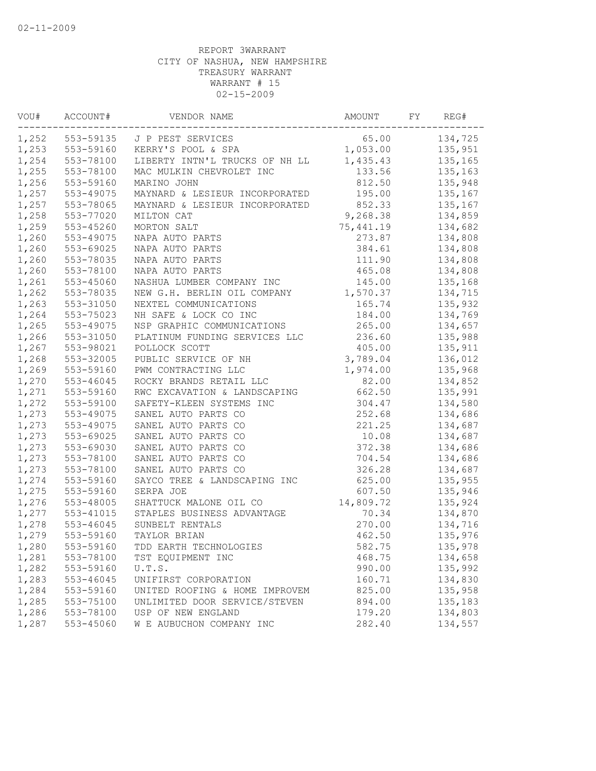| VOU#  | ACCOUNT#<br>----------------- | VENDOR NAME                    | AMOUNT    | FY | REG#    |
|-------|-------------------------------|--------------------------------|-----------|----|---------|
| 1,252 | 553-59135                     | J P PEST SERVICES              | 65.00     |    | 134,725 |
| 1,253 | 553-59160                     | KERRY'S POOL & SPA             | 1,053.00  |    | 135,951 |
| 1,254 | 553-78100                     | LIBERTY INTN'L TRUCKS OF NH LL | 1,435.43  |    | 135,165 |
| 1,255 | 553-78100                     | MAC MULKIN CHEVROLET INC       | 133.56    |    | 135,163 |
| 1,256 | 553-59160                     | MARINO JOHN                    | 812.50    |    | 135,948 |
| 1,257 | 553-49075                     | MAYNARD & LESIEUR INCORPORATED | 195.00    |    | 135,167 |
| 1,257 | 553-78065                     | MAYNARD & LESIEUR INCORPORATED | 852.33    |    | 135,167 |
| 1,258 | 553-77020                     | MILTON CAT                     | 9,268.38  |    | 134,859 |
| 1,259 | 553-45260                     | MORTON SALT                    | 75,441.19 |    | 134,682 |
| 1,260 | 553-49075                     | NAPA AUTO PARTS                | 273.87    |    | 134,808 |
| 1,260 | 553-69025                     | NAPA AUTO PARTS                | 384.61    |    | 134,808 |
| 1,260 | 553-78035                     | NAPA AUTO PARTS                | 111.90    |    | 134,808 |
| 1,260 | 553-78100                     | NAPA AUTO PARTS                | 465.08    |    | 134,808 |
| 1,261 | 553-45060                     | NASHUA LUMBER COMPANY INC      | 145.00    |    | 135,168 |
| 1,262 | 553-78035                     | NEW G.H. BERLIN OIL COMPANY    | 1,570.37  |    | 134,715 |
| 1,263 | 553-31050                     | NEXTEL COMMUNICATIONS          | 165.74    |    | 135,932 |
| 1,264 | 553-75023                     | NH SAFE & LOCK CO INC          | 184.00    |    | 134,769 |
| 1,265 | 553-49075                     | NSP GRAPHIC COMMUNICATIONS     | 265.00    |    | 134,657 |
| 1,266 | 553-31050                     | PLATINUM FUNDING SERVICES LLC  | 236.60    |    | 135,988 |
| 1,267 | 553-98021                     | POLLOCK SCOTT                  | 405.00    |    | 135,911 |
| 1,268 | 553-32005                     | PUBLIC SERVICE OF NH           | 3,789.04  |    | 136,012 |
| 1,269 | 553-59160                     | PWM CONTRACTING LLC            | 1,974.00  |    | 135,968 |
| 1,270 | 553-46045                     | ROCKY BRANDS RETAIL LLC        | 82.00     |    | 134,852 |
| 1,271 | 553-59160                     | RWC EXCAVATION & LANDSCAPING   | 662.50    |    | 135,991 |
| 1,272 | 553-59100                     | SAFETY-KLEEN SYSTEMS INC       | 304.47    |    | 134,580 |
| 1,273 | 553-49075                     | SANEL AUTO PARTS CO            | 252.68    |    | 134,686 |
| 1,273 | 553-49075                     | SANEL AUTO PARTS CO            | 221.25    |    | 134,687 |
| 1,273 | 553-69025                     | SANEL AUTO PARTS CO            | 10.08     |    | 134,687 |
| 1,273 | 553-69030                     | SANEL AUTO PARTS CO            | 372.38    |    | 134,686 |
| 1,273 | 553-78100                     | SANEL AUTO PARTS CO            | 704.54    |    | 134,686 |
| 1,273 | 553-78100                     | SANEL AUTO PARTS CO            | 326.28    |    | 134,687 |
| 1,274 | 553-59160                     | SAYCO TREE & LANDSCAPING INC   | 625.00    |    | 135,955 |
| 1,275 | 553-59160                     | SERPA JOE                      | 607.50    |    | 135,946 |
| 1,276 | 553-48005                     | SHATTUCK MALONE OIL CO         | 14,809.72 |    | 135,924 |
| 1,277 | 553-41015                     | STAPLES BUSINESS ADVANTAGE     | 70.34     |    | 134,870 |
| 1,278 | 553-46045                     | SUNBELT RENTALS                | 270.00    |    | 134,716 |
| 1,279 | 553-59160                     | TAYLOR BRIAN                   | 462.50    |    | 135,976 |
| 1,280 | 553-59160                     | TDD EARTH TECHNOLOGIES         | 582.75    |    | 135,978 |
| 1,281 | 553-78100                     | TST EQUIPMENT INC              | 468.75    |    | 134,658 |
| 1,282 | 553-59160                     | U.T.S.                         | 990.00    |    | 135,992 |
| 1,283 | 553-46045                     | UNIFIRST CORPORATION           | 160.71    |    | 134,830 |
| 1,284 | 553-59160                     | UNITED ROOFING & HOME IMPROVEM | 825.00    |    | 135,958 |
| 1,285 | 553-75100                     | UNLIMITED DOOR SERVICE/STEVEN  | 894.00    |    | 135,183 |
| 1,286 | 553-78100                     | USP OF NEW ENGLAND             | 179.20    |    | 134,803 |
| 1,287 | 553-45060                     | W E AUBUCHON COMPANY INC       | 282.40    |    | 134,557 |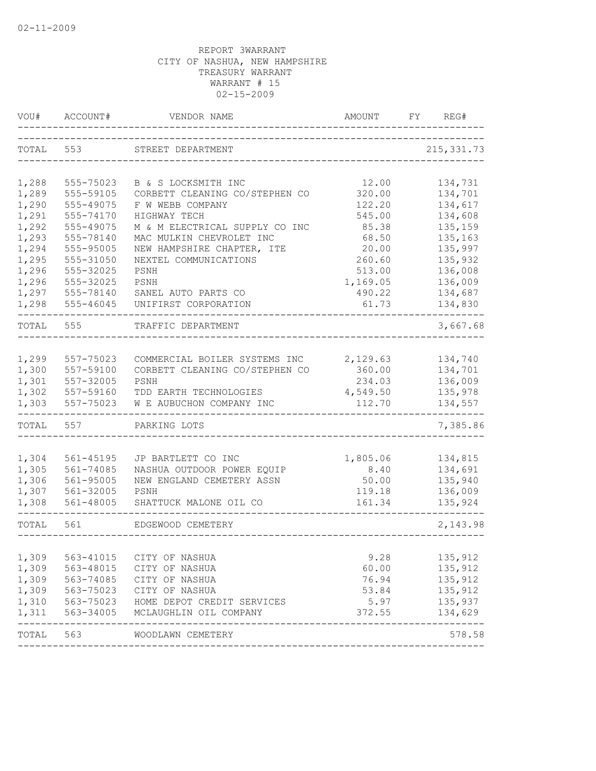| VOU#           | ACCOUNT#               | VENDOR NAME                    | AMOUNT           | FY | REG#               |
|----------------|------------------------|--------------------------------|------------------|----|--------------------|
| TOTAL          | 553                    | STREET DEPARTMENT              |                  |    | 215, 331.73        |
| 1,288          | 555-75023              | B & S LOCKSMITH INC            | 12.00            |    | 134,731            |
| 1,289          | 555-59105              | CORBETT CLEANING CO/STEPHEN CO | 320.00           |    | 134,701            |
| 1,290          | 555-49075              | F W WEBB COMPANY               | 122.20           |    | 134,617            |
| 1,291          | 555-74170              | HIGHWAY TECH                   | 545.00           |    | 134,608            |
| 1,292          | 555-49075              | M & M ELECTRICAL SUPPLY CO INC | 85.38            |    | 135,159            |
| 1,293          | 555-78140              | MAC MULKIN CHEVROLET INC       | 68.50            |    | 135,163            |
| 1,294          | 555-95005              | NEW HAMPSHIRE CHAPTER, ITE     | 20.00            |    | 135,997            |
| 1,295          | 555-31050              | NEXTEL COMMUNICATIONS          | 260.60           |    | 135,932            |
| 1,296          | 555-32025              | PSNH                           | 513.00           |    | 136,008            |
| 1,296          | 555-32025              | PSNH                           | 1,169.05         |    | 136,009            |
| 1,297          | 555-78140              | SANEL AUTO PARTS CO            | 490.22           |    | 134,687            |
| 1,298          | 555-46045              | UNIFIRST CORPORATION           | 61.73            |    | 134,830            |
| TOTAL          | 555                    | TRAFFIC DEPARTMENT             |                  |    | 3,667.68           |
|                |                        |                                |                  |    |                    |
| 1,299          | 557-75023              | COMMERCIAL BOILER SYSTEMS INC  | 2,129.63         |    | 134,740            |
| 1,300          | 557-59100              | CORBETT CLEANING CO/STEPHEN CO | 360.00           |    | 134,701            |
| 1,301          | 557-32005              | PSNH                           | 234.03           |    | 136,009            |
| 1,302          | 557-59160              | TDD EARTH TECHNOLOGIES         | 4,549.50         |    | 135,978            |
| 1,303          | 557-75023              | W E AUBUCHON COMPANY INC       | 112.70           |    | 134,557            |
| TOTAL          | 557                    | PARKING LOTS                   |                  |    | 7,385.86           |
|                |                        |                                |                  |    |                    |
| 1,304          | 561-45195              | JP BARTLETT CO INC             | 1,805.06         |    | 134,815            |
| 1,305          | 561-74085              | NASHUA OUTDOOR POWER EQUIP     | 8.40             |    | 134,691            |
| 1,306          | 561-95005              | NEW ENGLAND CEMETERY ASSN      | 50.00            |    | 135,940            |
| 1,307<br>1,308 | 561-32005<br>561-48005 | PSNH<br>SHATTUCK MALONE OIL CO | 119.18<br>161.34 |    | 136,009<br>135,924 |
|                |                        |                                |                  |    |                    |
| TOTAL          | 561                    | EDGEWOOD CEMETERY              |                  |    | 2,143.98           |
| 1,309          | 563-41015              | CITY OF NASHUA                 | 9.28             |    | 135,912            |
| 1,309          | 563-48015              | CITY OF NASHUA                 | 60.00            |    | 135,912            |
| 1,309          | 563-74085              | CITY OF NASHUA                 | 76.94            |    | 135,912            |
| 1,309          | 563-75023              | CITY OF NASHUA                 | 53.84            |    | 135,912            |
| 1,310          | 563-75023              | HOME DEPOT CREDIT SERVICES     | 5.97             |    | 135,937            |
| 1,311          | 563-34005              | MCLAUGHLIN OIL COMPANY         | 372.55           |    | 134,629            |
| TOTAL          | 563                    | WOODLAWN CEMETERY              |                  |    | 578.58             |
|                |                        |                                |                  |    |                    |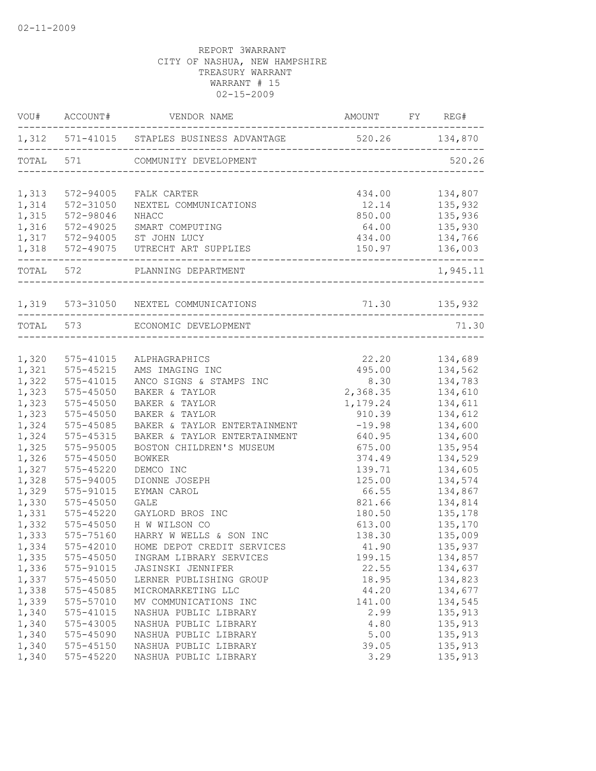|       | VOU# ACCOUNT#   | VENDOR NAME                                               | AMOUNT FY REG#                         |          |
|-------|-----------------|-----------------------------------------------------------|----------------------------------------|----------|
|       |                 | 1,312 571-41015 STAPLES BUSINESS ADVANTAGE 520.26 134,870 |                                        |          |
|       |                 | TOTAL 571 COMMUNITY DEVELOPMENT                           | -------------------------------------- | 520.26   |
|       | 1,313 572-94005 | FALK CARTER                                               | 434.00                                 | 134,807  |
| 1,314 | 572-31050       | NEXTEL COMMUNICATIONS                                     | 12.14                                  | 135,932  |
| 1,315 | 572-98046       | <b>NHACC</b>                                              | 850.00                                 | 135,936  |
| 1,316 | 572-49025       | SMART COMPUTING                                           | 64.00                                  | 135,930  |
|       |                 | 1,317 572-94005 ST JOHN LUCY                              | 434.00                                 | 134,766  |
|       |                 | 1,318 572-49075 UTRECHT ART SUPPLIES                      | 150.97                                 | 136,003  |
|       | TOTAL 572       | PLANNING DEPARTMENT                                       |                                        | 1,945.11 |
|       |                 | 1,319 573-31050 NEXTEL COMMUNICATIONS                     | 71.30 135,932                          |          |
|       |                 | TOTAL 573 ECONOMIC DEVELOPMENT                            |                                        | 71.30    |
|       |                 |                                                           |                                        |          |
| 1,320 | 575-41015       | ALPHAGRAPHICS                                             | 22.20                                  | 134,689  |
| 1,321 | 575-45215       | AMS IMAGING INC                                           | 495.00                                 | 134,562  |
| 1,322 | 575-41015       | ANCO SIGNS & STAMPS INC                                   | 8.30                                   | 134,783  |
| 1,323 | 575-45050       | BAKER & TAYLOR                                            | 2,368.35                               | 134,610  |
| 1,323 | 575-45050       | BAKER & TAYLOR                                            | 1,179.24                               | 134,611  |
| 1,323 | 575-45050       | BAKER & TAYLOR                                            | 910.39                                 | 134,612  |
| 1,324 | 575-45085       | BAKER & TAYLOR ENTERTAINMENT                              | $-19.98$                               | 134,600  |
| 1,324 | 575-45315       | BAKER & TAYLOR ENTERTAINMENT                              | 640.95                                 | 134,600  |
| 1,325 | 575-95005       | BOSTON CHILDREN'S MUSEUM                                  | 675.00                                 | 135,954  |
| 1,326 | $575 - 45050$   | <b>BOWKER</b>                                             | 374.49                                 | 134,529  |
| 1,327 | 575-45220       | DEMCO INC                                                 | 139.71                                 | 134,605  |
| 1,328 | 575-94005       | DIONNE JOSEPH                                             | 125.00                                 | 134,574  |
| 1,329 | 575-91015       | EYMAN CAROL                                               | 66.55                                  | 134,867  |
| 1,330 | 575-45050       | <b>GALE</b>                                               | 821.66                                 | 134,814  |
| 1,331 | 575-45220       | GAYLORD BROS INC                                          | 180.50                                 | 135,178  |
| 1,332 | 575-45050       | H W WILSON CO                                             | 613.00                                 | 135,170  |
| 1,333 | 575-75160       | HARRY W WELLS & SON INC                                   | 138.30                                 | 135,009  |
| 1,334 | 575-42010       | HOME DEPOT CREDIT SERVICES                                | 41.90                                  | 135,937  |
| 1,335 | 575-45050       | INGRAM LIBRARY SERVICES                                   | 199.15                                 | 134,857  |
| 1,336 | 575-91015       | JASINSKI JENNIFER                                         | 22.55                                  | 134,637  |
| 1,337 | 575-45050       | LERNER PUBLISHING GROUP                                   | 18.95                                  | 134,823  |
| 1,338 | 575-45085       | MICROMARKETING LLC                                        | 44.20                                  | 134,677  |
| 1,339 | 575-57010       | MV COMMUNICATIONS INC                                     | 141.00                                 | 134,545  |
| 1,340 | 575-41015       | NASHUA PUBLIC LIBRARY                                     | 2.99                                   | 135,913  |
| 1,340 | 575-43005       | NASHUA PUBLIC LIBRARY                                     | 4.80                                   | 135,913  |
| 1,340 | 575-45090       | NASHUA PUBLIC LIBRARY                                     | 5.00                                   | 135,913  |
| 1,340 | 575-45150       | NASHUA PUBLIC LIBRARY                                     | 39.05                                  | 135,913  |
| 1,340 | 575-45220       | NASHUA PUBLIC LIBRARY                                     | 3.29                                   | 135,913  |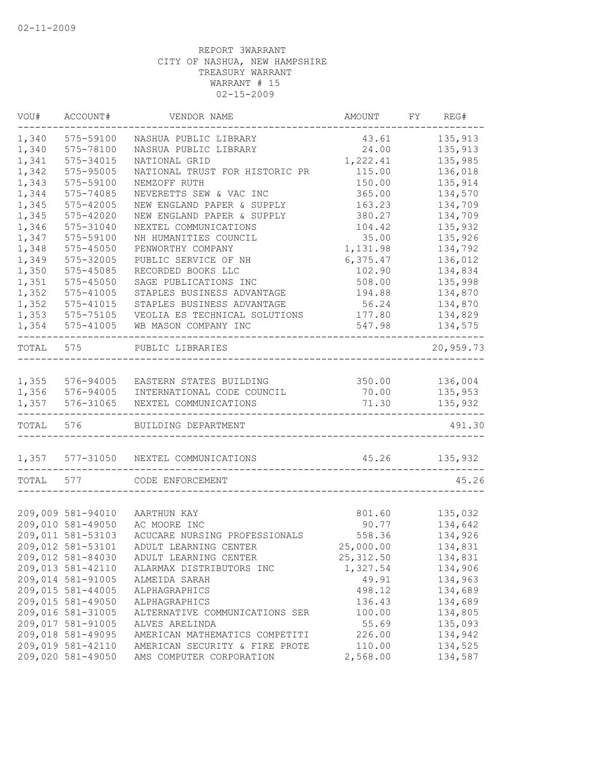| VOU#  | ACCOUNT#                               | VENDOR NAME                                      | AMOUNT          | FY | REG#               |
|-------|----------------------------------------|--------------------------------------------------|-----------------|----|--------------------|
| 1,340 | 575-59100                              | NASHUA PUBLIC LIBRARY                            | 43.61           |    | 135,913            |
| 1,340 | 575-78100                              | NASHUA PUBLIC LIBRARY                            | 24.00           |    | 135,913            |
| 1,341 | 575-34015                              | NATIONAL GRID                                    | 1,222.41        |    | 135,985            |
| 1,342 | 575-95005                              | NATIONAL TRUST FOR HISTORIC PR                   | 115.00          |    | 136,018            |
| 1,343 | 575-59100                              | NEMZOFF RUTH                                     | 150.00          |    | 135,914            |
| 1,344 | 575-74085                              | NEVERETTS SEW & VAC INC                          | 365.00          |    | 134,570            |
| 1,345 | 575-42005                              | NEW ENGLAND PAPER & SUPPLY                       | 163.23          |    | 134,709            |
| 1,345 | 575-42020                              | NEW ENGLAND PAPER & SUPPLY                       | 380.27          |    | 134,709            |
| 1,346 | 575-31040                              | NEXTEL COMMUNICATIONS                            | 104.42          |    | 135,932            |
| 1,347 | 575-59100                              | NH HUMANITIES COUNCIL                            | 35.00           |    | 135,926            |
| 1,348 | 575-45050                              | PENWORTHY COMPANY                                | 1,131.98        |    | 134,792            |
| 1,349 | 575-32005                              | PUBLIC SERVICE OF NH                             | 6,375.47        |    | 136,012            |
| 1,350 | 575-45085                              | RECORDED BOOKS LLC                               | 102.90          |    | 134,834            |
| 1,351 | 575-45050                              | SAGE PUBLICATIONS INC                            | 508.00          |    | 135,998            |
| 1,352 | 575-41005                              | STAPLES BUSINESS ADVANTAGE                       | 194.88          |    | 134,870            |
| 1,352 | 575-41015                              | STAPLES BUSINESS ADVANTAGE                       | 56.24           |    | 134,870            |
| 1,353 | 575-75105                              | VEOLIA ES TECHNICAL SOLUTIONS                    | 177.80          |    | 134,829            |
| 1,354 | 575-41005                              | WB MASON COMPANY INC                             | 547.98          |    | 134,575            |
| TOTAL | 575                                    | PUBLIC LIBRARIES                                 |                 |    | 20,959.73          |
| 1,355 | 576-94005                              | EASTERN STATES BUILDING                          | 350.00          |    | 136,004            |
| 1,356 | 576-94005                              | INTERNATIONAL CODE COUNCIL                       | 70.00           |    | 135,953            |
| 1,357 | 576-31065                              | NEXTEL COMMUNICATIONS                            | 71.30           |    | 135,932            |
| TOTAL | 576                                    | BUILDING DEPARTMENT                              |                 |    | 491.30             |
| 1,357 | 577-31050                              | NEXTEL COMMUNICATIONS                            | 45.26           |    | 135,932            |
| TOTAL | 577                                    | CODE ENFORCEMENT                                 |                 |    | 45.26              |
|       | 209,009 581-94010                      |                                                  |                 |    |                    |
|       | 209,010 581-49050                      | AARTHUN KAY<br>AC MOORE INC                      | 801.60<br>90.77 |    | 135,032<br>134,642 |
|       | 209,011 581-53103                      | ACUCARE NURSING PROFESSIONALS                    |                 |    |                    |
|       |                                        |                                                  | 558.36          |    | 134,926            |
|       | 209,012 581-53101                      | ADULT LEARNING CENTER                            | 25,000.00       |    | 134,831            |
|       | 209,012 581-84030<br>209,013 581-42110 | ADULT LEARNING CENTER                            | 25, 312.50      |    | 134,831            |
|       |                                        | ALARMAX DISTRIBUTORS INC                         | 1,327.54        |    | 134,906            |
|       | 209,014 581-91005                      | ALMEIDA SARAH                                    | 49.91           |    | 134,963            |
|       | 209,015 581-44005                      | ALPHAGRAPHICS                                    | 498.12          |    | 134,689<br>134,689 |
|       | 209,015 581-49050                      | ALPHAGRAPHICS                                    | 136.43          |    |                    |
|       | 209,016 581-31005<br>209,017 581-91005 | ALTERNATIVE COMMUNICATIONS SER                   | 100.00<br>55.69 |    | 134,805            |
|       | 209,018 581-49095                      | ALVES ARELINDA<br>AMERICAN MATHEMATICS COMPETITI | 226.00          |    | 135,093<br>134,942 |
|       | 209,019 581-42110                      | AMERICAN SECURITY & FIRE PROTE                   | 110.00          |    | 134,525            |
|       | 209,020 581-49050                      | AMS COMPUTER CORPORATION                         | 2,568.00        |    | 134,587            |
|       |                                        |                                                  |                 |    |                    |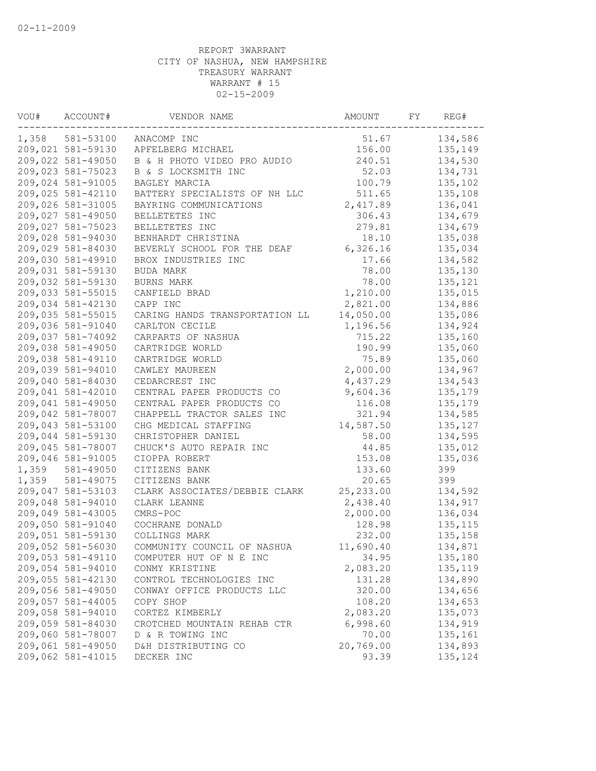| VOU#  | ACCOUNT#          | VENDOR NAME                    | AMOUNT     | FY | REG#     |
|-------|-------------------|--------------------------------|------------|----|----------|
|       | 1,358 581-53100   | ANACOMP INC                    | 51.67      |    | 134,586  |
|       | 209,021 581-59130 | APFELBERG MICHAEL              | 156.00     |    | 135,149  |
|       | 209,022 581-49050 | B & H PHOTO VIDEO PRO AUDIO    | 240.51     |    | 134,530  |
|       | 209,023 581-75023 | B & S LOCKSMITH INC            | 52.03      |    | 134,731  |
|       | 209,024 581-91005 | BAGLEY MARCIA                  | 100.79     |    | 135,102  |
|       | 209,025 581-42110 | BATTERY SPECIALISTS OF NH LLC  | 511.65     |    | 135,108  |
|       | 209,026 581-31005 | BAYRING COMMUNICATIONS         | 2,417.89   |    | 136,041  |
|       | 209,027 581-49050 | BELLETETES INC                 | 306.43     |    | 134,679  |
|       | 209,027 581-75023 | BELLETETES INC                 | 279.81     |    | 134,679  |
|       | 209,028 581-94030 | BENHARDT CHRISTINA             | 18.10      |    | 135,038  |
|       | 209,029 581-84030 | BEVERLY SCHOOL FOR THE DEAF    | 6,326.16   |    | 135,034  |
|       | 209,030 581-49910 | BROX INDUSTRIES INC            | 17.66      |    | 134,582  |
|       | 209,031 581-59130 | BUDA MARK                      | 78.00      |    | 135,130  |
|       | 209,032 581-59130 | BURNS MARK                     | 78.00      |    | 135,121  |
|       | 209,033 581-55015 | CANFIELD BRAD                  | 1,210.00   |    | 135,015  |
|       | 209,034 581-42130 | CAPP INC                       | 2,821.00   |    | 134,886  |
|       | 209,035 581-55015 | CARING HANDS TRANSPORTATION LL | 14,050.00  |    | 135,086  |
|       | 209,036 581-91040 | CARLTON CECILE                 | 1,196.56   |    | 134,924  |
|       | 209,037 581-74092 | CARPARTS OF NASHUA             | 715.22     |    | 135,160  |
|       | 209,038 581-49050 | CARTRIDGE WORLD                | 190.99     |    | 135,060  |
|       | 209,038 581-49110 | CARTRIDGE WORLD                | 75.89      |    | 135,060  |
|       | 209,039 581-94010 | CAWLEY MAUREEN                 | 2,000.00   |    | 134,967  |
|       | 209,040 581-84030 | CEDARCREST INC                 | 4,437.29   |    | 134,543  |
|       | 209,041 581-42010 | CENTRAL PAPER PRODUCTS CO      | 9,604.36   |    | 135,179  |
|       | 209,041 581-49050 | CENTRAL PAPER PRODUCTS CO      | 116.08     |    | 135,179  |
|       | 209,042 581-78007 | CHAPPELL TRACTOR SALES INC     | 321.94     |    | 134,585  |
|       | 209,043 581-53100 | CHG MEDICAL STAFFING           | 14,587.50  |    | 135,127  |
|       | 209,044 581-59130 | CHRISTOPHER DANIEL             | 58.00      |    | 134,595  |
|       | 209,045 581-78007 | CHUCK'S AUTO REPAIR INC        | 44.85      |    | 135,012  |
|       | 209,046 581-91005 | CIOPPA ROBERT                  | 153.08     |    | 135,036  |
| 1,359 | 581-49050         | CITIZENS BANK                  | 133.60     |    | 399      |
| 1,359 | 581-49075         | CITIZENS BANK                  | 20.65      |    | 399      |
|       | 209,047 581-53103 | CLARK ASSOCIATES/DEBBIE CLARK  | 25, 233.00 |    | 134,592  |
|       | 209,048 581-94010 | CLARK LEANNE                   | 2,438.40   |    | 134,917  |
|       | 209,049 581-43005 | CMRS-POC                       | 2,000.00   |    | 136,034  |
|       | 209,050 581-91040 | COCHRANE DONALD                | 128.98     |    | 135, 115 |
|       | 209,051 581-59130 | COLLINGS MARK                  | 232.00     |    | 135,158  |
|       | 209,052 581-56030 | COMMUNITY COUNCIL OF NASHUA    | 11,690.40  |    | 134,871  |
|       | 209,053 581-49110 | COMPUTER HUT OF N E INC        | 34.95      |    | 135,180  |
|       | 209,054 581-94010 | CONMY KRISTINE                 | 2,083.20   |    | 135,119  |
|       | 209,055 581-42130 | CONTROL TECHNOLOGIES INC       | 131.28     |    | 134,890  |
|       | 209,056 581-49050 | CONWAY OFFICE PRODUCTS LLC     | 320.00     |    | 134,656  |
|       | 209,057 581-44005 | COPY SHOP                      | 108.20     |    | 134,653  |
|       | 209,058 581-94010 | CORTEZ KIMBERLY                | 2,083.20   |    | 135,073  |
|       | 209,059 581-84030 | CROTCHED MOUNTAIN REHAB CTR    | 6,998.60   |    | 134,919  |
|       | 209,060 581-78007 | D & R TOWING INC               | 70.00      |    | 135,161  |
|       | 209,061 581-49050 | D&H DISTRIBUTING CO            | 20,769.00  |    | 134,893  |
|       | 209,062 581-41015 | DECKER INC                     | 93.39      |    | 135,124  |
|       |                   |                                |            |    |          |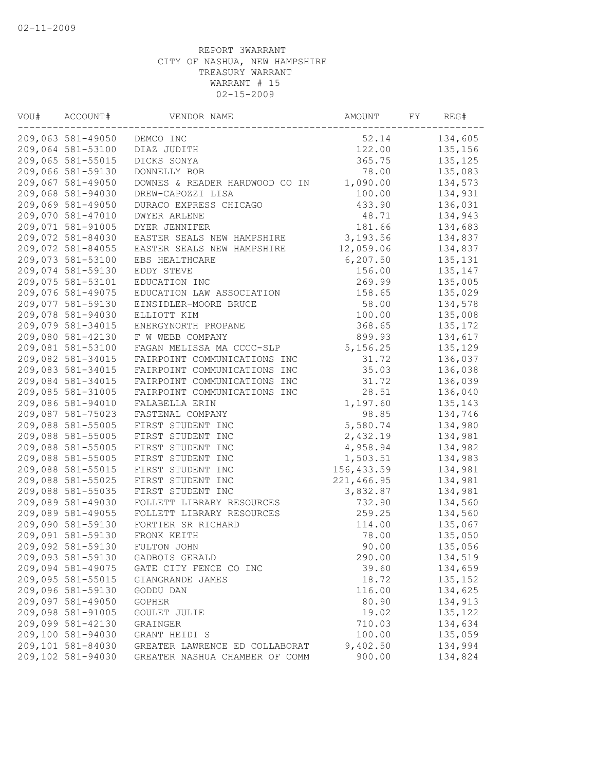| VOU# | ACCOUNT#          | VENDOR NAME                    | AMOUNT      | FY | REG#     |
|------|-------------------|--------------------------------|-------------|----|----------|
|      | 209,063 581-49050 | DEMCO INC                      | 52.14       |    | 134,605  |
|      | 209,064 581-53100 | DIAZ JUDITH                    | 122.00      |    | 135,156  |
|      | 209,065 581-55015 | DICKS SONYA                    | 365.75      |    | 135, 125 |
|      | 209,066 581-59130 | DONNELLY BOB                   | 78.00       |    | 135,083  |
|      | 209,067 581-49050 | DOWNES & READER HARDWOOD CO IN | 1,090.00    |    | 134,573  |
|      | 209,068 581-94030 | DREW-CAPOZZI LISA              | 100.00      |    | 134,931  |
|      | 209,069 581-49050 | DURACO EXPRESS CHICAGO         | 433.90      |    | 136,031  |
|      | 209,070 581-47010 | DWYER ARLENE                   | 48.71       |    | 134,943  |
|      | 209,071 581-91005 | DYER JENNIFER                  | 181.66      |    | 134,683  |
|      | 209,072 581-84030 | EASTER SEALS NEW HAMPSHIRE     | 3,193.56    |    | 134,837  |
|      | 209,072 581-84055 | EASTER SEALS NEW HAMPSHIRE     | 12,059.06   |    | 134,837  |
|      | 209,073 581-53100 | EBS HEALTHCARE                 | 6, 207.50   |    | 135,131  |
|      | 209,074 581-59130 | EDDY STEVE                     | 156.00      |    | 135,147  |
|      | 209,075 581-53101 | EDUCATION INC                  | 269.99      |    | 135,005  |
|      | 209,076 581-49075 | EDUCATION LAW ASSOCIATION      | 158.65      |    | 135,029  |
|      | 209,077 581-59130 | EINSIDLER-MOORE BRUCE          | 58.00       |    | 134,578  |
|      | 209,078 581-94030 | ELLIOTT KIM                    | 100.00      |    | 135,008  |
|      | 209,079 581-34015 | ENERGYNORTH PROPANE            | 368.65      |    | 135,172  |
|      | 209,080 581-42130 | F W WEBB COMPANY               | 899.93      |    | 134,617  |
|      | 209,081 581-53100 | FAGAN MELISSA MA CCCC-SLP      | 5, 156.25   |    | 135,129  |
|      | 209,082 581-34015 | FAIRPOINT COMMUNICATIONS INC   | 31.72       |    | 136,037  |
|      | 209,083 581-34015 | FAIRPOINT COMMUNICATIONS INC   | 35.03       |    | 136,038  |
|      | 209,084 581-34015 | FAIRPOINT COMMUNICATIONS INC   | 31.72       |    | 136,039  |
|      | 209,085 581-31005 | FAIRPOINT COMMUNICATIONS INC   | 28.51       |    | 136,040  |
|      | 209,086 581-94010 | FALABELLA ERIN                 | 1,197.60    |    | 135,143  |
|      | 209,087 581-75023 | FASTENAL COMPANY               | 98.85       |    | 134,746  |
|      | 209,088 581-55005 | FIRST STUDENT INC              | 5,580.74    |    | 134,980  |
|      | 209,088 581-55005 | FIRST STUDENT INC              | 2,432.19    |    | 134,981  |
|      | 209,088 581-55005 | FIRST STUDENT INC              | 4,958.94    |    | 134,982  |
|      | 209,088 581-55005 | FIRST STUDENT INC              | 1,503.51    |    | 134,983  |
|      | 209,088 581-55015 | FIRST STUDENT INC              | 156, 433.59 |    | 134,981  |
|      | 209,088 581-55025 | FIRST STUDENT INC              | 221,466.95  |    | 134,981  |
|      | 209,088 581-55035 | FIRST STUDENT INC              | 3,832.87    |    | 134,981  |
|      | 209,089 581-49030 | FOLLETT LIBRARY RESOURCES      | 732.90      |    | 134,560  |
|      | 209,089 581-49055 | FOLLETT LIBRARY RESOURCES      | 259.25      |    | 134,560  |
|      | 209,090 581-59130 | FORTIER SR RICHARD             | 114.00      |    | 135,067  |
|      | 209,091 581-59130 | FRONK KEITH                    | 78.00       |    | 135,050  |
|      | 209,092 581-59130 | FULTON JOHN                    | 90.00       |    | 135,056  |
|      | 209,093 581-59130 | GADBOIS GERALD                 | 290.00      |    | 134,519  |
|      | 209,094 581-49075 | GATE CITY FENCE CO INC         | 39.60       |    | 134,659  |
|      | 209,095 581-55015 | GIANGRANDE JAMES               | 18.72       |    | 135,152  |
|      | 209,096 581-59130 | GODDU DAN                      | 116.00      |    | 134,625  |
|      | 209,097 581-49050 | <b>GOPHER</b>                  | 80.90       |    | 134,913  |
|      | 209,098 581-91005 | GOULET JULIE                   | 19.02       |    | 135,122  |
|      | 209,099 581-42130 | GRAINGER                       | 710.03      |    | 134,634  |
|      | 209,100 581-94030 | GRANT HEIDI S                  | 100.00      |    | 135,059  |
|      | 209,101 581-84030 | GREATER LAWRENCE ED COLLABORAT | 9,402.50    |    | 134,994  |
|      | 209,102 581-94030 | GREATER NASHUA CHAMBER OF COMM | 900.00      |    | 134,824  |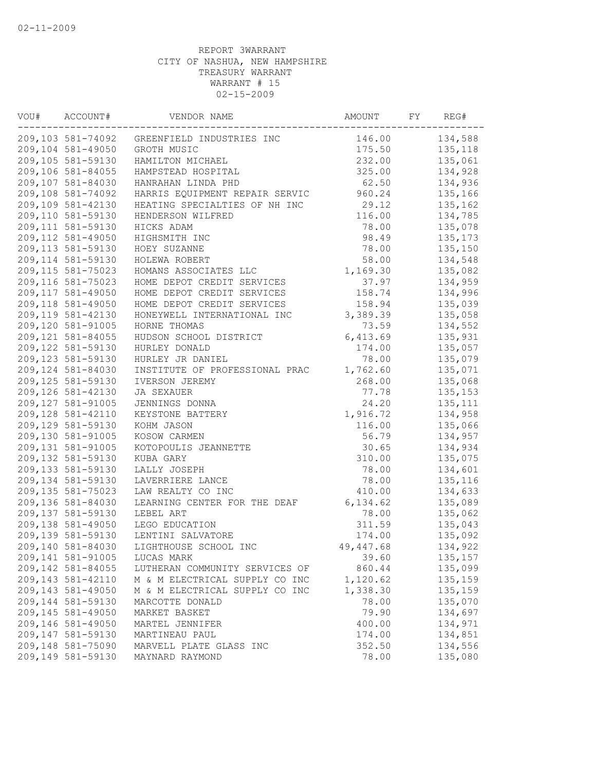| VOU# | ACCOUNT#          | VENDOR NAME                    | AMOUNT     | FY | REG#     |
|------|-------------------|--------------------------------|------------|----|----------|
|      | 209,103 581-74092 | GREENFIELD INDUSTRIES INC      | 146.00     |    | 134,588  |
|      | 209,104 581-49050 | GROTH MUSIC                    | 175.50     |    | 135, 118 |
|      | 209,105 581-59130 | HAMILTON MICHAEL               | 232.00     |    | 135,061  |
|      | 209,106 581-84055 | HAMPSTEAD HOSPITAL             | 325.00     |    | 134,928  |
|      | 209,107 581-84030 | HANRAHAN LINDA PHD             | 62.50      |    | 134,936  |
|      | 209,108 581-74092 | HARRIS EQUIPMENT REPAIR SERVIC | 960.24     |    | 135,166  |
|      | 209,109 581-42130 | HEATING SPECIALTIES OF NH INC  | 29.12      |    | 135,162  |
|      | 209,110 581-59130 | HENDERSON WILFRED              | 116.00     |    | 134,785  |
|      | 209,111 581-59130 | HICKS ADAM                     | 78.00      |    | 135,078  |
|      | 209,112 581-49050 | HIGHSMITH INC                  | 98.49      |    | 135,173  |
|      | 209,113 581-59130 | HOEY SUZANNE                   | 78.00      |    | 135,150  |
|      | 209,114 581-59130 | HOLEWA ROBERT                  | 58.00      |    | 134,548  |
|      | 209,115 581-75023 | HOMANS ASSOCIATES LLC          | 1,169.30   |    | 135,082  |
|      | 209,116 581-75023 | HOME DEPOT CREDIT SERVICES     | 37.97      |    | 134,959  |
|      | 209,117 581-49050 | HOME DEPOT CREDIT SERVICES     | 158.74     |    | 134,996  |
|      | 209,118 581-49050 | HOME DEPOT CREDIT SERVICES     | 158.94     |    | 135,039  |
|      | 209,119 581-42130 | HONEYWELL INTERNATIONAL INC    | 3,389.39   |    | 135,058  |
|      | 209,120 581-91005 | HORNE THOMAS                   | 73.59      |    | 134,552  |
|      | 209,121 581-84055 | HUDSON SCHOOL DISTRICT         | 6,413.69   |    | 135,931  |
|      | 209,122 581-59130 | HURLEY DONALD                  | 174.00     |    | 135,057  |
|      | 209,123 581-59130 | HURLEY JR DANIEL               | 78.00      |    | 135,079  |
|      | 209,124 581-84030 | INSTITUTE OF PROFESSIONAL PRAC | 1,762.60   |    | 135,071  |
|      | 209,125 581-59130 | IVERSON JEREMY                 | 268.00     |    | 135,068  |
|      | 209,126 581-42130 | JA SEXAUER                     | 77.78      |    | 135,153  |
|      | 209,127 581-91005 | JENNINGS DONNA                 | 24.20      |    | 135, 111 |
|      | 209,128 581-42110 | KEYSTONE BATTERY               | 1,916.72   |    | 134,958  |
|      | 209,129 581-59130 | KOHM JASON                     | 116.00     |    | 135,066  |
|      | 209,130 581-91005 | KOSOW CARMEN                   | 56.79      |    | 134,957  |
|      | 209,131 581-91005 | KOTOPOULIS JEANNETTE           | 30.65      |    | 134,934  |
|      | 209,132 581-59130 | KUBA GARY                      | 310.00     |    | 135,075  |
|      | 209,133 581-59130 | LALLY JOSEPH                   | 78.00      |    | 134,601  |
|      | 209,134 581-59130 | LAVERRIERE LANCE               | 78.00      |    | 135,116  |
|      | 209,135 581-75023 | LAW REALTY CO INC              | 410.00     |    | 134,633  |
|      | 209,136 581-84030 | LEARNING CENTER FOR THE DEAF   | 6,134.62   |    | 135,089  |
|      | 209,137 581-59130 | LEBEL ART                      | 78.00      |    | 135,062  |
|      | 209,138 581-49050 | LEGO EDUCATION                 | 311.59     |    | 135,043  |
|      | 209,139 581-59130 | LENTINI SALVATORE              | 174.00     |    | 135,092  |
|      | 209,140 581-84030 | LIGHTHOUSE SCHOOL INC          | 49, 447.68 |    | 134,922  |
|      | 209,141 581-91005 | LUCAS MARK                     | 39.60      |    | 135, 157 |
|      | 209,142 581-84055 | LUTHERAN COMMUNITY SERVICES OF | 860.44     |    | 135,099  |
|      | 209,143 581-42110 | M & M ELECTRICAL SUPPLY CO INC | 1,120.62   |    | 135,159  |
|      | 209,143 581-49050 | M & M ELECTRICAL SUPPLY CO INC | 1,338.30   |    | 135,159  |
|      | 209,144 581-59130 | MARCOTTE DONALD                | 78.00      |    | 135,070  |
|      | 209,145 581-49050 | MARKET BASKET                  | 79.90      |    | 134,697  |
|      | 209,146 581-49050 | MARTEL JENNIFER                | 400.00     |    | 134,971  |
|      | 209,147 581-59130 | MARTINEAU PAUL                 | 174.00     |    | 134,851  |
|      | 209,148 581-75090 | MARVELL PLATE GLASS INC        | 352.50     |    | 134,556  |
|      | 209,149 581-59130 | MAYNARD RAYMOND                | 78.00      |    | 135,080  |
|      |                   |                                |            |    |          |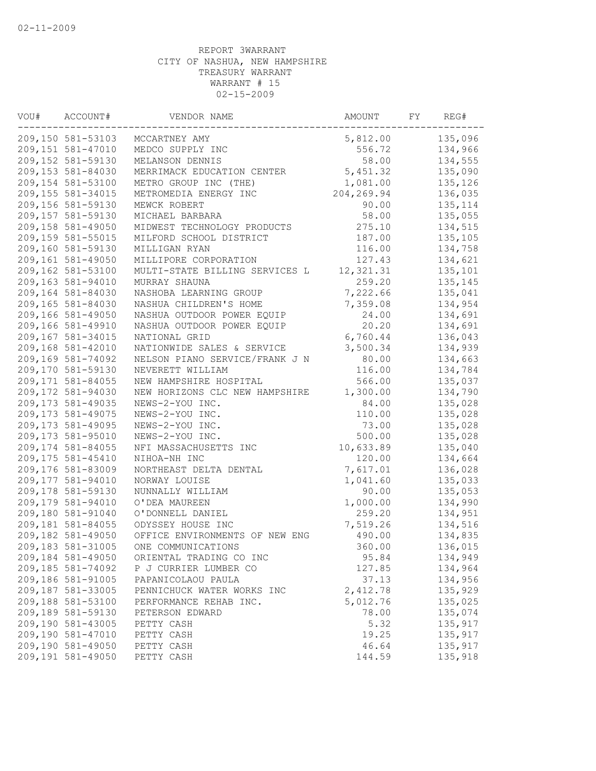| VOU# | ACCOUNT#          | VENDOR NAME                    | AMOUNT      | FY | REG#     |
|------|-------------------|--------------------------------|-------------|----|----------|
|      | 209,150 581-53103 | MCCARTNEY AMY                  | 5,812.00    |    | 135,096  |
|      | 209,151 581-47010 | MEDCO SUPPLY INC               | 556.72      |    | 134,966  |
|      | 209,152 581-59130 | MELANSON DENNIS                | 58.00       |    | 134,555  |
|      | 209,153 581-84030 | MERRIMACK EDUCATION CENTER     | 5,451.32    |    | 135,090  |
|      | 209,154 581-53100 | METRO GROUP INC (THE)          | 1,081.00    |    | 135,126  |
|      | 209,155 581-34015 | METROMEDIA ENERGY INC          | 204, 269.94 |    | 136,035  |
|      | 209,156 581-59130 | MEWCK ROBERT                   | 90.00       |    | 135, 114 |
|      | 209,157 581-59130 | MICHAEL BARBARA                | 58.00       |    | 135,055  |
|      | 209,158 581-49050 | MIDWEST TECHNOLOGY PRODUCTS    | 275.10      |    | 134,515  |
|      | 209,159 581-55015 | MILFORD SCHOOL DISTRICT        | 187.00      |    | 135,105  |
|      | 209,160 581-59130 | MILLIGAN RYAN                  | 116.00      |    | 134,758  |
|      | 209,161 581-49050 | MILLIPORE CORPORATION          | 127.43      |    | 134,621  |
|      | 209,162 581-53100 | MULTI-STATE BILLING SERVICES L | 12,321.31   |    | 135,101  |
|      | 209,163 581-94010 | MURRAY SHAUNA                  | 259.20      |    | 135,145  |
|      | 209,164 581-84030 | NASHOBA LEARNING GROUP         | 7,222.66    |    | 135,041  |
|      | 209,165 581-84030 | NASHUA CHILDREN'S HOME         | 7,359.08    |    | 134,954  |
|      | 209,166 581-49050 | NASHUA OUTDOOR POWER EQUIP     | 24.00       |    | 134,691  |
|      | 209,166 581-49910 | NASHUA OUTDOOR POWER EQUIP     | 20.20       |    | 134,691  |
|      | 209,167 581-34015 | NATIONAL GRID                  | 6,760.44    |    | 136,043  |
|      | 209,168 581-42010 | NATIONWIDE SALES & SERVICE     | 3,500.34    |    | 134,939  |
|      | 209,169 581-74092 | NELSON PIANO SERVICE/FRANK J N | 80.00       |    | 134,663  |
|      | 209,170 581-59130 | NEVERETT WILLIAM               | 116.00      |    | 134,784  |
|      | 209,171 581-84055 | NEW HAMPSHIRE HOSPITAL         | 566.00      |    | 135,037  |
|      | 209,172 581-94030 | NEW HORIZONS CLC NEW HAMPSHIRE | 1,300.00    |    | 134,790  |
|      | 209,173 581-49035 | NEWS-2-YOU INC.                | 84.00       |    | 135,028  |
|      | 209,173 581-49075 | NEWS-2-YOU INC.                | 110.00      |    | 135,028  |
|      | 209,173 581-49095 | NEWS-2-YOU INC.                | 73.00       |    | 135,028  |
|      | 209,173 581-95010 | NEWS-2-YOU INC.                | 500.00      |    | 135,028  |
|      | 209,174 581-84055 | NFI MASSACHUSETTS INC          | 10,633.89   |    | 135,040  |
|      | 209,175 581-45410 | NIHOA-NH INC                   | 120.00      |    | 134,664  |
|      | 209,176 581-83009 | NORTHEAST DELTA DENTAL         | 7,617.01    |    | 136,028  |
|      | 209,177 581-94010 | NORWAY LOUISE                  | 1,041.60    |    | 135,033  |
|      | 209,178 581-59130 | NUNNALLY WILLIAM               | 90.00       |    | 135,053  |
|      | 209,179 581-94010 | O'DEA MAUREEN                  | 1,000.00    |    | 134,990  |
|      | 209,180 581-91040 | O'DONNELL DANIEL               | 259.20      |    | 134,951  |
|      | 209,181 581-84055 | ODYSSEY HOUSE INC              | 7,519.26    |    | 134,516  |
|      | 209,182 581-49050 | OFFICE ENVIRONMENTS OF NEW ENG | 490.00      |    | 134,835  |
|      | 209,183 581-31005 | ONE COMMUNICATIONS             | 360.00      |    | 136,015  |
|      | 209,184 581-49050 | ORIENTAL TRADING CO INC        | 95.84       |    | 134,949  |
|      | 209,185 581-74092 | P J CURRIER LUMBER CO          | 127.85      |    | 134,964  |
|      | 209,186 581-91005 | PAPANICOLAOU PAULA             | 37.13       |    | 134,956  |
|      | 209,187 581-33005 | PENNICHUCK WATER WORKS INC     | 2,412.78    |    | 135,929  |
|      | 209,188 581-53100 | PERFORMANCE REHAB INC.         | 5,012.76    |    | 135,025  |
|      | 209,189 581-59130 | PETERSON EDWARD                | 78.00       |    | 135,074  |
|      | 209,190 581-43005 | PETTY CASH                     | 5.32        |    | 135,917  |
|      | 209,190 581-47010 | PETTY CASH                     | 19.25       |    | 135,917  |
|      | 209,190 581-49050 | PETTY CASH                     | 46.64       |    | 135,917  |
|      | 209,191 581-49050 | PETTY CASH                     | 144.59      |    | 135,918  |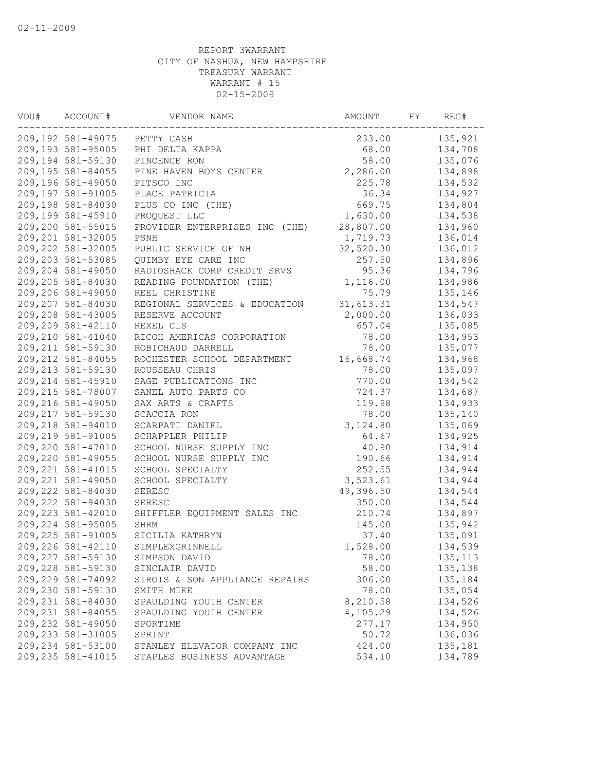| VOU# | ACCOUNT#           | VENDOR NAME                    | AMOUNT    | FY | REG#     |
|------|--------------------|--------------------------------|-----------|----|----------|
|      | 209,192 581-49075  | PETTY CASH                     | 233.00    |    | 135,921  |
|      | 209,193 581-95005  | PHI DELTA KAPPA                | 68.00     |    | 134,708  |
|      | 209,194 581-59130  | PINCENCE RON                   | 58.00     |    | 135,076  |
|      | 209,195 581-84055  | PINE HAVEN BOYS CENTER         | 2,286.00  |    | 134,898  |
|      | 209,196 581-49050  | PITSCO INC                     | 225.78    |    | 134,532  |
|      | 209,197 581-91005  | PLACE PATRICIA                 | 36.34     |    | 134,927  |
|      | 209,198 581-84030  | PLUS CO INC (THE)              | 669.75    |    | 134,804  |
|      | 209,199 581-45910  | PROQUEST LLC                   | 1,630.00  |    | 134,538  |
|      | 209,200 581-55015  | PROVIDER ENTERPRISES INC (THE) | 28,807.00 |    | 134,960  |
|      | 209,201 581-32005  | PSNH                           | 1,719.73  |    | 136,014  |
|      | 209,202 581-32005  | PUBLIC SERVICE OF NH           | 32,520.30 |    | 136,012  |
|      | 209,203 581-53085  | QUIMBY EYE CARE INC            | 257.50    |    | 134,896  |
|      | 209,204 581-49050  | RADIOSHACK CORP CREDIT SRVS    | 95.36     |    | 134,796  |
|      | 209,205 581-84030  | READING FOUNDATION (THE)       | 1,116.00  |    | 134,986  |
|      | 209,206 581-49050  | REEL CHRISTINE                 | 75.79     |    | 135,146  |
|      | 209,207 581-84030  | REGIONAL SERVICES & EDUCATION  | 31,613.31 |    | 134,547  |
|      | 209,208 581-43005  | RESERVE ACCOUNT                | 2,000.00  |    | 136,033  |
|      | 209,209 581-42110  | REXEL CLS                      | 657.04    |    | 135,085  |
|      | 209,210 581-41040  | RICOH AMERICAS CORPORATION     | 78.00     |    | 134,953  |
|      | 209, 211 581-59130 | ROBICHAUD DARRELL              | 78.00     |    | 135,077  |
|      | 209, 212 581-84055 | ROCHESTER SCHOOL DEPARTMENT    | 16,668.74 |    | 134,968  |
|      | 209, 213 581-59130 | ROUSSEAU CHRIS                 | 78.00     |    | 135,097  |
|      | 209, 214 581-45910 | SAGE PUBLICATIONS INC          | 770.00    |    | 134,542  |
|      | 209, 215 581-78007 | SANEL AUTO PARTS CO            | 724.37    |    | 134,687  |
|      | 209,216 581-49050  |                                |           |    | 134,933  |
|      |                    | SAX ARTS & CRAFTS              | 119.98    |    |          |
|      | 209, 217 581-59130 | SCACCIA RON                    | 78.00     |    | 135,140  |
|      | 209,218 581-94010  | SCARPATI DANIEL                | 3,124.80  |    | 135,069  |
|      | 209,219 581-91005  | SCHAPPLER PHILIP               | 64.67     |    | 134,925  |
|      | 209,220 581-47010  | SCHOOL NURSE SUPPLY INC        | 40.90     |    | 134,914  |
|      | 209,220 581-49055  | SCHOOL NURSE SUPPLY INC        | 190.66    |    | 134,914  |
|      | 209, 221 581-41015 | SCHOOL SPECIALTY               | 252.55    |    | 134,944  |
|      | 209, 221 581-49050 | SCHOOL SPECIALTY               | 3,523.61  |    | 134,944  |
|      | 209, 222 581-84030 | SERESC                         | 49,396.50 |    | 134,544  |
|      | 209,222 581-94030  | SERESC                         | 350.00    |    | 134,544  |
|      | 209, 223 581-42010 | SHIFFLER EQUIPMENT SALES INC   | 210.74    |    | 134,897  |
|      | 209, 224 581-95005 | SHRM                           | 145.00    |    | 135,942  |
|      | 209, 225 581-91005 | SICILIA KATHRYN                | 37.40     |    | 135,091  |
|      | 209,226 581-42110  | SIMPLEXGRINNELL                | 1,528.00  |    | 134,539  |
|      | 209,227 581-59130  | SIMPSON DAVID                  | 78.00     |    | 135, 113 |
|      | 209,228 581-59130  | SINCLAIR DAVID                 | 58.00     |    | 135,138  |
|      | 209,229 581-74092  | SIROIS & SON APPLIANCE REPAIRS | 306.00    |    | 135,184  |
|      | 209,230 581-59130  | SMITH MIKE                     | 78.00     |    | 135,054  |
|      | 209,231 581-84030  | SPAULDING YOUTH CENTER         | 8,210.58  |    | 134,526  |
|      | 209, 231 581-84055 | SPAULDING YOUTH CENTER         | 4,105.29  |    | 134,526  |
|      | 209,232 581-49050  | SPORTIME                       | 277.17    |    | 134,950  |
|      | 209, 233 581-31005 | SPRINT                         | 50.72     |    | 136,036  |
|      | 209,234 581-53100  | STANLEY ELEVATOR COMPANY INC   | 424.00    |    | 135,181  |
|      | 209, 235 581-41015 | STAPLES BUSINESS ADVANTAGE     | 534.10    |    | 134,789  |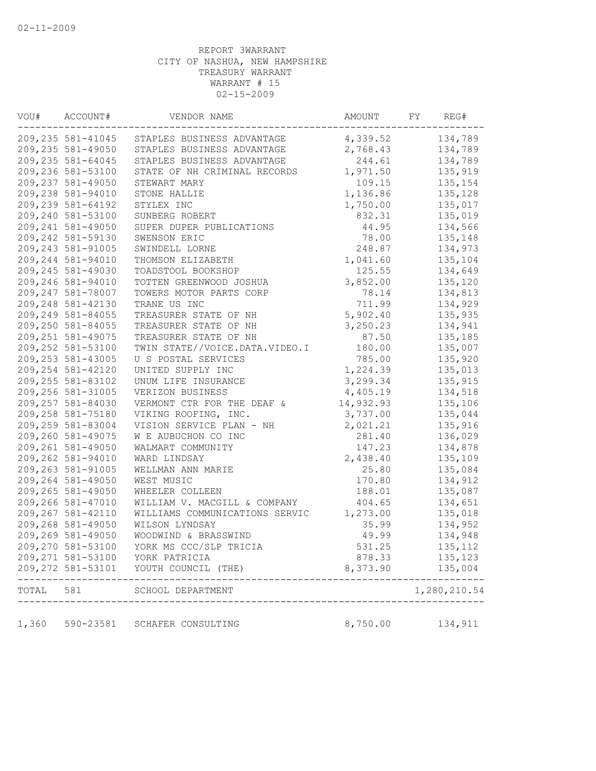| VOU#  | ACCOUNT#           | VENDOR NAME                    | AMOUNT    | FY          | REG#                       |
|-------|--------------------|--------------------------------|-----------|-------------|----------------------------|
|       | 209,235 581-41045  | STAPLES BUSINESS ADVANTAGE     | 4,339.52  |             | 134,789                    |
|       | 209, 235 581-49050 | STAPLES BUSINESS ADVANTAGE     | 2,768.43  |             | 134,789                    |
|       | 209, 235 581-64045 | STAPLES BUSINESS ADVANTAGE     | 244.61    |             | 134,789                    |
|       | 209,236 581-53100  | STATE OF NH CRIMINAL RECORDS   | 1,971.50  |             | 135,919                    |
|       | 209, 237 581-49050 | STEWART MARY                   | 109.15    |             | 135,154                    |
|       | 209,238 581-94010  | STONE HALLIE                   | 1,136.86  |             | 135,128                    |
|       | 209,239 581-64192  | STYLEX INC                     | 1,750.00  |             | 135,017                    |
|       | 209,240 581-53100  | SUNBERG ROBERT                 | 832.31    |             | 135,019                    |
|       | 209, 241 581-49050 | SUPER DUPER PUBLICATIONS       | 44.95     |             | 134,566                    |
|       | 209, 242 581-59130 | SWENSON ERIC                   | 78.00     |             | 135,148                    |
|       | 209, 243 581-91005 | SWINDELL LORNE                 | 248.87    |             | 134,973                    |
|       | 209, 244 581-94010 | THOMSON ELIZABETH              | 1,041.60  |             | 135,104                    |
|       | 209, 245 581-49030 | TOADSTOOL BOOKSHOP             | 125.55    |             | 134,649                    |
|       | 209,246 581-94010  | TOTTEN GREENWOOD JOSHUA        | 3,852.00  |             | 135,120                    |
|       | 209, 247 581-78007 | TOWERS MOTOR PARTS CORP        | 78.14     |             | 134,813                    |
|       | 209, 248 581-42130 | TRANE US INC                   | 711.99    |             | 134,929                    |
|       | 209,249 581-84055  | TREASURER STATE OF NH          | 5,902.40  |             | 135,935                    |
|       | 209,250 581-84055  | TREASURER STATE OF NH          | 3,250.23  |             | 134,941                    |
|       | 209, 251 581-49075 | TREASURER STATE OF NH          | 87.50     |             | 135,185                    |
|       | 209,252 581-53100  | TWIN STATE//VOICE.DATA.VIDEO.I | 180.00    |             | 135,007                    |
|       | 209, 253 581-43005 | U S POSTAL SERVICES            | 785.00    |             | 135,920                    |
|       | 209, 254 581-42120 | UNITED SUPPLY INC              | 1,224.39  |             | 135,013                    |
|       | 209, 255 581-83102 | UNUM LIFE INSURANCE            | 3,299.34  |             | 135,915                    |
|       | 209, 256 581-31005 | VERIZON BUSINESS               | 4,405.19  |             | 134,518                    |
|       | 209, 257 581-84030 | VERMONT CTR FOR THE DEAF &     | 14,932.93 |             | 135,106                    |
|       | 209,258 581-75180  | VIKING ROOFING, INC.           | 3,737.00  |             | 135,044                    |
|       | 209,259 581-83004  | VISION SERVICE PLAN - NH       | 2,021.21  |             | 135,916                    |
|       | 209,260 581-49075  | W E AUBUCHON CO INC            | 281.40    |             | 136,029                    |
|       | 209,261 581-49050  | WALMART COMMUNITY              | 147.23    |             | 134,878                    |
|       | 209,262 581-94010  | WARD LINDSAY                   | 2,438.40  |             | 135,109                    |
|       | 209, 263 581-91005 | WELLMAN ANN MARIE              | 25.80     |             | 135,084                    |
|       | 209, 264 581-49050 | WEST MUSIC                     | 170.80    |             | 134,912                    |
|       | 209, 265 581-49050 | WHEELER COLLEEN                | 188.01    |             | 135,087                    |
|       | 209,266 581-47010  | WILLIAM V. MACGILL & COMPANY   | 404.65    |             | 134,651                    |
|       | 209, 267 581-42110 | WILLIAMS COMMUNICATIONS SERVIC | 1,273.00  |             | 135,018                    |
|       | 209,268 581-49050  | WILSON LYNDSAY                 | 35.99     |             | 134,952                    |
|       | 209,269 581-49050  | WOODWIND & BRASSWIND           | 49.99     |             | 134,948                    |
|       | 209,270 581-53100  | YORK MS CCC/SLP TRICIA         | 531.25    |             | 135, 112                   |
|       | 209, 271 581-53100 | YORK PATRICIA                  | 878.33    |             | 135,123                    |
|       | 209, 272 581-53101 | YOUTH COUNCIL (THE)            | 8,373.90  |             | 135,004<br>- - - - - - - - |
| TOTAL | 581                | SCHOOL DEPARTMENT              |           | ----------- | 1,280,210.54               |
| 1,360 | 590-23581          | SCHAFER CONSULTING             | 8,750.00  |             | 134,911                    |
|       |                    |                                |           |             |                            |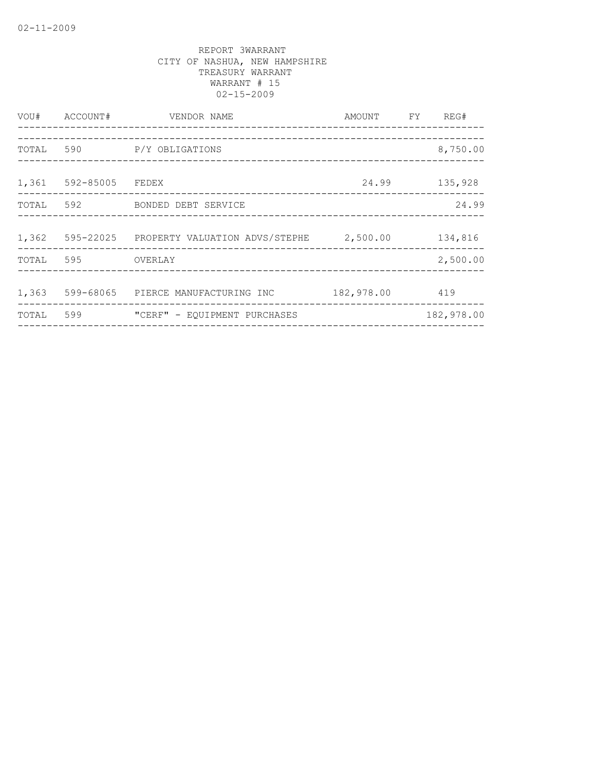| VOU#  | ACCOUNT#              | VENDOR NAME                                       | AMOUNT FY  | REG#       |
|-------|-----------------------|---------------------------------------------------|------------|------------|
| TOTAL | 590                   | P/Y OBLIGATIONS                                   |            | 8,750.00   |
|       | 1,361 592-85005 FEDEX | ___________________________________               | 24.99      | 135,928    |
| TOTAL | 592                   | BONDED DEBT SERVICE                               |            | 24.99      |
| 1,362 |                       | 595-22025 PROPERTY VALUATION ADVS/STEPHE 2,500.00 |            | 134,816    |
| TOTAL | 595                   | OVERLAY                                           |            | 2,500.00   |
| 1,363 |                       | 599-68065 PIERCE MANUFACTURING INC                | 182,978.00 | 419        |
| TOTAL | 599                   | "CERF" - EQUIPMENT PURCHASES                      |            | 182,978.00 |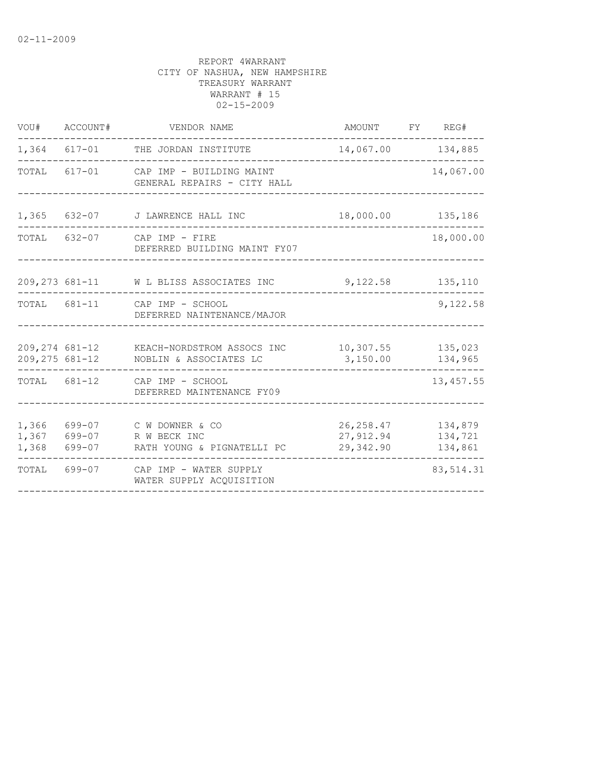| VOU#                    | ACCOUNT#                   | VENDOR NAME                                                                   | AMOUNT                               | FY REG#                       |
|-------------------------|----------------------------|-------------------------------------------------------------------------------|--------------------------------------|-------------------------------|
|                         | $1,364$ $617-01$           | THE JORDAN INSTITUTE                                                          | 14,067.00 134,885                    |                               |
| TOTAL                   |                            | 617-01 CAP IMP - BUILDING MAINT<br>GENERAL REPAIRS - CITY HALL                |                                      | 14,067.00                     |
| 1,365                   |                            | 632-07 J LAWRENCE HALL INC                                                    | 18,000.00 135,186                    |                               |
|                         |                            | TOTAL 632-07 CAP IMP - FIRE<br>DEFERRED BUILDING MAINT FY07                   |                                      | 18,000.00                     |
|                         |                            | 209, 273 681-11 W L BLISS ASSOCIATES INC                                      | 9,122.58                             | 135,110                       |
|                         |                            | TOTAL 681-11 CAP IMP - SCHOOL<br>DEFERRED NAINTENANCE/MAJOR                   |                                      | 9,122.58                      |
|                         | 209,275 681-12             | 209,274 681-12 KEACH-NORDSTROM ASSOCS INC 10,307.55<br>NOBLIN & ASSOCIATES LC | 3,150.00                             | 135,023<br>134,965            |
|                         |                            | TOTAL 681-12 CAP IMP - SCHOOL<br>DEFERRED MAINTENANCE FY09                    |                                      | 13, 457.55                    |
| 1,366<br>1,367<br>1,368 | 699-07<br>699-07<br>699-07 | C W DOWNER & CO<br>R W BECK INC<br>RATH YOUNG & PIGNATELLI PC                 | 26, 258.47<br>27,912.94<br>29,342.90 | 134,879<br>134,721<br>134,861 |
| TOTAL                   | 699-07                     | CAP IMP - WATER SUPPLY<br>WATER SUPPLY ACQUISITION                            |                                      | 83, 514.31                    |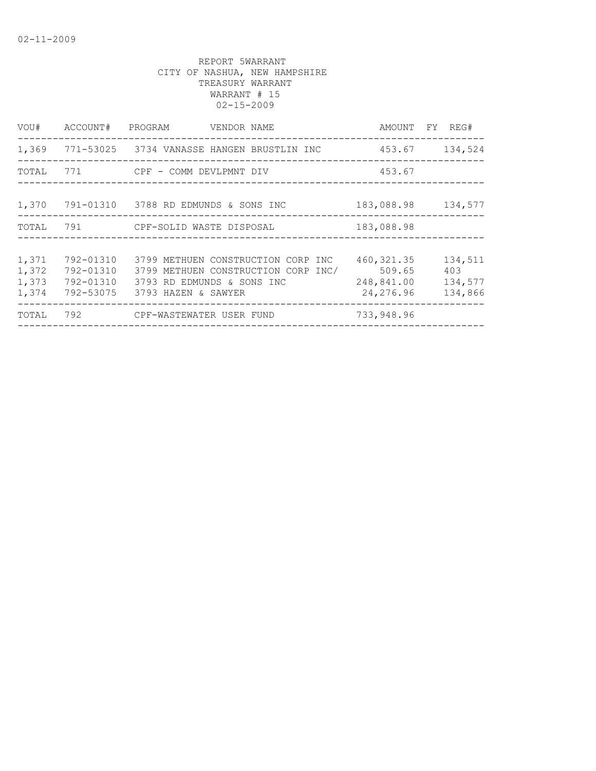| VOU#                             | ACCOUNT#                                         | PROGRAM<br>VENDOR NAME                                                                                                         |                                                   | AMOUNT FY REG#                       |
|----------------------------------|--------------------------------------------------|--------------------------------------------------------------------------------------------------------------------------------|---------------------------------------------------|--------------------------------------|
| 1,369                            |                                                  | 771-53025   3734 VANASSE HANGEN BRUSTLIN INC                                                                                   | 453.67                                            | 134,524                              |
|                                  |                                                  | TOTAL 771 CPF - COMM DEVLPMNT DIV                                                                                              | 453.67                                            |                                      |
| 1,370                            |                                                  | 791-01310 3788 RD EDMUNDS & SONS INC                                                                                           | 183,088.98 134,577                                |                                      |
| TOTAL                            |                                                  |                                                                                                                                | 183,088.98                                        |                                      |
| 1,371<br>1,372<br>1,373<br>1,374 | 792-01310<br>792-01310<br>792-01310<br>792-53075 | 3799 METHUEN CONSTRUCTION CORP INC<br>3799 METHUEN CONSTRUCTION CORP INC/<br>3793 RD EDMUNDS & SONS INC<br>3793 HAZEN & SAWYER | 460, 321.35<br>509.65<br>248,841.00<br>24, 276.96 | 134,511<br>403<br>134,577<br>134,866 |
| TOTAL                            | 792                                              | CPF-WASTEWATER USER FUND                                                                                                       | 733,948.96                                        |                                      |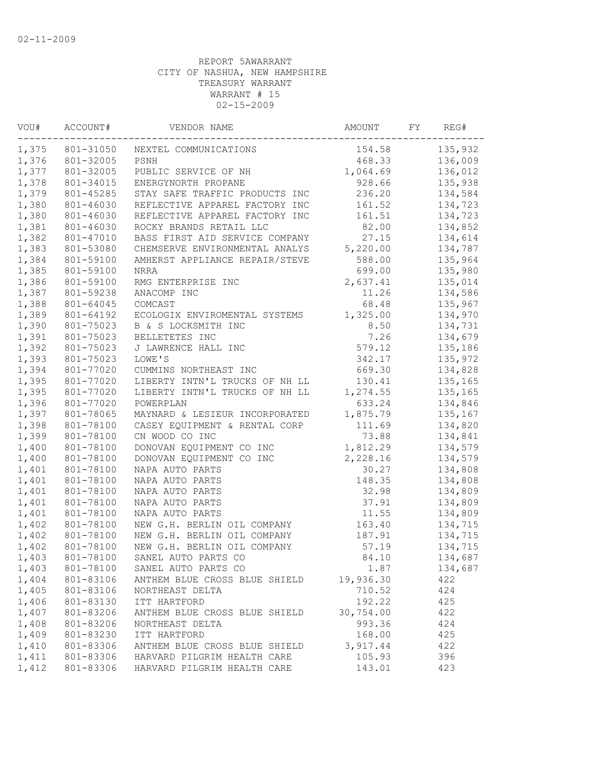| VOU#               | ACCOUNT#<br>---------- | VENDOR NAME                    |           |  | REG#               |  |
|--------------------|------------------------|--------------------------------|-----------|--|--------------------|--|
| 1,375<br>801-31050 |                        | NEXTEL COMMUNICATIONS          | 154.58    |  | 135,932            |  |
| 1,376              | 801-32005              | PSNH                           | 468.33    |  | 136,009            |  |
| 1,377              | 801-32005              | PUBLIC SERVICE OF NH           | 1,064.69  |  | 136,012            |  |
| 1,378              | 801-34015              | ENERGYNORTH PROPANE            | 928.66    |  | 135,938            |  |
| 1,379              | 801-45285              | STAY SAFE TRAFFIC PRODUCTS INC | 236.20    |  | 134,584            |  |
| 1,380              | 801-46030              | REFLECTIVE APPAREL FACTORY INC | 161.52    |  | 134,723            |  |
| 1,380              | 801-46030              | REFLECTIVE APPAREL FACTORY INC | 161.51    |  | 134,723            |  |
| 1,381              | 801-46030              | ROCKY BRANDS RETAIL LLC        | 82.00     |  | 134,852            |  |
| 1,382              | 801-47010              | BASS FIRST AID SERVICE COMPANY | 27.15     |  | 134,614            |  |
| 1,383              | 801-53080              | CHEMSERVE ENVIRONMENTAL ANALYS | 5,220.00  |  | 134,787            |  |
| 1,384              | 801-59100              | AMHERST APPLIANCE REPAIR/STEVE | 588.00    |  | 135,964            |  |
| 1,385              | 801-59100              | NRRA                           | 699.00    |  | 135,980            |  |
| 1,386              | 801-59100              | RMG ENTERPRISE INC             | 2,637.41  |  | 135,014            |  |
| 1,387              | 801-59238              | ANACOMP INC                    | 11.26     |  | 134,586            |  |
| 1,388              | 801-64045              | COMCAST                        | 68.48     |  | 135,967            |  |
| 1,389              | 801-64192              | ECOLOGIX ENVIROMENTAL SYSTEMS  | 1,325.00  |  | 134,970            |  |
| 1,390              | 801-75023              | B & S LOCKSMITH INC            | 8.50      |  | 134,731            |  |
| 1,391              | 801-75023              | BELLETETES INC                 | 7.26      |  | 134,679            |  |
| 1,392              | 801-75023              | J LAWRENCE HALL INC            | 579.12    |  | 135,186            |  |
| 1,393              | 801-75023              | LOWE'S                         | 342.17    |  | 135,972            |  |
| 1,394              | 801-77020              | CUMMINS NORTHEAST INC          | 669.30    |  | 134,828            |  |
| 1,395              | 801-77020              | LIBERTY INTN'L TRUCKS OF NH LL | 130.41    |  | 135,165            |  |
| 1,395              | 801-77020              | LIBERTY INTN'L TRUCKS OF NH LL | 1,274.55  |  | 135,165            |  |
| 1,396              | 801-77020              | POWERPLAN                      | 633.24    |  | 134,846            |  |
| 1,397              | 801-78065              | MAYNARD & LESIEUR INCORPORATED | 1,875.79  |  | 135,167            |  |
| 1,398              | 801-78100              | CASEY EQUIPMENT & RENTAL CORP  | 111.69    |  | 134,820            |  |
| 1,399              | 801-78100              | CN WOOD CO INC                 | 73.88     |  | 134,841            |  |
| 1,400              | 801-78100              | DONOVAN EQUIPMENT CO INC       | 1,812.29  |  | 134,579            |  |
| 1,400              | 801-78100              | DONOVAN EQUIPMENT CO INC       | 2,228.16  |  | 134,579            |  |
| 1,401              | 801-78100              | NAPA AUTO PARTS                | 30.27     |  | 134,808            |  |
| 1,401              | 801-78100              | NAPA AUTO PARTS                | 148.35    |  | 134,808            |  |
| 1,401              | 801-78100              | NAPA AUTO PARTS                | 32.98     |  | 134,809            |  |
|                    | 801-78100              | NAPA AUTO PARTS                | 37.91     |  |                    |  |
| 1,401              |                        |                                | 11.55     |  | 134,809<br>134,809 |  |
| 1,401              | 801-78100              | NAPA AUTO PARTS                |           |  |                    |  |
| 1,402              | 801-78100              | NEW G.H. BERLIN OIL COMPANY    | 163.40    |  | 134,715            |  |
| 1,402              | 801-78100              | NEW G.H. BERLIN OIL COMPANY    | 187.91    |  | 134,715            |  |
| 1,402              | 801-78100              | NEW G.H. BERLIN OIL COMPANY    | 57.19     |  | 134,715            |  |
| 1,403              | 801-78100              | SANEL AUTO PARTS CO            | 84.10     |  | 134,687            |  |
| 1,403              | 801-78100              | SANEL AUTO PARTS CO            | 1.87      |  | 134,687            |  |
| 1,404              | 801-83106              | ANTHEM BLUE CROSS BLUE SHIELD  | 19,936.30 |  | 422                |  |
| 1,405              | 801-83106              | NORTHEAST DELTA                | 710.52    |  | 424                |  |
| 1,406              | 801-83130              | ITT HARTFORD                   | 192.22    |  | 425                |  |
| 1,407              | 801-83206              | ANTHEM BLUE CROSS BLUE SHIELD  | 30,754.00 |  | 422                |  |
| 1,408              | 801-83206              | NORTHEAST DELTA                | 993.36    |  | 424                |  |
| 1,409              | 801-83230              | ITT HARTFORD                   | 168.00    |  | 425                |  |
| 1,410              | 801-83306              | ANTHEM BLUE CROSS BLUE SHIELD  | 3,917.44  |  | 422                |  |
| 1,411              | 801-83306              | HARVARD PILGRIM HEALTH CARE    | 105.93    |  | 396                |  |
| 1,412              | 801-83306              | HARVARD PILGRIM HEALTH CARE    | 143.01    |  | 423                |  |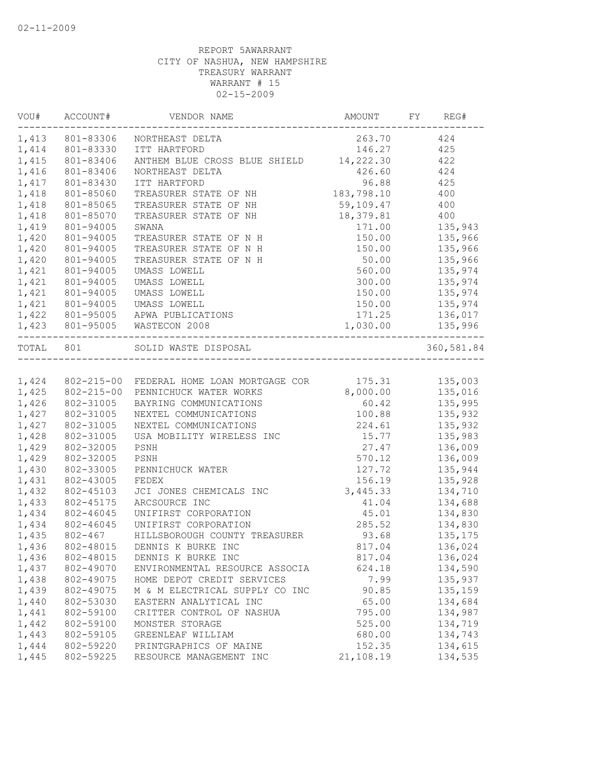| VOU#      | ACCOUNT#<br>------------ | VENDOR NAME                                                          | AMOUNT     | FY<br>REG#           |
|-----------|--------------------------|----------------------------------------------------------------------|------------|----------------------|
|           | 1,413 801-83306          | NORTHEAST DELTA                                                      |            | 263.70 424           |
| 1,414     | 801-83330                | ITT HARTFORD                                                         | 146.27     | 425                  |
| 1,415     | 801-83406                | ANTHEM BLUE CROSS BLUE SHIELD 14, 222.30                             |            | 422                  |
| 1,416     | 801-83406                | NORTHEAST DELTA                                                      | 426.60     | 424                  |
| 1,417     | 801-83430                | ITT HARTFORD                                                         | 96.88      | 425                  |
| 1,418     | 801-85060                | TREASURER STATE OF NH                                                | 183,798.10 | 400                  |
| 1,418     | 801-85065                | TREASURER STATE OF NH                                                | 59,109.47  | 400                  |
| 1,418     | 801-85070                | TREASURER STATE OF NH                                                | 18,379.81  | 400                  |
| 1,419     | 801-94005                | SWANA                                                                | 171.00     | 135,943              |
| 1,420     | 801-94005                | TREASURER STATE OF N H                                               | 150.00     | 135,966              |
| 1,420     | 801-94005                | TREASURER STATE OF N H                                               | 150.00     | 135,966              |
| 1,420     | 801-94005                | TREASURER STATE OF N H                                               | 50.00      | 135,966              |
| 1,421     | 801-94005                | UMASS LOWELL                                                         | 560.00     | 135,974              |
| 1,421     | 801-94005                | UMASS LOWELL                                                         | 300.00     | 135,974              |
| 1,421     | 801-94005                | UMASS LOWELL                                                         | 150.00     | 135,974              |
| 1,421     | 801-94005                | UMASS LOWELL                                                         | 150.00     | 135,974              |
| 1,422     | 801-95005                | APWA PUBLICATIONS                                                    | 171.25     | 136,017              |
|           |                          | 1,423 801-95005 WASTECON 2008<br>----------------------------------- | 1,030.00   | 135,996<br>--------- |
| TOTAL 801 |                          | SOLID WASTE DISPOSAL<br>______________________________               |            | 360,581.84           |
|           |                          |                                                                      |            |                      |
|           |                          | 1,424 802-215-00 FEDERAL HOME LOAN MORTGAGE COR                      | 175.31     | 135,003              |
| 1,425     |                          | 802-215-00 PENNICHUCK WATER WORKS                                    | 8,000.00   | 135,016              |
| 1,426     | 802-31005                | BAYRING COMMUNICATIONS                                               | 60.42      | 135,995              |
| 1,427     | 802-31005                | NEXTEL COMMUNICATIONS                                                | 100.88     | 135,932              |
| 1,427     | 802-31005                | NEXTEL COMMUNICATIONS                                                | 224.61     | 135,932              |
| 1,428     | 802-31005                | USA MOBILITY WIRELESS INC                                            | 15.77      | 135,983              |
| 1,429     | 802-32005                | PSNH                                                                 | 27.47      | 136,009              |
| 1,429     | 802-32005                | PSNH                                                                 | 570.12     | 136,009              |
| 1,430     | 802-33005                | PENNICHUCK WATER                                                     | 127.72     | 135,944              |
| 1,431     | 802-43005                | FEDEX                                                                | 156.19     | 135,928              |
| 1,432     | 802-45103                | JCI JONES CHEMICALS INC                                              | 3,445.33   | 134,710              |
| 1,433     | 802-45175                | ARCSOURCE INC                                                        | 41.04      | 134,688              |
| 1,434     | 802-46045                | UNIFIRST CORPORATION                                                 | 45.01      | 134,830              |
| 1,434     | 802-46045                | UNIFIRST CORPORATION                                                 | 285.52     | 134,830              |
| 1,435     | 802-467                  | HILLSBOROUGH COUNTY TREASURER                                        | 93.68      | 135,175              |
| 1,436     | 802-48015                | DENNIS K BURKE INC                                                   | 817.04     | 136,024              |
| 1,436     | 802-48015                | DENNIS K BURKE INC                                                   | 817.04     | 136,024              |
| 1,437     | 802-49070                | ENVIRONMENTAL RESOURCE ASSOCIA                                       | 624.18     | 134,590              |
| 1,438     | 802-49075                | HOME DEPOT CREDIT SERVICES                                           | 7.99       | 135,937              |
| 1,439     | 802-49075                | M & M ELECTRICAL SUPPLY CO INC                                       | 90.85      | 135,159              |
| 1,440     | 802-53030                | EASTERN ANALYTICAL INC                                               | 65.00      | 134,684              |
| 1,441     | 802-59100                | CRITTER CONTROL OF NASHUA                                            | 795.00     | 134,987              |
| 1,442     | 802-59100                | MONSTER STORAGE                                                      | 525.00     | 134,719              |
| 1,443     | 802-59105                | GREENLEAF WILLIAM                                                    | 680.00     | 134,743              |
| 1,444     | 802-59220                | PRINTGRAPHICS OF MAINE                                               | 152.35     | 134,615              |
| 1,445     | 802-59225                | RESOURCE MANAGEMENT INC                                              | 21,108.19  | 134,535              |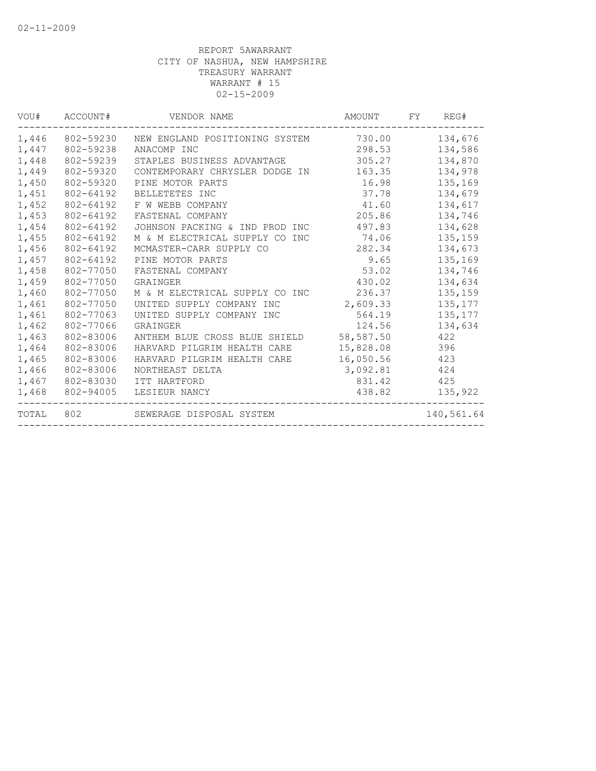| VOU#  | ACCOUNT#  | VENDOR NAME                             | AMOUNT    | FY | REG#       |
|-------|-----------|-----------------------------------------|-----------|----|------------|
| 1,446 | 802-59230 | NEW ENGLAND POSITIONING SYSTEM          | 730.00    |    | 134,676    |
| 1,447 | 802-59238 | ANACOMP INC                             | 298.53    |    | 134,586    |
| 1,448 | 802-59239 | STAPLES BUSINESS ADVANTAGE              | 305.27    |    | 134,870    |
| 1,449 | 802-59320 | CONTEMPORARY CHRYSLER DODGE IN          | 163.35    |    | 134,978    |
| 1,450 | 802-59320 | PINE MOTOR PARTS                        | 16.98     |    | 135,169    |
| 1,451 | 802-64192 | BELLETETES INC                          | 37.78     |    | 134,679    |
| 1,452 | 802-64192 | F W WEBB COMPANY                        | 41.60     |    | 134,617    |
| 1,453 | 802-64192 | FASTENAL COMPANY                        | 205.86    |    | 134,746    |
| 1,454 | 802-64192 | JOHNSON PACKING & IND PROD INC          | 497.83    |    | 134,628    |
| 1,455 | 802-64192 | M & M ELECTRICAL SUPPLY CO<br>INC       | 74.06     |    | 135,159    |
| 1,456 | 802-64192 | MCMASTER-CARR SUPPLY CO                 | 282.34    |    | 134,673    |
| 1,457 | 802-64192 | PINE MOTOR PARTS                        | 9.65      |    | 135,169    |
| 1,458 | 802-77050 | FASTENAL COMPANY                        | 53.02     |    | 134,746    |
| 1,459 | 802-77050 | GRAINGER                                | 430.02    |    | 134,634    |
| 1,460 | 802-77050 | M & M ELECTRICAL SUPPLY CO INC          | 236.37    |    | 135,159    |
| 1,461 | 802-77050 | UNITED SUPPLY COMPANY INC               | 2,609.33  |    | 135, 177   |
| 1,461 | 802-77063 | UNITED SUPPLY COMPANY INC               | 564.19    |    | 135, 177   |
| 1,462 | 802-77066 | GRAINGER                                | 124.56    |    | 134,634    |
| 1,463 | 802-83006 | ANTHEM BLUE CROSS BLUE SHIELD 58,587.50 |           |    | 422        |
| 1,464 | 802-83006 | HARVARD PILGRIM HEALTH CARE             | 15,828.08 |    | 396        |
| 1,465 | 802-83006 | HARVARD PILGRIM HEALTH CARE             | 16,050.56 |    | 423        |
| 1,466 | 802-83006 | NORTHEAST DELTA                         | 3,092.81  |    | 424        |
| 1,467 | 802-83030 | ITT HARTFORD                            | 831.42    |    | 425        |
| 1,468 | 802-94005 | LESIEUR NANCY                           | 438.82    |    | 135,922    |
| TOTAL | 802       | SEWERAGE DISPOSAL SYSTEM                |           |    | 140,561.64 |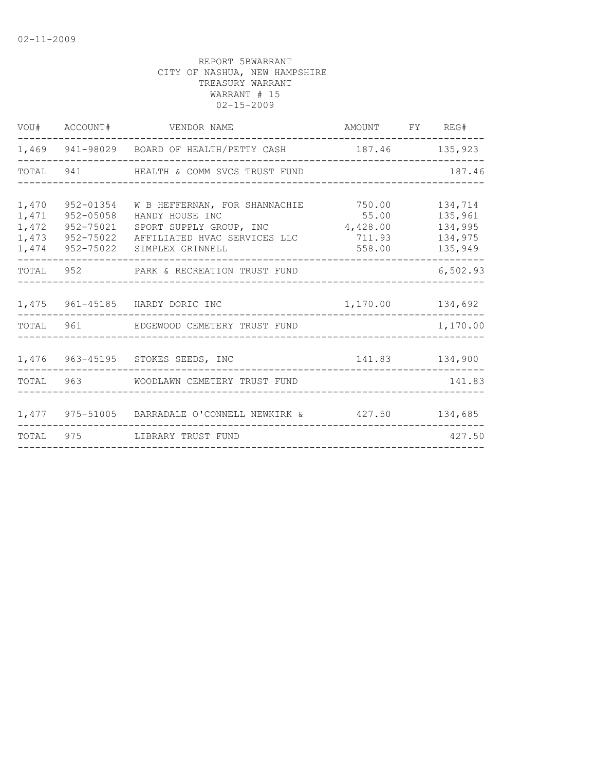|                                           |                                                               | VOU# ACCOUNT# VENDOR NAME                                                                                                                       | AMOUNT FY REG#            |                                                     |
|-------------------------------------------|---------------------------------------------------------------|-------------------------------------------------------------------------------------------------------------------------------------------------|---------------------------|-----------------------------------------------------|
|                                           |                                                               | 1,469 941-98029 BOARD OF HEALTH/PETTY CASH                                                                                                      | 187.46 135,923            |                                                     |
|                                           |                                                               | TOTAL 941 HEALTH & COMM SVCS TRUST FUND                                                                                                         |                           | 187.46                                              |
| 1,470<br>1,471<br>1,472<br>1,473<br>1,474 | 952-01354<br>952-05058<br>952-75021<br>952-75022<br>952-75022 | W B HEFFERNAN, FOR SHANNACHIE 750.00<br>HANDY HOUSE INC<br>SPORT SUPPLY GROUP, INC 4,428.00<br>AFFILIATED HVAC SERVICES LLC<br>SIMPLEX GRINNELL | 55.00<br>711.93<br>558.00 | 134,714<br>135,961<br>134,995<br>134,975<br>135,949 |
|                                           |                                                               | TOTAL 952 PARK & RECREATION TRUST FUND                                                                                                          |                           | 6,502.93                                            |
|                                           |                                                               | 1,475 961-45185 HARDY DORIC INC<br>1,170.00 134,692                                                                                             |                           |                                                     |
|                                           |                                                               | TOTAL 961 EDGEWOOD CEMETERY TRUST FUND                                                                                                          |                           | 1,170.00                                            |
|                                           |                                                               | 1,476 963-45195 STOKES SEEDS, INC<br>141.83 134,900                                                                                             |                           |                                                     |
|                                           |                                                               | TOTAL 963 WOODLAWN CEMETERY TRUST FUND                                                                                                          |                           | 141.83                                              |
|                                           |                                                               | 1,477 975-51005 BARRADALE O'CONNELL NEWKIRK & 427.50 134,685                                                                                    |                           |                                                     |
|                                           |                                                               | TOTAL 975 LIBRARY TRUST FUND                                                                                                                    |                           | 427.50                                              |
|                                           |                                                               |                                                                                                                                                 |                           |                                                     |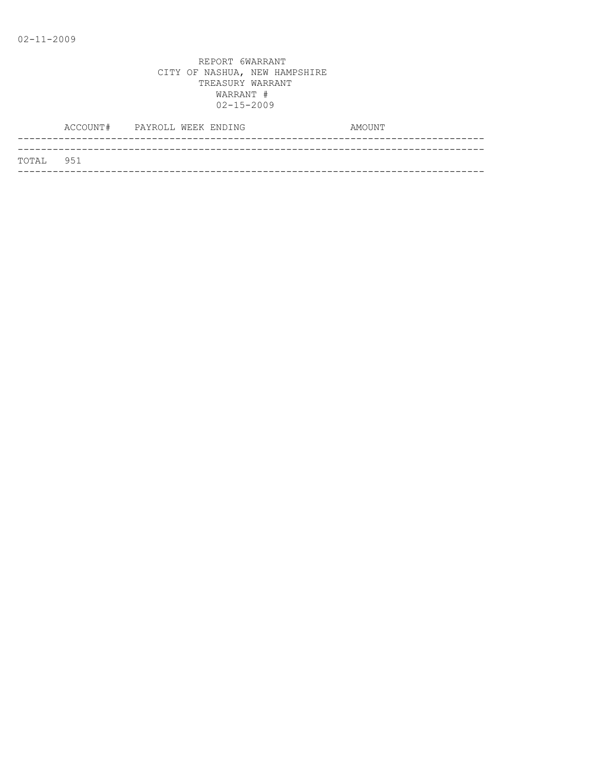|           | ACCOUNT# PAYROLL WEEK ENDING |  |  | AMOUNT |  |
|-----------|------------------------------|--|--|--------|--|
|           |                              |  |  |        |  |
| TOTAL 951 |                              |  |  |        |  |
|           |                              |  |  |        |  |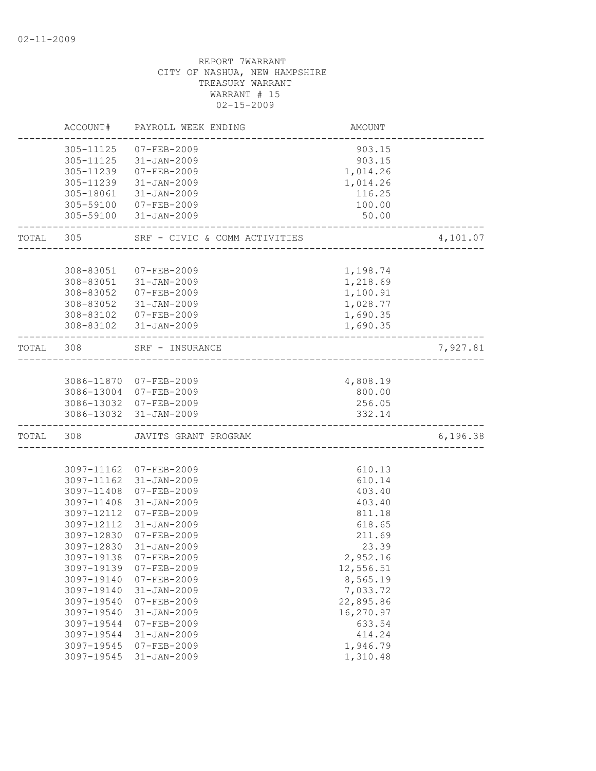|           | ACCOUNT#   | PAYROLL WEEK ENDING           | AMOUNT    |          |
|-----------|------------|-------------------------------|-----------|----------|
|           | 305-11125  | $07 - FEB - 2009$             | 903.15    |          |
|           | 305-11125  | 31-JAN-2009                   | 903.15    |          |
|           | 305-11239  | 07-FEB-2009                   | 1,014.26  |          |
|           | 305-11239  | $31 - JAN - 2009$             | 1,014.26  |          |
|           | 305-18061  | $31 - JAN - 2009$             | 116.25    |          |
|           | 305-59100  | 07-FEB-2009                   | 100.00    |          |
|           | 305-59100  | $31 - JAN - 2009$             | 50.00     |          |
| TOTAL 305 |            | SRF - CIVIC & COMM ACTIVITIES |           | 4,101.07 |
|           |            |                               |           |          |
|           | 308-83051  | 07-FEB-2009                   | 1,198.74  |          |
|           | 308-83051  | 31-JAN-2009                   | 1,218.69  |          |
|           | 308-83052  | 07-FEB-2009                   | 1,100.91  |          |
|           | 308-83052  | 31-JAN-2009                   | 1,028.77  |          |
|           | 308-83102  | 07-FEB-2009                   | 1,690.35  |          |
|           |            | 308-83102 31-JAN-2009         | 1,690.35  |          |
| TOTAL     | 308        | SRF - INSURANCE               |           | 7,927.81 |
|           |            |                               |           |          |
|           |            | 3086-11870 07-FEB-2009        | 4,808.19  |          |
|           |            | 3086-13004 07-FEB-2009        | 800.00    |          |
|           |            | 3086-13032 07-FEB-2009        | 256.05    |          |
|           |            | 3086-13032 31-JAN-2009        | 332.14    |          |
| TOTAL     | 308        | JAVITS GRANT PROGRAM          |           | 6,196.38 |
|           |            |                               |           |          |
|           | 3097-11162 | 07-FEB-2009                   | 610.13    |          |
|           | 3097-11162 | $31 - JAN - 2009$             | 610.14    |          |
|           | 3097-11408 | $07 - FEB - 2009$             | 403.40    |          |
|           | 3097-11408 | $31 - JAN - 2009$             | 403.40    |          |
|           | 3097-12112 | $07 - FEB - 2009$             | 811.18    |          |
|           | 3097-12112 | $31 - JAN - 2009$             | 618.65    |          |
|           | 3097-12830 | $07 - FEB - 2009$             | 211.69    |          |
|           | 3097-12830 | $31 - JAN - 2009$             | 23.39     |          |
|           | 3097-19138 | $07 - FEB - 2009$             | 2,952.16  |          |
|           | 3097-19139 | $07 - FEB - 2009$             | 12,556.51 |          |
|           | 3097-19140 | $07 - FEB - 2009$             | 8,565.19  |          |
|           | 3097-19140 | $31 - JAN - 2009$             | 7,033.72  |          |
|           | 3097-19540 | 07-FEB-2009                   | 22,895.86 |          |
|           | 3097-19540 | $31 - JAN - 2009$             | 16,270.97 |          |
|           | 3097-19544 | $07 - FEB - 2009$             | 633.54    |          |
|           | 3097-19544 | $31 - JAN - 2009$             | 414.24    |          |
|           | 3097-19545 | $07 - FEB - 2009$             | 1,946.79  |          |
|           | 3097-19545 | $31 - JAN - 2009$             | 1,310.48  |          |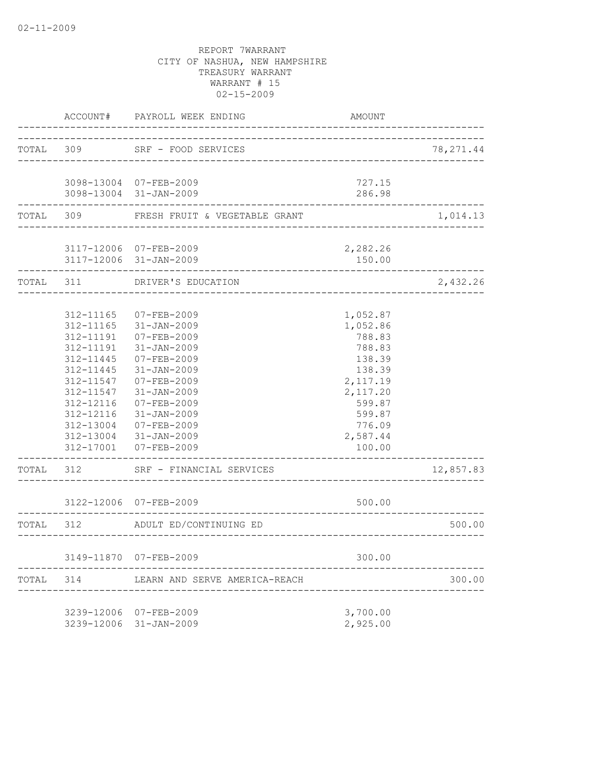|           | ACCOUNT#                                                                                                                                                                  | PAYROLL WEEK ENDING                                                                                                                                                                                                                       | AMOUNT                                                                                                                                   |            |
|-----------|---------------------------------------------------------------------------------------------------------------------------------------------------------------------------|-------------------------------------------------------------------------------------------------------------------------------------------------------------------------------------------------------------------------------------------|------------------------------------------------------------------------------------------------------------------------------------------|------------|
| TOTAL 309 |                                                                                                                                                                           | SRF - FOOD SERVICES<br>________________________                                                                                                                                                                                           |                                                                                                                                          | 78, 271.44 |
|           |                                                                                                                                                                           | 3098-13004 07-FEB-2009<br>3098-13004 31-JAN-2009                                                                                                                                                                                          | 727.15<br>286.98                                                                                                                         |            |
| TOTAL     | 309                                                                                                                                                                       | FRESH FRUIT & VEGETABLE GRANT                                                                                                                                                                                                             |                                                                                                                                          | 1,014.13   |
|           |                                                                                                                                                                           | 3117-12006 07-FEB-2009<br>3117-12006 31-JAN-2009                                                                                                                                                                                          | 2,282.26<br>150.00                                                                                                                       |            |
| TOTAL 311 |                                                                                                                                                                           | DRIVER'S EDUCATION                                                                                                                                                                                                                        |                                                                                                                                          | 2,432.26   |
|           | 312-11165<br>312-11165<br>312-11191<br>312-11191<br>$312 - 11445$<br>312-11445<br>312-11547<br>312-11547<br>312-12116<br>312-12116<br>312-13004<br>312-13004<br>312-17001 | $07 - FEB - 2009$<br>$31 - JAN - 2009$<br>$07 - FEB - 2009$<br>$31 - JAN - 2009$<br>$07 - FEB - 2009$<br>$31 - JAN - 2009$<br>07-FEB-2009<br>$31 - JAN - 2009$<br>07-FEB-2009<br>31-JAN-2009<br>07-FEB-2009<br>31-JAN-2009<br>07-FEB-2009 | 1,052.87<br>1,052.86<br>788.83<br>788.83<br>138.39<br>138.39<br>2,117.19<br>2,117.20<br>599.87<br>599.87<br>776.09<br>2,587.44<br>100.00 |            |
| TOTAL     | 312                                                                                                                                                                       | SRF - FINANCIAL SERVICES                                                                                                                                                                                                                  |                                                                                                                                          | 12,857.83  |
|           |                                                                                                                                                                           | 3122-12006 07-FEB-2009                                                                                                                                                                                                                    | 500.00                                                                                                                                   |            |
| TOTAL 312 |                                                                                                                                                                           | ADULT ED/CONTINUING ED                                                                                                                                                                                                                    | _________________                                                                                                                        | 500.00     |
|           |                                                                                                                                                                           | 3149-11870 07-FEB-2009                                                                                                                                                                                                                    | 300.00                                                                                                                                   |            |
| TOTAL     | 314                                                                                                                                                                       | LEARN AND SERVE AMERICA-REACH                                                                                                                                                                                                             |                                                                                                                                          | 300.00     |
|           |                                                                                                                                                                           | 3239-12006 07-FEB-2009<br>3239-12006 31-JAN-2009                                                                                                                                                                                          | 3,700.00<br>2,925.00                                                                                                                     |            |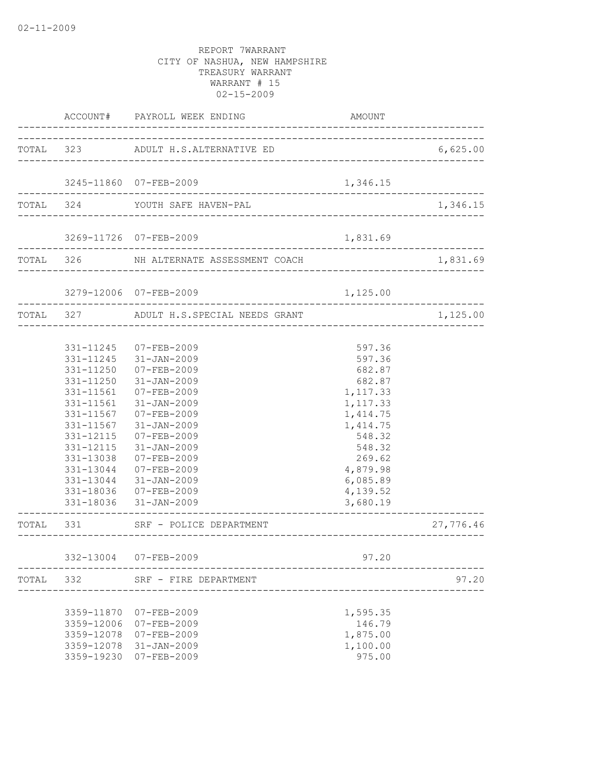|       |                          | ACCOUNT# PAYROLL WEEK ENDING                                 | AMOUNT                 |           |
|-------|--------------------------|--------------------------------------------------------------|------------------------|-----------|
|       |                          | TOTAL 323 ADULT H.S.ALTERNATIVE ED                           |                        | 6,625.00  |
|       |                          | 3245-11860 07-FEB-2009                                       | 1,346.15               |           |
|       |                          |                                                              |                        |           |
|       |                          | TOTAL 324 YOUTH SAFE HAVEN-PAL                               |                        | 1,346.15  |
|       |                          | 3269-11726 07-FEB-2009<br>_______________________________    | 1,831.69               |           |
|       |                          | TOTAL 326 NH ALTERNATE ASSESSMENT COACH                      |                        | 1,831.69  |
|       |                          | 3279-12006 07-FEB-2009<br>---------------------------------- | 1,125.00               |           |
|       |                          | TOTAL 327 ADULT H.S.SPECIAL NEEDS GRANT                      |                        | 1,125.00  |
|       |                          |                                                              |                        |           |
|       |                          | 331-11245 07-FEB-2009                                        | 597.36                 |           |
|       |                          | 331-11245 31-JAN-2009                                        | 597.36                 |           |
|       |                          | 331-11250 07-FEB-2009                                        | 682.87                 |           |
|       |                          | 331-11250 31-JAN-2009                                        | 682.87                 |           |
|       | 331-11561                | 07-FEB-2009                                                  | 1,117.33               |           |
|       | 331-11561                | $31 - JAN - 2009$                                            | 1,117.33               |           |
|       | 331-11567                | 07-FEB-2009                                                  | 1, 414.75              |           |
|       | 331-11567                | $31 - JAN - 2009$                                            | 1,414.75               |           |
|       | 331-12115                | 07-FEB-2009                                                  | 548.32                 |           |
|       | 331-12115                | $31 - JAN - 2009$                                            | 548.32                 |           |
|       | 331-13038                | 07-FEB-2009                                                  | 269.62                 |           |
|       | 331-13044                | 07-FEB-2009                                                  | 4,879.98               |           |
|       | 331-13044                | 31-JAN-2009                                                  | 6,085.89               |           |
|       |                          | 331-18036 07-FEB-2009                                        | 4,139.52               |           |
|       |                          | 331-18036 31-JAN-2009                                        | 3,680.19               |           |
|       |                          | TOTAL 331 SRF - POLICE DEPARTMENT                            | ---------------------- | 27,776.46 |
|       |                          |                                                              |                        |           |
|       |                          | 332-13004 07-FEB-2009                                        | 97.20                  |           |
| TOTAL | 332                      | SRF - FIRE DEPARTMENT                                        |                        | 97.20     |
|       | 3359-11870               |                                                              |                        |           |
|       |                          | $07 - FEB - 2009$                                            | 1,595.35<br>146.79     |           |
|       | 3359-12006<br>3359-12078 | $07 - FEB - 2009$<br>07-FEB-2009                             | 1,875.00               |           |
|       | 3359-12078               | 31-JAN-2009                                                  | 1,100.00               |           |
|       |                          | 3359-19230 07-FEB-2009                                       | 975.00                 |           |
|       |                          |                                                              |                        |           |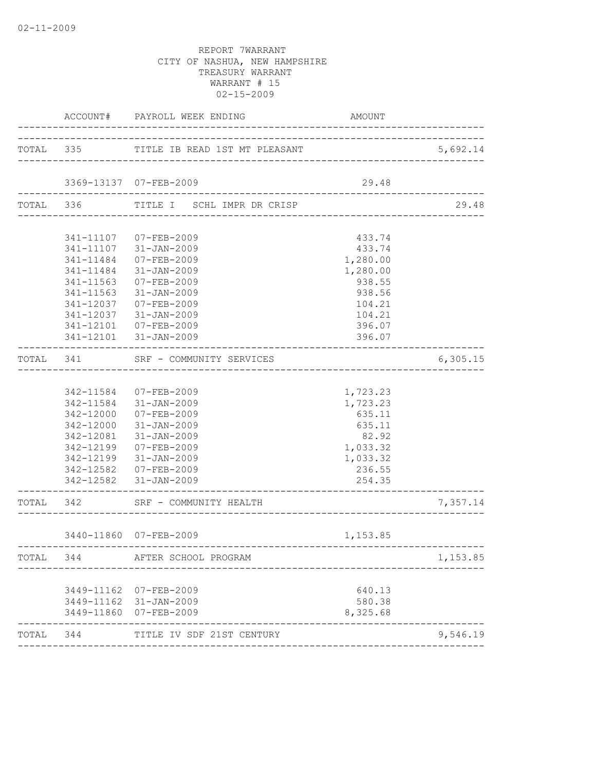|           |                        | ACCOUNT# PAYROLL WEEK ENDING                                               | AMOUNT                                  |                            |
|-----------|------------------------|----------------------------------------------------------------------------|-----------------------------------------|----------------------------|
|           |                        | TOTAL 335 TITLE IB READ 1ST MT PLEASANT                                    |                                         | 5,692.14                   |
|           |                        | 3369-13137 07-FEB-2009                                                     | 29.48                                   |                            |
|           |                        | TOTAL 336 TITLE I SCHL IMPR DR CRISP                                       | ------------------------------          | 29.48                      |
|           |                        |                                                                            |                                         |                            |
|           |                        | 341-11107 07-FEB-2009                                                      | 433.74                                  |                            |
|           |                        | 341-11107 31-JAN-2009                                                      | 433.74                                  |                            |
|           |                        | 341-11484 07-FEB-2009                                                      | 1,280.00                                |                            |
|           |                        | 341-11484 31-JAN-2009                                                      | 1,280.00                                |                            |
|           | 341-11563              | 07-FEB-2009                                                                | 938.55                                  |                            |
|           | 341-11563              | 31-JAN-2009                                                                | 938.56                                  |                            |
|           | 341-12037              | 07-FEB-2009                                                                | 104.21                                  |                            |
|           | 341-12037              | 31-JAN-2009                                                                | 104.21                                  |                            |
|           | 341-12101              | 07-FEB-2009                                                                | 396.07                                  |                            |
|           | ______________________ | 341-12101 31-JAN-2009<br>----------------                                  | 396.07                                  |                            |
| TOTAL 341 |                        | SRF - COMMUNITY SERVICES                                                   |                                         | 6,305.15                   |
|           |                        |                                                                            |                                         |                            |
|           |                        | 342-11584 07-FEB-2009                                                      | 1,723.23                                |                            |
|           |                        | 342-11584 31-JAN-2009                                                      | 1,723.23                                |                            |
|           |                        | 342-12000 07-FEB-2009                                                      | 635.11                                  |                            |
|           |                        | 342-12000 31-JAN-2009                                                      | 635.11                                  |                            |
|           |                        | 342-12081 31-JAN-2009                                                      | 82.92                                   |                            |
|           |                        | 342-12199 07-FEB-2009                                                      | 1,033.32                                |                            |
|           |                        | 342-12199 31-JAN-2009                                                      | 1,033.32                                |                            |
|           |                        | 342-12582 07-FEB-2009                                                      | 236.55                                  |                            |
|           |                        | 342-12582 31-JAN-2009                                                      | 254.35<br>_____________________________ |                            |
| TOTAL 342 |                        | SRF - COMMUNITY HEALTH                                                     | _______________________________         | 7,357.14                   |
|           |                        | 3440-11860 07-FEB-2009                                                     | 1,153.85                                |                            |
| TOTAL     | 344                    | AFTER SCHOOL PROGRAM                                                       |                                         | --------------<br>1,153.85 |
|           |                        |                                                                            |                                         |                            |
|           |                        |                                                                            |                                         |                            |
|           |                        |                                                                            |                                         |                            |
|           |                        |                                                                            |                                         |                            |
|           |                        |                                                                            |                                         |                            |
| TOTAL 344 |                        | TITLE IV SDF 21ST CENTURY                                                  |                                         | 9,546.19                   |
|           |                        | 3449-11162 07-FEB-2009<br>3449-11162 31-JAN-2009<br>3449-11860 07-FEB-2009 | 640.13<br>580.38<br>8,325.68            |                            |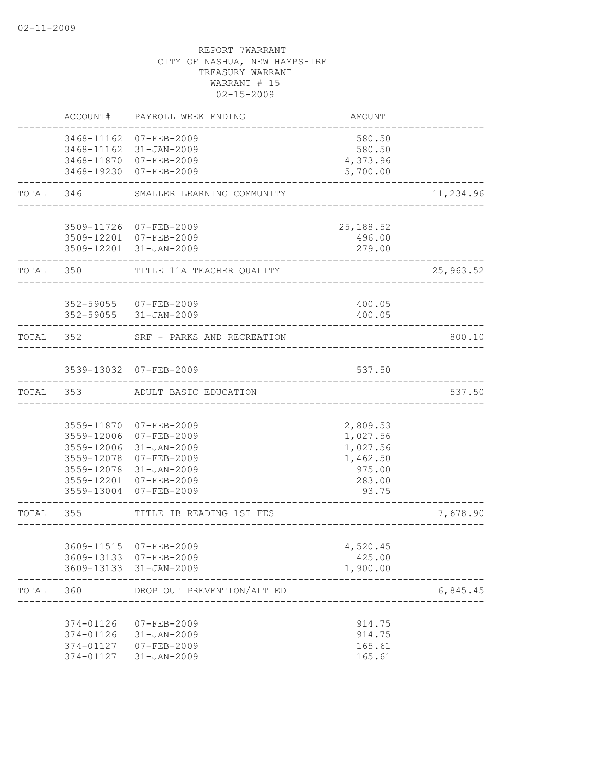|           | ACCOUNT#                                         | PAYROLL WEEK ENDING                                                                                                                                          | <b>AMOUNT</b>                                                             |           |
|-----------|--------------------------------------------------|--------------------------------------------------------------------------------------------------------------------------------------------------------------|---------------------------------------------------------------------------|-----------|
|           |                                                  | 3468-11162 07-FEB-2009<br>3468-11162 31-JAN-2009                                                                                                             | 580.50<br>580.50                                                          |           |
|           |                                                  | 3468-11870 07-FEB-2009<br>3468-19230 07-FEB-2009                                                                                                             | 4,373.96<br>5,700.00                                                      |           |
|           |                                                  | TOTAL 346 SMALLER LEARNING COMMUNITY                                                                                                                         |                                                                           | 11,234.96 |
|           |                                                  | 3509-11726 07-FEB-2009<br>3509-12201 07-FEB-2009<br>3509-12201 31-JAN-2009                                                                                   | 25, 188.52<br>496.00<br>279.00                                            |           |
|           | TOTAL 350                                        | TITLE 11A TEACHER QUALITY                                                                                                                                    |                                                                           | 25,963.52 |
|           |                                                  | 352-59055 07-FEB-2009<br>352-59055 31-JAN-2009                                                                                                               | 400.05<br>400.05                                                          |           |
|           |                                                  | TOTAL 352 SRF - PARKS AND RECREATION                                                                                                                         |                                                                           | 800.10    |
|           |                                                  | 3539-13032 07-FEB-2009                                                                                                                                       | 537.50<br>____________________                                            |           |
|           |                                                  | TOTAL 353 ADULT BASIC EDUCATION                                                                                                                              |                                                                           | 537.50    |
|           | 3559-12006<br>3559-13004                         | 3559-11870 07-FEB-2009<br>3559-12006 07-FEB-2009<br>31-JAN-2009<br>3559-12078 07-FEB-2009<br>3559-12078 31-JAN-2009<br>3559-12201 07-FEB-2009<br>07-FEB-2009 | 2,809.53<br>1,027.56<br>1,027.56<br>1,462.50<br>975.00<br>283.00<br>93.75 |           |
| TOTAL 355 |                                                  | TITLE IB READING 1ST FES                                                                                                                                     |                                                                           | 7,678.90  |
|           |                                                  | 3609-11515 07-FEB-2009<br>3609-13133 07-FEB-2009<br>3609-13133 31-JAN-2009                                                                                   | 4,520.45<br>425.00<br>1,900.00                                            |           |
| TOTAL     | 360                                              | DROP OUT PREVENTION/ALT ED                                                                                                                                   |                                                                           | 6,845.45  |
|           | 374-01126<br>374-01126<br>374-01127<br>374-01127 | 07-FEB-2009<br>$31 - JAN - 2009$<br>$07 - FEB - 2009$<br>$31 - JAN - 2009$                                                                                   | 914.75<br>914.75<br>165.61<br>165.61                                      |           |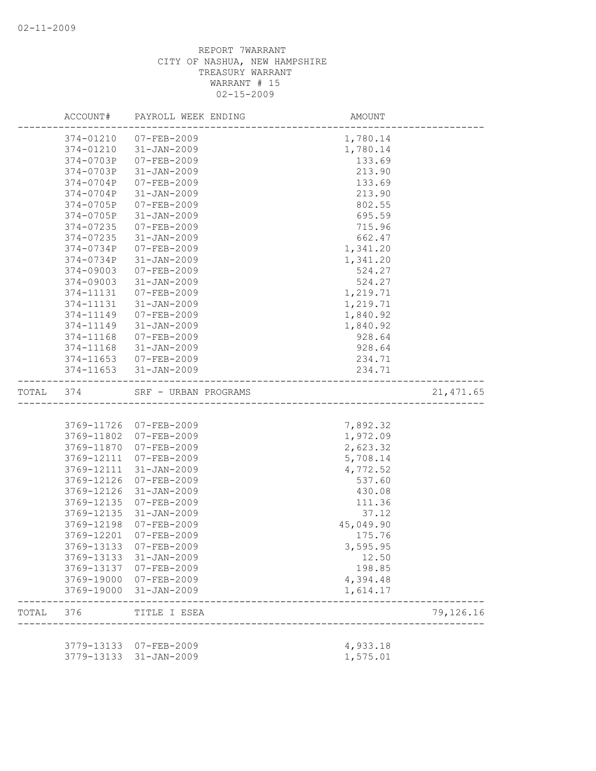|       | ACCOUNT#   | PAYROLL WEEK ENDING                    | AMOUNT                                   |            |
|-------|------------|----------------------------------------|------------------------------------------|------------|
|       | 374-01210  | 07-FEB-2009                            | 1,780.14                                 |            |
|       | 374-01210  | $31 - JAN - 2009$                      | 1,780.14                                 |            |
|       | 374-0703P  | 07-FEB-2009                            | 133.69                                   |            |
|       | 374-0703P  | $31 - JAN - 2009$                      | 213.90                                   |            |
|       | 374-0704P  | 07-FEB-2009                            | 133.69                                   |            |
|       | 374-0704P  | $31 - JAN - 2009$                      | 213.90                                   |            |
|       | 374-0705P  | $07 - FEB - 2009$                      | 802.55                                   |            |
|       | 374-0705P  | $31 - JAN - 2009$                      | 695.59                                   |            |
|       | 374-07235  | $07 - FEB - 2009$                      | 715.96                                   |            |
|       | 374-07235  | 31-JAN-2009                            | 662.47                                   |            |
|       | 374-0734P  | 07-FEB-2009                            | 1,341.20                                 |            |
|       | 374-0734P  | $31 - JAN - 2009$                      | 1,341.20                                 |            |
|       | 374-09003  | $07 - FEB - 2009$                      | 524.27                                   |            |
|       | 374-09003  | $31 - JAN - 2009$                      | 524.27                                   |            |
|       | 374-11131  | $07 - FEB - 2009$                      | 1,219.71                                 |            |
|       | 374-11131  | $31 - JAN - 2009$                      | 1,219.71                                 |            |
|       | 374-11149  | $07 - FEB - 2009$                      | 1,840.92                                 |            |
|       | 374-11149  | $31 - JAN - 2009$                      | 1,840.92                                 |            |
|       | 374-11168  | 07-FEB-2009                            | 928.64                                   |            |
|       | 374-11168  | 31-JAN-2009                            | 928.64                                   |            |
|       |            | 374-11653 07-FEB-2009                  | 234.71                                   |            |
|       | 374-11653  | 31-JAN-2009                            | 234.71<br>------------------------------ |            |
| TOTAL | 374        | SRF - URBAN PROGRAMS                   |                                          | 21, 471.65 |
|       |            |                                        |                                          |            |
|       |            | 3769-11726 07-FEB-2009                 | 7,892.32                                 |            |
|       | 3769-11802 | 07-FEB-2009                            | 1,972.09                                 |            |
|       | 3769-11870 | 07-FEB-2009                            | 2,623.32                                 |            |
|       | 3769-12111 | 07-FEB-2009                            | 5,708.14                                 |            |
|       | 3769-12111 | $31 - JAN - 2009$                      | 4,772.52                                 |            |
|       | 3769-12126 | 07-FEB-2009                            | 537.60                                   |            |
|       | 3769-12126 | 31-JAN-2009                            | 430.08                                   |            |
|       | 3769-12135 | 07-FEB-2009                            | 111.36                                   |            |
|       | 3769-12135 | $31 - JAN - 2009$                      | 37.12                                    |            |
|       | 3769-12198 | 07-FEB-2009                            | 45,049.90                                |            |
|       | 3769-12201 | $07 - FEB - 2009$                      | 175.76                                   |            |
|       |            | 3769-13133 07-FEB-2009                 | 3,595.95                                 |            |
|       |            | 3769-13133 31-JAN-2009                 | 12.50                                    |            |
|       | 3769-13137 | 07-FEB-2009                            | 198.85                                   |            |
|       | 3769-19000 | 07-FEB-2009                            | 4,394.48                                 |            |
|       | 3769-19000 | 31-JAN-2009                            | 1,614.17                                 |            |
| TOTAL | 376        | TITLE I ESEA<br>---------------------- |                                          | 79,126.16  |
|       |            | 3779-13133 07-FEB-2009                 | 4,933.18                                 |            |
|       |            | 3779-13133 31-JAN-2009                 | 1,575.01                                 |            |
|       |            |                                        |                                          |            |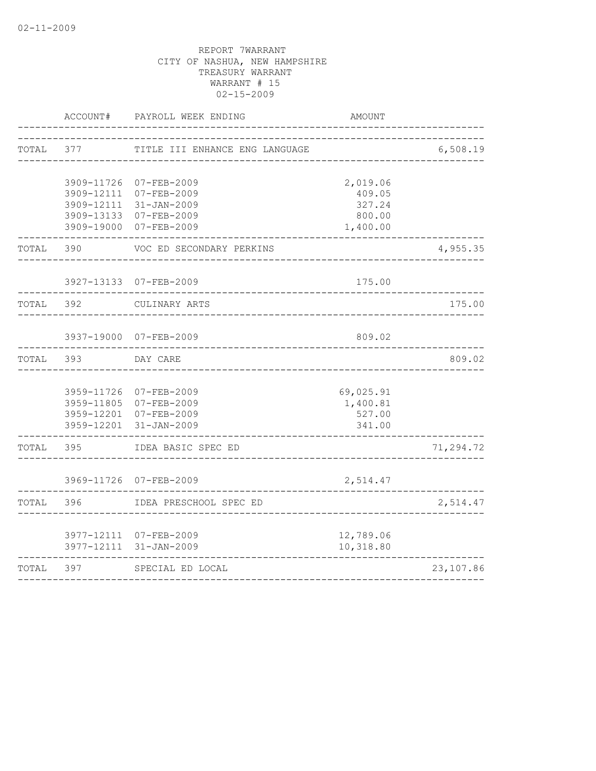|       | ACCOUNT#                                                           | PAYROLL WEEK ENDING                                                                       | <b>AMOUNT</b>                                      |           |
|-------|--------------------------------------------------------------------|-------------------------------------------------------------------------------------------|----------------------------------------------------|-----------|
| TOTAL | 377                                                                | TITLE III ENHANCE ENG LANGUAGE                                                            |                                                    | 6,508.19  |
|       | 3909-11726<br>3909-12111<br>3909-12111<br>3909-13133<br>3909-19000 | $07 - FEB - 2009$<br>$07 - FEB - 2009$<br>$31 - JAN - 2009$<br>07-FEB-2009<br>07-FEB-2009 | 2,019.06<br>409.05<br>327.24<br>800.00<br>1,400.00 |           |
| TOTAL | 390                                                                | VOC ED SECONDARY PERKINS                                                                  |                                                    | 4,955.35  |
|       |                                                                    | 3927-13133 07-FEB-2009                                                                    | 175.00                                             |           |
| TOTAL | 392                                                                | CULINARY ARTS                                                                             |                                                    | 175.00    |
|       |                                                                    | 3937-19000 07-FEB-2009                                                                    | 809.02                                             |           |
| TOTAL | 393                                                                | DAY CARE                                                                                  |                                                    | 809.02    |
|       | 3959-11726<br>3959-12201                                           | 07-FEB-2009<br>3959-11805 07-FEB-2009<br>3959-12201 07-FEB-2009<br>$31 - JAN - 2009$      | 69,025.91<br>1,400.81<br>527.00<br>341.00          |           |
| TOTAL | 395                                                                | IDEA BASIC SPEC ED                                                                        |                                                    | 71,294.72 |
|       |                                                                    | 3969-11726 07-FEB-2009                                                                    | 2,514.47                                           |           |
| TOTAL | 396                                                                | IDEA PRESCHOOL SPEC ED                                                                    |                                                    | 2,514.47  |
|       |                                                                    | 3977-12111 07-FEB-2009<br>3977-12111 31-JAN-2009                                          | 12,789.06<br>10,318.80                             |           |
| TOTAL | 397                                                                | SPECIAL ED LOCAL                                                                          |                                                    | 23,107.86 |
|       |                                                                    |                                                                                           |                                                    |           |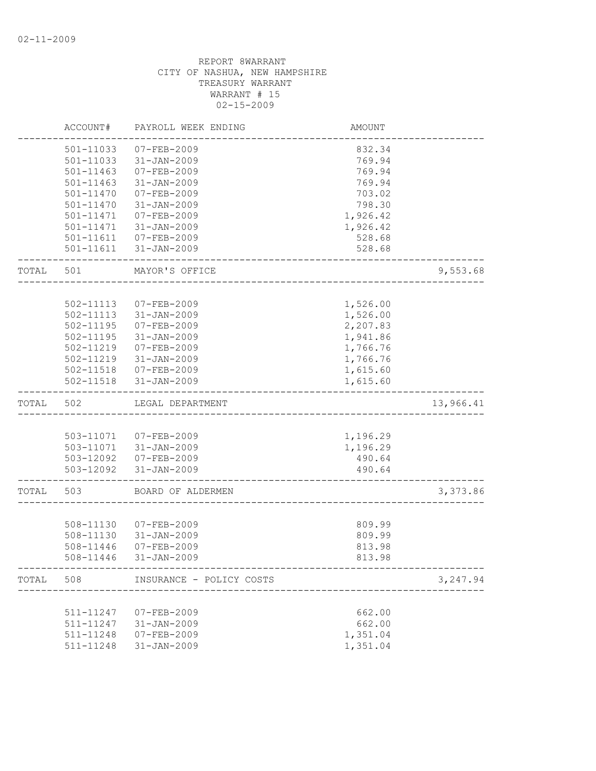|           | ACCOUNT#      | PAYROLL WEEK ENDING                                     | <b>AMOUNT</b> |           |
|-----------|---------------|---------------------------------------------------------|---------------|-----------|
|           | 501-11033     | $07 - FEB - 2009$                                       | 832.34        |           |
|           | 501-11033     | $31 - JAN - 2009$                                       | 769.94        |           |
|           | $501 - 11463$ | 07-FEB-2009                                             | 769.94        |           |
|           | $501 - 11463$ | $31 - JAN - 2009$                                       | 769.94        |           |
|           | 501-11470     | $07 - FEB - 2009$                                       | 703.02        |           |
|           | 501-11470     | $31 - JAN - 2009$                                       | 798.30        |           |
|           | 501-11471     | 07-FEB-2009                                             | 1,926.42      |           |
|           | 501-11471     | $31 - JAN - 2009$                                       | 1,926.42      |           |
|           |               | 501-11611  07-FEB-2009                                  | 528.68        |           |
|           |               | 501-11611 31-JAN-2009                                   | 528.68        |           |
| TOTAL     | 501           | MAYOR'S OFFICE                                          |               | 9,553.68  |
|           |               |                                                         |               |           |
|           | 502-11113     | 07-FEB-2009                                             | 1,526.00      |           |
|           | 502-11113     | $31 - JAN - 2009$                                       | 1,526.00      |           |
|           | 502-11195     | $07 - FEB - 2009$                                       | 2,207.83      |           |
|           | $502 - 11195$ | 31-JAN-2009                                             | 1,941.86      |           |
|           | 502-11219     | 07-FEB-2009                                             | 1,766.76      |           |
|           |               | 502-11219 31-JAN-2009                                   | 1,766.76      |           |
|           |               | 502-11518  07-FEB-2009                                  | 1,615.60      |           |
|           |               | 502-11518 31-JAN-2009                                   | 1,615.60      |           |
| TOTAL     | 502           | LEGAL DEPARTMENT                                        |               | 13,966.41 |
|           |               |                                                         |               |           |
|           |               | 503-11071  07-FEB-2009                                  | 1,196.29      |           |
|           |               | 503-11071 31-JAN-2009                                   | 1,196.29      |           |
|           |               | 503-12092 07-FEB-2009                                   | 490.64        |           |
|           |               | 503-12092 31-JAN-2009                                   | 490.64        |           |
| TOTAL     | 503           | BOARD OF ALDERMEN                                       |               | 3,373.86  |
|           |               |                                                         |               |           |
|           | 508-11130     | 07-FEB-2009                                             | 809.99        |           |
|           | 508-11130     | $31 - JAN - 2009$                                       | 809.99        |           |
|           | 508-11446     | $07 - FEB - 2009$                                       | 813.98        |           |
|           | 508-11446     | $31 - JAN - 2009$                                       | 813.98        |           |
| TOTAL 508 |               | INSURANCE - POLICY COSTS<br>--------------------------- |               | 3,247.94  |
|           |               |                                                         |               |           |
|           | 511-11247     | 07-FEB-2009                                             | 662.00        |           |
|           | 511-11247     | $31 - JAN - 2009$                                       | 662.00        |           |
|           | 511-11248     | $07 - FEB - 2009$                                       | 1,351.04      |           |
|           | 511-11248     | $31 - JAN - 2009$                                       | 1,351.04      |           |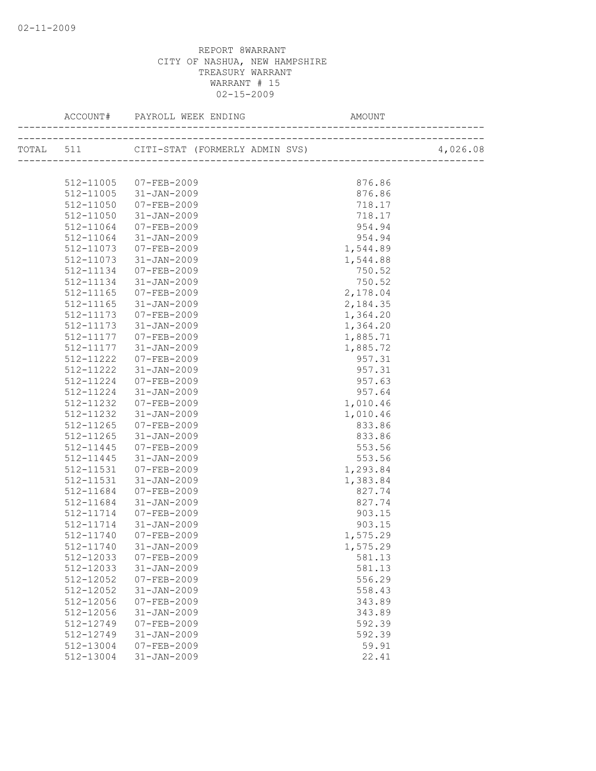|           | TOTAL 511 CITI-STAT (FORMERLY ADMIN SVS) |          | 4,026.08 |
|-----------|------------------------------------------|----------|----------|
|           |                                          |          |          |
|           | 512-11005 07-FEB-2009                    | 876.86   |          |
|           | 512-11005 31-JAN-2009                    | 876.86   |          |
| 512-11050 | 07-FEB-2009                              | 718.17   |          |
| 512-11050 | 31-JAN-2009                              | 718.17   |          |
| 512-11064 | 07-FEB-2009                              | 954.94   |          |
| 512-11064 | $31 - JAN - 2009$                        | 954.94   |          |
| 512-11073 | 07-FEB-2009                              | 1,544.89 |          |
| 512-11073 | 31-JAN-2009                              | 1,544.88 |          |
| 512-11134 | 07-FEB-2009                              | 750.52   |          |
| 512-11134 | 31-JAN-2009                              | 750.52   |          |
| 512-11165 | 07-FEB-2009                              | 2,178.04 |          |
| 512-11165 | 31-JAN-2009                              | 2,184.35 |          |
| 512-11173 | 07-FEB-2009                              | 1,364.20 |          |
| 512-11173 | 31-JAN-2009                              | 1,364.20 |          |
| 512-11177 | 07-FEB-2009                              | 1,885.71 |          |
| 512-11177 | 31-JAN-2009                              | 1,885.72 |          |
| 512-11222 | 07-FEB-2009                              | 957.31   |          |
| 512-11222 | 31-JAN-2009                              | 957.31   |          |
| 512-11224 | 07-FEB-2009                              | 957.63   |          |
| 512-11224 | 31-JAN-2009                              | 957.64   |          |
| 512-11232 | 07-FEB-2009                              | 1,010.46 |          |
| 512-11232 | 31-JAN-2009                              | 1,010.46 |          |
| 512-11265 | 07-FEB-2009                              | 833.86   |          |
| 512-11265 | $31 - JAN - 2009$                        | 833.86   |          |
| 512-11445 | 07-FEB-2009                              | 553.56   |          |
| 512-11445 | 31-JAN-2009                              | 553.56   |          |
| 512-11531 | 07-FEB-2009                              | 1,293.84 |          |
| 512-11531 | 31-JAN-2009                              | 1,383.84 |          |
| 512-11684 | 07-FEB-2009                              | 827.74   |          |
| 512-11684 | 31-JAN-2009                              | 827.74   |          |
| 512-11714 | 07-FEB-2009                              | 903.15   |          |
| 512-11714 | $31 - JAN - 2009$                        | 903.15   |          |
| 512-11740 | 07-FEB-2009                              | 1,575.29 |          |
|           | 512-11740 31-JAN-2009                    | 1,575.29 |          |
| 512-12033 | $07 - FEB - 2009$                        | 581.13   |          |
| 512-12033 | $31 - JAN - 2009$                        | 581.13   |          |
| 512-12052 | $07 - FEB - 2009$                        | 556.29   |          |
| 512-12052 | $31 - JAN - 2009$                        | 558.43   |          |
| 512-12056 | $07 - FEB - 2009$                        | 343.89   |          |
| 512-12056 | $31 - JAN - 2009$                        | 343.89   |          |
| 512-12749 | $07 - FEB - 2009$                        | 592.39   |          |
| 512-12749 | $31 - JAN - 2009$                        | 592.39   |          |
| 512-13004 | $07 - FEB - 2009$                        | 59.91    |          |
| 512-13004 | $31 - JAN - 2009$                        | 22.41    |          |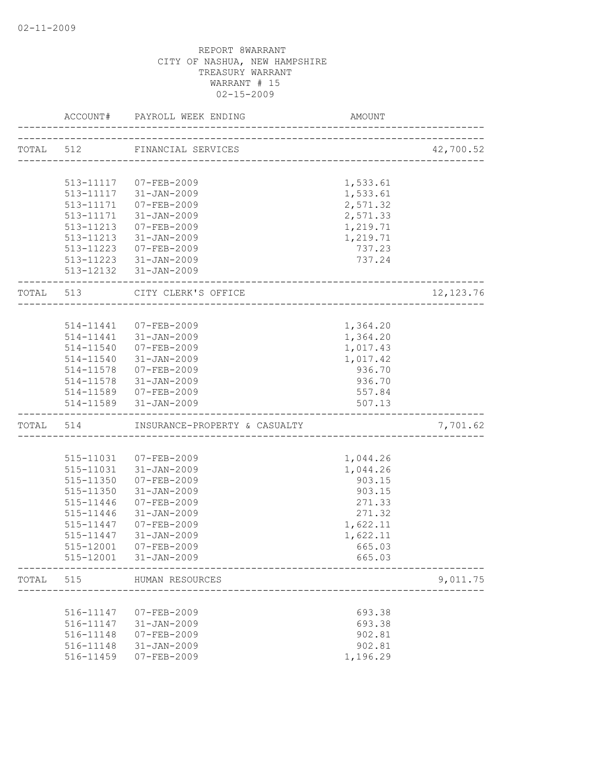|           | ACCOUNT#  | PAYROLL WEEK ENDING                                 | AMOUNT   |            |
|-----------|-----------|-----------------------------------------------------|----------|------------|
|           |           | TOTAL 512 FINANCIAL SERVICES                        |          | 42,700.52  |
|           |           |                                                     |          |            |
|           |           | 513-11117 07-FEB-2009                               | 1,533.61 |            |
|           | 513-11117 | 31-JAN-2009                                         | 1,533.61 |            |
|           | 513-11171 | 07-FEB-2009                                         | 2,571.32 |            |
|           |           | 513-11171 31-JAN-2009                               | 2,571.33 |            |
|           |           | 513-11213 07-FEB-2009                               | 1,219.71 |            |
|           |           | 513-11213 31-JAN-2009                               | 1,219.71 |            |
|           |           | 513-11223 07-FEB-2009                               | 737.23   |            |
|           |           | 513-11223 31-JAN-2009                               | 737.24   |            |
|           |           | 513-12132 31-JAN-2009                               |          |            |
| TOTAL 513 |           | CITY CLERK'S OFFICE<br>____________________________ |          | 12, 123.76 |
|           |           |                                                     |          |            |
|           |           | 514-11441 07-FEB-2009                               | 1,364.20 |            |
|           |           | 514-11441 31-JAN-2009                               | 1,364.20 |            |
|           |           | 514-11540 07-FEB-2009                               | 1,017.43 |            |
|           |           | 514-11540 31-JAN-2009                               | 1,017.42 |            |
|           |           | 514-11578 07-FEB-2009                               | 936.70   |            |
|           | 514-11578 | 31-JAN-2009                                         | 936.70   |            |
|           |           | 514-11589 07-FEB-2009                               | 557.84   |            |
|           | 514-11589 | 31-JAN-2009                                         | 507.13   |            |
|           |           | TOTAL 514 INSURANCE-PROPERTY & CASUALTY             |          | 7,701.62   |
|           |           |                                                     |          |            |
|           | 515-11031 | 07-FEB-2009                                         | 1,044.26 |            |
|           | 515-11031 | 31-JAN-2009                                         | 1,044.26 |            |
|           | 515-11350 | 07-FEB-2009                                         | 903.15   |            |
|           | 515-11350 | $31 - JAN - 2009$                                   | 903.15   |            |
|           | 515-11446 | 07-FEB-2009                                         | 271.33   |            |
|           | 515-11446 | 31-JAN-2009                                         | 271.32   |            |
|           | 515-11447 | 07-FEB-2009                                         | 1,622.11 |            |
|           | 515-11447 | 31-JAN-2009                                         | 1,622.11 |            |
|           | 515-12001 | 07-FEB-2009                                         | 665.03   |            |
|           | 515-12001 | 31-JAN-2009                                         | 665.03   |            |
| TOTAL     | 515       | HUMAN RESOURCES                                     |          | 9,011.75   |
|           |           |                                                     |          |            |
|           | 516-11147 | 07-FEB-2009                                         | 693.38   |            |
|           | 516-11147 | $31 - JAN - 2009$                                   | 693.38   |            |
|           | 516-11148 | $07 - FEB - 2009$                                   | 902.81   |            |
|           | 516-11148 | $31 - JAN - 2009$                                   | 902.81   |            |
|           | 516-11459 | $07 - FEB - 2009$                                   | 1,196.29 |            |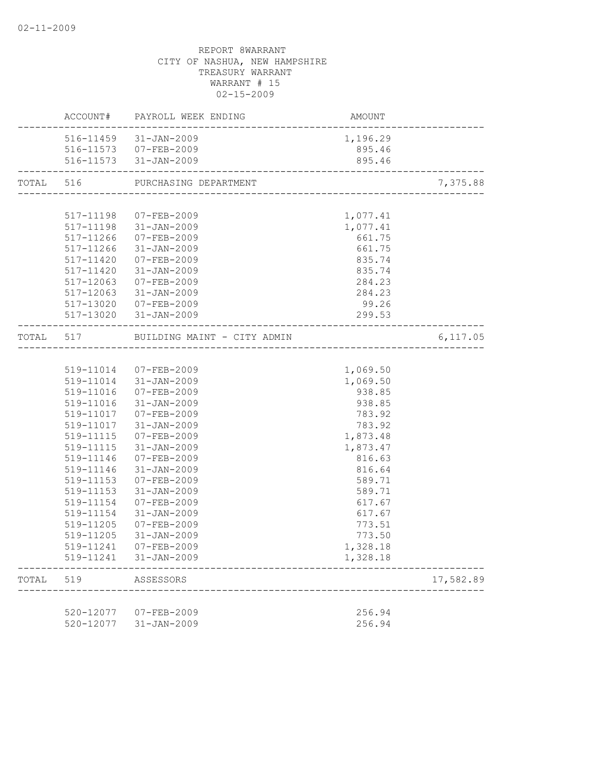|           |                        | ACCOUNT# PAYROLL WEEK ENDING          | <b>AMOUNT</b>                               |           |
|-----------|------------------------|---------------------------------------|---------------------------------------------|-----------|
|           |                        | 516-11459 31-JAN-2009                 | 1,196.29                                    |           |
|           |                        | 516-11573 07-FEB-2009                 | 895.46                                      |           |
|           |                        | 516-11573 31-JAN-2009                 | 895.46<br>--------------------------------- |           |
| TOTAL 516 |                        | PURCHASING DEPARTMENT                 |                                             | 7,375.88  |
|           |                        |                                       |                                             |           |
|           |                        | 517-11198 07-FEB-2009                 | 1,077.41                                    |           |
|           |                        | 517-11198 31-JAN-2009                 | 1,077.41                                    |           |
|           |                        | 517-11266 07-FEB-2009                 | 661.75                                      |           |
|           |                        | 517-11266 31-JAN-2009                 | 661.75                                      |           |
|           |                        | 517-11420 07-FEB-2009                 | 835.74                                      |           |
|           |                        | 517-11420 31-JAN-2009                 | 835.74                                      |           |
|           | 517-12063              | 07-FEB-2009                           | 284.23                                      |           |
|           | 517-12063              | 31-JAN-2009                           | 284.23                                      |           |
|           |                        | 517-13020 07-FEB-2009                 | 99.26                                       |           |
|           |                        | 517-13020 31-JAN-2009                 | 299.53                                      |           |
|           |                        | TOTAL 517 BUILDING MAINT - CITY ADMIN |                                             | 6,117.05  |
|           |                        |                                       |                                             |           |
|           |                        | 519-11014 07-FEB-2009                 | 1,069.50                                    |           |
|           |                        | 519-11014 31-JAN-2009                 | 1,069.50                                    |           |
|           | 519-11016              | 07-FEB-2009                           | 938.85                                      |           |
|           |                        | 519-11016 31-JAN-2009                 | 938.85                                      |           |
|           |                        | 519-11017 07-FEB-2009                 | 783.92                                      |           |
|           |                        | 519-11017 31-JAN-2009                 | 783.92                                      |           |
|           |                        | 519-11115 07-FEB-2009                 | 1,873.48                                    |           |
|           | 519-11115              | $31 - JAN - 2009$                     | 1,873.47                                    |           |
|           | 519-11146              | 07-FEB-2009                           | 816.63                                      |           |
|           | 519-11146              | 31-JAN-2009                           | 816.64                                      |           |
|           | 519-11153<br>519-11153 | 07-FEB-2009<br>31-JAN-2009            | 589.71<br>589.71                            |           |
|           | 519-11154              | 07-FEB-2009                           | 617.67                                      |           |
|           | 519-11154              | $31 - JAN - 2009$                     | 617.67                                      |           |
|           | 519-11205              | 07-FEB-2009                           | 773.51                                      |           |
|           | 519-11205              | 31-JAN-2009                           | 773.50                                      |           |
|           | 519-11241              | 07-FEB-2009                           | 1,328.18                                    |           |
|           |                        | 519-11241 31-JAN-2009                 | 1,328.18                                    |           |
| TOTAL     | 519                    | ASSESSORS                             |                                             | 17,582.89 |
|           |                        |                                       |                                             |           |
|           | 520-12077              | 07-FEB-2009                           | 256.94                                      |           |
|           | 520-12077              | $31 - JAN - 2009$                     | 256.94                                      |           |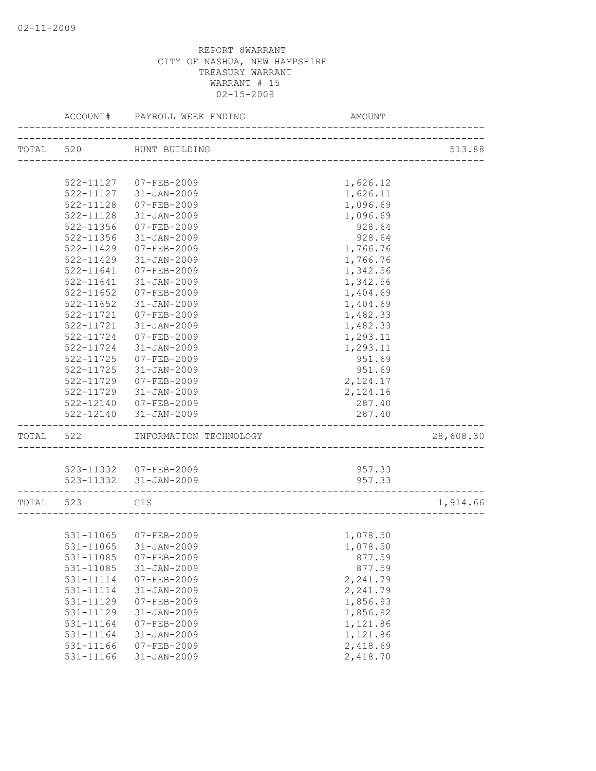|           | ACCOUNT#      | PAYROLL WEEK ENDING    | AMOUNT                            |           |
|-----------|---------------|------------------------|-----------------------------------|-----------|
| TOTAL 520 |               | HUNT BUILDING          |                                   | 513.88    |
|           |               |                        | _________________________________ |           |
|           |               | 522-11127 07-FEB-2009  | 1,626.12                          |           |
|           |               | 522-11127 31-JAN-2009  | 1,626.11                          |           |
|           | 522-11128     | 07-FEB-2009            | 1,096.69                          |           |
|           | 522-11128     | $31 - JAN - 2009$      | 1,096.69                          |           |
|           | 522-11356     | $07 - FEB - 2009$      | 928.64                            |           |
|           | 522-11356     | $31 - JAN - 2009$      | 928.64                            |           |
|           | 522-11429     | $07 - FEB - 2009$      | 1,766.76                          |           |
|           | $522 - 11429$ | $31 - JAN - 2009$      | 1,766.76                          |           |
|           | 522-11641     | 07-FEB-2009            | 1,342.56                          |           |
|           | 522-11641     | $31 - JAN - 2009$      | 1,342.56                          |           |
|           | 522-11652     | 07-FEB-2009            | 1,404.69                          |           |
|           | $522 - 11652$ | 31-JAN-2009            | 1,404.69                          |           |
|           | 522-11721     | $07 - FEB - 2009$      | 1,482.33                          |           |
|           | 522-11721     | $31 - JAN - 2009$      | 1,482.33                          |           |
|           | 522-11724     | $07 - FEB - 2009$      | 1,293.11                          |           |
|           | 522-11724     | $31 - JAN - 2009$      | 1,293.11                          |           |
|           | 522-11725     | $07 - FEB - 2009$      | 951.69                            |           |
|           | 522-11725     | $31 - JAN - 2009$      | 951.69                            |           |
|           | 522-11729     | 07-FEB-2009            | 2,124.17                          |           |
|           | 522-11729     | 31-JAN-2009            | 2,124.16                          |           |
|           | 522-12140     | 07-FEB-2009            | 287.40                            |           |
|           | 522-12140     | 31-JAN-2009            | 287.40                            |           |
| TOTAL 522 |               | INFORMATION TECHNOLOGY |                                   | 28,608.30 |
|           |               |                        |                                   |           |
|           |               | 523-11332 07-FEB-2009  | 957.33                            |           |
|           |               | 523-11332 31-JAN-2009  | 957.33                            |           |
|           | TOTAL 523 GIS |                        |                                   | 1,914.66  |
|           |               |                        |                                   |           |
|           |               | 531-11065 07-FEB-2009  | 1,078.50                          |           |
|           |               | 531-11065 31-JAN-2009  | 1,078.50                          |           |
|           | 531-11085     | $07 - FEB - 2009$      | 877.59                            |           |
|           | 531-11085     | $31 - JAN - 2009$      | 877.59                            |           |
|           | 531-11114     | $07 - FEB - 2009$      | 2,241.79                          |           |
|           | 531-11114     | $31 - JAN - 2009$      | 2,241.79                          |           |
|           | 531-11129     | $07 - FEB - 2009$      | 1,856.93                          |           |
|           | 531-11129     | $31 - JAN - 2009$      | 1,856.92                          |           |
|           | 531-11164     | $07 - FEB - 2009$      | 1,121.86                          |           |
|           | 531-11164     | $31 - JAN - 2009$      | 1,121.86                          |           |
|           | 531-11166     | $07 - FEB - 2009$      | 2,418.69                          |           |
|           | 531-11166     | $31 - JAN - 2009$      | 2,418.70                          |           |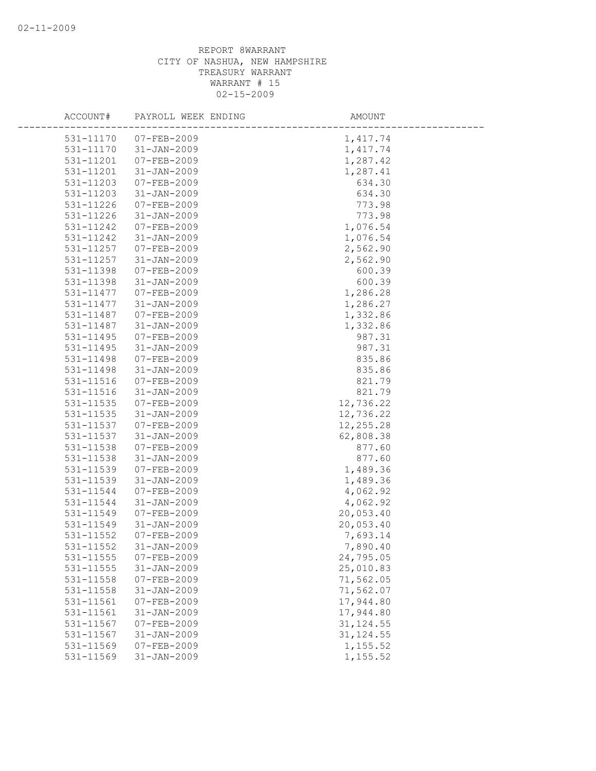| ACCOUNT#  | PAYROLL WEEK ENDING | AMOUNT     |
|-----------|---------------------|------------|
| 531-11170 | $07 - FEB - 2009$   | 1, 417.74  |
| 531-11170 | $31 - JAN - 2009$   | 1,417.74   |
| 531-11201 | 07-FEB-2009         | 1,287.42   |
| 531-11201 | $31 - JAN - 2009$   | 1,287.41   |
| 531-11203 | 07-FEB-2009         | 634.30     |
| 531-11203 | $31 - JAN - 2009$   | 634.30     |
| 531-11226 | 07-FEB-2009         | 773.98     |
| 531-11226 | $31 - JAN - 2009$   | 773.98     |
| 531-11242 | $07 - FEB - 2009$   | 1,076.54   |
| 531-11242 | $31 - JAN - 2009$   | 1,076.54   |
| 531-11257 | 07-FEB-2009         | 2,562.90   |
| 531-11257 | $31 - JAN - 2009$   | 2,562.90   |
| 531-11398 | $07 - FEB - 2009$   | 600.39     |
| 531-11398 | $31 - JAN - 2009$   | 600.39     |
| 531-11477 | 07-FEB-2009         | 1,286.28   |
| 531-11477 | $31 - JAN - 2009$   | 1,286.27   |
| 531-11487 | 07-FEB-2009         | 1,332.86   |
| 531-11487 | $31 - JAN - 2009$   | 1,332.86   |
| 531-11495 | 07-FEB-2009         | 987.31     |
| 531-11495 | $31 - JAN - 2009$   | 987.31     |
| 531-11498 | $07 - FEB - 2009$   | 835.86     |
| 531-11498 | $31 - JAN - 2009$   | 835.86     |
| 531-11516 | 07-FEB-2009         | 821.79     |
| 531-11516 | $31 - JAN - 2009$   | 821.79     |
| 531-11535 | 07-FEB-2009         | 12,736.22  |
| 531-11535 | $31 - JAN - 2009$   | 12,736.22  |
| 531-11537 | 07-FEB-2009         | 12,255.28  |
| 531-11537 | $31 - JAN - 2009$   | 62,808.38  |
| 531-11538 | $07 - FEB - 2009$   | 877.60     |
| 531-11538 | $31 - JAN - 2009$   | 877.60     |
| 531-11539 | 07-FEB-2009         | 1,489.36   |
| 531-11539 | $31 - JAN - 2009$   | 1,489.36   |
| 531-11544 | 07-FEB-2009         | 4,062.92   |
| 531-11544 | $31 - JAN - 2009$   | 4,062.92   |
| 531-11549 | $07 - FEB - 2009$   | 20,053.40  |
| 531-11549 | $31 - JAN - 2009$   | 20,053.40  |
| 531-11552 | $07 - FEB - 2009$   | 7,693.14   |
| 531-11552 | $31 - JAN - 2009$   | 7,890.40   |
| 531-11555 | $07 - FEB - 2009$   | 24,795.05  |
| 531-11555 | $31 - JAN - 2009$   | 25,010.83  |
| 531-11558 | $07 - FEB - 2009$   | 71,562.05  |
| 531-11558 | $31 - JAN - 2009$   | 71,562.07  |
| 531-11561 | 07-FEB-2009         | 17,944.80  |
| 531-11561 | $31 - JAN - 2009$   | 17,944.80  |
| 531-11567 | $07 - FEB - 2009$   | 31, 124.55 |
| 531-11567 | $31 - JAN - 2009$   | 31, 124.55 |
| 531-11569 | $07 - FEB - 2009$   | 1,155.52   |
| 531-11569 | $31 - JAN - 2009$   | 1,155.52   |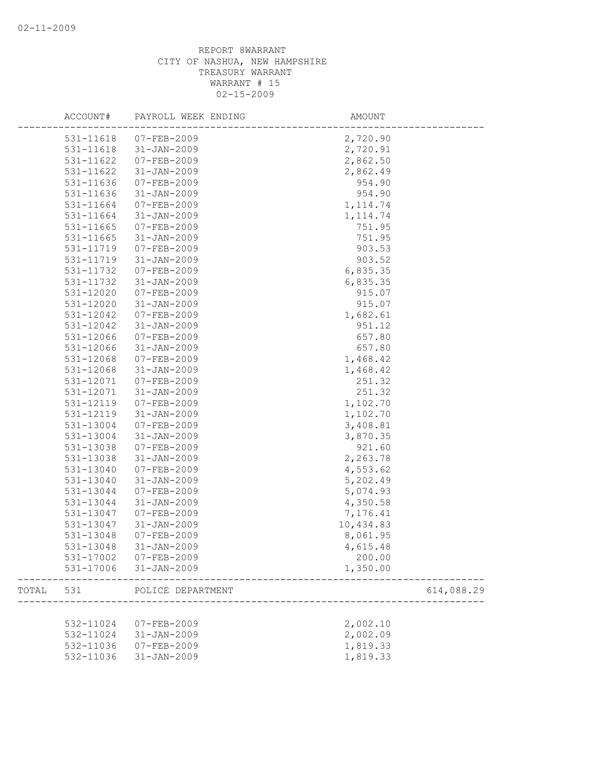|       | ACCOUNT#  | PAYROLL WEEK ENDING | AMOUNT    |            |
|-------|-----------|---------------------|-----------|------------|
|       | 531-11618 | 07-FEB-2009         | 2,720.90  |            |
|       | 531-11618 | $31 - JAN - 2009$   | 2,720.91  |            |
|       | 531-11622 | 07-FEB-2009         | 2,862.50  |            |
|       | 531-11622 | $31 - JAN - 2009$   | 2,862.49  |            |
|       | 531-11636 | 07-FEB-2009         | 954.90    |            |
|       | 531-11636 | $31 - JAN - 2009$   | 954.90    |            |
|       | 531-11664 | $07 - FEB - 2009$   | 1, 114.74 |            |
|       | 531-11664 | $31 - JAN - 2009$   | 1, 114.74 |            |
|       | 531-11665 | 07-FEB-2009         | 751.95    |            |
|       | 531-11665 | $31 - JAN - 2009$   | 751.95    |            |
|       | 531-11719 | $07 - FEB - 2009$   | 903.53    |            |
|       | 531-11719 | $31 - JAN - 2009$   | 903.52    |            |
|       | 531-11732 | 07-FEB-2009         | 6,835.35  |            |
|       | 531-11732 | $31 - JAN - 2009$   | 6,835.35  |            |
|       | 531-12020 | 07-FEB-2009         | 915.07    |            |
|       | 531-12020 | $31 - JAN - 2009$   | 915.07    |            |
|       | 531-12042 | $07 - FEB - 2009$   | 1,682.61  |            |
|       | 531-12042 | $31 - JAN - 2009$   | 951.12    |            |
|       | 531-12066 | $07 - FEB - 2009$   | 657.80    |            |
|       | 531-12066 | $31 - JAN - 2009$   | 657.80    |            |
|       | 531-12068 | $07 - FEB - 2009$   | 1,468.42  |            |
|       | 531-12068 | $31 - JAN - 2009$   | 1,468.42  |            |
|       | 531-12071 | 07-FEB-2009         | 251.32    |            |
|       | 531-12071 | $31 - JAN - 2009$   | 251.32    |            |
|       | 531-12119 | $07 - FEB - 2009$   | 1,102.70  |            |
|       | 531-12119 | $31 - JAN - 2009$   | 1,102.70  |            |
|       | 531-13004 | 07-FEB-2009         | 3,408.81  |            |
|       | 531-13004 | $31 - JAN - 2009$   | 3,870.35  |            |
|       | 531-13038 | $07 - FEB - 2009$   | 921.60    |            |
|       | 531-13038 | $31 - JAN - 2009$   | 2,263.78  |            |
|       | 531-13040 | $07 - FEB - 2009$   | 4,553.62  |            |
|       | 531-13040 | $31 - JAN - 2009$   | 5,202.49  |            |
|       | 531-13044 | 07-FEB-2009         | 5,074.93  |            |
|       | 531-13044 | $31 - JAN - 2009$   | 4,350.58  |            |
|       | 531-13047 | $07 - FEB - 2009$   | 7,176.41  |            |
|       | 531-13047 | $31 - JAN - 2009$   | 10,434.83 |            |
|       | 531-13048 | $07 - FEB - 2009$   | 8,061.95  |            |
|       | 531-13048 | $31 - JAN - 2009$   | 4,615.48  |            |
|       | 531-17002 | 07-FEB-2009         | 200.00    |            |
|       | 531-17006 | $31 - JAN - 2009$   | 1,350.00  |            |
| TOTAL | 531       | POLICE DEPARTMENT   |           | 614,088.29 |
|       |           |                     |           |            |
|       | 532-11024 | 07-FEB-2009         | 2,002.10  |            |
|       | 532-11024 | $31 - JAN - 2009$   | 2,002.09  |            |
|       | 532-11036 | $07 - FEB - 2009$   | 1,819.33  |            |
|       | 532-11036 | $31 - JAN - 2009$   | 1,819.33  |            |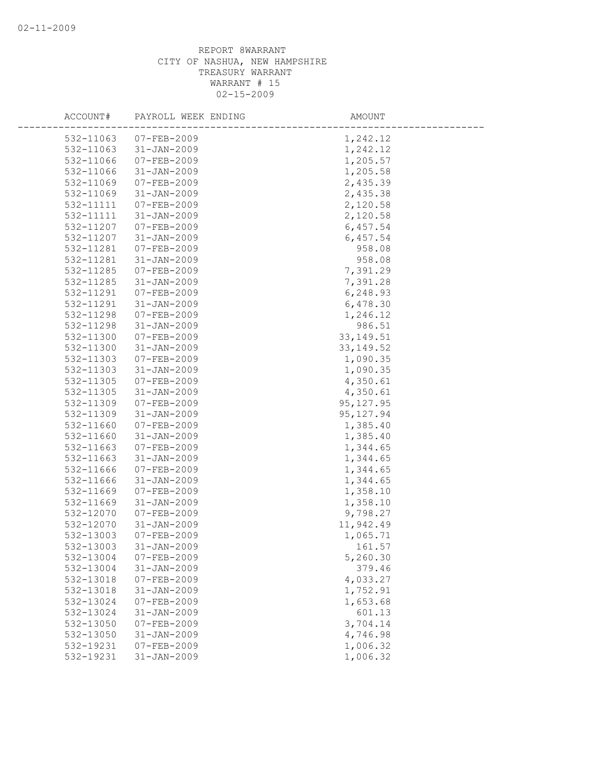| ACCOUNT#  | PAYROLL WEEK ENDING              | AMOUNT     |
|-----------|----------------------------------|------------|
| 532-11063 |                                  | 1,242.12   |
| 532-11063 | 07-FEB-2009<br>$31 - JAN - 2009$ | 1,242.12   |
| 532-11066 | $07 - FEB - 2009$                | 1,205.57   |
| 532-11066 | $31 - JAN - 2009$                | 1,205.58   |
| 532-11069 | 07-FEB-2009                      | 2,435.39   |
| 532-11069 | $31 - JAN - 2009$                | 2,435.38   |
| 532-11111 | 07-FEB-2009                      | 2,120.58   |
| 532-11111 | $31 - JAN - 2009$                | 2,120.58   |
| 532-11207 | 07-FEB-2009                      | 6,457.54   |
| 532-11207 | $31 - JAN - 2009$                | 6,457.54   |
| 532-11281 | $07 - FEB - 2009$                | 958.08     |
| 532-11281 | $31 - JAN - 2009$                | 958.08     |
| 532-11285 | 07-FEB-2009                      | 7,391.29   |
| 532-11285 | $31 - JAN - 2009$                | 7,391.28   |
| 532-11291 | 07-FEB-2009                      | 6,248.93   |
| 532-11291 | $31 - JAN - 2009$                | 6,478.30   |
| 532-11298 | $07 - FEB - 2009$                | 1,246.12   |
| 532-11298 | $31 - JAN - 2009$                | 986.51     |
| 532-11300 | $07 - FEB - 2009$                | 33, 149.51 |
| 532-11300 | $31 - JAN - 2009$                | 33, 149.52 |
| 532-11303 | 07-FEB-2009                      | 1,090.35   |
| 532-11303 | $31 - JAN - 2009$                | 1,090.35   |
| 532-11305 | 07-FEB-2009                      | 4,350.61   |
| 532-11305 | $31 - JAN - 2009$                | 4,350.61   |
| 532-11309 | 07-FEB-2009                      | 95, 127.95 |
| 532-11309 | $31 - JAN - 2009$                | 95, 127.94 |
| 532-11660 | 07-FEB-2009                      | 1,385.40   |
| 532-11660 | $31 - JAN - 2009$                | 1,385.40   |
| 532-11663 | $07 - FEB - 2009$                | 1,344.65   |
| 532-11663 | $31 - JAN - 2009$                | 1,344.65   |
| 532-11666 | 07-FEB-2009                      | 1,344.65   |
| 532-11666 | $31 - JAN - 2009$                | 1,344.65   |
| 532-11669 | 07-FEB-2009                      | 1,358.10   |
| 532-11669 | $31 - JAN - 2009$                | 1,358.10   |
| 532-12070 | $07 - FEB - 2009$                | 9,798.27   |
| 532-12070 | $31 - JAN - 2009$                | 11,942.49  |
| 532-13003 | $07 - FEB - 2009$                | 1,065.71   |
| 532-13003 | $31 - JAN - 2009$                | 161.57     |
| 532-13004 | $07 - FEB - 2009$                | 5,260.30   |
| 532-13004 | $31 - JAN - 2009$                | 379.46     |
| 532-13018 | $07 - FEB - 2009$                | 4,033.27   |
| 532-13018 | $31 - JAN - 2009$                | 1,752.91   |
| 532-13024 | $07 - FEB - 2009$                | 1,653.68   |
| 532-13024 | $31 - JAN - 2009$                | 601.13     |
| 532-13050 | $07 - FEB - 2009$                | 3,704.14   |
| 532-13050 | $31 - JAN - 2009$                | 4,746.98   |
| 532-19231 | $07 - FEB - 2009$                | 1,006.32   |
| 532-19231 | $31 - JAN - 2009$                | 1,006.32   |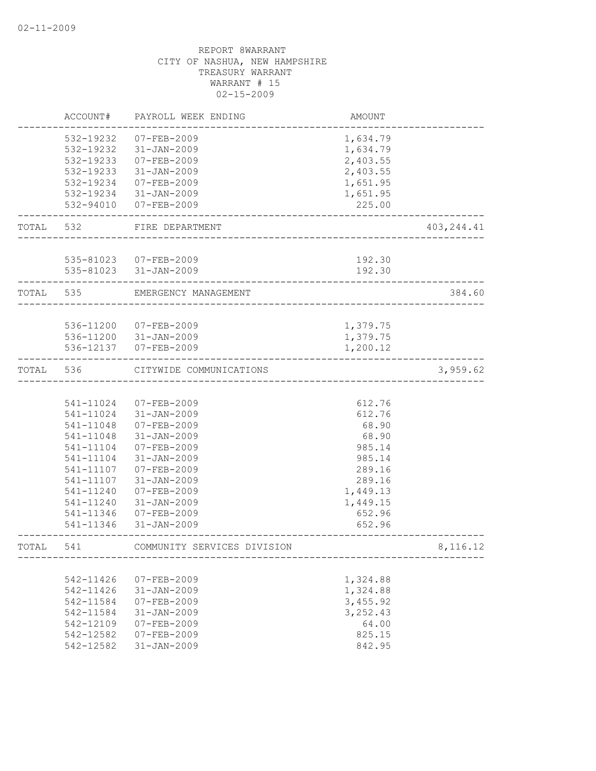|           | ACCOUNT#  | PAYROLL WEEK ENDING         | <b>AMOUNT</b> |             |
|-----------|-----------|-----------------------------|---------------|-------------|
|           | 532-19232 | 07-FEB-2009                 | 1,634.79      |             |
|           | 532-19232 | 31-JAN-2009                 | 1,634.79      |             |
|           | 532-19233 | 07-FEB-2009                 | 2,403.55      |             |
|           | 532-19233 | 31-JAN-2009                 | 2,403.55      |             |
|           | 532-19234 | 07-FEB-2009                 | 1,651.95      |             |
|           |           | 532-19234 31-JAN-2009       | 1,651.95      |             |
|           | 532-94010 | 07-FEB-2009                 | 225.00        |             |
| TOTAL 532 |           | FIRE DEPARTMENT             |               | 403, 244.41 |
|           |           |                             |               |             |
|           |           | 535-81023 07-FEB-2009       | 192.30        |             |
|           |           | 535-81023 31-JAN-2009       | 192.30        |             |
| TOTAL 535 |           | EMERGENCY MANAGEMENT        |               | 384.60      |
|           |           |                             |               |             |
|           |           | 536-11200 07-FEB-2009       | 1,379.75      |             |
|           |           | 536-11200 31-JAN-2009       | 1,379.75      |             |
|           |           | 536-12137 07-FEB-2009       | 1,200.12      |             |
| TOTAL 536 |           | CITYWIDE COMMUNICATIONS     |               | 3,959.62    |
|           |           |                             |               |             |
|           | 541-11024 | 07-FEB-2009                 | 612.76        |             |
|           | 541-11024 | 31-JAN-2009                 | 612.76        |             |
|           | 541-11048 | 07-FEB-2009                 | 68.90         |             |
|           | 541-11048 | 31-JAN-2009                 | 68.90         |             |
|           | 541-11104 | $07 - FEB - 2009$           | 985.14        |             |
|           | 541-11104 | $31 - JAN - 2009$           | 985.14        |             |
|           | 541-11107 | 07-FEB-2009                 | 289.16        |             |
|           | 541-11107 | $31 - JAN - 2009$           | 289.16        |             |
|           | 541-11240 | $07 - FEB - 2009$           | 1,449.13      |             |
|           | 541-11240 | $31 - JAN - 2009$           | 1,449.15      |             |
|           | 541-11346 | 07-FEB-2009                 | 652.96        |             |
|           | 541-11346 | $31 - JAN - 2009$           | 652.96        |             |
| TOTAL     | 541       | COMMUNITY SERVICES DIVISION |               | 8,116.12    |
|           |           |                             |               |             |
|           | 542-11426 | $07 - FEB - 2009$           | 1,324.88      |             |
|           | 542-11426 | $31 - JAN - 2009$           | 1,324.88      |             |
|           | 542-11584 | $07 - FEB - 2009$           | 3,455.92      |             |
|           | 542-11584 | $31 - JAN - 2009$           | 3, 252.43     |             |
|           | 542-12109 | $07 - FEB - 2009$           | 64.00         |             |
|           | 542-12582 | 07-FEB-2009                 | 825.15        |             |
|           | 542-12582 | $31 - JAN - 2009$           | 842.95        |             |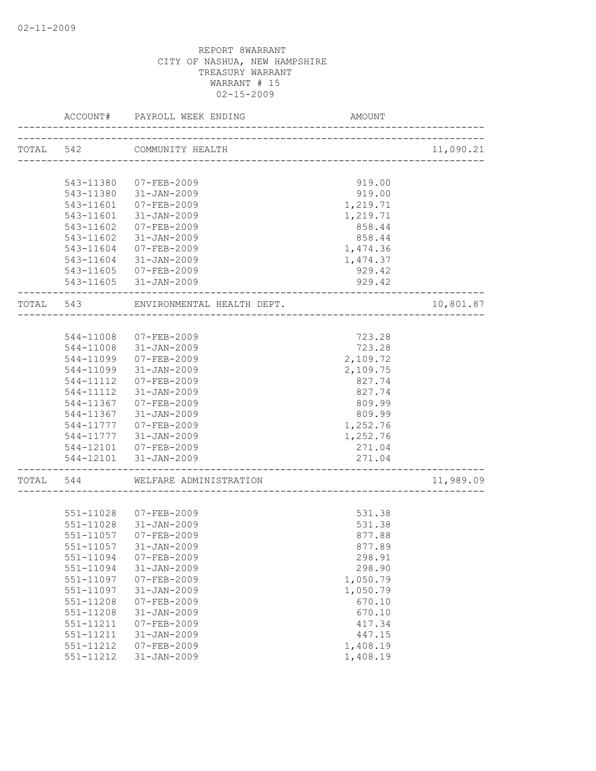|           | ACCOUNT#  | PAYROLL WEEK ENDING        | AMOUNT                           |           |
|-----------|-----------|----------------------------|----------------------------------|-----------|
|           | TOTAL 542 | COMMUNITY HEALTH           | -------------------------------- | 11,090.21 |
|           |           |                            |                                  |           |
|           | 543-11380 | 07-FEB-2009                | 919.00                           |           |
|           |           | 543-11380 31-JAN-2009      | 919.00                           |           |
|           | 543-11601 | 07-FEB-2009                | 1,219.71                         |           |
|           | 543-11601 | 31-JAN-2009                | 1,219.71                         |           |
|           | 543-11602 | 07-FEB-2009                | 858.44                           |           |
|           | 543-11602 | $31 - JAN - 2009$          | 858.44                           |           |
|           | 543-11604 | 07-FEB-2009                | 1,474.36                         |           |
|           |           | 543-11604 31-JAN-2009      | 1,474.37                         |           |
|           |           | 543-11605 07-FEB-2009      | 929.42                           |           |
|           |           | 543-11605 31-JAN-2009      | 929.42                           |           |
| TOTAL 543 |           | ENVIRONMENTAL HEALTH DEPT. |                                  | 10,801.87 |
|           |           |                            |                                  |           |
|           | 544-11008 | 07-FEB-2009                | 723.28                           |           |
|           | 544-11008 | 31-JAN-2009                | 723.28                           |           |
|           | 544-11099 | 07-FEB-2009                | 2,109.72                         |           |
|           |           | 544-11099 31-JAN-2009      | 2,109.75                         |           |
|           | 544-11112 | 07-FEB-2009                | 827.74                           |           |
|           | 544-11112 | 31-JAN-2009                | 827.74                           |           |
|           | 544-11367 | 07-FEB-2009                | 809.99                           |           |
|           | 544-11367 | 31-JAN-2009                | 809.99                           |           |
|           | 544-11777 | 07-FEB-2009                | 1,252.76                         |           |
|           | 544-11777 | 31-JAN-2009                | 1,252.76                         |           |
|           |           | 544-12101 07-FEB-2009      | 271.04                           |           |
|           |           | 544-12101 31-JAN-2009      | 271.04<br>_________________      |           |
| TOTAL 544 |           | WELFARE ADMINISTRATION     |                                  | 11,989.09 |
|           |           |                            |                                  |           |
|           |           | 551-11028 07-FEB-2009      | 531.38                           |           |
|           | 551-11028 | 31-JAN-2009                | 531.38                           |           |
|           | 551-11057 | $07 - FEB - 2009$          | 877.88                           |           |
|           | 551-11057 | 31-JAN-2009                | 877.89                           |           |
|           | 551-11094 | $07 - FEB - 2009$          | 298.91                           |           |
|           | 551-11094 | $31 - JAN - 2009$          | 298.90                           |           |
|           | 551-11097 | $07 - FEB - 2009$          | 1,050.79                         |           |
|           | 551-11097 | $31 - JAN - 2009$          | 1,050.79                         |           |
|           | 551-11208 | $07 - FEB - 2009$          | 670.10                           |           |
|           | 551-11208 | $31 - JAN - 2009$          | 670.10                           |           |
|           | 551-11211 | $07 - FEB - 2009$          | 417.34                           |           |
|           | 551-11211 | $31 - JAN - 2009$          | 447.15                           |           |
|           | 551-11212 | $07 - FEB - 2009$          | 1,408.19                         |           |
|           | 551-11212 | $31 - JAN - 2009$          | 1,408.19                         |           |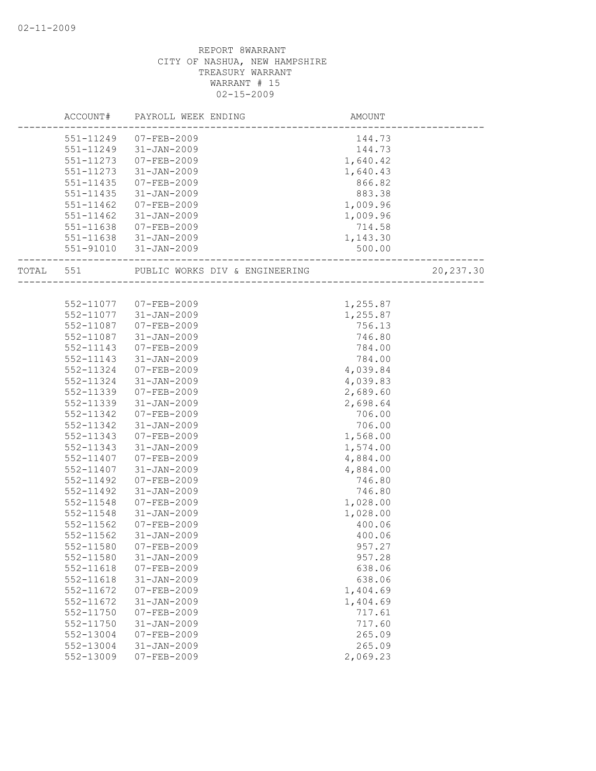|           | ACCOUNT#      | PAYROLL WEEK ENDING            | AMOUNT   |           |
|-----------|---------------|--------------------------------|----------|-----------|
|           | 551-11249     | 07-FEB-2009                    | 144.73   |           |
|           | 551-11249     | 31-JAN-2009                    | 144.73   |           |
|           | 551-11273     | 07-FEB-2009                    | 1,640.42 |           |
|           | 551-11273     | 31-JAN-2009                    | 1,640.43 |           |
|           | 551-11435     | 07-FEB-2009                    | 866.82   |           |
|           | 551-11435     | 31-JAN-2009                    | 883.38   |           |
|           | 551-11462     | 07-FEB-2009                    | 1,009.96 |           |
|           | $551 - 11462$ | 31-JAN-2009                    | 1,009.96 |           |
|           | 551-11638     | 07-FEB-2009                    | 714.58   |           |
|           |               | 551-11638 31-JAN-2009          | 1,143.30 |           |
|           |               | 551-91010 31-JAN-2009          | 500.00   |           |
| TOTAL 551 |               | PUBLIC WORKS DIV & ENGINEERING |          | 20,237.30 |
|           |               |                                |          |           |
|           |               | 552-11077 07-FEB-2009          | 1,255.87 |           |
|           | 552-11077     | 31-JAN-2009                    | 1,255.87 |           |
|           | 552-11087     | 07-FEB-2009                    | 756.13   |           |
|           | 552-11087     | 31-JAN-2009                    | 746.80   |           |
|           | 552-11143     | 07-FEB-2009                    | 784.00   |           |
|           | 552-11143     | 31-JAN-2009                    | 784.00   |           |
|           | 552-11324     | 07-FEB-2009                    | 4,039.84 |           |
|           | 552-11324     | $31 - JAN - 2009$              | 4,039.83 |           |
|           | 552-11339     | 07-FEB-2009                    | 2,689.60 |           |
|           | 552-11339     | $31 - JAN - 2009$              | 2,698.64 |           |
|           | 552-11342     | 07-FEB-2009                    | 706.00   |           |
|           | 552-11342     | 31-JAN-2009                    | 706.00   |           |
|           | 552-11343     | 07-FEB-2009                    | 1,568.00 |           |
|           | 552-11343     | 31-JAN-2009                    | 1,574.00 |           |
|           | 552-11407     | 07-FEB-2009                    | 4,884.00 |           |
|           | 552-11407     | 31-JAN-2009                    | 4,884.00 |           |
|           | 552-11492     | $07 - FEB - 2009$              | 746.80   |           |
|           | 552-11492     | $31 - JAN - 2009$              | 746.80   |           |
|           | 552-11548     | $07 - FEB - 2009$              | 1,028.00 |           |
|           | 552-11548     | 31-JAN-2009                    | 1,028.00 |           |
|           | $552 - 11562$ | $07 - FEB - 2009$              | 400.06   |           |
|           | 552-11562     | $31 - JAN - 2009$              | 400.06   |           |
|           | 552-11580     | 07-FEB-2009                    | 957.27   |           |
|           | 552-11580     | $31 - JAN - 2009$              | 957.28   |           |
|           | 552-11618     | $07 - FEB - 2009$              | 638.06   |           |
|           | 552-11618     | $31 - JAN - 2009$              | 638.06   |           |
|           | 552-11672     | $07 - FEB - 2009$              | 1,404.69 |           |
|           | 552-11672     | $31 - JAN - 2009$              | 1,404.69 |           |
|           | 552-11750     | $07 - FEB - 2009$              | 717.61   |           |
|           | $552 - 11750$ | $31 - JAN - 2009$              | 717.60   |           |
|           | 552-13004     | $07 - FEB - 2009$              | 265.09   |           |
|           | 552-13004     | $31 - JAN - 2009$              | 265.09   |           |
|           | 552-13009     | $07 - FEB - 2009$              | 2,069.23 |           |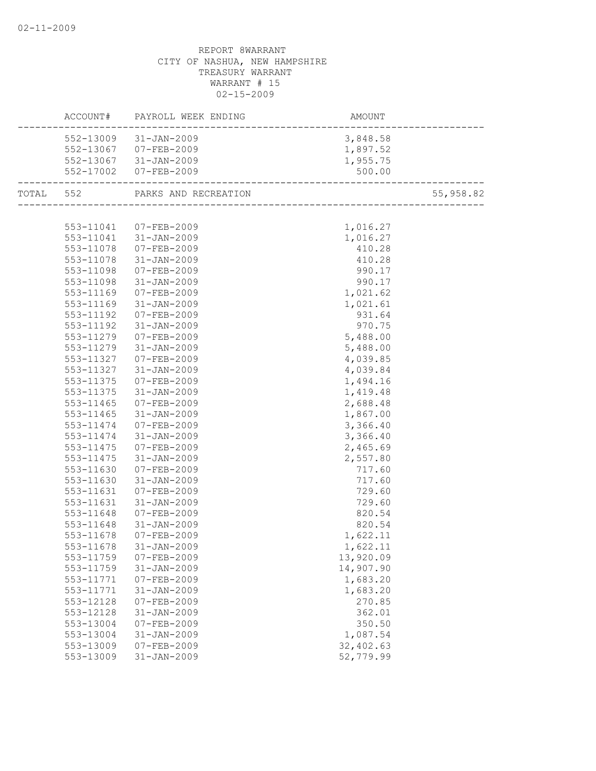|           | ACCOUNT# PAYROLL WEEK ENDING                                         |            |           |
|-----------|----------------------------------------------------------------------|------------|-----------|
|           | 552-13009 31-JAN-2009                                                | 3,848.58   |           |
|           | 552-13067 07-FEB-2009                                                | 1,897.52   |           |
|           | 552-13067 31-JAN-2009                                                | 1,955.75   |           |
|           | 552-17002 07-FEB-2009                                                | 500.00     |           |
|           | ----------------------------------<br>TOTAL 552 PARKS AND RECREATION |            | 55,958.82 |
|           |                                                                      |            |           |
|           | 553-11041 07-FEB-2009<br>553-11041 31-JAN-2009                       | 1,016.27   |           |
|           |                                                                      | 1,016.27   |           |
| 553-11078 | $07 - FEB - 2009$                                                    | 410.28     |           |
| 553-11078 | $31 - JAN - 2009$                                                    | 410.28     |           |
| 553-11098 | $07 - FEB - 2009$                                                    | 990.17     |           |
| 553-11098 | 31-JAN-2009                                                          | 990.17     |           |
| 553-11169 | 07-FEB-2009                                                          | 1,021.62   |           |
| 553-11169 | $31 - JAN - 2009$                                                    | 1,021.61   |           |
| 553-11192 | 07-FEB-2009                                                          | 931.64     |           |
| 553-11192 | 31-JAN-2009                                                          | 970.75     |           |
| 553-11279 | 07-FEB-2009                                                          | 5,488.00   |           |
| 553-11279 | 31-JAN-2009                                                          | 5,488.00   |           |
| 553-11327 | 07-FEB-2009                                                          | 4,039.85   |           |
| 553-11327 | 31-JAN-2009                                                          | 4,039.84   |           |
| 553-11375 | 07-FEB-2009                                                          | 1,494.16   |           |
| 553-11375 | 31-JAN-2009                                                          | 1,419.48   |           |
| 553-11465 | 07-FEB-2009                                                          | 2,688.48   |           |
| 553-11465 | $31 - JAN - 2009$                                                    | 1,867.00   |           |
| 553-11474 | 07-FEB-2009                                                          | 3,366.40   |           |
| 553-11474 | 31-JAN-2009                                                          | 3,366.40   |           |
| 553-11475 | 07-FEB-2009                                                          | 2,465.69   |           |
| 553-11475 | $31 - JAN - 2009$                                                    | 2,557.80   |           |
| 553-11630 | 07-FEB-2009                                                          | 717.60     |           |
| 553-11630 | 31-JAN-2009                                                          | 717.60     |           |
| 553-11631 | 07-FEB-2009                                                          | 729.60     |           |
| 553-11631 | $31 - JAN - 2009$                                                    | 729.60     |           |
| 553-11648 | 07-FEB-2009                                                          | 820.54     |           |
| 553-11648 | 31-JAN-2009                                                          | 820.54     |           |
| 553-11678 | 07-FEB-2009                                                          | 1,622.11   |           |
|           | 553-11678 31-JAN-2009                                                | 1,622.11   |           |
| 553-11759 | $07 - FEB - 2009$                                                    | 13,920.09  |           |
| 553-11759 | $31 - JAN - 2009$                                                    | 14,907.90  |           |
| 553-11771 | 07-FEB-2009                                                          | 1,683.20   |           |
| 553-11771 | $31 - JAN - 2009$                                                    | 1,683.20   |           |
| 553-12128 | $07 - FEB - 2009$                                                    | 270.85     |           |
| 553-12128 | $31 - JAN - 2009$                                                    | 362.01     |           |
| 553-13004 | $07 - FEB - 2009$                                                    | 350.50     |           |
| 553-13004 | $31 - JAN - 2009$                                                    | 1,087.54   |           |
| 553-13009 | 07-FEB-2009                                                          | 32, 402.63 |           |
| 553-13009 | $31 - JAN - 2009$                                                    | 52,779.99  |           |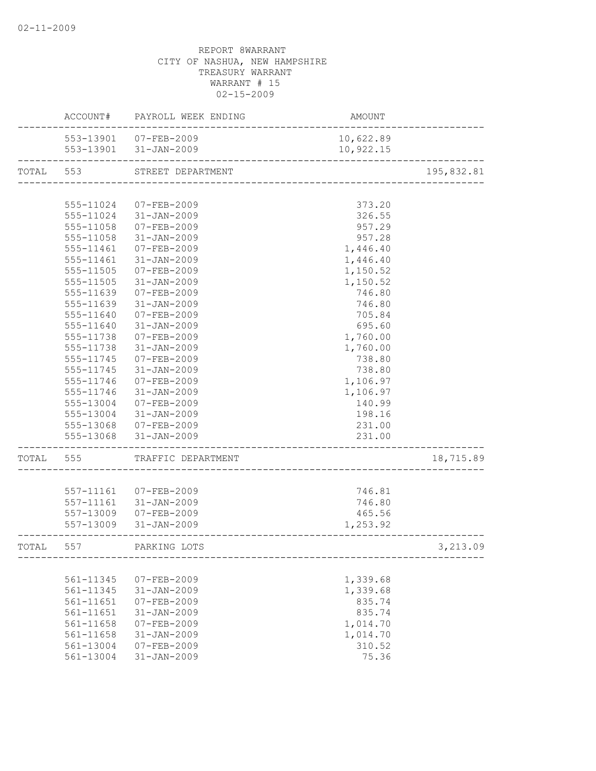|           |           | ACCOUNT# PAYROLL WEEK ENDING                   | AMOUNT                              |            |
|-----------|-----------|------------------------------------------------|-------------------------------------|------------|
|           |           | 553-13901 07-FEB-2009<br>553-13901 31-JAN-2009 | 10,622.89<br>10,922.15              |            |
|           |           | -------------------------------                |                                     |            |
| TOTAL 553 |           | STREET DEPARTMENT                              | ----------------------------------- | 195,832.81 |
|           |           |                                                |                                     |            |
|           | 555-11024 | 07-FEB-2009                                    | 373.20                              |            |
|           | 555-11024 | 31-JAN-2009                                    | 326.55                              |            |
|           | 555-11058 | 07-FEB-2009                                    | 957.29                              |            |
|           | 555-11058 | 31-JAN-2009                                    | 957.28                              |            |
|           | 555-11461 | 07-FEB-2009                                    | 1,446.40                            |            |
|           |           | 555-11461 31-JAN-2009                          | 1,446.40                            |            |
|           | 555-11505 | 07-FEB-2009                                    | 1,150.52                            |            |
|           | 555-11505 | 31-JAN-2009                                    | 1,150.52                            |            |
|           | 555-11639 | $07 - FEB - 2009$                              | 746.80                              |            |
|           | 555-11639 | $31 - JAN - 2009$                              | 746.80                              |            |
|           | 555-11640 | $07 - FEB - 2009$                              | 705.84                              |            |
|           | 555-11640 | $31 - JAN - 2009$                              | 695.60                              |            |
|           | 555-11738 | $07 - FEB - 2009$                              | 1,760.00                            |            |
|           | 555-11738 | 31-JAN-2009                                    | 1,760.00                            |            |
|           | 555-11745 | 07-FEB-2009                                    | 738.80                              |            |
|           |           | 555-11745 31-JAN-2009                          | 738.80                              |            |
|           | 555-11746 | 07-FEB-2009                                    | 1,106.97                            |            |
|           | 555-11746 | 31-JAN-2009                                    | 1,106.97                            |            |
|           | 555-13004 | 07-FEB-2009                                    | 140.99                              |            |
|           | 555-13004 | 31-JAN-2009                                    | 198.16                              |            |
|           |           | 555-13068 07-FEB-2009                          | 231.00                              |            |
|           |           | 555-13068 31-JAN-2009                          | 231.00                              |            |
| TOTAL     | 555       | TRAFFIC DEPARTMENT                             |                                     | 18,715.89  |
|           |           |                                                |                                     |            |
|           |           | 557-11161 07-FEB-2009                          | 746.81                              |            |
|           |           | 557-11161 31-JAN-2009                          | 746.80                              |            |
|           |           | 557-13009 07-FEB-2009                          | 465.56                              |            |
|           |           | 557-13009 31-JAN-2009                          | 1,253.92                            |            |
| TOTAI,    | 557       | PARKING LOTS                                   |                                     | 3,213.09   |
|           |           |                                                |                                     |            |
|           | 561-11345 | $07 - FEB - 2009$                              | 1,339.68                            |            |
|           | 561-11345 | $31 - JAN - 2009$                              | 1,339.68                            |            |
|           | 561-11651 | $07 - FEB - 2009$                              | 835.74                              |            |
|           | 561-11651 | $31 - JAN - 2009$                              | 835.74                              |            |
|           | 561-11658 | $07 - FEB - 2009$                              | 1,014.70                            |            |
|           | 561-11658 | $31 - JAN - 2009$                              | 1,014.70                            |            |
|           | 561-13004 | $07 - FEB - 2009$                              | 310.52                              |            |
|           | 561-13004 | $31 - JAN - 2009$                              | 75.36                               |            |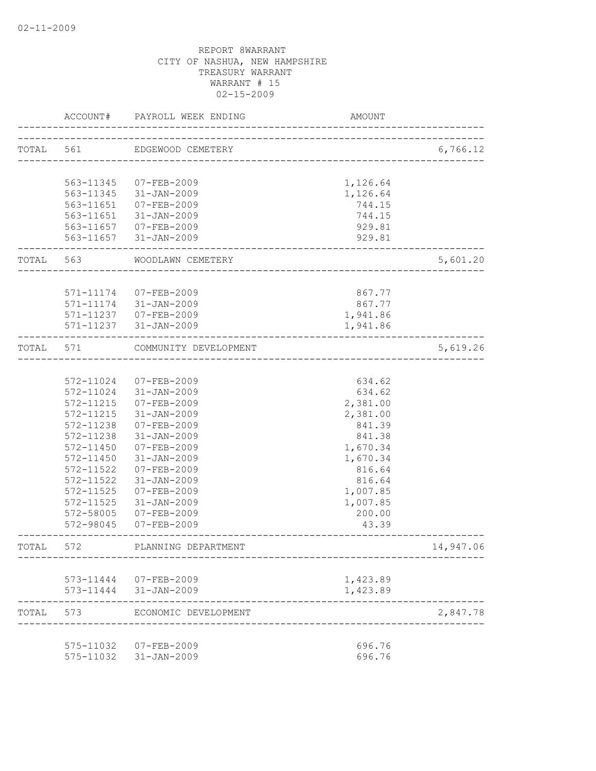|           | ACCOUNT#  | PAYROLL WEEK ENDING                            | AMOUNT                              |           |
|-----------|-----------|------------------------------------------------|-------------------------------------|-----------|
| TOTAL 561 |           | EDGEWOOD CEMETERY                              | ----------------------------------- | 6,766.12  |
|           |           |                                                |                                     |           |
|           | 563-11345 | 07-FEB-2009                                    | 1,126.64                            |           |
|           |           | 563-11345 31-JAN-2009                          | 1,126.64                            |           |
|           | 563-11651 | 07-FEB-2009                                    | 744.15                              |           |
|           |           | 563-11651 31-JAN-2009                          | 744.15                              |           |
|           |           | 563-11657 07-FEB-2009<br>563-11657 31-JAN-2009 | 929.81<br>929.81                    |           |
| TOTAL 563 |           | WOODLAWN CEMETERY                              |                                     | 5,601.20  |
|           |           |                                                |                                     |           |
|           |           | 571-11174 07-FEB-2009                          | 867.77                              |           |
|           | 571-11174 | 31-JAN-2009                                    | 867.77                              |           |
|           |           | 571-11237 07-FEB-2009                          | 1,941.86                            |           |
|           |           | 571-11237 31-JAN-2009                          | 1,941.86                            |           |
| TOTAL     | 571       | COMMUNITY DEVELOPMENT                          |                                     | 5,619.26  |
|           |           |                                                |                                     |           |
|           | 572-11024 | 07-FEB-2009                                    | 634.62                              |           |
|           | 572-11024 | 31-JAN-2009                                    | 634.62                              |           |
|           | 572-11215 | 07-FEB-2009                                    | 2,381.00                            |           |
|           | 572-11215 | 31-JAN-2009                                    | 2,381.00                            |           |
|           | 572-11238 | 07-FEB-2009                                    | 841.39                              |           |
|           | 572-11238 | $31 - JAN - 2009$                              | 841.38                              |           |
|           | 572-11450 | 07-FEB-2009                                    | 1,670.34                            |           |
|           | 572-11450 | $31 - JAN - 2009$                              | 1,670.34                            |           |
|           | 572-11522 | 07-FEB-2009                                    | 816.64                              |           |
|           | 572-11522 | $31 - JAN - 2009$                              | 816.64                              |           |
|           | 572-11525 | $07 - FEB - 2009$                              | 1,007.85                            |           |
|           | 572-11525 | $31 - JAN - 2009$                              | 1,007.85                            |           |
|           | 572-58005 | $07 - FEB - 2009$                              | 200.00                              |           |
|           | 572-98045 | 07-FEB-2009                                    | 43.39                               |           |
| TOTAL     | 572       | PLANNING DEPARTMENT                            |                                     | 14,947.06 |
|           |           |                                                |                                     |           |
|           |           | 573-11444 07-FEB-2009<br>573-11444 31-JAN-2009 | 1,423.89<br>1,423.89                |           |
|           |           |                                                |                                     |           |
| TOTAL     | 573       | ECONOMIC DEVELOPMENT                           |                                     | 2,847.78  |
|           |           | 575-11032 07-FEB-2009                          | 696.76                              |           |
|           |           | 575-11032 31-JAN-2009                          | 696.76                              |           |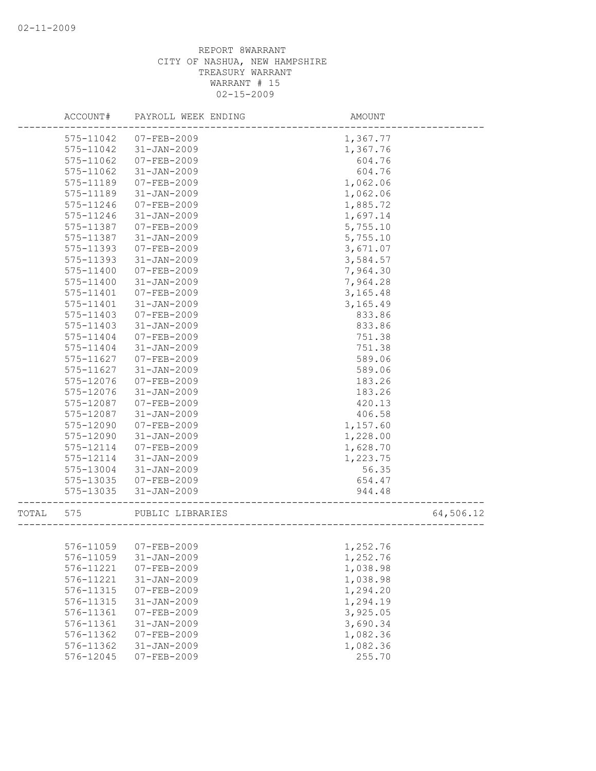|       | ACCOUNT#  | PAYROLL WEEK ENDING   | AMOUNT   |           |
|-------|-----------|-----------------------|----------|-----------|
|       | 575-11042 | $07 - FEB - 2009$     | 1,367.77 |           |
|       | 575-11042 | $31 - JAN - 2009$     | 1,367.76 |           |
|       | 575-11062 | $07 - FEB - 2009$     | 604.76   |           |
|       | 575-11062 | $31 - JAN - 2009$     | 604.76   |           |
|       | 575-11189 | $07 - FEB - 2009$     | 1,062.06 |           |
|       | 575-11189 | $31 - JAN - 2009$     | 1,062.06 |           |
|       | 575-11246 | $07 - FEB - 2009$     | 1,885.72 |           |
|       | 575-11246 | $31 - JAN - 2009$     | 1,697.14 |           |
|       | 575-11387 | $07 - FEB - 2009$     | 5,755.10 |           |
|       | 575-11387 | $31 - JAN - 2009$     | 5,755.10 |           |
|       | 575-11393 | $07 - FEB - 2009$     | 3,671.07 |           |
|       | 575-11393 | $31 - JAN - 2009$     | 3,584.57 |           |
|       | 575-11400 | $07 - FEB - 2009$     | 7,964.30 |           |
|       | 575-11400 | $31 - JAN - 2009$     | 7,964.28 |           |
|       | 575-11401 | $07 - FEB - 2009$     | 3,165.48 |           |
|       | 575-11401 | $31 - JAN - 2009$     | 3,165.49 |           |
|       | 575-11403 | $07 - FEB - 2009$     | 833.86   |           |
|       | 575-11403 | $31 - JAN - 2009$     | 833.86   |           |
|       | 575-11404 | $07 - FEB - 2009$     | 751.38   |           |
|       | 575-11404 | $31 - JAN - 2009$     | 751.38   |           |
|       | 575-11627 | $07 - FEB - 2009$     | 589.06   |           |
|       | 575-11627 | $31 - JAN - 2009$     | 589.06   |           |
|       | 575-12076 | $07 - FEB - 2009$     | 183.26   |           |
|       | 575-12076 | $31 - JAN - 2009$     | 183.26   |           |
|       | 575-12087 | $07 - FEB - 2009$     | 420.13   |           |
|       | 575-12087 | $31 - JAN - 2009$     | 406.58   |           |
|       | 575-12090 | $07 - FEB - 2009$     | 1,157.60 |           |
|       | 575-12090 | $31 - JAN - 2009$     | 1,228.00 |           |
|       | 575-12114 | $07 - FEB - 2009$     | 1,628.70 |           |
|       | 575-12114 | $31 - JAN - 2009$     | 1,223.75 |           |
|       | 575-13004 | $31 - JAN - 2009$     | 56.35    |           |
|       | 575-13035 | 07-FEB-2009           | 654.47   |           |
|       | 575-13035 | $31 - JAN - 2009$     | 944.48   |           |
| TOTAL | 575       | PUBLIC LIBRARIES      |          | 64,506.12 |
|       |           |                       |          |           |
|       |           | 576-11059 07-FEB-2009 | 1,252.76 |           |
|       | 576-11059 | $31 - JAN - 2009$     | 1,252.76 |           |
|       | 576-11221 | $07 - FEB - 2009$     | 1,038.98 |           |
|       | 576-11221 | $31 - JAN - 2009$     | 1,038.98 |           |
|       | 576-11315 | $07 - FEB - 2009$     | 1,294.20 |           |
|       | 576-11315 | $31 - JAN - 2009$     | 1,294.19 |           |
|       | 576-11361 | $07 - FEB - 2009$     | 3,925.05 |           |
|       | 576-11361 | $31 - JAN - 2009$     | 3,690.34 |           |
|       | 576-11362 | $07 - FEB - 2009$     | 1,082.36 |           |
|       | 576-11362 | $31 - JAN - 2009$     | 1,082.36 |           |
|       | 576-12045 | $07 - FEB - 2009$     | 255.70   |           |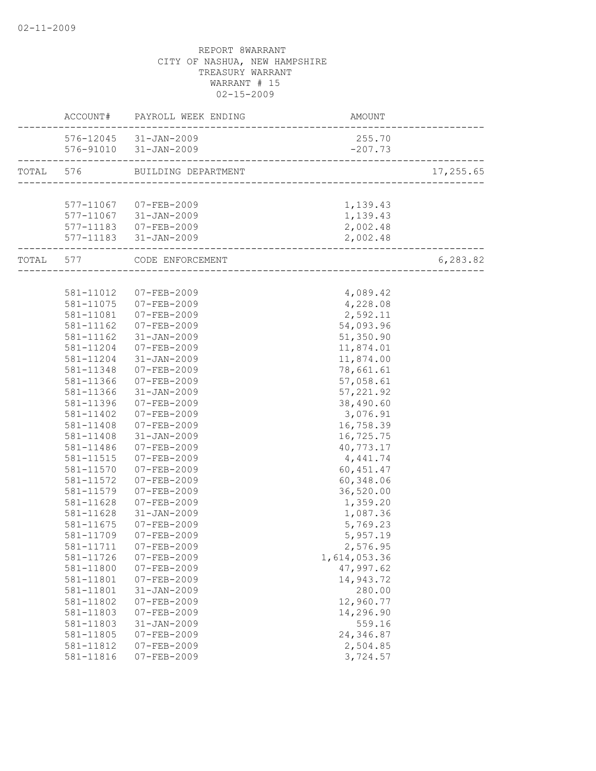|           |           | ACCOUNT# PAYROLL WEEK ENDING | AMOUNT                               |           |
|-----------|-----------|------------------------------|--------------------------------------|-----------|
|           |           | 576-12045 31-JAN-2009        | 255.70                               |           |
|           |           | 576-91010 31-JAN-2009        | $-207.73$                            |           |
| TOTAL 576 |           | BUILDING DEPARTMENT          |                                      | 17,255.65 |
|           |           |                              |                                      |           |
|           |           | 577-11067 07-FEB-2009        | 1,139.43                             |           |
|           |           | 577-11067 31-JAN-2009        | 1,139.43                             |           |
|           |           | 577-11183 07-FEB-2009        | 2,002.48                             |           |
|           |           | 577-11183 31-JAN-2009        | 2,002.48<br>------------------------ |           |
|           |           | TOTAL 577 CODE ENFORCEMENT   |                                      | 6, 283.82 |
|           |           |                              |                                      |           |
|           | 581-11012 | 07-FEB-2009                  | 4,089.42                             |           |
|           | 581-11075 | 07-FEB-2009                  | 4,228.08                             |           |
|           | 581-11081 | 07-FEB-2009                  | 2,592.11                             |           |
|           | 581-11162 | 07-FEB-2009                  | 54,093.96                            |           |
|           | 581-11162 | 31-JAN-2009                  | 51,350.90                            |           |
|           | 581-11204 | 07-FEB-2009                  | 11,874.01                            |           |
|           | 581-11204 | $31 - JAN - 2009$            | 11,874.00                            |           |
|           | 581-11348 | 07-FEB-2009                  | 78,661.61                            |           |
|           | 581-11366 | 07-FEB-2009                  | 57,058.61                            |           |
|           | 581-11366 | $31 - JAN - 2009$            | 57, 221.92                           |           |
|           | 581-11396 | 07-FEB-2009                  | 38,490.60                            |           |
|           | 581-11402 | 07-FEB-2009                  | 3,076.91                             |           |
|           | 581-11408 | 07-FEB-2009                  | 16,758.39                            |           |
|           | 581-11408 | $31 - JAN - 2009$            | 16,725.75                            |           |
|           | 581-11486 | 07-FEB-2009                  | 40,773.17                            |           |
|           | 581-11515 | $07 - FEB - 2009$            | 4,441.74                             |           |
|           | 581-11570 | 07-FEB-2009                  | 60, 451.47                           |           |
|           | 581-11572 | $07 - FEB - 2009$            | 60,348.06                            |           |
|           | 581-11579 | 07-FEB-2009                  | 36,520.00                            |           |
|           | 581-11628 | $07 - FEB - 2009$            | 1,359.20                             |           |
|           | 581-11628 | $31 - JAN - 2009$            | 1,087.36                             |           |
|           | 581-11675 | $07 - FEB - 2009$            | 5,769.23                             |           |
|           | 581-11709 | $07 - FEB - 2009$            | 5,957.19                             |           |
|           | 581-11711 | 07-FEB-2009                  | 2,576.95                             |           |
|           | 581-11726 | $07 - FEB - 2009$            | 1,614,053.36                         |           |
|           | 581-11800 | $07 - FEB - 2009$            | 47,997.62                            |           |
|           | 581-11801 | $07 - FEB - 2009$            | 14,943.72                            |           |
|           | 581-11801 | $31 - JAN - 2009$            | 280.00                               |           |
|           | 581-11802 | $07 - FEB - 2009$            | 12,960.77                            |           |
|           | 581-11803 | $07 - FEB - 2009$            | 14,296.90                            |           |
|           | 581-11803 | $31 - JAN - 2009$            | 559.16                               |           |
|           | 581-11805 | $07 - FEB - 2009$            | 24,346.87                            |           |
|           | 581-11812 | $07 - FEB - 2009$            | 2,504.85                             |           |
|           | 581-11816 | $07 - FEB - 2009$            | 3,724.57                             |           |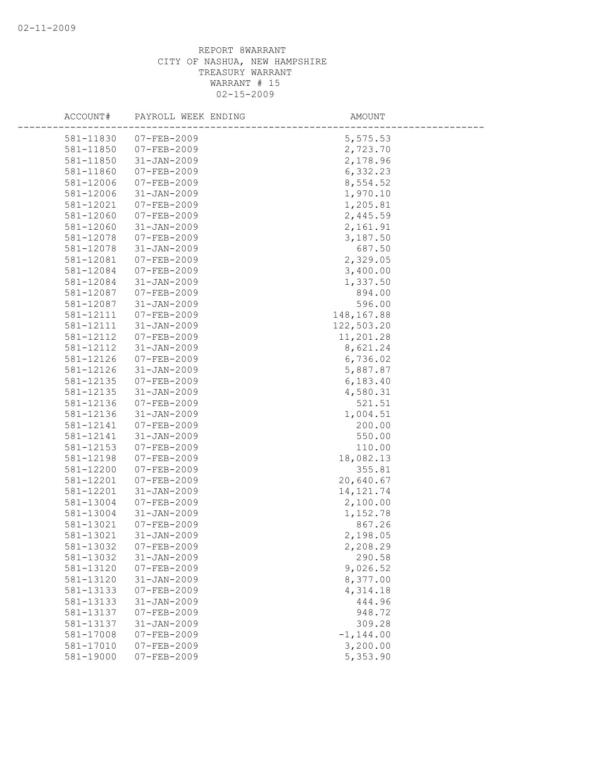| ACCOUNT#  | PAYROLL WEEK ENDING | AMOUNT       |
|-----------|---------------------|--------------|
| 581-11830 | $07 - FEB - 2009$   | 5,575.53     |
| 581-11850 | $07 - FEB - 2009$   | 2,723.70     |
| 581-11850 | $31 - JAN - 2009$   | 2,178.96     |
| 581-11860 | $07 - FEB - 2009$   | 6,332.23     |
| 581-12006 | $07 - FEB - 2009$   | 8,554.52     |
| 581-12006 | $31 - JAN - 2009$   | 1,970.10     |
| 581-12021 | 07-FEB-2009         | 1,205.81     |
| 581-12060 | $07 - FEB - 2009$   | 2,445.59     |
| 581-12060 | $31 - JAN - 2009$   | 2,161.91     |
| 581-12078 | 07-FEB-2009         | 3,187.50     |
| 581-12078 | $31 - JAN - 2009$   | 687.50       |
| 581-12081 | $07 - FEB - 2009$   | 2,329.05     |
| 581-12084 | $07 - FEB - 2009$   | 3,400.00     |
| 581-12084 | $31 - JAN - 2009$   | 1,337.50     |
| 581-12087 | $07 - FEB - 2009$   | 894.00       |
| 581-12087 | $31 - JAN - 2009$   | 596.00       |
| 581-12111 | $07 - FEB - 2009$   | 148,167.88   |
| 581-12111 | $31 - JAN - 2009$   | 122,503.20   |
| 581-12112 | $07 - FEB - 2009$   | 11,201.28    |
| 581-12112 | $31 - JAN - 2009$   | 8,621.24     |
| 581-12126 | $07 - FEB - 2009$   | 6,736.02     |
| 581-12126 | $31 - JAN - 2009$   | 5,887.87     |
| 581-12135 | 07-FEB-2009         | 6,183.40     |
| 581-12135 | $31 - JAN - 2009$   | 4,580.31     |
| 581-12136 | 07-FEB-2009         | 521.51       |
| 581-12136 | $31 - JAN - 2009$   | 1,004.51     |
| 581-12141 | $07 - FEB - 2009$   | 200.00       |
| 581-12141 | $31 - JAN - 2009$   | 550.00       |
| 581-12153 | $07 - FEB - 2009$   | 110.00       |
| 581-12198 | $07 - FEB - 2009$   | 18,082.13    |
| 581-12200 | $07 - FEB - 2009$   | 355.81       |
| 581-12201 | $07 - FEB - 2009$   | 20,640.67    |
| 581-12201 | $31 - JAN - 2009$   | 14, 121.74   |
| 581-13004 | $07 - FEB - 2009$   | 2,100.00     |
| 581-13004 | $31 - JAN - 2009$   | 1,152.78     |
| 581-13021 | $07 - FEB - 2009$   | 867.26       |
| 581-13021 | $31 - JAN - 2009$   | 2,198.05     |
| 581-13032 | $07 - FEB - 2009$   | 2,208.29     |
| 581-13032 | $31 - JAN - 2009$   | 290.58       |
| 581-13120 | $07 - FEB - 2009$   | 9,026.52     |
| 581-13120 | $31 - JAN - 2009$   | 8,377.00     |
| 581-13133 | $07 - FEB - 2009$   | 4,314.18     |
| 581-13133 | $31 - JAN - 2009$   | 444.96       |
| 581-13137 | $07 - FEB - 2009$   | 948.72       |
| 581-13137 | $31 - JAN - 2009$   | 309.28       |
| 581-17008 | $07 - FEB - 2009$   | $-1, 144.00$ |
| 581-17010 | $07 - FEB - 2009$   | 3,200.00     |
| 581-19000 | $07 - FEB - 2009$   | 5,353.90     |
|           |                     |              |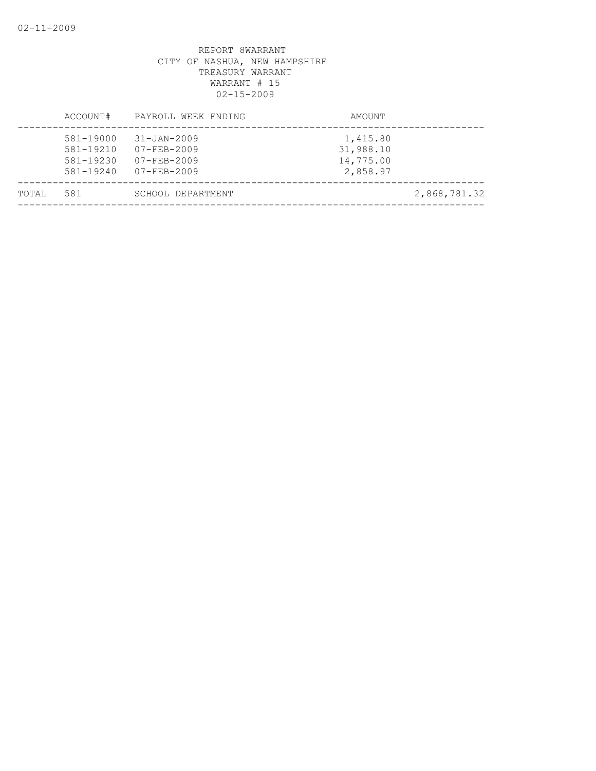|       | ACCOUNT#                                         | PAYROLL WEEK ENDING                                                              | AMOUNT                                         |              |
|-------|--------------------------------------------------|----------------------------------------------------------------------------------|------------------------------------------------|--------------|
|       | 581-19000<br>581-19210<br>581-19230<br>581-19240 | $31 - JAN - 2009$<br>$07 - FEB - 2009$<br>$07 - FEB - 2009$<br>$07 - FEB - 2009$ | 1,415.80<br>31,988.10<br>14,775.00<br>2,858.97 |              |
| TOTAL | 581                                              | SCHOOL DEPARTMENT                                                                |                                                | 2,868,781.32 |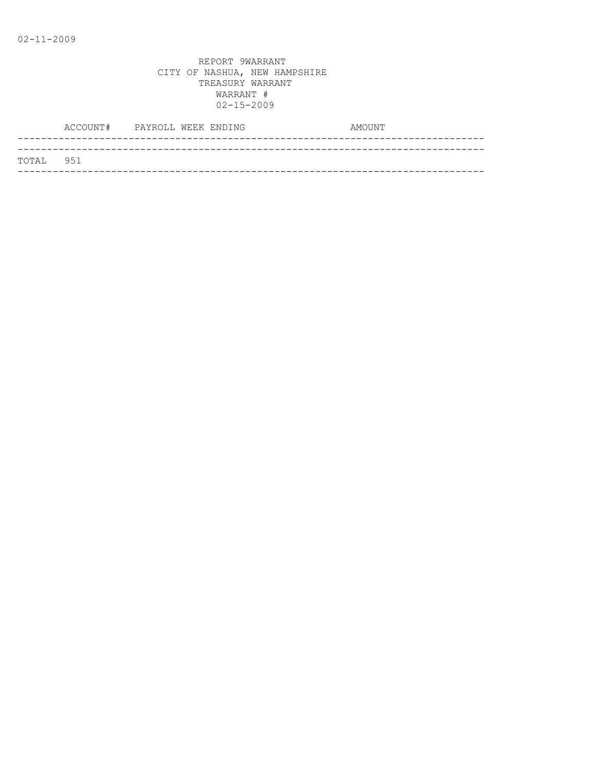| TOTAL 951 |  |
|-----------|--|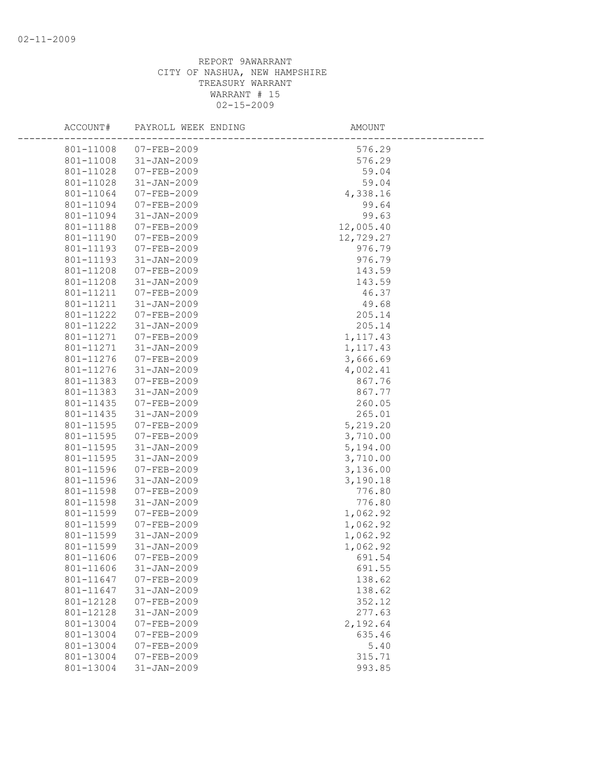| ACCOUNT#  | PAYROLL WEEK ENDING | AMOUNT    |  |
|-----------|---------------------|-----------|--|
| 801-11008 | 07-FEB-2009         | 576.29    |  |
| 801-11008 | 31-JAN-2009         | 576.29    |  |
| 801-11028 | 07-FEB-2009         | 59.04     |  |
| 801-11028 | 31-JAN-2009         | 59.04     |  |
| 801-11064 | 07-FEB-2009         | 4,338.16  |  |
| 801-11094 | 07-FEB-2009         | 99.64     |  |
| 801-11094 | 31-JAN-2009         | 99.63     |  |
| 801-11188 | 07-FEB-2009         | 12,005.40 |  |
| 801-11190 | 07-FEB-2009         | 12,729.27 |  |
| 801-11193 | 07-FEB-2009         | 976.79    |  |
| 801-11193 | 31-JAN-2009         | 976.79    |  |
| 801-11208 | 07-FEB-2009         | 143.59    |  |
| 801-11208 | 31-JAN-2009         | 143.59    |  |
| 801-11211 | 07-FEB-2009         | 46.37     |  |
| 801-11211 | 31-JAN-2009         | 49.68     |  |
| 801-11222 | 07-FEB-2009         | 205.14    |  |
| 801-11222 | $31 - JAN - 2009$   | 205.14    |  |
| 801-11271 | 07-FEB-2009         | 1, 117.43 |  |
| 801-11271 | 31-JAN-2009         | 1,117.43  |  |
| 801-11276 | 07-FEB-2009         | 3,666.69  |  |
| 801-11276 | 31-JAN-2009         | 4,002.41  |  |
| 801-11383 | 07-FEB-2009         | 867.76    |  |
| 801-11383 | 31-JAN-2009         | 867.77    |  |
| 801-11435 | 07-FEB-2009         | 260.05    |  |
| 801-11435 | 31-JAN-2009         | 265.01    |  |
| 801-11595 | 07-FEB-2009         | 5,219.20  |  |
| 801-11595 | 07-FEB-2009         | 3,710.00  |  |
| 801-11595 | 31-JAN-2009         | 5,194.00  |  |
| 801-11595 | 31-JAN-2009         | 3,710.00  |  |
| 801-11596 | 07-FEB-2009         | 3,136.00  |  |
| 801-11596 | 31-JAN-2009         | 3,190.18  |  |
| 801-11598 | 07-FEB-2009         | 776.80    |  |
| 801-11598 | $31 - JAN - 2009$   | 776.80    |  |
| 801-11599 | 07-FEB-2009         | 1,062.92  |  |
| 801-11599 | 07-FEB-2009         | 1,062.92  |  |
| 801-11599 | 31-JAN-2009         | 1,062.92  |  |
| 801-11599 | $31 - JAN - 2009$   | 1,062.92  |  |
| 801-11606 | 07-FEB-2009         | 691.54    |  |
| 801-11606 | $31 - JAN - 2009$   | 691.55    |  |
| 801-11647 | $07 - FEB - 2009$   | 138.62    |  |
| 801-11647 | $31 - JAN - 2009$   | 138.62    |  |
| 801-12128 | $07 - FEB - 2009$   | 352.12    |  |
| 801-12128 | $31 - JAN - 2009$   | 277.63    |  |
| 801-13004 | $07 - FEB - 2009$   | 2,192.64  |  |
| 801-13004 | $07 - FEB - 2009$   | 635.46    |  |
| 801-13004 | $07 - FEB - 2009$   | 5.40      |  |
| 801-13004 | $07 - FEB - 2009$   | 315.71    |  |
| 801-13004 | $31 - JAN - 2009$   | 993.85    |  |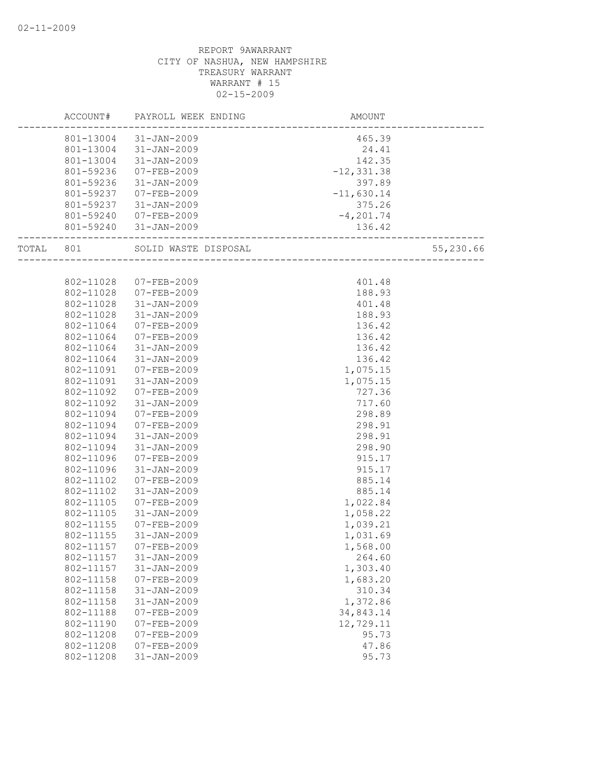|           |           | ACCOUNT# PAYROLL WEEK ENDING | AMOUNT                                     |           |
|-----------|-----------|------------------------------|--------------------------------------------|-----------|
|           |           | 801-13004 31-JAN-2009        | 465.39                                     |           |
|           |           | 801-13004 31-JAN-2009        | 24.41                                      |           |
|           |           | 801-13004 31-JAN-2009        | 142.35                                     |           |
|           | 801-59236 | 07-FEB-2009                  | $-12, 331.38$                              |           |
|           | 801-59236 | $31 - JAN - 2009$            | 397.89                                     |           |
|           | 801-59237 | 07-FEB-2009                  | $-11,630.14$                               |           |
|           |           | 801-59237 31-JAN-2009        | 375.26                                     |           |
|           |           | 801-59240 07-FEB-2009        | $-4, 201.74$                               |           |
|           |           | 801-59240 31-JAN-2009        | 136.42<br>-------------------------------- |           |
| TOTAL 801 |           | SOLID WASTE DISPOSAL         | __________________                         | 55,230.66 |
|           |           |                              |                                            |           |
|           | 802-11028 | 07-FEB-2009                  | 401.48                                     |           |
|           |           | 802-11028 07-FEB-2009        | 188.93                                     |           |
|           | 802-11028 | 31-JAN-2009                  | 401.48                                     |           |
|           | 802-11028 | 31-JAN-2009                  | 188.93                                     |           |
|           | 802-11064 | 07-FEB-2009                  | 136.42                                     |           |
|           | 802-11064 | 07-FEB-2009                  | 136.42                                     |           |
|           |           | 802-11064 31-JAN-2009        | 136.42                                     |           |
|           | 802-11064 | 31-JAN-2009                  | 136.42                                     |           |
|           | 802-11091 | 07-FEB-2009                  | 1,075.15                                   |           |
|           | 802-11091 | 31-JAN-2009                  | 1,075.15                                   |           |
|           | 802-11092 | 07-FEB-2009                  | 727.36                                     |           |
|           | 802-11092 | 31-JAN-2009                  | 717.60                                     |           |
|           | 802-11094 | 07-FEB-2009                  | 298.89                                     |           |
|           | 802-11094 | 07-FEB-2009                  | 298.91                                     |           |
|           | 802-11094 | 31-JAN-2009                  | 298.91                                     |           |
|           | 802-11094 | 31-JAN-2009                  | 298.90                                     |           |
|           | 802-11096 | 07-FEB-2009                  | 915.17                                     |           |
|           | 802-11096 | 31-JAN-2009                  | 915.17                                     |           |
|           | 802-11102 | 07-FEB-2009                  | 885.14                                     |           |
|           | 802-11102 | 31-JAN-2009                  | 885.14                                     |           |
|           | 802-11105 | 07-FEB-2009                  | 1,022.84                                   |           |
|           | 802-11105 | 31-JAN-2009                  | 1,058.22                                   |           |
|           | 802-11155 | 07-FEB-2009                  | 1,039.21                                   |           |
|           | 802-11155 | 31-JAN-2009                  | 1,031.69                                   |           |
|           | 802-11157 | 07-FEB-2009                  | 1,568.00                                   |           |
|           | 802-11157 | $31 - JAN - 2009$            | 264.60                                     |           |
|           | 802-11157 | $31 - JAN - 2009$            | 1,303.40                                   |           |
|           | 802-11158 | $07 - FEB - 2009$            | 1,683.20                                   |           |
|           | 802-11158 | $31 - JAN - 2009$            | 310.34                                     |           |
|           | 802-11158 | $31 - JAN - 2009$            | 1,372.86                                   |           |
|           | 802-11188 | $07 - FEB - 2009$            | 34,843.14                                  |           |
|           | 802-11190 | $07 - FEB - 2009$            | 12,729.11                                  |           |
|           | 802-11208 | $07 - FEB - 2009$            | 95.73                                      |           |
|           | 802-11208 | $07 - FEB - 2009$            | 47.86                                      |           |
|           | 802-11208 | $31 - JAN - 2009$            | 95.73                                      |           |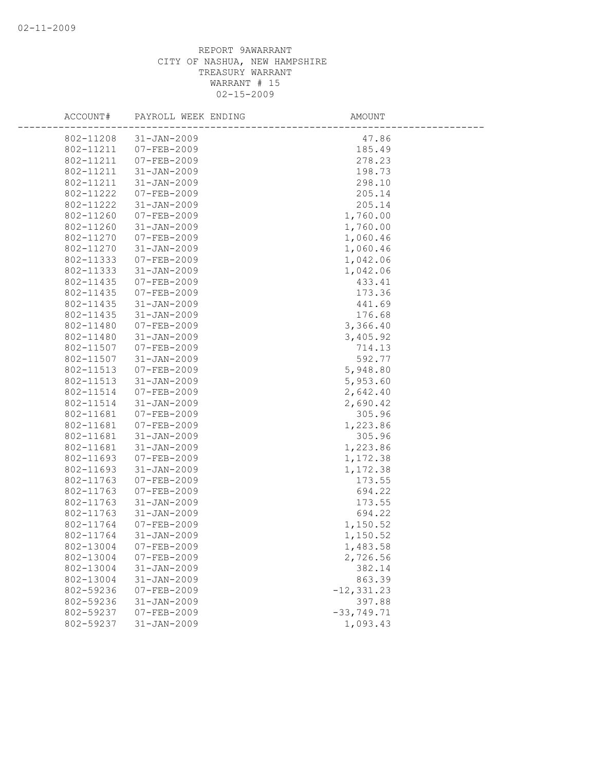| ACCOUNT#  | PAYROLL WEEK ENDING                    | AMOUNT        |
|-----------|----------------------------------------|---------------|
| 802-11208 | $31 - JAN - 2009$                      | 47.86         |
| 802-11211 | $07 - FEB - 2009$                      | 185.49        |
| 802-11211 | $07 - FEB - 2009$                      | 278.23        |
| 802-11211 | $31 - JAN - 2009$                      | 198.73        |
| 802-11211 | $31 - JAN - 2009$                      | 298.10        |
| 802-11222 | $07 - FEB - 2009$                      | 205.14        |
| 802-11222 | $31 - JAN - 2009$                      | 205.14        |
| 802-11260 | $07 - FEB - 2009$                      | 1,760.00      |
| 802-11260 | $31 - JAN - 2009$                      | 1,760.00      |
| 802-11270 | $07 - FEB - 2009$                      | 1,060.46      |
| 802-11270 | $31 - JAN - 2009$                      | 1,060.46      |
| 802-11333 | 07-FEB-2009                            | 1,042.06      |
| 802-11333 | $31 - JAN - 2009$                      | 1,042.06      |
| 802-11435 | $07 - FEB - 2009$                      | 433.41        |
| 802-11435 | $07 - FEB - 2009$                      | 173.36        |
| 802-11435 | $31 - JAN - 2009$                      | 441.69        |
| 802-11435 | $31 - JAN - 2009$                      | 176.68        |
| 802-11480 | $07 - FEB - 2009$                      | 3,366.40      |
| 802-11480 | $31 - JAN - 2009$                      | 3,405.92      |
| 802-11507 | $07 - FEB - 2009$                      | 714.13        |
| 802-11507 | $31 - JAN - 2009$                      | 592.77        |
| 802-11513 | $07 - FEB - 2009$                      | 5,948.80      |
| 802-11513 | $31 - JAN - 2009$                      | 5,953.60      |
| 802-11514 | 07-FEB-2009                            | 2,642.40      |
| 802-11514 | $31 - JAN - 2009$                      | 2,690.42      |
| 802-11681 | $07 - FEB - 2009$                      | 305.96        |
| 802-11681 | $07 - FEB - 2009$                      | 1,223.86      |
| 802-11681 | $31 - JAN - 2009$                      | 305.96        |
| 802-11681 | $31 - JAN - 2009$                      | 1,223.86      |
| 802-11693 | 07-FEB-2009                            | 1,172.38      |
| 802-11693 | $31 - JAN - 2009$                      | 1,172.38      |
| 802-11763 | 07-FEB-2009                            | 173.55        |
| 802-11763 | $07 - FEB - 2009$                      | 694.22        |
| 802-11763 | $31 - JAN - 2009$                      | 173.55        |
| 802-11763 | $31 - JAN - 2009$                      | 694.22        |
| 802-11764 | 07-FEB-2009                            | 1,150.52      |
| 802-11764 | $31 - JAN - 2009$                      | 1,150.52      |
| 802-13004 | $07 - FEB - 2009$                      | 1,483.58      |
| 802-13004 | $07 - FEB - 2009$                      | 2,726.56      |
| 802-13004 | $31 - JAN - 2009$                      | 382.14        |
| 802-13004 | $31 - JAN - 2009$<br>$07 - FEB - 2009$ | 863.39        |
| 802-59236 |                                        | $-12, 331.23$ |
| 802-59236 | $31 - JAN - 2009$                      | 397.88        |
| 802-59237 | $07 - FEB - 2009$                      | $-33, 749.71$ |
| 802-59237 | $31 - JAN - 2009$                      | 1,093.43      |